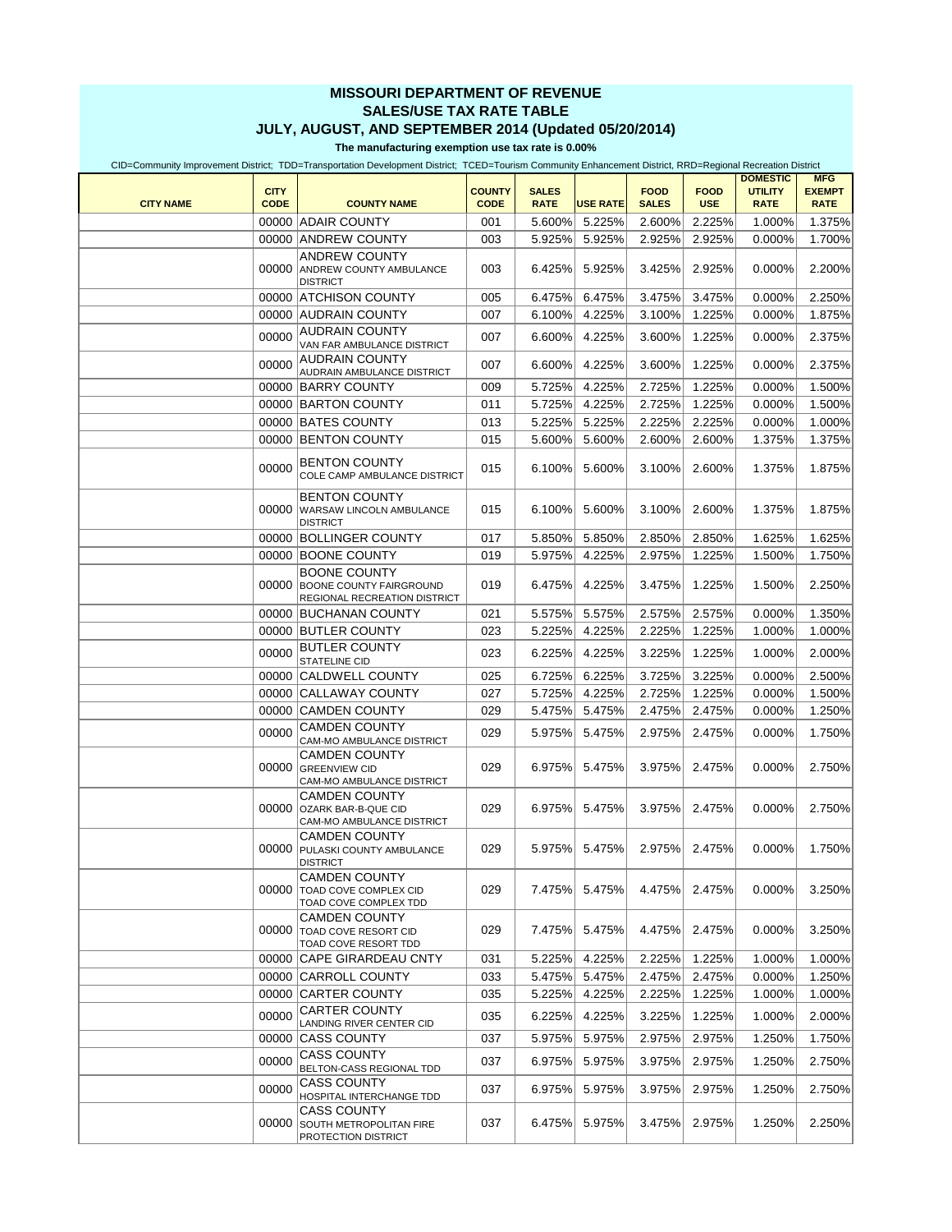## **MISSOURI DEPARTMENT OF REVENUE**

## **SALES/USE TAX RATE TABLE JULY, AUGUST, AND SEPTEMBER 2014 (Updated 05/20/2014)**

**The manufacturing exemption use tax rate is 0.00%** CID=Community Improvement District; TDD=Transportation Development District; TCED=Tourism Community Enhancement District, RRD=Regional Recreation District

| <b>CITY NAME</b> | <b>CITY</b><br><b>CODE</b> | OID-OOMINIQIII, MIPROVONICHI DISHIG, TDD-TTansponation Dovolopment District, TOED-Toanshi Oominiqiiity Emiancement District, NND-Neglonal Neerealion District<br><b>COUNTY NAME</b> | <b>COUNTY</b><br><b>CODE</b> | <b>SALES</b><br><b>RATE</b> | <b>USE RATE</b> | <b>FOOD</b><br><b>SALES</b> | <b>FOOD</b><br><b>USE</b> | <b>DOMESTIC</b><br><b>UTILITY</b><br><b>RATE</b> | <b>MFG</b><br><b>EXEMPT</b><br><b>RATE</b> |
|------------------|----------------------------|-------------------------------------------------------------------------------------------------------------------------------------------------------------------------------------|------------------------------|-----------------------------|-----------------|-----------------------------|---------------------------|--------------------------------------------------|--------------------------------------------|
|                  |                            | 00000 ADAIR COUNTY                                                                                                                                                                  | 001                          |                             | 5.600% 5.225%   | 2.600%                      | 2.225%                    | 1.000%                                           | 1.375%                                     |
|                  |                            | 00000 ANDREW COUNTY                                                                                                                                                                 | 003                          | 5.925%                      | 5.925%          | 2.925%                      | 2.925%                    | 0.000%                                           | 1.700%                                     |
|                  |                            | <b>ANDREW COUNTY</b><br>00000 ANDREW COUNTY AMBULANCE<br><b>DISTRICT</b>                                                                                                            | 003                          | 6.425%                      | 5.925%          | 3.425%                      | 2.925%                    | 0.000%                                           | 2.200%                                     |
|                  |                            | 00000 ATCHISON COUNTY                                                                                                                                                               | 005                          | 6.475%                      | 6.475%          | 3.475%                      | 3.475%                    | 0.000%                                           | 2.250%                                     |
|                  |                            | 00000 AUDRAIN COUNTY                                                                                                                                                                | 007                          | 6.100%                      | 4.225%          | 3.100%                      | 1.225%                    | 0.000%                                           | 1.875%                                     |
|                  | 00000                      | <b>AUDRAIN COUNTY</b><br>VAN FAR AMBULANCE DISTRICT                                                                                                                                 | 007                          | 6.600%                      | 4.225%          | 3.600%                      | 1.225%                    | 0.000%                                           | 2.375%                                     |
|                  | 00000                      | <b>AUDRAIN COUNTY</b><br>AUDRAIN AMBULANCE DISTRICT                                                                                                                                 | 007                          | 6.600%                      | 4.225%          | 3.600%                      | 1.225%                    | 0.000%                                           | 2.375%                                     |
|                  |                            | 00000 BARRY COUNTY                                                                                                                                                                  | 009                          | 5.725%                      | 4.225%          | 2.725%                      | 1.225%                    | 0.000%                                           | 1.500%                                     |
|                  |                            | 00000 BARTON COUNTY                                                                                                                                                                 | 011                          | 5.725%                      | 4.225%          | 2.725%                      | 1.225%                    | 0.000%                                           | 1.500%                                     |
|                  |                            | 00000 BATES COUNTY                                                                                                                                                                  | 013                          | 5.225%                      | 5.225%          | 2.225%                      | 2.225%                    | 0.000%                                           | 1.000%                                     |
|                  |                            | 00000 BENTON COUNTY                                                                                                                                                                 | 015                          | 5.600%                      | 5.600%          | 2.600%                      | 2.600%                    | 1.375%                                           | 1.375%                                     |
|                  | 00000                      | <b>BENTON COUNTY</b><br>COLE CAMP AMBULANCE DISTRICT                                                                                                                                | 015                          | $6.100\%$                   | 5.600%          | 3.100%                      | 2.600%                    | 1.375%                                           | 1.875%                                     |
|                  |                            | <b>BENTON COUNTY</b><br>00000 WARSAW LINCOLN AMBULANCE<br><b>DISTRICT</b>                                                                                                           | 015                          |                             | 6.100% 5.600%   | 3.100%                      | 2.600%                    | 1.375%                                           | 1.875%                                     |
|                  |                            | 00000 BOLLINGER COUNTY                                                                                                                                                              | 017                          |                             | 5.850% 5.850%   | 2.850%                      | 2.850%                    | 1.625%                                           | 1.625%                                     |
|                  |                            | 00000 BOONE COUNTY                                                                                                                                                                  | 019                          | 5.975%                      | 4.225%          | 2.975%                      | 1.225%                    | 1.500%                                           | 1.750%                                     |
|                  |                            | <b>BOONE COUNTY</b><br>00000 BOONE COUNTY FAIRGROUND<br><b>REGIONAL RECREATION DISTRICT</b>                                                                                         | 019                          | 6.475%                      | 4.225%          | 3.475%                      | 1.225%                    | 1.500%                                           | 2.250%                                     |
|                  |                            | 00000 BUCHANAN COUNTY                                                                                                                                                               | 021                          | 5.575%                      | 5.575%          | 2.575%                      | 2.575%                    | 0.000%                                           | 1.350%                                     |
|                  |                            | 00000 BUTLER COUNTY                                                                                                                                                                 | 023                          | 5.225%                      | 4.225%          | 2.225%                      | 1.225%                    | 1.000%                                           | 1.000%                                     |
|                  | 00000                      | <b>BUTLER COUNTY</b><br><b>STATELINE CID</b>                                                                                                                                        | 023                          | 6.225%                      | 4.225%          | 3.225%                      | 1.225%                    | 1.000%                                           | 2.000%                                     |
|                  |                            | 00000 CALDWELL COUNTY                                                                                                                                                               | 025                          | 6.725%                      | 6.225%          | 3.725%                      | 3.225%                    | 0.000%                                           | 2.500%                                     |
|                  |                            | 00000 CALLAWAY COUNTY                                                                                                                                                               | 027                          | 5.725%                      | 4.225%          | 2.725%                      | 1.225%                    | 0.000%                                           | 1.500%                                     |
|                  |                            | 00000 CAMDEN COUNTY                                                                                                                                                                 | 029                          |                             | 5.475% 5.475%   | 2.475%                      | 2.475%                    | 0.000%                                           | 1.250%                                     |
|                  | 00000                      | <b>CAMDEN COUNTY</b><br>CAM-MO AMBULANCE DISTRICT                                                                                                                                   | 029                          | 5.975%                      | 5.475%          | 2.975%                      | 2.475%                    | 0.000%                                           | 1.750%                                     |
|                  |                            | <b>CAMDEN COUNTY</b><br>00000 GREENVIEW CID<br>CAM-MO AMBULANCE DISTRICT                                                                                                            | 029                          | 6.975%                      | 5.475%          | 3.975%                      | 2.475%                    | 0.000%                                           | 2.750%                                     |
|                  |                            | <b>CAMDEN COUNTY</b><br>00000 OZARK BAR-B-QUE CID<br>CAM-MO AMBULANCE DISTRICT                                                                                                      | 029                          | 6.975%                      | 5.475%          | 3.975%                      | 2.475%                    | 0.000%                                           | 2.750%                                     |
|                  |                            | <b>CAMDEN COUNTY</b><br>00000 PULASKI COUNTY AMBULANCE<br><b>DISTRICT</b>                                                                                                           | 029                          | 5.975%                      | 5.475%          | 2.975%                      | 2.475%                    | 0.000%                                           | 1.750%                                     |
|                  |                            | <b>CAMDEN COUNTY</b><br>00000 TOAD COVE COMPLEX CID<br>TOAD COVE COMPLEX TDD                                                                                                        | 029                          | 7.475%                      | 5.475%          | 4.475%                      | 2.475%                    | 0.000%                                           | 3.250%                                     |
|                  | 00000                      | <b>CAMDEN COUNTY</b><br><b>TOAD COVE RESORT CID</b><br>TOAD COVE RESORT TDD                                                                                                         | 029                          | 7.475%                      | 5.475%          | 4.475%                      | 2.475%                    | 0.000%                                           | 3.250%                                     |
|                  |                            | 00000 CAPE GIRARDEAU CNTY                                                                                                                                                           | 031                          | 5.225%                      | 4.225%          | 2.225%                      | 1.225%                    | 1.000%                                           | 1.000%                                     |
|                  |                            | 00000 CARROLL COUNTY                                                                                                                                                                | 033                          | 5.475%                      | 5.475%          | 2.475%                      | 2.475%                    | 0.000%                                           | 1.250%                                     |
|                  | 00000                      | <b>CARTER COUNTY</b>                                                                                                                                                                | 035                          | 5.225%                      | 4.225%          | 2.225%                      | 1.225%                    | 1.000%                                           | 1.000%                                     |
|                  | 00000                      | <b>CARTER COUNTY</b><br>LANDING RIVER CENTER CID                                                                                                                                    | 035                          | 6.225%                      | 4.225%          | 3.225%                      | 1.225%                    | 1.000%                                           | 2.000%                                     |
|                  | 00000                      | <b>CASS COUNTY</b>                                                                                                                                                                  | 037                          | 5.975%                      | 5.975%          | 2.975%                      | 2.975%                    | 1.250%                                           | 1.750%                                     |
|                  | 00000                      | <b>CASS COUNTY</b><br>BELTON-CASS REGIONAL TDD                                                                                                                                      | 037                          | 6.975%                      | 5.975%          | 3.975%                      | 2.975%                    | 1.250%                                           | 2.750%                                     |
|                  | 00000                      | <b>CASS COUNTY</b><br>HOSPITAL INTERCHANGE TDD                                                                                                                                      | 037                          | 6.975%                      | 5.975%          | 3.975%                      | 2.975%                    | 1.250%                                           | 2.750%                                     |
|                  | 00000                      | <b>CASS COUNTY</b><br>SOUTH METROPOLITAN FIRE<br>PROTECTION DISTRICT                                                                                                                | 037                          | 6.475%                      | 5.975%          | 3.475%                      | 2.975%                    | 1.250%                                           | 2.250%                                     |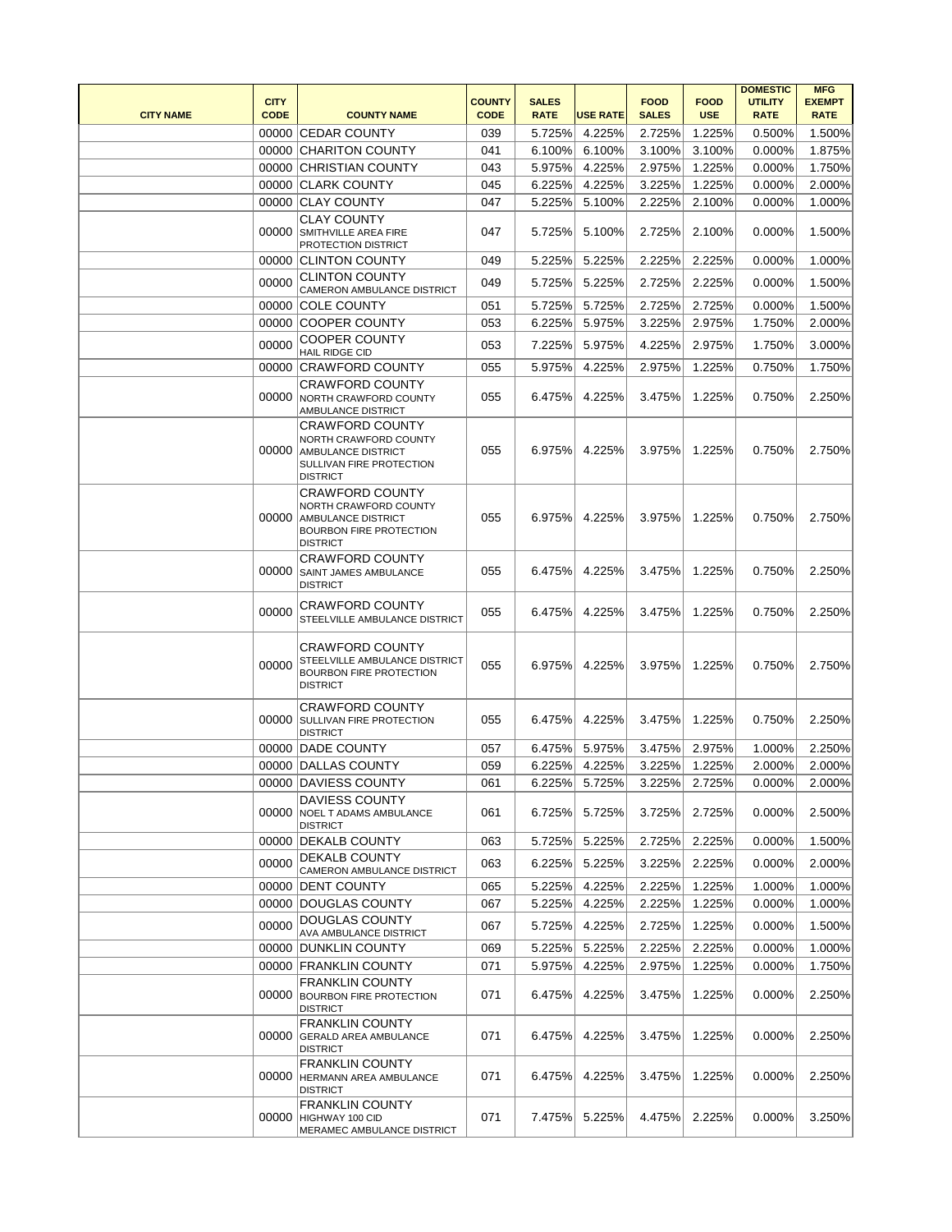|                  | <b>CITY</b> |                                                                                                                                           | <b>COUNTY</b> | <b>SALES</b> |                 | <b>FOOD</b>  | <b>FOOD</b>   | <b>DOMESTIC</b><br><b>UTILITY</b> | <b>MFG</b><br><b>EXEMPT</b> |
|------------------|-------------|-------------------------------------------------------------------------------------------------------------------------------------------|---------------|--------------|-----------------|--------------|---------------|-----------------------------------|-----------------------------|
| <b>CITY NAME</b> | <b>CODE</b> | <b>COUNTY NAME</b>                                                                                                                        | <b>CODE</b>   | <b>RATE</b>  | <b>USE RATE</b> | <b>SALES</b> | <b>USE</b>    | <b>RATE</b>                       | <b>RATE</b>                 |
|                  | 00000       | <b>CEDAR COUNTY</b>                                                                                                                       | 039           | 5.725%       | 4.225%          | 2.725%       | 1.225%        | 0.500%                            | 1.500%                      |
|                  | 00000       | <b>CHARITON COUNTY</b>                                                                                                                    | 041           | 6.100%       | 6.100%          | 3.100%       | 3.100%        | 0.000%                            | 1.875%                      |
|                  | 00000       | <b>CHRISTIAN COUNTY</b>                                                                                                                   | 043           | 5.975%       | 4.225%          | 2.975%       | 1.225%        | 0.000%                            | 1.750%                      |
|                  | 00000       | <b>CLARK COUNTY</b>                                                                                                                       | 045           | 6.225%       | 4.225%          | 3.225%       | 1.225%        | 0.000%                            | 2.000%                      |
|                  |             | 00000 CLAY COUNTY                                                                                                                         | 047           | 5.225%       | 5.100%          | 2.225%       | 2.100%        | 0.000%                            | 1.000%                      |
|                  | 00000       | <b>CLAY COUNTY</b><br>SMITHVILLE AREA FIRE<br><b>PROTECTION DISTRICT</b>                                                                  | 047           | 5.725%       | 5.100%          | 2.725%       | 2.100%        | 0.000%                            | 1.500%                      |
|                  | 00000       | <b>CLINTON COUNTY</b>                                                                                                                     | 049           | 5.225%       | 5.225%          | 2.225%       | 2.225%        | 0.000%                            | 1.000%                      |
|                  | 00000       | <b>CLINTON COUNTY</b>                                                                                                                     | 049           | 5.725%       | 5.225%          | 2.725%       | 2.225%        | 0.000%                            | 1.500%                      |
|                  | 00000       | CAMERON AMBULANCE DISTRICT<br><b>COLE COUNTY</b>                                                                                          | 051           | 5.725%       | 5.725%          | 2.725%       | 2.725%        | 0.000%                            | 1.500%                      |
|                  | 00000       | <b>COOPER COUNTY</b>                                                                                                                      | 053           | 6.225%       | 5.975%          | 3.225%       | 2.975%        | 1.750%                            | 2.000%                      |
|                  | 00000       | <b>COOPER COUNTY</b>                                                                                                                      |               |              |                 |              |               |                                   | 3.000%                      |
|                  |             | <b>HAIL RIDGE CID</b>                                                                                                                     | 053           | 7.225%       | 5.975%          | 4.225%       | 2.975%        | 1.750%                            |                             |
|                  | 00000       | <b>CRAWFORD COUNTY</b>                                                                                                                    | 055           | 5.975%       | 4.225%          | 2.975%       | 1.225%        | 0.750%                            | 1.750%                      |
|                  | 00000       | <b>CRAWFORD COUNTY</b><br>NORTH CRAWFORD COUNTY<br><b>AMBULANCE DISTRICT</b>                                                              | 055           | 6.475%       | 4.225%          | 3.475%       | 1.225%        | 0.750%                            | 2.250%                      |
|                  | 00000       | <b>CRAWFORD COUNTY</b><br><b>NORTH CRAWFORD COUNTY</b><br><b>AMBULANCE DISTRICT</b><br><b>SULLIVAN FIRE PROTECTION</b><br><b>DISTRICT</b> | 055           | 6.975%       | 4.225%          | 3.975%       | 1.225%        | 0.750%                            | 2.750%                      |
|                  | 00000       | <b>CRAWFORD COUNTY</b><br><b>NORTH CRAWFORD COUNTY</b><br><b>AMBULANCE DISTRICT</b><br><b>BOURBON FIRE PROTECTION</b><br><b>DISTRICT</b>  | 055           | 6.975%       | 4.225%          | 3.975%       | 1.225%        | 0.750%                            | 2.750%                      |
|                  | 00000       | <b>CRAWFORD COUNTY</b><br><b>SAINT JAMES AMBULANCE</b><br><b>DISTRICT</b>                                                                 | 055           | 6.475%       | 4.225%          | 3.475%       | 1.225%        | 0.750%                            | 2.250%                      |
|                  | 00000       | <b>CRAWFORD COUNTY</b><br>STEELVILLE AMBULANCE DISTRICT                                                                                   | 055           |              | 6.475% 4.225%   |              | 3.475% 1.225% | 0.750%                            | 2.250%                      |
|                  | 00000       | <b>CRAWFORD COUNTY</b><br><b>STEELVILLE AMBULANCE DISTRICT</b><br><b>BOURBON FIRE PROTECTION</b><br><b>DISTRICT</b>                       | 055           | 6.975%       | 4.225%          | 3.975%       | 1.225%        | 0.750%                            | 2.750%                      |
|                  | 00000       | <b>CRAWFORD COUNTY</b><br><b>SULLIVAN FIRE PROTECTION</b><br><b>DISTRICT</b>                                                              | 055           | 6.475%       | 4.225%          | 3.475%       | 1.225%        | 0.750%                            | 2.250%                      |
|                  |             | 00000 DADE COUNTY                                                                                                                         | 057           | 6.475%       | 5.975%          | 3.475%       | 2.975%        | 1.000%                            | 2.250%                      |
|                  | 00000       | <b>DALLAS COUNTY</b>                                                                                                                      | 059           | 6.225%       | 4.225%          | 3.225%       | 1.225%        | 2.000%                            | 2.000%                      |
|                  |             | 00000 DAVIESS COUNTY                                                                                                                      | 061           | 6.225%       | 5.725%          | 3.225%       | 2.725%        | 0.000%                            | 2.000%                      |
|                  |             | <b>DAVIESS COUNTY</b><br>00000 NOEL T ADAMS AMBULANCE<br><b>DISTRICT</b>                                                                  | 061           | 6.725%       | 5.725%          | 3.725%       | 2.725%        | 0.000%                            | 2.500%                      |
|                  |             | 00000 DEKALB COUNTY                                                                                                                       | 063           | 5.725%       | 5.225%          | 2.725%       | 2.225%        | 0.000%                            | 1.500%                      |
|                  | 00000       | <b>DEKALB COUNTY</b>                                                                                                                      | 063           | 6.225%       | 5.225%          | 3.225%       | 2.225%        | 0.000%                            | 2.000%                      |
|                  | 00000       | CAMERON AMBULANCE DISTRICT<br><b>DENT COUNTY</b>                                                                                          | 065           | 5.225%       | 4.225%          | 2.225%       | 1.225%        | 1.000%                            | 1.000%                      |
|                  | 00000       | DOUGLAS COUNTY                                                                                                                            | 067           | 5.225%       | 4.225%          | 2.225%       | 1.225%        | 0.000%                            | 1.000%                      |
|                  | 00000       | <b>DOUGLAS COUNTY</b>                                                                                                                     | 067           | 5.725%       | 4.225%          | 2.725%       | 1.225%        | 0.000%                            | 1.500%                      |
|                  |             | <b>AVA AMBULANCE DISTRICT</b>                                                                                                             |               |              |                 |              |               |                                   |                             |
|                  |             | 00000 DUNKLIN COUNTY                                                                                                                      | 069           | 5.225%       | 5.225%          | 2.225%       | 2.225%        | 0.000%                            | 1.000%                      |
|                  |             | 00000 FRANKLIN COUNTY                                                                                                                     | 071           | 5.975%       | 4.225%          | 2.975%       | 1.225%        | 0.000%                            | 1.750%                      |
|                  |             | <b>FRANKLIN COUNTY</b><br>00000 BOURBON FIRE PROTECTION<br><b>DISTRICT</b>                                                                | 071           | 6.475%       | 4.225%          | 3.475%       | 1.225%        | 0.000%                            | 2.250%                      |
|                  |             | <b>FRANKLIN COUNTY</b><br>00000 GERALD AREA AMBULANCE<br><b>DISTRICT</b>                                                                  | 071           | 6.475%       | 4.225%          | 3.475%       | 1.225%        | 0.000%                            | 2.250%                      |
|                  |             | <b>FRANKLIN COUNTY</b><br>00000 HERMANN AREA AMBULANCE<br><b>DISTRICT</b>                                                                 | 071           | 6.475%       | 4.225%          | 3.475%       | 1.225%        | 0.000%                            | 2.250%                      |
|                  | 00000       | <b>FRANKLIN COUNTY</b><br>HIGHWAY 100 CID<br>MERAMEC AMBULANCE DISTRICT                                                                   | 071           | 7.475%       | 5.225%          | 4.475%       | 2.225%        | 0.000%                            | 3.250%                      |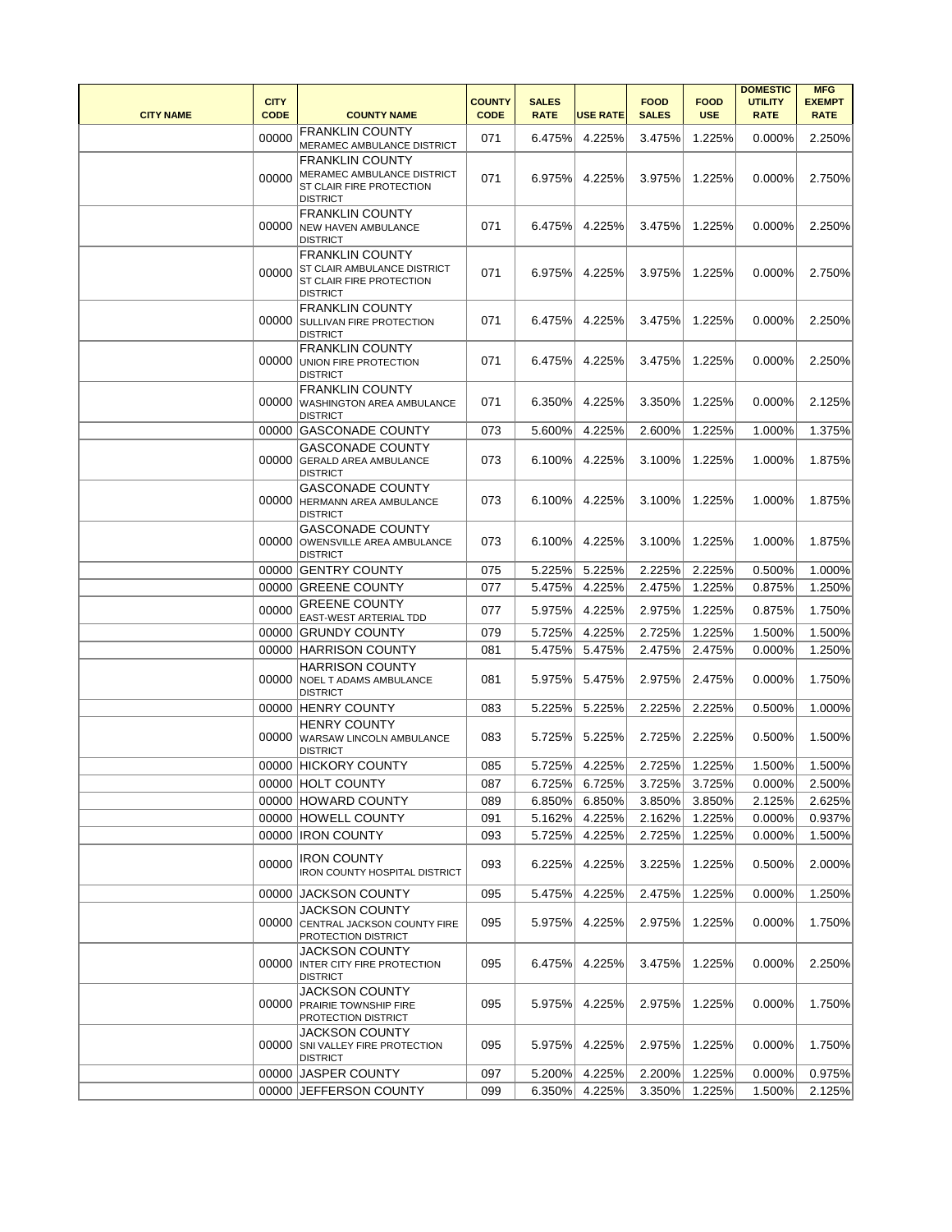| <b>CITY NAME</b> | <b>CITY</b><br><b>CODE</b> | <b>COUNTY NAME</b>                                                                                         | <b>COUNTY</b><br><b>CODE</b> | <b>SALES</b><br><b>RATE</b> | <b>USE RATE</b> | <b>FOOD</b><br><b>SALES</b> | <b>FOOD</b><br><b>USE</b> | <b>DOMESTIC</b><br><b>UTILITY</b><br><b>RATE</b> | <b>MFG</b><br><b>EXEMPT</b><br><b>RATE</b> |
|------------------|----------------------------|------------------------------------------------------------------------------------------------------------|------------------------------|-----------------------------|-----------------|-----------------------------|---------------------------|--------------------------------------------------|--------------------------------------------|
|                  | 00000                      | <b>FRANKLIN COUNTY</b><br>MERAMEC AMBULANCE DISTRICT                                                       | 071                          | 6.475%                      | 4.225%          | 3.475%                      | 1.225%                    | 0.000%                                           | 2.250%                                     |
|                  | 00000                      | <b>FRANKLIN COUNTY</b><br>MERAMEC AMBULANCE DISTRICT<br><b>ST CLAIR FIRE PROTECTION</b><br><b>DISTRICT</b> | 071                          | 6.975%                      | 4.225%          | 3.975%                      | 1.225%                    | 0.000%                                           | 2.750%                                     |
|                  | 00000                      | <b>FRANKLIN COUNTY</b><br><b>NEW HAVEN AMBULANCE</b><br><b>DISTRICT</b>                                    | 071                          | 6.475%                      | 4.225%          | 3.475%                      | 1.225%                    | 0.000%                                           | 2.250%                                     |
|                  | 00000                      | <b>FRANKLIN COUNTY</b><br>ST CLAIR AMBULANCE DISTRICT<br>ST CLAIR FIRE PROTECTION<br><b>DISTRICT</b>       | 071                          | 6.975%                      | 4.225%          | 3.975%                      | 1.225%                    | 0.000%                                           | 2.750%                                     |
|                  | 00000                      | <b>FRANKLIN COUNTY</b><br><b>SULLIVAN FIRE PROTECTION</b><br><b>DISTRICT</b>                               | 071                          | 6.475%                      | 4.225%          | 3.475%                      | 1.225%                    | 0.000%                                           | 2.250%                                     |
|                  | 00000                      | <b>FRANKLIN COUNTY</b><br>UNION FIRE PROTECTION<br><b>DISTRICT</b>                                         | 071                          | 6.475%                      | 4.225%          | 3.475%                      | 1.225%                    | 0.000%                                           | 2.250%                                     |
|                  | 00000                      | <b>FRANKLIN COUNTY</b><br><b>WASHINGTON AREA AMBULANCE</b><br><b>DISTRICT</b>                              | 071                          | 6.350%                      | 4.225%          | 3.350%                      | 1.225%                    | 0.000%                                           | 2.125%                                     |
|                  |                            | 00000 GASCONADE COUNTY                                                                                     | 073                          | 5.600%                      | 4.225%          | 2.600%                      | 1.225%                    | 1.000%                                           | 1.375%                                     |
|                  | 00000                      | <b>GASCONADE COUNTY</b><br><b>GERALD AREA AMBULANCE</b><br><b>DISTRICT</b>                                 | 073                          | 6.100%                      | 4.225%          | 3.100%                      | 1.225%                    | 1.000%                                           | 1.875%                                     |
|                  | 00000                      | <b>GASCONADE COUNTY</b><br>HERMANN AREA AMBULANCE<br><b>DISTRICT</b>                                       | 073                          | 6.100%                      | 4.225%          | 3.100%                      | 1.225%                    | 1.000%                                           | 1.875%                                     |
|                  | 00000                      | <b>GASCONADE COUNTY</b><br>OWENSVILLE AREA AMBULANCE<br><b>DISTRICT</b>                                    | 073                          | 6.100%                      | 4.225%          | 3.100%                      | 1.225%                    | 1.000%                                           | 1.875%                                     |
|                  | 00000                      | <b>GENTRY COUNTY</b>                                                                                       | 075                          | 5.225%                      | 5.225%          | 2.225%                      | 2.225%                    | 0.500%                                           | 1.000%                                     |
|                  | 00000                      | <b>GREENE COUNTY</b>                                                                                       | 077                          | 5.475%                      | 4.225%          | 2.475%                      | 1.225%                    | 0.875%                                           | 1.250%                                     |
|                  | 00000                      | <b>GREENE COUNTY</b><br><b>EAST-WEST ARTERIAL TDD</b>                                                      | 077                          |                             | 5.975% 4.225%   | 2.975%                      | 1.225%                    | 0.875%                                           | 1.750%                                     |
|                  |                            | 00000 GRUNDY COUNTY                                                                                        | 079                          | 5.725%                      | 4.225%          | 2.725%                      | 1.225%                    | 1.500%                                           | 1.500%                                     |
|                  |                            | 00000 HARRISON COUNTY                                                                                      | 081                          | 5.475%                      | 5.475%          | 2.475%                      | 2.475%                    | 0.000%                                           | 1.250%                                     |
|                  | 00000                      | <b>HARRISON COUNTY</b><br><b>NOEL T ADAMS AMBULANCE</b><br><b>DISTRICT</b>                                 | 081                          | 5.975%                      | 5.475%          | 2.975%                      | 2.475%                    | 0.000%                                           | 1.750%                                     |
|                  |                            | 00000 HENRY COUNTY                                                                                         | 083                          | 5.225%                      | 5.225%          | 2.225%                      | 2.225%                    | 0.500%                                           | 1.000%                                     |
|                  |                            | <b>HENRY COUNTY</b><br>00000 WARSAW LINCOLN AMBULANCE<br><b>DISTRICT</b>                                   | 083                          | 5.725%                      | 5.225%          | 2.725%                      | 2.225%                    | 0.500%                                           | 1.500%                                     |
|                  |                            | 00000 HICKORY COUNTY                                                                                       | 085                          | 5.725%                      | 4.225%          | 2.725%                      | 1.225%                    | 1.500%                                           | 1.500%                                     |
|                  |                            | 00000 HOLT COUNTY                                                                                          | 087                          | 6.725%                      | 6.725%          | 3.725%                      | 3.725%                    | 0.000%                                           | 2.500%                                     |
|                  |                            | 00000 HOWARD COUNTY                                                                                        | 089                          | 6.850%                      | 6.850%          | 3.850%                      | 3.850%                    | 2.125%                                           | 2.625%                                     |
|                  |                            | 00000 HOWELL COUNTY                                                                                        | 091                          | 5.162%                      | 4.225%          | 2.162%                      | 1.225%                    | 0.000%                                           | 0.937%                                     |
|                  |                            | 00000  IRON COUNTY                                                                                         | 093                          | 5.725%                      | 4.225%          | 2.725%                      | 1.225%                    | 0.000%                                           | 1.500%                                     |
|                  | 00000                      | <b>IRON COUNTY</b><br>IRON COUNTY HOSPITAL DISTRICT                                                        | 093                          | 6.225%                      | 4.225%          | 3.225%                      | 1.225%                    | 0.500%                                           | 2.000%                                     |
|                  | 00000                      | <b>JACKSON COUNTY</b>                                                                                      | 095                          | 5.475%                      | 4.225%          | 2.475%                      | 1.225%                    | 0.000%                                           | 1.250%                                     |
|                  | 00000                      | <b>JACKSON COUNTY</b><br>CENTRAL JACKSON COUNTY FIRE<br>PROTECTION DISTRICT                                | 095                          | 5.975%                      | 4.225%          | 2.975%                      | 1.225%                    | 0.000%                                           | 1.750%                                     |
|                  |                            | <b>JACKSON COUNTY</b><br>00000 INTER CITY FIRE PROTECTION<br><b>DISTRICT</b>                               | 095                          | 6.475%                      | 4.225%          | 3.475%                      | 1.225%                    | 0.000%                                           | 2.250%                                     |
|                  |                            | <b>JACKSON COUNTY</b><br>00000 PRAIRIE TOWNSHIP FIRE<br><b>PROTECTION DISTRICT</b>                         | 095                          | 5.975%                      | 4.225%          | 2.975%                      | 1.225%                    | 0.000%                                           | 1.750%                                     |
|                  | 00000                      | <b>JACKSON COUNTY</b><br>SNI VALLEY FIRE PROTECTION<br><b>DISTRICT</b>                                     | 095                          | 5.975%                      | 4.225%          | 2.975%                      | 1.225%                    | 0.000%                                           | 1.750%                                     |
|                  | 00000                      | <b>JASPER COUNTY</b>                                                                                       | 097                          | 5.200%                      | 4.225%          | 2.200%                      | 1.225%                    | 0.000%                                           | 0.975%                                     |
|                  |                            | 00000 JEFFERSON COUNTY                                                                                     | 099                          | 6.350%                      | 4.225%          | 3.350%                      | 1.225%                    | 1.500%                                           | 2.125%                                     |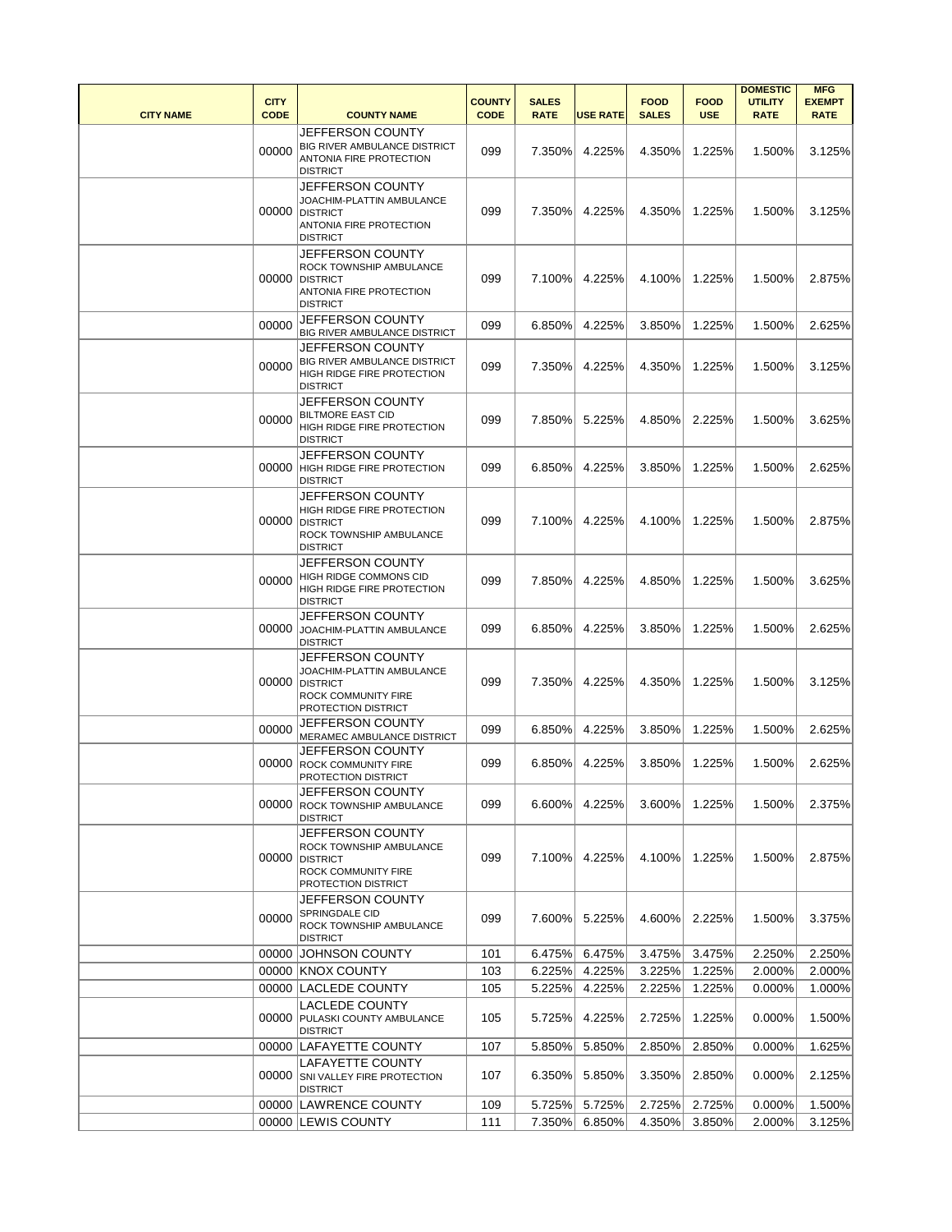|                  |                            |                                                                                                                              |                              |                             |                 |                             |                           | <b>DOMESTIC</b>               | <b>MFG</b>                   |
|------------------|----------------------------|------------------------------------------------------------------------------------------------------------------------------|------------------------------|-----------------------------|-----------------|-----------------------------|---------------------------|-------------------------------|------------------------------|
| <b>CITY NAME</b> | <b>CITY</b><br><b>CODE</b> | <b>COUNTY NAME</b>                                                                                                           | <b>COUNTY</b><br><b>CODE</b> | <b>SALES</b><br><b>RATE</b> | <b>USE RATE</b> | <b>FOOD</b><br><b>SALES</b> | <b>FOOD</b><br><b>USE</b> | <b>UTILITY</b><br><b>RATE</b> | <b>EXEMPT</b><br><b>RATE</b> |
|                  | 00000                      | JEFFERSON COUNTY<br><b>BIG RIVER AMBULANCE DISTRICT</b><br><b>ANTONIA FIRE PROTECTION</b><br><b>DISTRICT</b>                 | 099                          | 7.350%                      | 4.225%          | 4.350%                      | 1.225%                    | 1.500%                        | 3.125%                       |
|                  | 00000                      | JEFFERSON COUNTY<br>JOACHIM-PLATTIN AMBULANCE<br><b>DISTRICT</b><br><b>ANTONIA FIRE PROTECTION</b><br><b>DISTRICT</b>        | 099                          | 7.350%                      | 4.225%          | 4.350%                      | 1.225%                    | 1.500%                        | 3.125%                       |
|                  | 00000                      | JEFFERSON COUNTY<br><b>ROCK TOWNSHIP AMBULANCE</b><br><b>DISTRICT</b><br><b>ANTONIA FIRE PROTECTION</b><br><b>DISTRICT</b>   | 099                          | 7.100%                      | 4.225%          | 4.100%                      | 1.225%                    | 1.500%                        | 2.875%                       |
|                  | 00000                      | JEFFERSON COUNTY<br>BIG RIVER AMBULANCE DISTRICT                                                                             | 099                          | 6.850%                      | 4.225%          | 3.850%                      | 1.225%                    | 1.500%                        | 2.625%                       |
|                  | 00000                      | JEFFERSON COUNTY<br>BIG RIVER AMBULANCE DISTRICT<br>HIGH RIDGE FIRE PROTECTION<br><b>DISTRICT</b>                            | 099                          | 7.350%                      | 4.225%          | 4.350%                      | 1.225%                    | 1.500%                        | 3.125%                       |
|                  | 00000                      | JEFFERSON COUNTY<br><b>BILTMORE EAST CID</b><br>HIGH RIDGE FIRE PROTECTION<br><b>DISTRICT</b>                                | 099                          | 7.850%                      | 5.225%          | 4.850%                      | 2.225%                    | 1.500%                        | 3.625%                       |
|                  |                            | JEFFERSON COUNTY<br>00000 HIGH RIDGE FIRE PROTECTION<br><b>DISTRICT</b>                                                      | 099                          | 6.850%                      | 4.225%          | 3.850%                      | 1.225%                    | 1.500%                        | 2.625%                       |
|                  |                            | <b>JEFFERSON COUNTY</b><br><b>HIGH RIDGE FIRE PROTECTION</b><br>00000 DISTRICT<br>ROCK TOWNSHIP AMBULANCE<br><b>DISTRICT</b> | 099                          | 7.100%                      | 4.225%          | 4.100%                      | 1.225%                    | 1.500%                        | 2.875%                       |
|                  | 00000                      | JEFFERSON COUNTY<br><b>HIGH RIDGE COMMONS CID</b><br>HIGH RIDGE FIRE PROTECTION<br><b>DISTRICT</b>                           | 099                          | 7.850%                      | 4.225%          | 4.850%                      | 1.225%                    | 1.500%                        | 3.625%                       |
|                  |                            | JEFFERSON COUNTY<br>00000 JOACHIM-PLATTIN AMBULANCE<br><b>DISTRICT</b>                                                       | 099                          | 6.850%                      | 4.225%          | 3.850%                      | 1.225%                    | 1.500%                        | 2.625%                       |
|                  |                            | JEFFERSON COUNTY<br>JOACHIM-PLATTIN AMBULANCE<br>00000 DISTRICT<br>ROCK COMMUNITY FIRE<br><b>PROTECTION DISTRICT</b>         | 099                          | 7.350%                      | 4.225%          | 4.350%                      | 1.225%                    | 1.500%                        | 3.125%                       |
|                  | 00000                      | JEFFERSON COUNTY<br>MERAMEC AMBULANCE DISTRICT                                                                               | 099                          | 6.850%                      | 4.225%          | 3.850%                      | 1.225%                    | 1.500%                        | 2.625%                       |
|                  |                            | JEFFERSON COUNTY<br>00000 ROCK COMMUNITY FIRE<br><b>PROTECTION DISTRICT</b>                                                  | 099                          | 6.850%                      | 4.225%          | 3.850%                      | 1.225%                    | 1.500%                        | 2.625%                       |
|                  |                            | JEFFERSON COUNTY<br>00000 ROCK TOWNSHIP AMBULANCE<br><b>DISTRICT</b>                                                         | 099                          | 6.600%                      | 4.225%          | 3.600%                      | 1.225%                    | 1.500%                        | 2.375%                       |
|                  |                            | JEFFERSON COUNTY<br>ROCK TOWNSHIP AMBULANCE<br>00000 DISTRICT<br>ROCK COMMUNITY FIRE<br><b>PROTECTION DISTRICT</b>           | 099                          | 7.100%                      | 4.225%          | 4.100%                      | 1.225%                    | 1.500%                        | 2.875%                       |
|                  | 00000                      | JEFFERSON COUNTY<br>SPRINGDALE CID<br>ROCK TOWNSHIP AMBULANCE<br><b>DISTRICT</b>                                             | 099                          | 7.600%                      | 5.225%          | 4.600%                      | 2.225%                    | 1.500%                        | 3.375%                       |
|                  |                            | 00000 JOHNSON COUNTY                                                                                                         | 101                          | 6.475%                      | 6.475%          | 3.475%                      | 3.475%                    | 2.250%                        | 2.250%                       |
|                  |                            | 00000 KNOX COUNTY                                                                                                            | 103                          | 6.225%                      | 4.225%          | 3.225%                      | 1.225%                    | 2.000%                        | 2.000%                       |
|                  |                            | 00000 LACLEDE COUNTY                                                                                                         | 105                          | 5.225%                      | 4.225%          | 2.225%                      | 1.225%                    | 0.000%                        | 1.000%                       |
|                  |                            | <b>LACLEDE COUNTY</b><br>00000 PULASKI COUNTY AMBULANCE<br><b>DISTRICT</b>                                                   | 105                          | 5.725%                      | 4.225%          | 2.725%                      | 1.225%                    | 0.000%                        | 1.500%                       |
|                  |                            | 00000 LAFAYETTE COUNTY                                                                                                       | 107                          | 5.850%                      | 5.850%          | 2.850%                      | 2.850%                    | 0.000%                        | 1.625%                       |
|                  |                            | <b>LAFAYETTE COUNTY</b><br>00000 SNI VALLEY FIRE PROTECTION<br><b>DISTRICT</b>                                               | 107                          | 6.350%                      | 5.850%          | 3.350%                      | 2.850%                    | 0.000%                        | 2.125%                       |
|                  |                            | 00000 LAWRENCE COUNTY                                                                                                        | 109                          | 5.725%                      | 5.725%          | 2.725%                      | 2.725%                    | 0.000%                        | 1.500%                       |
|                  |                            | 00000 LEWIS COUNTY                                                                                                           | 111                          | 7.350%                      | 6.850%          | 4.350%                      | 3.850%                    | 2.000%                        | 3.125%                       |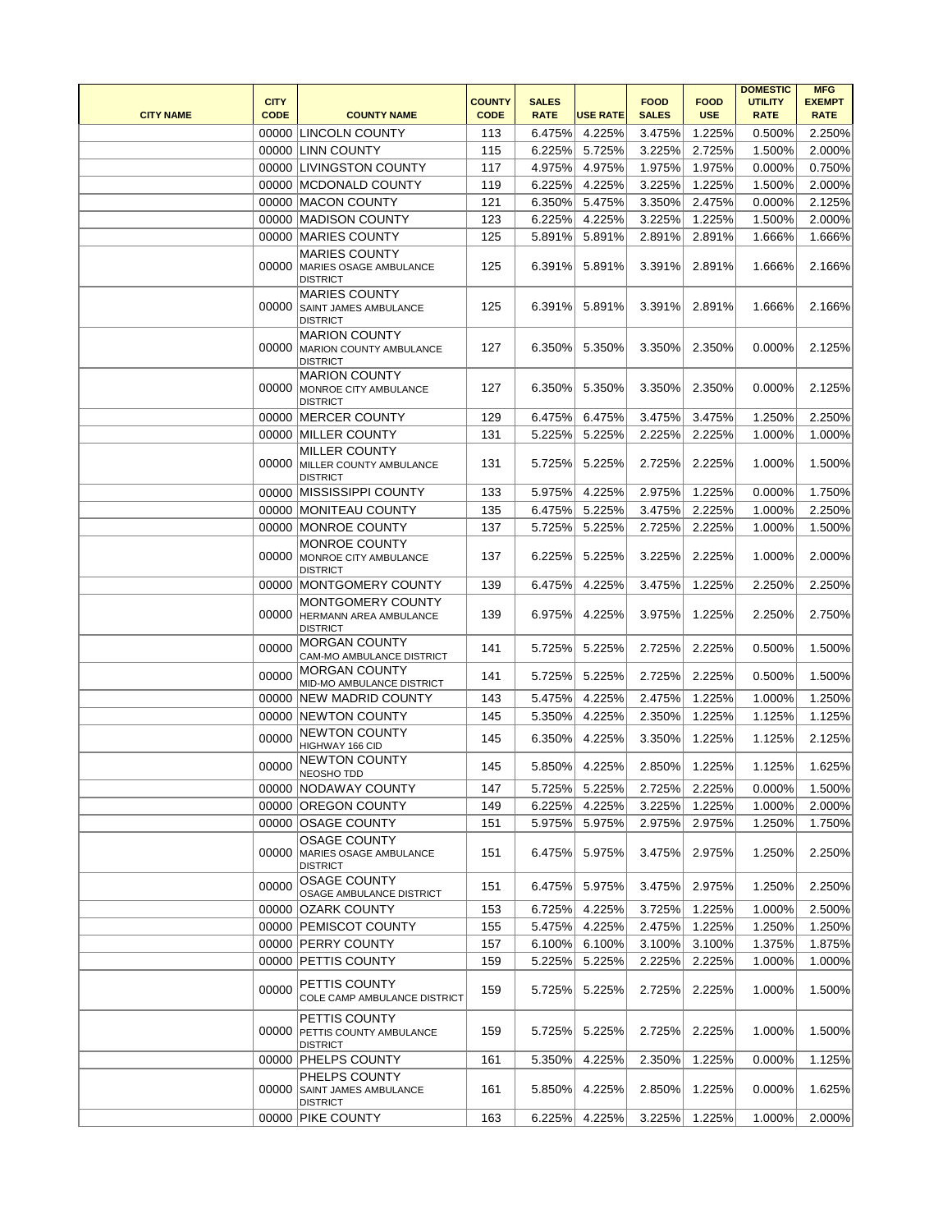| <b>CITY NAME</b> | <b>CITY</b><br><b>CODE</b> | <b>COUNTY NAME</b>                                                       | <b>COUNTY</b><br><b>CODE</b> | <b>SALES</b><br><b>RATE</b> | <b>USE RATE</b> | <b>FOOD</b><br><b>SALES</b> | <b>FOOD</b><br><b>USE</b> | <b>DOMESTIC</b><br><b>UTILITY</b><br><b>RATE</b> | <b>MFG</b><br><b>EXEMPT</b><br><b>RATE</b> |
|------------------|----------------------------|--------------------------------------------------------------------------|------------------------------|-----------------------------|-----------------|-----------------------------|---------------------------|--------------------------------------------------|--------------------------------------------|
|                  |                            | 00000 LINCOLN COUNTY                                                     | 113                          | 6.475%                      | 4.225%          | 3.475%                      | 1.225%                    | 0.500%                                           | 2.250%                                     |
|                  |                            | 00000 LINN COUNTY                                                        | 115                          | 6.225%                      | 5.725%          | 3.225%                      | 2.725%                    | 1.500%                                           | 2.000%                                     |
|                  | 00000                      | <b>LIVINGSTON COUNTY</b>                                                 | 117                          | 4.975%                      | 4.975%          | 1.975%                      | 1.975%                    | 0.000%                                           | 0.750%                                     |
|                  |                            | 00000 MCDONALD COUNTY                                                    | 119                          | 6.225%                      | 4.225%          | 3.225%                      | 1.225%                    | 1.500%                                           | 2.000%                                     |
|                  |                            | 00000 MACON COUNTY                                                       | 121                          | 6.350%                      | 5.475%          | 3.350%                      | 2.475%                    | 0.000%                                           | 2.125%                                     |
|                  |                            | 00000 MADISON COUNTY                                                     | 123                          | 6.225%                      | 4.225%          | 3.225%                      | 1.225%                    | 1.500%                                           | 2.000%                                     |
|                  |                            | 00000 MARIES COUNTY                                                      | 125                          | 5.891%                      | 5.891%          | 2.891%                      | 2.891%                    | 1.666%                                           | 1.666%                                     |
|                  |                            | <b>MARIES COUNTY</b>                                                     |                              |                             |                 |                             |                           |                                                  |                                            |
|                  |                            | 00000 MARIES OSAGE AMBULANCE<br><b>DISTRICT</b>                          | 125                          | 6.391%                      | 5.891%          | 3.391%                      | 2.891%                    | 1.666%                                           | 2.166%                                     |
|                  | 00000                      | <b>MARIES COUNTY</b><br>SAINT JAMES AMBULANCE<br><b>DISTRICT</b>         | 125                          | 6.391%                      | 5.891%          | 3.391%                      | 2.891%                    | 1.666%                                           | 2.166%                                     |
|                  | 00000                      | <b>MARION COUNTY</b><br>MARION COUNTY AMBULANCE<br><b>DISTRICT</b>       | 127                          | 6.350%                      | 5.350%          | 3.350%                      | 2.350%                    | 0.000%                                           | 2.125%                                     |
|                  |                            | <b>MARION COUNTY</b><br>00000 MONROE CITY AMBULANCE<br><b>DISTRICT</b>   | 127                          | 6.350%                      | 5.350%          | 3.350%                      | 2.350%                    | 0.000%                                           | 2.125%                                     |
|                  |                            | 00000 MERCER COUNTY                                                      | 129                          | 6.475%                      | 6.475%          | 3.475%                      | 3.475%                    | 1.250%                                           | 2.250%                                     |
|                  |                            | 00000 MILLER COUNTY                                                      | 131                          | 5.225%                      | 5.225%          | 2.225%                      | 2.225%                    | 1.000%                                           | 1.000%                                     |
|                  |                            | <b>MILLER COUNTY</b><br>00000 MILLER COUNTY AMBULANCE<br><b>DISTRICT</b> | 131                          | 5.725%                      | 5.225%          | 2.725%                      | 2.225%                    | 1.000%                                           | 1.500%                                     |
|                  |                            | 00000 MISSISSIPPI COUNTY                                                 | 133                          | 5.975%                      | 4.225%          | 2.975%                      | 1.225%                    | 0.000%                                           | 1.750%                                     |
|                  |                            | 00000 MONITEAU COUNTY                                                    | 135                          | 6.475%                      | 5.225%          | 3.475%                      | 2.225%                    | 1.000%                                           | 2.250%                                     |
|                  | 00000                      | MONROE COUNTY                                                            | 137                          | 5.725%                      | 5.225%          | 2.725%                      | 2.225%                    | 1.000%                                           | 1.500%                                     |
|                  | 00000                      | MONROE COUNTY<br>MONROE CITY AMBULANCE<br><b>DISTRICT</b>                | 137                          | 6.225%                      | 5.225%          | 3.225%                      | 2.225%                    | 1.000%                                           | 2.000%                                     |
|                  |                            | 00000 MONTGOMERY COUNTY                                                  | 139                          | 6.475%                      | 4.225%          | 3.475%                      | 1.225%                    | 2.250%                                           | 2.250%                                     |
|                  |                            | MONTGOMERY COUNTY<br>00000 HERMANN AREA AMBULANCE<br><b>DISTRICT</b>     | 139                          |                             |                 | 6.975% 4.225% 3.975% 1.225% |                           | 2.250%                                           | 2.750%                                     |
|                  | 00000                      | <b>MORGAN COUNTY</b><br>CAM-MO AMBULANCE DISTRICT                        | 141                          | 5.725%                      | 5.225%          | 2.725%                      | 2.225%                    | 0.500%                                           | 1.500%                                     |
|                  | 00000                      | <b>MORGAN COUNTY</b><br>MID-MO AMBULANCE DISTRICT                        | 141                          | 5.725%                      | 5.225%          | 2.725%                      | 2.225%                    | 0.500%                                           | 1.500%                                     |
|                  | 00000                      | <b>NEW MADRID COUNTY</b>                                                 | 143                          | 5.475%                      | 4.225%          | 2.475%                      | 1.225%                    | 1.000%                                           | 1.250%                                     |
|                  |                            | 00000 NEWTON COUNTY                                                      | 145                          | 5.350%                      | 4.225%          | 2.350%                      | 1.225%                    | 1.125%                                           | 1.125%                                     |
|                  | 00000                      | <b>NEWTON COUNTY</b><br>HIGHWAY 166 CID                                  | 145                          | 6.350%                      | 4.225%          | 3.350%                      | 1.225%                    | 1.125%                                           | 2.125%                                     |
|                  | 00000                      | <b>NEWTON COUNTY</b><br>NEOSHO TDD                                       | 145                          | 5.850%                      | 4.225%          | 2.850%                      | 1.225%                    | 1.125%                                           | 1.625%                                     |
|                  | 00000                      | NODAWAY COUNTY                                                           | 147                          | 5.725%                      | 5.225%          | 2.725%                      | 2.225%                    | 0.000%                                           | 1.500%                                     |
|                  | 00000                      | <b>OREGON COUNTY</b>                                                     | 149                          | 6.225%                      | 4.225%          | 3.225%                      | 1.225%                    | 1.000%                                           | 2.000%                                     |
|                  | 00000                      | <b>OSAGE COUNTY</b>                                                      | 151                          | 5.975%                      | 5.975%          | 2.975%                      | 2.975%                    | 1.250%                                           | 1.750%                                     |
|                  | 00000                      | <b>OSAGE COUNTY</b><br>MARIES OSAGE AMBULANCE<br><b>DISTRICT</b>         | 151                          | 6.475%                      | 5.975%          | 3.475%                      | 2.975%                    | 1.250%                                           | 2.250%                                     |
|                  | 00000                      | <b>OSAGE COUNTY</b><br>OSAGE AMBULANCE DISTRICT                          | 151                          | 6.475%                      | 5.975%          | 3.475%                      | 2.975%                    | 1.250%                                           | 2.250%                                     |
|                  | 00000                      | <b>OZARK COUNTY</b>                                                      | 153                          | 6.725%                      | 4.225%          | 3.725%                      | 1.225%                    | 1.000%                                           | 2.500%                                     |
|                  |                            | 00000 PEMISCOT COUNTY                                                    | 155                          | 5.475%                      | 4.225%          | 2.475%                      | 1.225%                    | 1.250%                                           | 1.250%                                     |
|                  |                            | 00000 PERRY COUNTY                                                       | 157                          | 6.100%                      | 6.100%          | 3.100%                      | 3.100%                    | 1.375%                                           | 1.875%                                     |
|                  | 00000                      | <b>PETTIS COUNTY</b>                                                     | 159                          | 5.225%                      | 5.225%          | 2.225%                      | 2.225%                    | 1.000%                                           | 1.000%                                     |
|                  | 00000                      | PETTIS COUNTY<br><b>COLE CAMP AMBULANCE DISTRICT</b>                     | 159                          | 5.725%                      | 5.225%          | 2.725%                      | 2.225%                    | 1.000%                                           | 1.500%                                     |
|                  | 00000                      | PETTIS COUNTY<br><b>PETTIS COUNTY AMBULANCE</b><br><b>DISTRICT</b>       | 159                          | 5.725%                      | 5.225%          | 2.725%                      | 2.225%                    | 1.000%                                           | 1.500%                                     |
|                  |                            | 00000 PHELPS COUNTY                                                      | 161                          | 5.350%                      | 4.225%          | 2.350%                      | 1.225%                    | 0.000%                                           | 1.125%                                     |
|                  | 00000                      | PHELPS COUNTY<br>SAINT JAMES AMBULANCE<br><b>DISTRICT</b>                | 161                          | 5.850%                      | 4.225%          | 2.850%                      | 1.225%                    | 0.000%                                           | 1.625%                                     |
|                  |                            | 00000 PIKE COUNTY                                                        | 163                          | 6.225%                      | 4.225%          | 3.225%                      | 1.225%                    | 1.000%                                           | 2.000%                                     |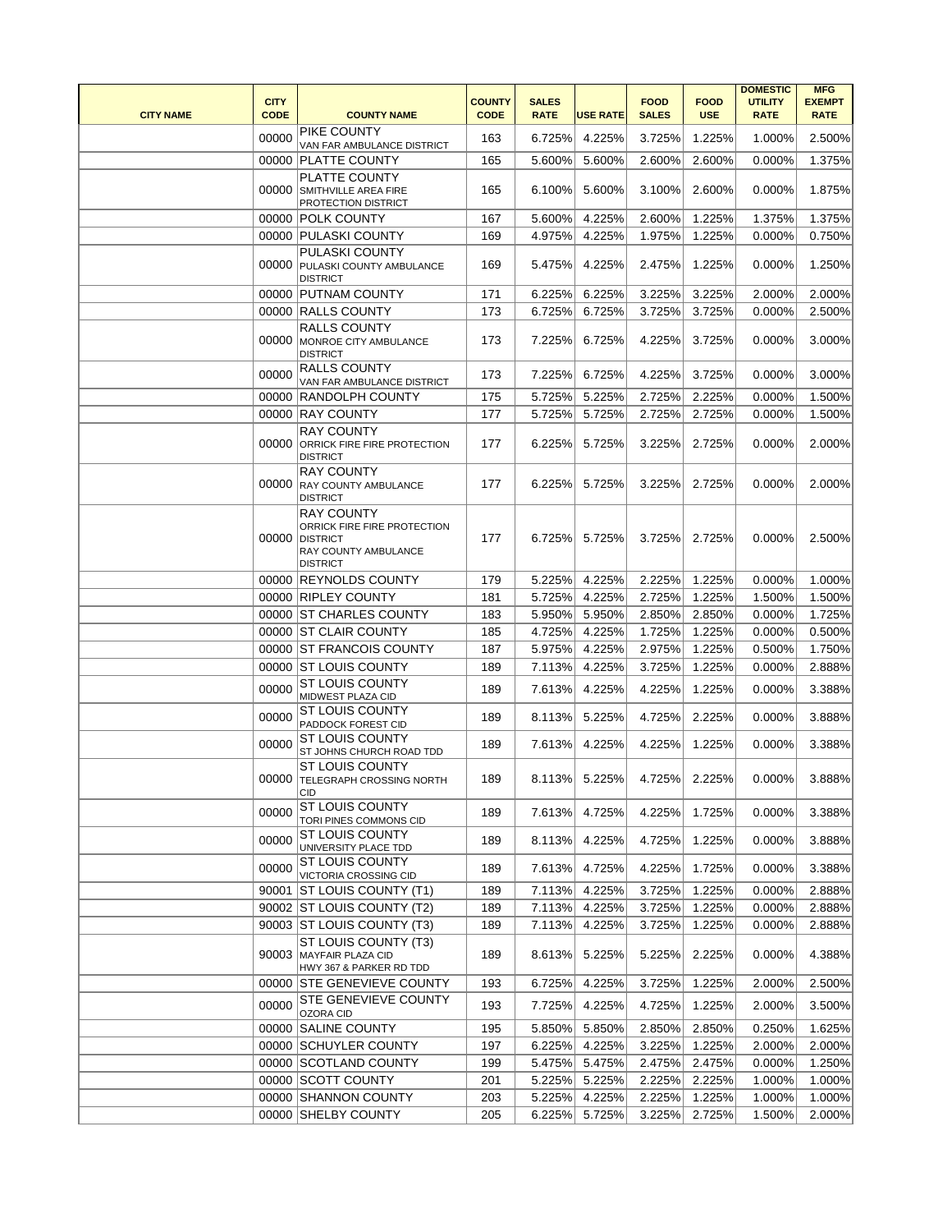|                  |                            |                                                                                                                       |                              |                             |                 |                             |                           | <b>DOMESTIC</b>               | <b>MFG</b>                   |
|------------------|----------------------------|-----------------------------------------------------------------------------------------------------------------------|------------------------------|-----------------------------|-----------------|-----------------------------|---------------------------|-------------------------------|------------------------------|
| <b>CITY NAME</b> | <b>CITY</b><br><b>CODE</b> | <b>COUNTY NAME</b>                                                                                                    | <b>COUNTY</b><br><b>CODE</b> | <b>SALES</b><br><b>RATE</b> | <b>USE RATE</b> | <b>FOOD</b><br><b>SALES</b> | <b>FOOD</b><br><b>USE</b> | <b>UTILITY</b><br><b>RATE</b> | <b>EXEMPT</b><br><b>RATE</b> |
|                  | 00000                      | <b>PIKE COUNTY</b><br>VAN FAR AMBULANCE DISTRICT                                                                      | 163                          | 6.725%                      | 4.225%          | 3.725%                      | 1.225%                    | 1.000%                        | 2.500%                       |
|                  |                            | 00000 PLATTE COUNTY                                                                                                   | 165                          | 5.600%                      | 5.600%          | 2.600%                      | 2.600%                    | 0.000%                        | 1.375%                       |
|                  | 00000                      | <b>PLATTE COUNTY</b><br>SMITHVILLE AREA FIRE<br><b>PROTECTION DISTRICT</b>                                            | 165                          | 6.100%                      | 5.600%          | 3.100%                      | 2.600%                    | 0.000%                        | 1.875%                       |
|                  |                            | 00000 POLK COUNTY                                                                                                     | 167                          | 5.600%                      | 4.225%          | 2.600%                      | 1.225%                    | 1.375%                        | 1.375%                       |
|                  |                            | 00000 PULASKI COUNTY                                                                                                  | 169                          | 4.975%                      | 4.225%          | 1.975%                      | 1.225%                    | 0.000%                        | 0.750%                       |
|                  |                            | <b>PULASKI COUNTY</b><br>00000 PULASKI COUNTY AMBULANCE<br><b>DISTRICT</b>                                            | 169                          | 5.475%                      | 4.225%          | 2.475%                      | 1.225%                    | 0.000%                        | 1.250%                       |
|                  |                            | 00000 PUTNAM COUNTY                                                                                                   | 171                          | 6.225%                      | 6.225%          | 3.225%                      | 3.225%                    | 2.000%                        | 2.000%                       |
|                  |                            | 00000 RALLS COUNTY                                                                                                    | 173                          | 6.725%                      | 6.725%          | 3.725%                      | 3.725%                    | 0.000%                        | 2.500%                       |
|                  | 00000                      | <b>RALLS COUNTY</b><br>MONROE CITY AMBULANCE<br><b>DISTRICT</b>                                                       | 173                          | 7.225%                      | 6.725%          | 4.225%                      | 3.725%                    | 0.000%                        | 3.000%                       |
|                  | 00000                      | <b>RALLS COUNTY</b><br>VAN FAR AMBULANCE DISTRICT                                                                     | 173                          | 7.225%                      | 6.725%          | 4.225%                      | 3.725%                    | 0.000%                        | 3.000%                       |
|                  | 00000                      | <b>RANDOLPH COUNTY</b>                                                                                                | 175                          | 5.725%                      | 5.225%          | 2.725%                      | 2.225%                    | 0.000%                        | 1.500%                       |
|                  |                            | 00000 RAY COUNTY                                                                                                      | 177                          | 5.725%                      | 5.725%          | 2.725%                      | 2.725%                    | 0.000%                        | 1.500%                       |
|                  | 00000                      | <b>RAY COUNTY</b><br>ORRICK FIRE FIRE PROTECTION<br><b>DISTRICT</b>                                                   | 177                          | 6.225%                      | 5.725%          | 3.225%                      | 2.725%                    | 0.000%                        | 2.000%                       |
|                  | 00000                      | <b>RAY COUNTY</b><br><b>RAY COUNTY AMBULANCE</b><br><b>DISTRICT</b>                                                   | 177                          | 6.225%                      | 5.725%          | 3.225%                      | 2.725%                    | 0.000%                        | 2.000%                       |
|                  | 00000                      | <b>RAY COUNTY</b><br>ORRICK FIRE FIRE PROTECTION<br><b>DISTRICT</b><br><b>RAY COUNTY AMBULANCE</b><br><b>DISTRICT</b> | 177                          | 6.725%                      | 5.725%          | 3.725%                      | 2.725%                    | 0.000%                        | 2.500%                       |
|                  |                            | 00000 REYNOLDS COUNTY                                                                                                 | 179                          | 5.225%                      | 4.225%          | 2.225%                      | 1.225%                    | 0.000%                        | 1.000%                       |
|                  |                            | 00000 RIPLEY COUNTY                                                                                                   | 181                          | 5.725%                      | 4.225%          | 2.725%                      | 1.225%                    | 1.500%                        | 1.500%                       |
|                  |                            | 00000 ST CHARLES COUNTY                                                                                               | 183                          |                             | 5.950% 5.950%   | 2.850%                      | 2.850%                    | $0.000\%$                     | 1.725%                       |
|                  |                            | 00000 ST CLAIR COUNTY                                                                                                 | 185                          | 4.725%                      | 4.225%          | 1.725%                      | 1.225%                    | 0.000%                        | 0.500%                       |
|                  | 00000                      | <b>ST FRANCOIS COUNTY</b>                                                                                             | 187                          | 5.975%                      | 4.225%          | 2.975%                      | 1.225%                    | 0.500%                        | 1.750%                       |
|                  |                            | 00000 ST LOUIS COUNTY                                                                                                 | 189                          | 7.113%                      | 4.225%          | 3.725%                      | 1.225%                    | 0.000%                        | 2.888%                       |
|                  | 00000                      | <b>ST LOUIS COUNTY</b><br>MIDWEST PLAZA CID                                                                           | 189                          | 7.613%                      | 4.225%          | 4.225%                      | 1.225%                    | 0.000%                        | 3.388%                       |
|                  | 00000                      | <b>ST LOUIS COUNTY</b><br>PADDOCK FOREST CID                                                                          | 189                          | 8.113%                      | 5.225%          | 4.725%                      | 2.225%                    | 0.000%                        | 3.888%                       |
|                  | 00000                      | <b>ST LOUIS COUNTY</b><br>ST JOHNS CHURCH ROAD TDD                                                                    | 189                          | 7.613%                      | 4.225%          | 4.225%                      | 1.225%                    | 0.000%                        | 3.388%                       |
|                  | 00000                      | <b>ST LOUIS COUNTY</b><br><b>TELEGRAPH CROSSING NORTH</b><br><b>CID</b>                                               | 189                          | 8.113%                      | 5.225%          | 4.725%                      | 2.225%                    | 0.000%                        | 3.888%                       |
|                  | 00000                      | <b>ST LOUIS COUNTY</b><br>TORI PINES COMMONS CID                                                                      | 189                          | 7.613%                      | 4.725%          | 4.225%                      | 1.725%                    | 0.000%                        | 3.388%                       |
|                  | 00000                      | <b>ST LOUIS COUNTY</b><br>UNIVERSITY PLACE TDD                                                                        | 189                          | 8.113%                      | 4.225%          | 4.725%                      | 1.225%                    | 0.000%                        | 3.888%                       |
|                  | 00000                      | <b>ST LOUIS COUNTY</b><br>VICTORIA CROSSING CID                                                                       | 189                          | 7.613%                      | 4.725%          | 4.225%                      | 1.725%                    | 0.000%                        | 3.388%                       |
|                  |                            | 90001 ST LOUIS COUNTY (T1)                                                                                            | 189                          | 7.113%                      | 4.225%          | 3.725%                      | 1.225%                    | 0.000%                        | 2.888%                       |
|                  |                            | 90002 ST LOUIS COUNTY (T2)                                                                                            | 189                          | 7.113%                      | 4.225%          | 3.725%                      | 1.225%                    | 0.000%                        | 2.888%                       |
|                  |                            | 90003 ST LOUIS COUNTY (T3)                                                                                            | 189                          | 7.113%                      | 4.225%          | 3.725%                      | 1.225%                    | 0.000%                        | 2.888%                       |
|                  |                            | <b>ST LOUIS COUNTY (T3)</b><br>90003 MAYFAIR PLAZA CID<br>HWY 367 & PARKER RD TDD                                     | 189                          | 8.613%                      | 5.225%          | 5.225%                      | 2.225%                    | 0.000%                        | 4.388%                       |
|                  |                            | 00000 STE GENEVIEVE COUNTY                                                                                            | 193                          | 6.725%                      | 4.225%          | 3.725%                      | 1.225%                    | 2.000%                        | 2.500%                       |
|                  | 00000                      | <b>STE GENEVIEVE COUNTY</b><br>OZORA CID                                                                              | 193                          | 7.725%                      | 4.225%          | 4.725%                      | 1.225%                    | 2.000%                        | 3.500%                       |
|                  |                            | 00000 SALINE COUNTY                                                                                                   | 195                          | 5.850%                      | 5.850%          | 2.850%                      | 2.850%                    | 0.250%                        | 1.625%                       |
|                  |                            | 00000 SCHUYLER COUNTY                                                                                                 | 197                          | 6.225%                      | 4.225%          | 3.225%                      | 1.225%                    | 2.000%                        | 2.000%                       |
|                  |                            | 00000 SCOTLAND COUNTY                                                                                                 | 199                          | 5.475%                      | 5.475%          | 2.475%                      | 2.475%                    | 0.000%                        | 1.250%                       |
|                  |                            | 00000 SCOTT COUNTY                                                                                                    | 201                          | 5.225%                      | 5.225%          | 2.225%                      | 2.225%                    | 1.000%                        | 1.000%                       |
|                  |                            | 00000 SHANNON COUNTY                                                                                                  | 203                          | 5.225%                      | 4.225%          | 2.225%                      | 1.225%                    | 1.000%                        | 1.000%                       |
|                  |                            | 00000 SHELBY COUNTY                                                                                                   | 205                          | 6.225%                      | 5.725%          | 3.225%                      | 2.725%                    | 1.500%                        | 2.000%                       |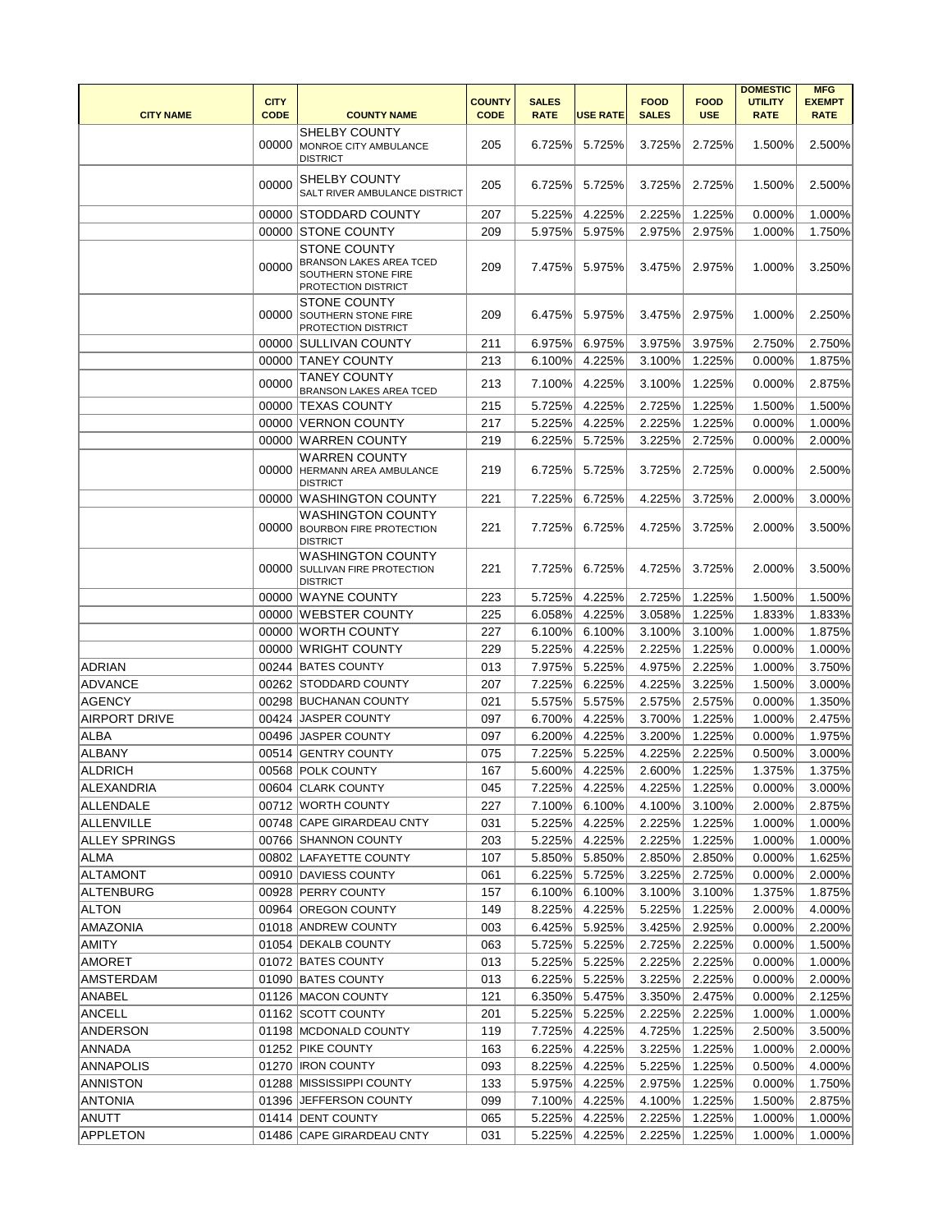|                                | <b>CITY</b> |                                                                                                     | <b>COUNTY</b> | <b>SALES</b>     |                  | <b>FOOD</b>      | <b>FOOD</b>      | <b>DOMESTIC</b><br><b>UTILITY</b> | <b>MFG</b><br><b>EXEMPT</b> |
|--------------------------------|-------------|-----------------------------------------------------------------------------------------------------|---------------|------------------|------------------|------------------|------------------|-----------------------------------|-----------------------------|
| <b>CITY NAME</b>               | <b>CODE</b> | <b>COUNTY NAME</b>                                                                                  | <b>CODE</b>   | <b>RATE</b>      | <b>USE RATE</b>  | <b>SALES</b>     | <b>USE</b>       | <b>RATE</b>                       | <b>RATE</b>                 |
|                                |             | <b>SHELBY COUNTY</b><br>00000 MONROE CITY AMBULANCE<br><b>DISTRICT</b>                              | 205           | 6.725%           | 5.725%           | 3.725%           | 2.725%           | 1.500%                            | 2.500%                      |
|                                | 00000       | <b>SHELBY COUNTY</b><br>SALT RIVER AMBULANCE DISTRICT                                               | 205           | 6.725%           | 5.725%           | 3.725%           | 2.725%           | 1.500%                            | 2.500%                      |
|                                |             | 00000 STODDARD COUNTY                                                                               | 207           | 5.225%           | 4.225%           | 2.225%           | 1.225%           | 0.000%                            | 1.000%                      |
|                                |             | 00000 STONE COUNTY                                                                                  | 209           | 5.975%           | 5.975%           | 2.975%           | 2.975%           | 1.000%                            | 1.750%                      |
|                                | 00000       | <b>STONE COUNTY</b><br><b>BRANSON LAKES AREA TCED</b><br>SOUTHERN STONE FIRE<br>PROTECTION DISTRICT | 209           | 7.475%           | 5.975%           | 3.475%           | 2.975%           | 1.000%                            | 3.250%                      |
|                                | 00000       | <b>STONE COUNTY</b><br>SOUTHERN STONE FIRE<br>PROTECTION DISTRICT                                   | 209           | 6.475%           | 5.975%           | 3.475%           | 2.975%           | 1.000%                            | 2.250%                      |
|                                |             | 00000 SULLIVAN COUNTY                                                                               | 211           | 6.975%           | 6.975%           | 3.975%           | 3.975%           | 2.750%                            | 2.750%                      |
|                                |             | 00000 TANEY COUNTY                                                                                  | 213           | 6.100%           | 4.225%           | 3.100%           | 1.225%           | 0.000%                            | 1.875%                      |
|                                | 00000       | <b>TANEY COUNTY</b><br><b>BRANSON LAKES AREA TCED</b>                                               | 213           | 7.100%           | 4.225%           | 3.100%           | 1.225%           | 0.000%                            | 2.875%                      |
|                                | 00000       | <b>TEXAS COUNTY</b>                                                                                 | 215           | 5.725%           | 4.225%           | 2.725%           | 1.225%           | 1.500%                            | 1.500%                      |
|                                | 00000       | <b>VERNON COUNTY</b>                                                                                | 217           | 5.225%           | 4.225%           | 2.225%           | 1.225%           | 0.000%                            | 1.000%                      |
|                                | 00000       | <b>WARREN COUNTY</b>                                                                                | 219           | 6.225%           | 5.725%           | 3.225%           | 2.725%           | 0.000%                            | 2.000%                      |
|                                |             | <b>WARREN COUNTY</b><br>00000 HERMANN AREA AMBULANCE<br><b>DISTRICT</b>                             | 219           | 6.725%           | 5.725%           | 3.725%           | 2.725%           | 0.000%                            | 2.500%                      |
|                                | 00000       | <b>WASHINGTON COUNTY</b>                                                                            | 221           | 7.225%           | 6.725%           | 4.225%           | 3.725%           | 2.000%                            | 3.000%                      |
|                                | 00000       | <b>WASHINGTON COUNTY</b><br><b>BOURBON FIRE PROTECTION</b><br><b>DISTRICT</b>                       | 221           | 7.725%           | 6.725%           | 4.725%           | 3.725%           | 2.000%                            | 3.500%                      |
|                                | 00000       | <b>WASHINGTON COUNTY</b><br><b>SULLIVAN FIRE PROTECTION</b><br><b>DISTRICT</b>                      | 221           | 7.725%           | 6.725%           | 4.725%           | 3.725%           | 2.000%                            | 3.500%                      |
|                                |             | 00000 WAYNE COUNTY                                                                                  | 223           | 5.725%           | 4.225%           | 2.725%           | 1.225%           | 1.500%                            | 1.500%                      |
|                                |             | 00000 WEBSTER COUNTY                                                                                | 225           | 6.058%           | 4.225%           | 3.058%           | 1.225%           | 1.833%                            | 1.833%                      |
|                                |             | 00000 WORTH COUNTY                                                                                  | 227           | 6.100%           | 6.100%           | 3.100%           | 3.100%           | 1.000%                            | 1.875%                      |
|                                |             | 00000 WRIGHT COUNTY                                                                                 | 229           | 5.225%           | 4.225%           | 2.225%           | 1.225%           | 0.000%                            | 1.000%                      |
| <b>ADRIAN</b>                  |             | 00244 BATES COUNTY                                                                                  | 013           | 7.975%           | 5.225%           | 4.975%           | 2.225%           | 1.000%                            | 3.750%                      |
| <b>ADVANCE</b>                 |             | 00262 STODDARD COUNTY                                                                               | 207           | 7.225%           | 6.225%           | 4.225%           | 3.225%           | 1.500%                            | 3.000%                      |
| <b>AGENCY</b>                  |             | 00298 BUCHANAN COUNTY                                                                               | 021           | 5.575%           | 5.575%           | 2.575%           | 2.575%           | 0.000%                            | 1.350%                      |
| <b>AIRPORT DRIVE</b>           |             | 00424 JASPER COUNTY                                                                                 | 097           | 6.700%           | 4.225%           | 3.700%           | 1.225%           | 1.000%                            | 2.475%                      |
| <b>ALBA</b>                    |             | 00496 JASPER COUNTY                                                                                 | 097           | 6.200%           | 4.225%           | 3.200%           | 1.225%           | 0.000%                            | 1.975%                      |
| <b>ALBANY</b>                  |             | 00514 GENTRY COUNTY                                                                                 | 075           | 7.225%           | 5.225%           | 4.225%           | 2.225%           | 0.500%                            | 3.000%                      |
| <b>ALDRICH</b>                 |             | 00568 POLK COUNTY                                                                                   | 167           | 5.600%           | 4.225%           | 2.600%           | 1.225%           | 1.375%                            | 1.375%                      |
| ALEXANDRIA                     |             | 00604 CLARK COUNTY                                                                                  | 045           | 7.225%           | 4.225%           | 4.225%           | 1.225%           | 0.000%                            | 3.000%                      |
| <b>ALLENDALE</b>               |             | 00712 WORTH COUNTY                                                                                  | 227           | 7.100%           | 6.100%           | 4.100%           | 3.100%           | 2.000%                            | 2.875%                      |
| <b>ALLENVILLE</b>              |             | 00748 CAPE GIRARDEAU CNTY                                                                           | 031           | 5.225%           | 4.225%           | 2.225%           | 1.225%           | 1.000%                            | 1.000%                      |
| <b>ALLEY SPRINGS</b>           |             | 00766 SHANNON COUNTY                                                                                | 203           | 5.225%           | 4.225%           | 2.225%           | 1.225%           | 1.000%                            | 1.000%                      |
| <b>ALMA</b><br><b>ALTAMONT</b> |             | 00802 LAFAYETTE COUNTY<br>00910 DAVIESS COUNTY                                                      | 107<br>061    | 5.850%           | 5.850%<br>5.725% | 2.850%<br>3.225% | 2.850%           | 0.000%                            | 1.625%<br>2.000%            |
| <b>ALTENBURG</b>               |             | 00928 PERRY COUNTY                                                                                  | 157           | 6.225%<br>6.100% | 6.100%           | 3.100%           | 2.725%<br>3.100% | 0.000%<br>1.375%                  | 1.875%                      |
| <b>ALTON</b>                   |             | 00964 OREGON COUNTY                                                                                 | 149           | 8.225%           | 4.225%           | 5.225%           | 1.225%           | 2.000%                            | 4.000%                      |
| <b>AMAZONIA</b>                |             | 01018 ANDREW COUNTY                                                                                 | 003           | 6.425%           | 5.925%           | 3.425%           | 2.925%           | 0.000%                            | 2.200%                      |
| <b>AMITY</b>                   |             | 01054 DEKALB COUNTY                                                                                 | 063           | 5.725%           | 5.225%           | 2.725%           | 2.225%           | 0.000%                            | 1.500%                      |
| <b>AMORET</b>                  |             | 01072 BATES COUNTY                                                                                  | 013           | 5.225%           | 5.225%           | 2.225%           | 2.225%           | 0.000%                            | 1.000%                      |
| <b>AMSTERDAM</b>               |             | 01090 BATES COUNTY                                                                                  | 013           | 6.225%           | 5.225%           | 3.225%           | 2.225%           | 0.000%                            | 2.000%                      |
| <b>ANABEL</b>                  |             | 01126 MACON COUNTY                                                                                  | 121           | 6.350%           | 5.475%           | 3.350%           | 2.475%           | 0.000%                            | 2.125%                      |
| <b>ANCELL</b>                  |             | 01162 SCOTT COUNTY                                                                                  | 201           | 5.225%           | 5.225%           | 2.225%           | 2.225%           | 1.000%                            | 1.000%                      |
| <b>ANDERSON</b>                |             | 01198 MCDONALD COUNTY                                                                               | 119           | 7.725%           | 4.225%           | 4.725%           | 1.225%           | 2.500%                            | 3.500%                      |
| <b>ANNADA</b>                  |             | 01252 PIKE COUNTY                                                                                   | 163           | 6.225%           | 4.225%           | 3.225%           | 1.225%           | 1.000%                            | 2.000%                      |
| <b>ANNAPOLIS</b>               |             | 01270 <b>IRON COUNTY</b>                                                                            | 093           | 8.225%           | 4.225%           | 5.225%           | 1.225%           | 0.500%                            | 4.000%                      |
| <b>ANNISTON</b>                |             | 01288 MISSISSIPPI COUNTY                                                                            | 133           | 5.975%           | 4.225%           | 2.975%           | 1.225%           | 0.000%                            | 1.750%                      |
| <b>ANTONIA</b>                 |             | 01396 JEFFERSON COUNTY                                                                              | 099           | 7.100%           | 4.225%           | 4.100%           | 1.225%           | 1.500%                            | 2.875%                      |
| <b>ANUTT</b>                   |             | 01414 DENT COUNTY                                                                                   | 065           | 5.225%           | 4.225%           | 2.225%           | 1.225%           | 1.000%                            | 1.000%                      |
| <b>APPLETON</b>                |             | 01486 CAPE GIRARDEAU CNTY                                                                           | 031           | 5.225%           | 4.225%           | 2.225%           | 1.225%           | 1.000%                            | 1.000%                      |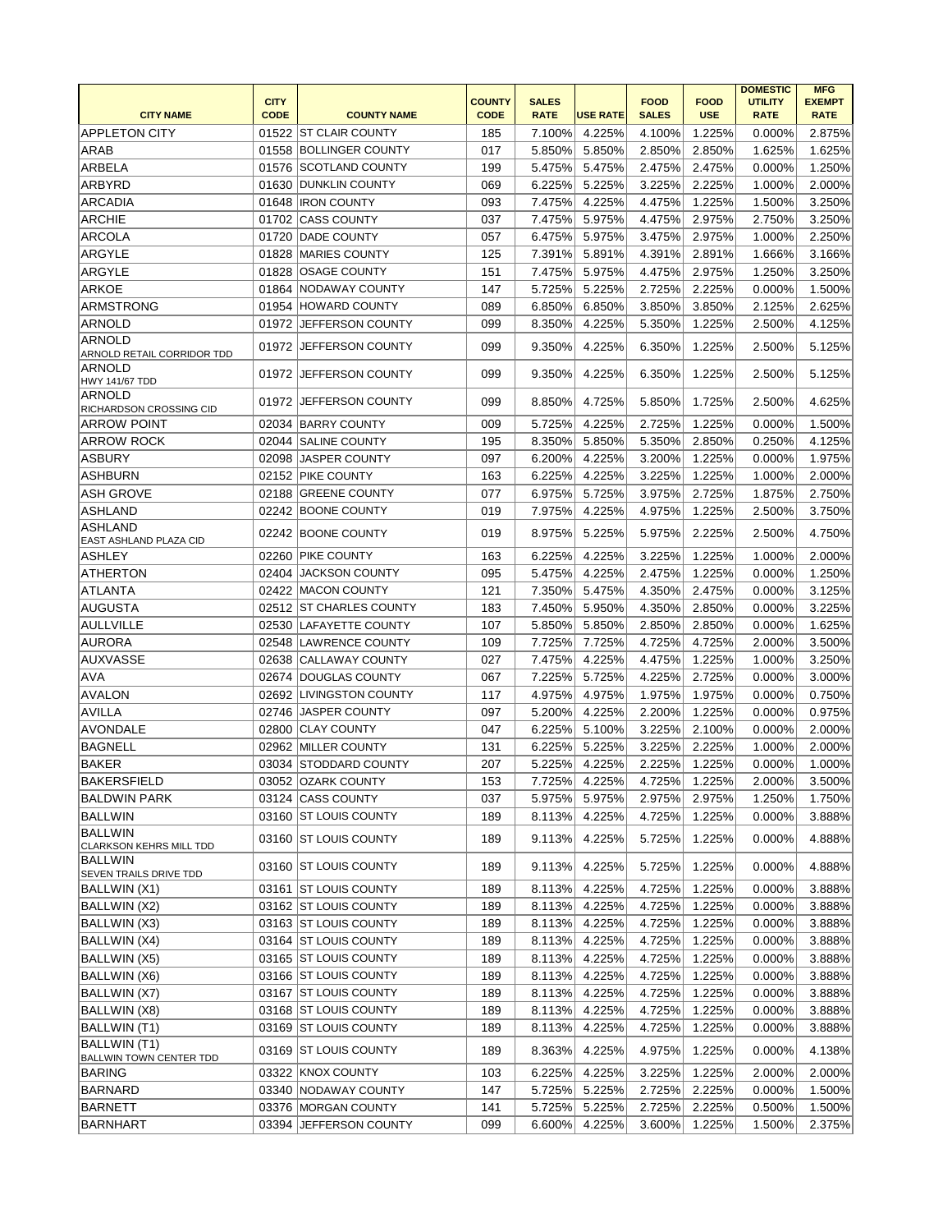|                                                 |             |                          |               |              |                 |              |             | <b>DOMESTIC</b> | <b>MFG</b>    |
|-------------------------------------------------|-------------|--------------------------|---------------|--------------|-----------------|--------------|-------------|-----------------|---------------|
|                                                 | <b>CITY</b> |                          | <b>COUNTY</b> | <b>SALES</b> |                 | <b>FOOD</b>  | <b>FOOD</b> | <b>UTILITY</b>  | <b>EXEMPT</b> |
| <b>CITY NAME</b>                                | <b>CODE</b> | <b>COUNTY NAME</b>       | <b>CODE</b>   | <b>RATE</b>  | <b>USE RATE</b> | <b>SALES</b> | <b>USE</b>  | <b>RATE</b>     | <b>RATE</b>   |
| <b>APPLETON CITY</b>                            |             | 01522 ST CLAIR COUNTY    | 185           | 7.100%       | 4.225%          | 4.100%       | 1.225%      | 0.000%          | 2.875%        |
| ARAB                                            |             | 01558 BOLLINGER COUNTY   | 017           | 5.850%       | 5.850%          | 2.850%       | 2.850%      | 1.625%          | 1.625%        |
| <b>ARBELA</b>                                   |             | 01576 SCOTLAND COUNTY    | 199           | 5.475%       | 5.475%          | 2.475%       | 2.475%      | 0.000%          | 1.250%        |
| ARBYRD                                          |             | 01630 DUNKLIN COUNTY     | 069           | 6.225%       | 5.225%          | 3.225%       | 2.225%      | 1.000%          | 2.000%        |
| <b>ARCADIA</b>                                  |             | 01648 <b>IRON COUNTY</b> | 093           | 7.475%       | 4.225%          | 4.475%       | 1.225%      | 1.500%          | 3.250%        |
| <b>ARCHIE</b>                                   |             | 01702 CASS COUNTY        | 037           | 7.475%       | 5.975%          | 4.475%       | 2.975%      | 2.750%          | 3.250%        |
| ARCOLA                                          |             | 01720 DADE COUNTY        | 057           | 6.475%       | 5.975%          | 3.475%       | 2.975%      | 1.000%          | 2.250%        |
| ARGYLE                                          |             | 01828 MARIES COUNTY      | 125           | 7.391%       | 5.891%          | 4.391%       | 2.891%      | 1.666%          | 3.166%        |
| ARGYLE                                          | 01828       | <b>OSAGE COUNTY</b>      | 151           | 7.475%       | 5.975%          | 4.475%       | 2.975%      | 1.250%          | 3.250%        |
| <b>ARKOE</b>                                    |             | 01864 NODAWAY COUNTY     | 147           | 5.725%       | 5.225%          | 2.725%       | 2.225%      | 0.000%          | 1.500%        |
| ARMSTRONG                                       |             | 01954 HOWARD COUNTY      | 089           | 6.850%       | 6.850%          | 3.850%       | 3.850%      | 2.125%          | 2.625%        |
| ARNOLD                                          |             | 01972 JEFFERSON COUNTY   | 099           | 8.350%       | 4.225%          | 5.350%       | 1.225%      | 2.500%          | 4.125%        |
| <b>ARNOLD</b>                                   |             |                          |               |              |                 |              |             |                 |               |
| ARNOLD RETAIL CORRIDOR TDD                      |             | 01972 JEFFERSON COUNTY   | 099           | 9.350%       | 4.225%          | 6.350%       | 1.225%      | 2.500%          | 5.125%        |
| ARNOLD<br><b>HWY 141/67 TDD</b>                 |             | 01972 JEFFERSON COUNTY   | 099           | 9.350%       | 4.225%          | 6.350%       | 1.225%      | 2.500%          | 5.125%        |
| ARNOLD<br><b>RICHARDSON CROSSING CID</b>        |             | 01972 JEFFERSON COUNTY   | 099           | 8.850%       | 4.725%          | 5.850%       | 1.725%      | 2.500%          | 4.625%        |
| <b>ARROW POINT</b>                              |             | 02034 BARRY COUNTY       | 009           | 5.725%       | 4.225%          | 2.725%       | 1.225%      | 0.000%          | 1.500%        |
| <b>ARROW ROCK</b>                               |             | 02044 SALINE COUNTY      | 195           | 8.350%       | 5.850%          | 5.350%       | 2.850%      | 0.250%          | 4.125%        |
| ASBURY                                          |             | 02098 JASPER COUNTY      | 097           | 6.200%       | 4.225%          | 3.200%       | 1.225%      | 0.000%          | 1.975%        |
| <b>ASHBURN</b>                                  |             | 02152 PIKE COUNTY        | 163           | 6.225%       | 4.225%          | 3.225%       | 1.225%      | 1.000%          | 2.000%        |
| <b>ASH GROVE</b>                                |             | 02188 GREENE COUNTY      | 077           | 6.975%       | 5.725%          | 3.975%       | 2.725%      | 1.875%          | 2.750%        |
| <b>ASHLAND</b>                                  |             | 02242 BOONE COUNTY       | 019           | 7.975%       | 4.225%          | 4.975%       | 1.225%      | 2.500%          | 3.750%        |
| <b>ASHLAND</b>                                  |             | 02242 BOONE COUNTY       | 019           | 8.975%       | 5.225%          | 5.975%       | 2.225%      | 2.500%          | 4.750%        |
| EAST ASHLAND PLAZA CID<br>ASHLEY                |             | 02260 PIKE COUNTY        | 163           | 6.225%       | 4.225%          | 3.225%       | 1.225%      | 1.000%          | 2.000%        |
| <b>ATHERTON</b>                                 | 02404       | JACKSON COUNTY           | 095           | 5.475%       | 4.225%          | 2.475%       | 1.225%      | 0.000%          | 1.250%        |
| <b>ATLANTA</b>                                  |             | 02422 MACON COUNTY       | 121           | 7.350%       | 5.475%          | 4.350%       |             |                 |               |
| AUGUSTA                                         |             | 02512 ST CHARLES COUNTY  |               |              | 5.950%          |              | 2.475%      | 0.000%          | 3.125%        |
|                                                 |             |                          | 183           | 7.450%       |                 | 4.350%       | 2.850%      | 0.000%          | 3.225%        |
| <b>AULLVILLE</b>                                |             | 02530 LAFAYETTE COUNTY   | 107           | 5.850%       | 5.850%          | 2.850%       | 2.850%      | 0.000%          | 1.625%        |
| <b>AURORA</b>                                   |             | 02548 LAWRENCE COUNTY    | 109           | 7.725%       | 7.725%          | 4.725%       | 4.725%      | 2.000%          | 3.500%        |
| AUXVASSE                                        |             | 02638 CALLAWAY COUNTY    | 027           | 7.475%       | 4.225%          | 4.475%       | 1.225%      | 1.000%          | 3.250%        |
| <b>AVA</b>                                      |             | 02674 DOUGLAS COUNTY     | 067           | 7.225%       | 5.725%          | 4.225%       | 2.725%      | 0.000%          | 3.000%        |
| <b>AVALON</b>                                   |             | 02692 LIVINGSTON COUNTY  | 117           | 4.975%       | 4.975%          | 1.975%       | 1.975%      | 0.000%          | 0.750%        |
| AVILLA                                          |             | 02746 JASPER COUNTY      | 097           | 5.200%       | 4.225%          | 2.200%       | 1.225%      | 0.000%          | 0.975%        |
| <b>AVONDALE</b>                                 |             | 02800 CLAY COUNTY        | 047           | 6.225%       | 5.100%          | 3.225%       | 2.100%      | 0.000%          | 2.000%        |
| BAGNELL                                         |             | 02962 MILLER COUNTY      | 131           | 6.225%       | 5.225%          | 3.225%       | 2.225%      | 1.000%          | 2.000%        |
| <b>BAKER</b>                                    |             | 03034 STODDARD COUNTY    | 207           | 5.225%       | 4.225%          | 2.225%       | 1.225%      | 0.000%          | 1.000%        |
| <b>BAKERSFIELD</b>                              |             | 03052 OZARK COUNTY       | 153           | 7.725%       | 4.225%          | 4.725%       | 1.225%      | 2.000%          | 3.500%        |
| <b>BALDWIN PARK</b>                             |             | 03124 CASS COUNTY        | 037           | 5.975%       | 5.975%          | 2.975%       | 2.975%      | 1.250%          | 1.750%        |
| <b>BALLWIN</b>                                  |             | 03160 ST LOUIS COUNTY    | 189           | 8.113%       | 4.225%          | 4.725%       | 1.225%      | 0.000%          | 3.888%        |
| BALLWIN<br><b>CLARKSON KEHRS MILL TDD</b>       |             | 03160 ST LOUIS COUNTY    | 189           | 9.113%       | 4.225%          | 5.725%       | 1.225%      | 0.000%          | 4.888%        |
| <b>BALLWIN</b><br><b>SEVEN TRAILS DRIVE TDD</b> |             | 03160 ST LOUIS COUNTY    | 189           | 9.113%       | 4.225%          | 5.725%       | 1.225%      | 0.000%          | 4.888%        |
| BALLWIN (X1)                                    |             | 03161 ST LOUIS COUNTY    | 189           | 8.113%       | 4.225%          | 4.725%       | 1.225%      | 0.000%          | 3.888%        |
| <b>BALLWIN (X2)</b>                             |             | 03162 ST LOUIS COUNTY    | 189           | 8.113%       | 4.225%          | 4.725%       | 1.225%      | 0.000%          | 3.888%        |
| BALLWIN (X3)                                    |             | 03163 ST LOUIS COUNTY    | 189           | 8.113%       | 4.225%          | 4.725%       | 1.225%      | 0.000%          | 3.888%        |
| BALLWIN (X4)                                    |             | 03164 ST LOUIS COUNTY    | 189           | 8.113%       | 4.225%          | 4.725%       | 1.225%      | 0.000%          | 3.888%        |
| BALLWIN (X5)                                    |             | 03165 ST LOUIS COUNTY    | 189           | 8.113%       | 4.225%          | 4.725%       | 1.225%      | 0.000%          | 3.888%        |
| BALLWIN (X6)                                    |             | 03166 ST LOUIS COUNTY    | 189           | 8.113%       | 4.225%          | 4.725%       | 1.225%      | 0.000%          | 3.888%        |
| <b>BALLWIN (X7)</b>                             |             | 03167 ST LOUIS COUNTY    | 189           | 8.113%       | 4.225%          | 4.725%       | 1.225%      | 0.000%          | 3.888%        |
| <b>BALLWIN (X8)</b>                             |             | 03168 ST LOUIS COUNTY    | 189           | 8.113%       | 4.225%          | 4.725%       | 1.225%      | 0.000%          | 3.888%        |
| BALLWIN (T1)                                    |             | 03169 ST LOUIS COUNTY    | 189           | 8.113%       | 4.225%          | 4.725%       | 1.225%      | 0.000%          | 3.888%        |
| <b>BALLWIN (T1)</b>                             |             |                          |               |              |                 |              |             |                 |               |
| <b>BALLWIN TOWN CENTER TDD</b>                  |             | 03169 ST LOUIS COUNTY    | 189           | 8.363%       | 4.225%          | 4.975%       | 1.225%      | 0.000%          | 4.138%        |
| <b>BARING</b>                                   |             | 03322 KNOX COUNTY        | 103           | 6.225%       | 4.225%          | 3.225%       | 1.225%      | 2.000%          | 2.000%        |
| BARNARD                                         |             | 03340 NODAWAY COUNTY     | 147           | 5.725%       | 5.225%          | 2.725%       | 2.225%      | 0.000%          | 1.500%        |
| <b>BARNETT</b>                                  |             | 03376 MORGAN COUNTY      | 141           | 5.725%       | 5.225%          | 2.725%       | 2.225%      | 0.500%          | 1.500%        |
| <b>BARNHART</b>                                 |             | 03394 JEFFERSON COUNTY   | 099           | 6.600%       | 4.225%          | 3.600%       | 1.225%      | 1.500%          | 2.375%        |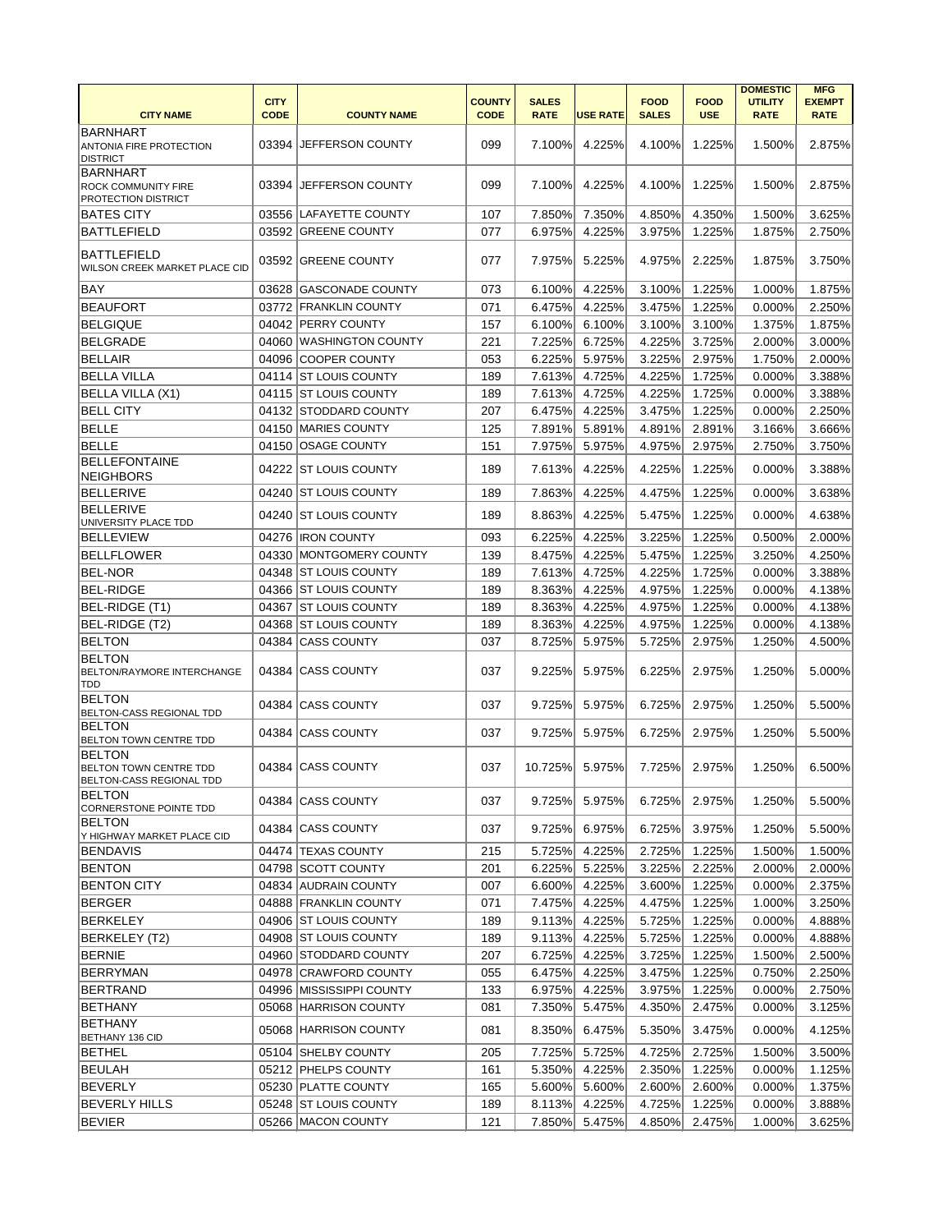|                                                                                   |             |                          |               |              |                 |              |             | <b>DOMESTIC</b> | <b>MFG</b>    |
|-----------------------------------------------------------------------------------|-------------|--------------------------|---------------|--------------|-----------------|--------------|-------------|-----------------|---------------|
|                                                                                   | <b>CITY</b> |                          | <b>COUNTY</b> | <b>SALES</b> |                 | <b>FOOD</b>  | <b>FOOD</b> | <b>UTILITY</b>  | <b>EXEMPT</b> |
| <b>CITY NAME</b>                                                                  | <b>CODE</b> | <b>COUNTY NAME</b>       | <b>CODE</b>   | <b>RATE</b>  | <b>USE RATE</b> | <b>SALES</b> | <b>USE</b>  | <b>RATE</b>     | <b>RATE</b>   |
| <b>BARNHART</b><br><b>ANTONIA FIRE PROTECTION</b><br><b>DISTRICT</b>              |             | 03394 JEFFERSON COUNTY   | 099           | 7.100%       | 4.225%          | 4.100%       | 1.225%      | 1.500%          | 2.875%        |
| <b>BARNHART</b><br><b>ROCK COMMUNITY FIRE</b><br><b>PROTECTION DISTRICT</b>       |             | 03394 JEFFERSON COUNTY   | 099           | 7.100%       | 4.225%          | 4.100%       | 1.225%      | 1.500%          | 2.875%        |
| <b>BATES CITY</b>                                                                 |             | 03556 LAFAYETTE COUNTY   | 107           | 7.850%       | 7.350%          | 4.850%       | 4.350%      | 1.500%          | 3.625%        |
| <b>BATTLEFIELD</b>                                                                |             | 03592 GREENE COUNTY      | 077           | 6.975%       | 4.225%          | 3.975%       | 1.225%      | 1.875%          | 2.750%        |
| <b>BATTLEFIELD</b><br><b>WILSON CREEK MARKET PLACE CID</b>                        |             | 03592 GREENE COUNTY      | 077           | 7.975%       | 5.225%          | 4.975%       | 2.225%      | 1.875%          | 3.750%        |
| BAY                                                                               | 03628       | <b>GASCONADE COUNTY</b>  | 073           | 6.100%       | 4.225%          | 3.100%       | 1.225%      | 1.000%          | 1.875%        |
| <b>BEAUFORT</b>                                                                   |             | 03772 FRANKLIN COUNTY    | 071           | 6.475%       | 4.225%          | 3.475%       | 1.225%      | 0.000%          | 2.250%        |
| <b>BELGIQUE</b>                                                                   |             | 04042 PERRY COUNTY       | 157           | 6.100%       | 6.100%          | 3.100%       | 3.100%      | 1.375%          | 1.875%        |
| <b>BELGRADE</b>                                                                   | 04060       | <b>WASHINGTON COUNTY</b> | 221           | 7.225%       | 6.725%          | 4.225%       | 3.725%      | 2.000%          | 3.000%        |
| BELLAIR                                                                           | 04096       | <b>COOPER COUNTY</b>     | 053           | 6.225%       | 5.975%          | 3.225%       | 2.975%      | 1.750%          | 2.000%        |
| <b>BELLA VILLA</b>                                                                |             | 04114 ST LOUIS COUNTY    | 189           | 7.613%       | 4.725%          | 4.225%       | 1.725%      | 0.000%          | 3.388%        |
| BELLA VILLA (X1)                                                                  |             | 04115 ST LOUIS COUNTY    | 189           | 7.613%       | 4.725%          | 4.225%       | 1.725%      | 0.000%          | 3.388%        |
|                                                                                   |             |                          |               |              |                 |              |             |                 |               |
| <b>BELL CITY</b>                                                                  |             | 04132 STODDARD COUNTY    | 207           | 6.475%       | 4.225%          | 3.475%       | 1.225%      | 0.000%          | 2.250%        |
| <b>BELLE</b>                                                                      | 04150       | MARIES COUNTY            | 125           | 7.891%       | 5.891%          | 4.891%       | 2.891%      | 3.166%          | 3.666%        |
| BELLE                                                                             | 04150       | <b>OSAGE COUNTY</b>      | 151           | 7.975%       | 5.975%          | 4.975%       | 2.975%      | 2.750%          | 3.750%        |
| BELLEFONTAINE<br>NEIGHBORS                                                        |             | 04222 ST LOUIS COUNTY    | 189           | 7.613%       | 4.225%          | 4.225%       | 1.225%      | 0.000%          | 3.388%        |
| <b>BELLERIVE</b>                                                                  |             | 04240 ST LOUIS COUNTY    | 189           | 7.863%       | 4.225%          | 4.475%       | 1.225%      | 0.000%          | 3.638%        |
| <b>BELLERIVE</b><br>UNIVERSITY PLACE TDD                                          |             | 04240 ST LOUIS COUNTY    | 189           | 8.863%       | 4.225%          | 5.475%       | 1.225%      | 0.000%          | 4.638%        |
| BELLEVIEW                                                                         |             | 04276  IRON COUNTY       | 093           | 6.225%       | 4.225%          | 3.225%       | 1.225%      | 0.500%          | 2.000%        |
| <b>BELLFLOWER</b>                                                                 | 04330       | <b>MONTGOMERY COUNTY</b> | 139           | 8.475%       | 4.225%          | 5.475%       | 1.225%      | 3.250%          | 4.250%        |
| <b>BEL-NOR</b>                                                                    |             | 04348 ST LOUIS COUNTY    | 189           | 7.613%       | 4.725%          | 4.225%       | 1.725%      | 0.000%          | 3.388%        |
| <b>BEL-RIDGE</b>                                                                  |             | 04366 ST LOUIS COUNTY    | 189           | 8.363%       | 4.225%          | 4.975%       | 1.225%      | 0.000%          | 4.138%        |
| BEL-RIDGE (T1)                                                                    | 04367       | <b>ST LOUIS COUNTY</b>   | 189           | 8.363%       | 4.225%          | 4.975%       | 1.225%      | 0.000%          | 4.138%        |
| BEL-RIDGE (T2)                                                                    |             | 04368 ST LOUIS COUNTY    | 189           | 8.363%       | 4.225%          | 4.975%       | 1.225%      | 0.000%          | 4.138%        |
| <b>BELTON</b>                                                                     |             | 04384 CASS COUNTY        | 037           | 8.725%       | 5.975%          | 5.725%       | 2.975%      | 1.250%          | 4.500%        |
| <b>BELTON</b><br><b>BELTON/RAYMORE INTERCHANGE</b><br>TDD                         |             | 04384 CASS COUNTY        | 037           | 9.225%       | 5.975%          | 6.225%       | 2.975%      | 1.250%          | 5.000%        |
| <b>BELTON</b><br>BELTON-CASS REGIONAL TDD                                         |             | 04384 CASS COUNTY        | 037           | 9.725%       | 5.975%          | 6.725%       | 2.975%      | 1.250%          | 5.500%        |
| <b>BELTON</b><br><b>BELTON TOWN CENTRE TDD</b>                                    |             | 04384 CASS COUNTY        | 037           | 9.725%       | 5.975%          | 6.725%       | 2.975%      | 1.250%          | 5.500%        |
| <b>BELTON</b><br><b>BELTON TOWN CENTRE TDD</b><br><b>BELTON-CASS REGIONAL TDD</b> |             | 04384 CASS COUNTY        | 037           | 10.725%      | 5.975%          | 7.725%       | 2.975%      | 1.250%          | 6.500%        |
| <b>BELTON</b><br>CORNERSTONE POINTE TDD                                           |             | 04384 CASS COUNTY        | 037           | 9.725%       | 5.975%          | 6.725%       | 2.975%      | 1.250%          | 5.500%        |
| <b>BELTON</b><br>Y HIGHWAY MARKET PLACE CID                                       |             | 04384 CASS COUNTY        | 037           | 9.725%       | 6.975%          | 6.725%       | 3.975%      | 1.250%          | 5.500%        |
| <b>BENDAVIS</b>                                                                   |             | 04474 TEXAS COUNTY       | 215           | 5.725%       | 4.225%          | 2.725%       | 1.225%      | 1.500%          | 1.500%        |
| <b>BENTON</b>                                                                     |             | 04798 SCOTT COUNTY       | 201           | 6.225%       | 5.225%          | 3.225%       | 2.225%      | 2.000%          | 2.000%        |
| <b>BENTON CITY</b>                                                                |             | 04834 AUDRAIN COUNTY     | 007           | 6.600%       | 4.225%          | 3.600%       | 1.225%      | 0.000%          | 2.375%        |
| <b>BERGER</b>                                                                     |             | 04888 FRANKLIN COUNTY    | 071           | 7.475%       | 4.225%          | 4.475%       | 1.225%      | 1.000%          | 3.250%        |
| BERKELEY                                                                          |             | 04906 ST LOUIS COUNTY    | 189           | 9.113%       | 4.225%          | 5.725%       | 1.225%      | 0.000%          | 4.888%        |
| BERKELEY (T2)                                                                     |             | 04908 ST LOUIS COUNTY    | 189           | 9.113%       | 4.225%          | 5.725%       | 1.225%      | 0.000%          | 4.888%        |
| <b>BERNIE</b>                                                                     |             | 04960 STODDARD COUNTY    | 207           | 6.725%       | 4.225%          | 3.725%       | 1.225%      | 1.500%          | 2.500%        |
| <b>BERRYMAN</b>                                                                   |             | 04978 CRAWFORD COUNTY    | 055           | 6.475%       | 4.225%          | 3.475%       | 1.225%      | 0.750%          | 2.250%        |
| <b>BERTRAND</b>                                                                   |             | 04996 MISSISSIPPI COUNTY | 133           | 6.975%       | 4.225%          | 3.975%       | 1.225%      | 0.000%          | 2.750%        |
| <b>BETHANY</b>                                                                    |             | 05068 HARRISON COUNTY    | 081           | 7.350%       | 5.475%          | 4.350%       | 2.475%      | 0.000%          | 3.125%        |
| <b>BETHANY</b>                                                                    |             | 05068 HARRISON COUNTY    | 081           | 8.350%       | 6.475%          | 5.350%       | 3.475%      | 0.000%          | 4.125%        |
| <b>BETHANY 136 CID</b><br><b>BETHEL</b>                                           |             | 05104 SHELBY COUNTY      | 205           | 7.725%       | 5.725%          | 4.725%       | 2.725%      | 1.500%          | 3.500%        |
| <b>BEULAH</b>                                                                     |             | 05212 PHELPS COUNTY      | 161           | 5.350%       | 4.225%          | 2.350%       | 1.225%      | 0.000%          | 1.125%        |
| BEVERLY                                                                           |             | 05230 PLATTE COUNTY      |               |              |                 |              |             |                 |               |
|                                                                                   |             |                          | 165           | 5.600%       | 5.600%          | 2.600%       | 2.600%      | 0.000%          | 1.375%        |
| <b>BEVERLY HILLS</b>                                                              |             | 05248 ST LOUIS COUNTY    | 189           | 8.113%       | 4.225%          | 4.725%       | 1.225%      | 0.000%          | 3.888%        |
| BEVIER                                                                            |             | 05266 MACON COUNTY       | 121           | 7.850%       | 5.475%          | 4.850%       | 2.475%      | 1.000%          | 3.625%        |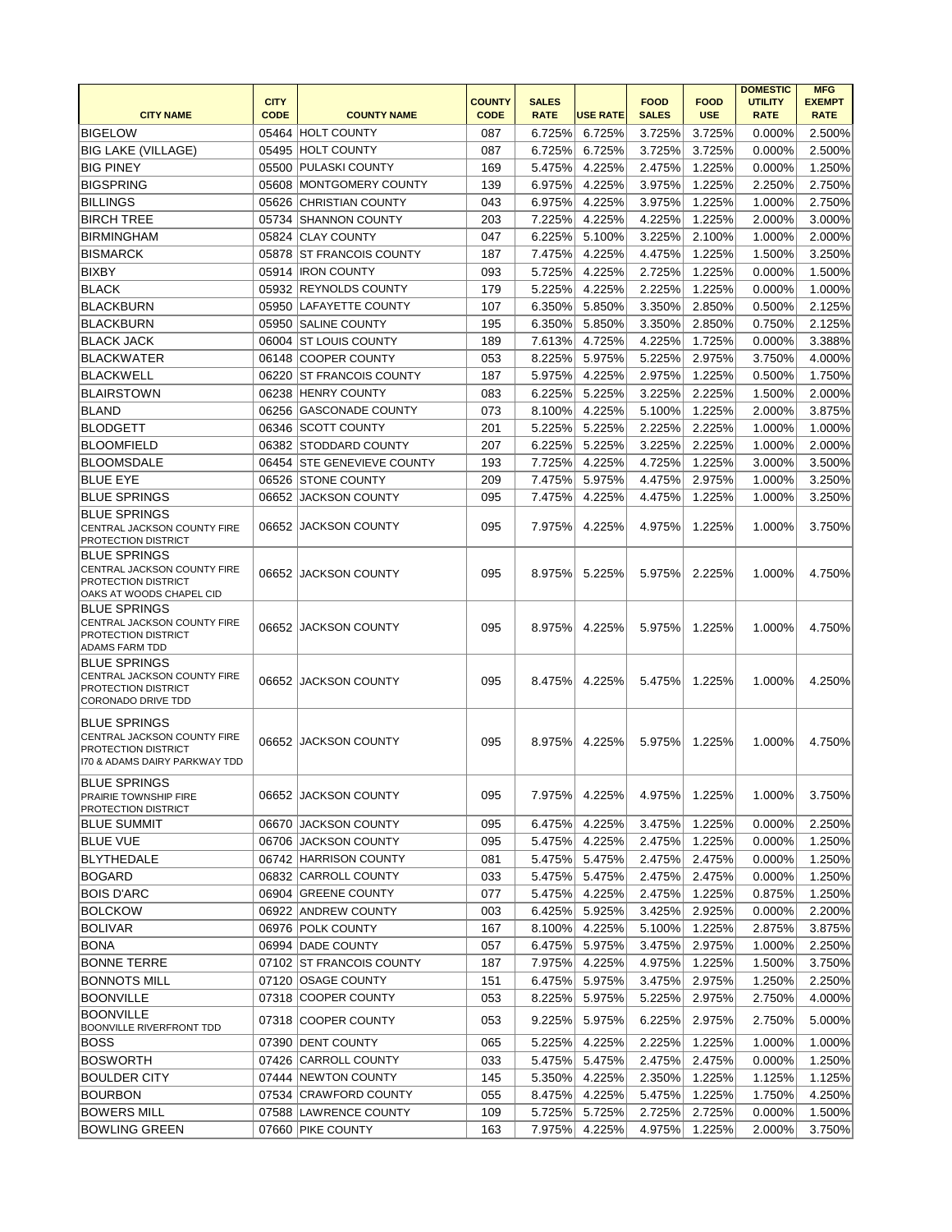|                                                                                                            |             |                            |               |              |                 |              |             | <b>DOMESTIC</b> | <b>MFG</b>    |
|------------------------------------------------------------------------------------------------------------|-------------|----------------------------|---------------|--------------|-----------------|--------------|-------------|-----------------|---------------|
|                                                                                                            | <b>CITY</b> |                            | <b>COUNTY</b> | <b>SALES</b> |                 | <b>FOOD</b>  | <b>FOOD</b> | <b>UTILITY</b>  | <b>EXEMPT</b> |
| <b>CITY NAME</b>                                                                                           | <b>CODE</b> | <b>COUNTY NAME</b>         | <b>CODE</b>   | <b>RATE</b>  | <b>USE RATE</b> | <b>SALES</b> | <b>USE</b>  | <b>RATE</b>     | <b>RATE</b>   |
| <b>BIGELOW</b>                                                                                             |             | 05464 HOLT COUNTY          | 087           | 6.725%       | 6.725%          | 3.725%       | 3.725%      | 0.000%          | 2.500%        |
| <b>BIG LAKE (VILLAGE)</b>                                                                                  | 05495       | <b>HOLT COUNTY</b>         | 087           | 6.725%       | 6.725%          | 3.725%       | 3.725%      | 0.000%          | 2.500%        |
| <b>BIG PINEY</b>                                                                                           | 05500       | <b>PULASKI COUNTY</b>      | 169           | 5.475%       | 4.225%          | 2.475%       | 1.225%      | 0.000%          | 1.250%        |
| <b>BIGSPRING</b>                                                                                           | 05608       | MONTGOMERY COUNTY          | 139           | 6.975%       | 4.225%          | 3.975%       | 1.225%      | 2.250%          | 2.750%        |
| <b>BILLINGS</b>                                                                                            |             | 05626 CHRISTIAN COUNTY     | 043           | 6.975%       | 4.225%          | 3.975%       | 1.225%      | 1.000%          | 2.750%        |
| <b>BIRCH TREE</b>                                                                                          | 05734       | <b>SHANNON COUNTY</b>      | 203           | 7.225%       | 4.225%          | 4.225%       | 1.225%      | 2.000%          | 3.000%        |
| <b>BIRMINGHAM</b>                                                                                          |             | 05824 CLAY COUNTY          | 047           | 6.225%       | 5.100%          | 3.225%       | 2.100%      | 1.000%          | 2.000%        |
| <b>BISMARCK</b>                                                                                            | 05878       | <b>ST FRANCOIS COUNTY</b>  | 187           | 7.475%       | 4.225%          | 4.475%       | 1.225%      | 1.500%          | 3.250%        |
| <b>BIXBY</b>                                                                                               |             | 05914  IRON COUNTY         | 093           | 5.725%       | 4.225%          | 2.725%       | 1.225%      | 0.000%          | 1.500%        |
| <b>BLACK</b>                                                                                               |             | 05932 REYNOLDS COUNTY      | 179           | 5.225%       | 4.225%          | 2.225%       | 1.225%      | 0.000%          | 1.000%        |
| <b>BLACKBURN</b>                                                                                           |             | 05950 LAFAYETTE COUNTY     | 107           | 6.350%       | 5.850%          | 3.350%       | 2.850%      | 0.500%          | 2.125%        |
| <b>BLACKBURN</b>                                                                                           | 05950       | <b>SALINE COUNTY</b>       | 195           | 6.350%       | 5.850%          | 3.350%       | 2.850%      | 0.750%          | 2.125%        |
| <b>BLACK JACK</b>                                                                                          | 06004       | <b>ST LOUIS COUNTY</b>     | 189           | 7.613%       | 4.725%          | 4.225%       | 1.725%      | 0.000%          | 3.388%        |
| <b>BLACKWATER</b>                                                                                          | 06148       | <b>COOPER COUNTY</b>       | 053           | 8.225%       | 5.975%          | 5.225%       | 2.975%      | 3.750%          | 4.000%        |
| <b>BLACKWELL</b>                                                                                           | 06220       | <b>ST FRANCOIS COUNTY</b>  | 187           | 5.975%       | 4.225%          | 2.975%       | 1.225%      | 0.500%          | 1.750%        |
| <b>BLAIRSTOWN</b>                                                                                          |             | 06238 HENRY COUNTY         | 083           | 6.225%       | 5.225%          | 3.225%       | 2.225%      | 1.500%          | 2.000%        |
| <b>BLAND</b>                                                                                               | 06256       | <b>GASCONADE COUNTY</b>    | 073           | 8.100%       | 4.225%          | 5.100%       | 1.225%      | 2.000%          | 3.875%        |
| <b>BLODGETT</b>                                                                                            | 06346       | <b>SCOTT COUNTY</b>        | 201           | 5.225%       | 5.225%          | 2.225%       | 2.225%      | 1.000%          | 1.000%        |
| <b>BLOOMFIELD</b>                                                                                          | 06382       | <b>STODDARD COUNTY</b>     | 207           | 6.225%       | 5.225%          | 3.225%       | 2.225%      | 1.000%          | 2.000%        |
| <b>BLOOMSDALE</b>                                                                                          |             | 06454 STE GENEVIEVE COUNTY | 193           | 7.725%       | 4.225%          | 4.725%       | 1.225%      | 3.000%          | 3.500%        |
| <b>BLUE EYE</b>                                                                                            | 06526       | <b>STONE COUNTY</b>        | 209           | 7.475%       | 5.975%          | 4.475%       | 2.975%      | 1.000%          | 3.250%        |
| <b>BLUE SPRINGS</b>                                                                                        | 06652       | JACKSON COUNTY             | 095           | 7.475%       | 4.225%          | 4.475%       | 1.225%      | 1.000%          | 3.250%        |
| <b>BLUE SPRINGS</b>                                                                                        |             |                            |               |              |                 |              |             |                 |               |
| CENTRAL JACKSON COUNTY FIRE<br>PROTECTION DISTRICT                                                         |             | 06652 JACKSON COUNTY       | 095           | 7.975%       | 4.225%          | 4.975%       | 1.225%      | 1.000%          | 3.750%        |
| <b>BLUE SPRINGS</b><br>CENTRAL JACKSON COUNTY FIRE<br>PROTECTION DISTRICT<br>OAKS AT WOODS CHAPEL CID      |             | 06652 JACKSON COUNTY       | 095           | 8.975%       | 5.225%          | 5.975%       | 2.225%      | 1.000%          | 4.750%        |
| <b>BLUE SPRINGS</b><br>CENTRAL JACKSON COUNTY FIRE<br>PROTECTION DISTRICT<br><b>ADAMS FARM TDD</b>         |             | 06652 JACKSON COUNTY       | 095           | 8.975%       | 4.225%          | 5.975%       | 1.225%      | 1.000%          | 4.750%        |
| <b>BLUE SPRINGS</b><br>CENTRAL JACKSON COUNTY FIRE<br>PROTECTION DISTRICT<br><b>CORONADO DRIVE TDD</b>     |             | 06652 JACKSON COUNTY       | 095           | 8.475%       | 4.225%          | 5.475%       | 1.225%      | 1.000%          | 4.250%        |
| <b>BLUE SPRINGS</b><br>CENTRAL JACKSON COUNTY FIRE<br>PROTECTION DISTRICT<br>170 & ADAMS DAIRY PARKWAY TDD |             | 06652 JACKSON COUNTY       | 095           | 8.975%       | 4.225%          | 5.975%       | 1.225%      | 1.000%          | 4.750%        |
| <b>BLUE SPRINGS</b><br>PRAIRIE TOWNSHIP FIRE<br>PROTECTION DISTRICT                                        |             | 06652 JACKSON COUNTY       | 095           | 7.975%       | 4.225%          | 4.975%       | 1.225%      | 1.000%          | 3.750%        |
| <b>BLUE SUMMIT</b>                                                                                         |             | 06670 JACKSON COUNTY       | 095           | 6.475%       | 4.225%          | 3.475%       | 1.225%      | 0.000%          | 2.250%        |
| <b>BLUE VUE</b>                                                                                            |             | 06706 JACKSON COUNTY       | 095           | 5.475%       | 4.225%          | 2.475%       | 1.225%      | 0.000%          | 1.250%        |
| <b>BLYTHEDALE</b>                                                                                          |             | 06742 HARRISON COUNTY      | 081           | 5.475%       | 5.475%          | 2.475%       | 2.475%      | 0.000%          | 1.250%        |
| <b>BOGARD</b>                                                                                              |             | 06832 CARROLL COUNTY       | 033           | 5.475%       | 5.475%          | 2.475%       | 2.475%      | 0.000%          | 1.250%        |
| <b>BOIS D'ARC</b>                                                                                          |             | 06904 GREENE COUNTY        | 077           | 5.475%       | 4.225%          | 2.475%       | 1.225%      | 0.875%          | 1.250%        |
| <b>BOLCKOW</b>                                                                                             |             | 06922 ANDREW COUNTY        | 003           | 6.425%       | 5.925%          | 3.425%       | 2.925%      | 0.000%          | 2.200%        |
| <b>BOLIVAR</b>                                                                                             |             | 06976 POLK COUNTY          | 167           | 8.100%       | 4.225%          | 5.100%       | 1.225%      | 2.875%          | 3.875%        |
| <b>BONA</b>                                                                                                |             | 06994 DADE COUNTY          | 057           | 6.475%       | 5.975%          | 3.475%       | 2.975%      | 1.000%          | 2.250%        |
| <b>BONNE TERRE</b>                                                                                         |             | 07102 ST FRANCOIS COUNTY   | 187           | 7.975%       | 4.225%          | 4.975%       | 1.225%      | 1.500%          | 3.750%        |
| <b>BONNOTS MILL</b>                                                                                        |             | 07120 OSAGE COUNTY         | 151           | 6.475%       | 5.975%          | 3.475%       | 2.975%      | 1.250%          | 2.250%        |
| <b>BOONVILLE</b>                                                                                           |             | 07318 COOPER COUNTY        | 053           | 8.225%       | 5.975%          | 5.225%       | 2.975%      | 2.750%          | 4.000%        |
| <b>BOONVILLE</b><br><b>BOONVILLE RIVERFRONT TDD</b>                                                        |             | 07318 COOPER COUNTY        | 053           | 9.225%       | 5.975%          | 6.225%       | 2.975%      | 2.750%          | 5.000%        |
| <b>BOSS</b>                                                                                                |             | 07390 DENT COUNTY          | 065           | 5.225%       | 4.225%          | 2.225%       | 1.225%      | 1.000%          | 1.000%        |
| <b>BOSWORTH</b>                                                                                            |             | 07426 CARROLL COUNTY       | 033           | 5.475%       | 5.475%          | 2.475%       | 2.475%      | 0.000%          | 1.250%        |
| <b>BOULDER CITY</b>                                                                                        |             | 07444 NEWTON COUNTY        | 145           | 5.350%       | 4.225%          | 2.350%       | 1.225%      | 1.125%          | 1.125%        |
| <b>BOURBON</b>                                                                                             |             | 07534 CRAWFORD COUNTY      | 055           | 8.475%       | 4.225%          | 5.475%       | 1.225%      | 1.750%          | 4.250%        |
| <b>BOWERS MILL</b>                                                                                         |             | 07588 LAWRENCE COUNTY      | 109           | 5.725%       | 5.725%          | 2.725%       | 2.725%      | 0.000%          | 1.500%        |
| <b>BOWLING GREEN</b>                                                                                       |             | 07660 PIKE COUNTY          | 163           | 7.975%       | 4.225%          | 4.975%       | 1.225%      | 2.000%          | 3.750%        |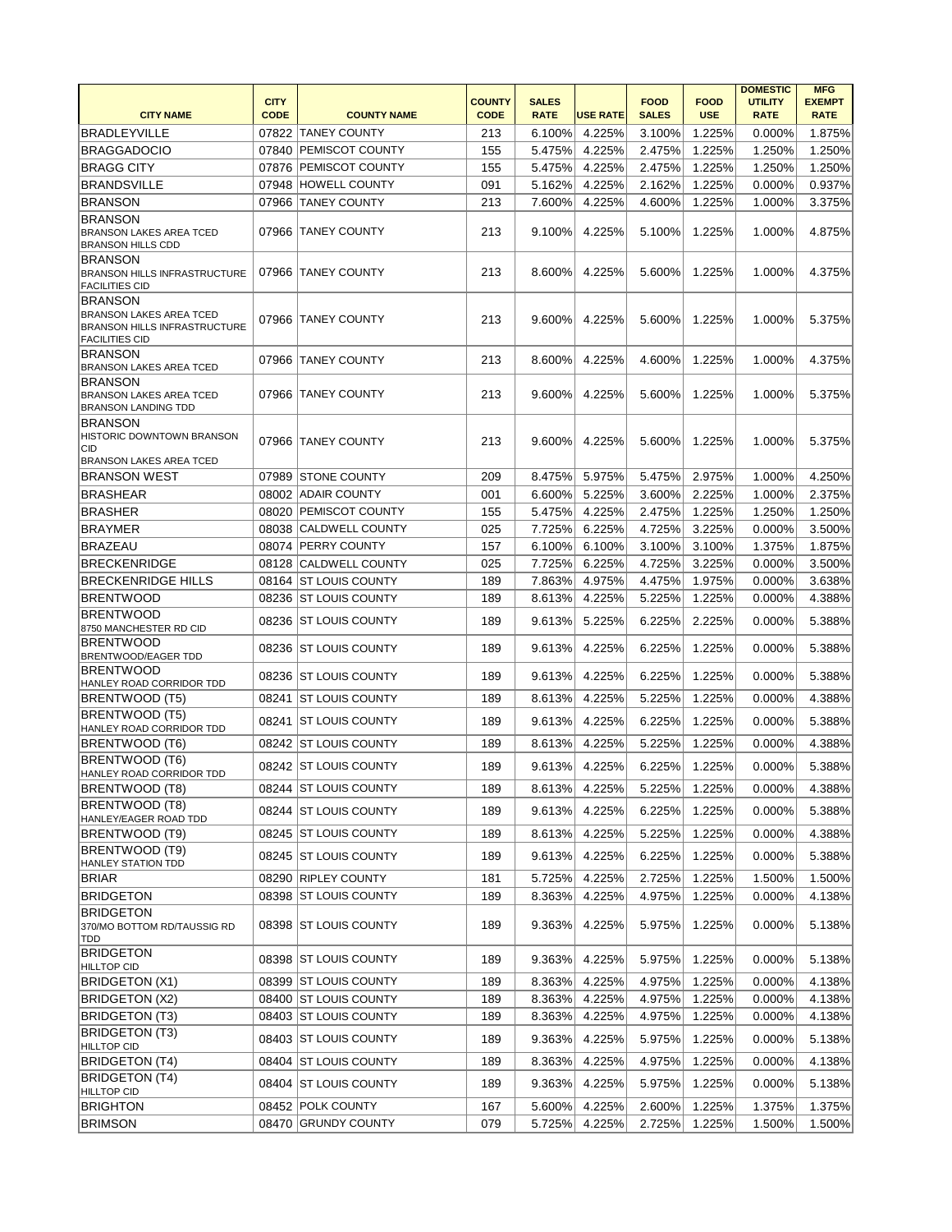|                                                    |                            |                        |                              |                             |                 |                             |                           | <b>DOMESTIC</b>               | <b>MFG</b>                   |
|----------------------------------------------------|----------------------------|------------------------|------------------------------|-----------------------------|-----------------|-----------------------------|---------------------------|-------------------------------|------------------------------|
| <b>CITY NAME</b>                                   | <b>CITY</b><br><b>CODE</b> | <b>COUNTY NAME</b>     | <b>COUNTY</b><br><b>CODE</b> | <b>SALES</b><br><b>RATE</b> | <b>USE RATE</b> | <b>FOOD</b><br><b>SALES</b> | <b>FOOD</b><br><b>USE</b> | <b>UTILITY</b><br><b>RATE</b> | <b>EXEMPT</b><br><b>RATE</b> |
|                                                    |                            |                        |                              |                             |                 |                             |                           |                               |                              |
| <b>BRADLEYVILLE</b>                                | 07822                      | <b>TANEY COUNTY</b>    | 213                          | 6.100%                      | 4.225%          | 3.100%                      | 1.225%                    | 0.000%                        | 1.875%                       |
| <b>BRAGGADOCIO</b>                                 | 07840                      | <b>PEMISCOT COUNTY</b> | 155                          | 5.475%                      | 4.225%          | 2.475%                      | 1.225%                    | 1.250%                        | 1.250%                       |
| <b>BRAGG CITY</b>                                  | 07876                      | <b>PEMISCOT COUNTY</b> | 155                          | 5.475%                      | 4.225%          | 2.475%                      | 1.225%                    | 1.250%                        | 1.250%                       |
| <b>BRANDSVILLE</b>                                 | 07948                      | <b>HOWELL COUNTY</b>   | 091                          | 5.162%                      | 4.225%          | 2.162%                      | 1.225%                    | 0.000%                        | 0.937%                       |
| <b>BRANSON</b>                                     |                            | 07966 TANEY COUNTY     | 213                          | 7.600%                      | 4.225%          | 4.600%                      | 1.225%                    | 1.000%                        | 3.375%                       |
| <b>BRANSON</b><br><b>BRANSON LAKES AREA TCED</b>   |                            | 07966 TANEY COUNTY     | 213                          | 9.100%                      | 4.225%          | 5.100%                      | 1.225%                    | 1.000%                        | 4.875%                       |
| <b>BRANSON HILLS CDD</b>                           |                            |                        |                              |                             |                 |                             |                           |                               |                              |
| <b>BRANSON</b>                                     |                            |                        |                              |                             |                 |                             |                           |                               |                              |
| <b>BRANSON HILLS INFRASTRUCTURE</b>                |                            | 07966 TANEY COUNTY     | 213                          | 8.600%                      | 4.225%          | 5.600%                      | 1.225%                    | 1.000%                        | 4.375%                       |
| <b>FACILITIES CID</b><br><b>BRANSON</b>            |                            |                        |                              |                             |                 |                             |                           |                               |                              |
| <b>BRANSON LAKES AREA TCED</b>                     | 07966                      | <b>TANEY COUNTY</b>    |                              |                             |                 |                             |                           |                               |                              |
| <b>BRANSON HILLS INFRASTRUCTURE</b>                |                            |                        | 213                          | 9.600%                      | 4.225%          | 5.600%                      | 1.225%                    | 1.000%                        | 5.375%                       |
| <b>FACILITIES CID</b><br><b>BRANSON</b>            |                            |                        |                              |                             |                 |                             |                           |                               |                              |
| BRANSON LAKES AREA TCED                            |                            | 07966 TANEY COUNTY     | 213                          | 8.600%                      | 4.225%          | 4.600%                      | 1.225%                    | 1.000%                        | 4.375%                       |
| <b>BRANSON</b>                                     |                            |                        |                              |                             |                 |                             |                           |                               |                              |
| <b>BRANSON LAKES AREA TCED</b>                     |                            | 07966 TANEY COUNTY     | 213                          | $9.600\%$                   | 4.225%          | 5.600%                      | 1.225%                    | 1.000%                        | 5.375%                       |
| <b>BRANSON LANDING TDD</b>                         |                            |                        |                              |                             |                 |                             |                           |                               |                              |
| <b>BRANSON</b><br><b>HISTORIC DOWNTOWN BRANSON</b> |                            |                        |                              |                             |                 |                             |                           |                               |                              |
| CID                                                |                            | 07966 TANEY COUNTY     | 213                          | $9.600\%$                   | 4.225%          | 5.600%                      | 1.225%                    | 1.000%                        | 5.375%                       |
| <b>BRANSON LAKES AREA TCED</b>                     |                            |                        |                              |                             |                 |                             |                           |                               |                              |
| <b>BRANSON WEST</b>                                |                            | 07989 STONE COUNTY     | 209                          | 8.475%                      | 5.975%          | 5.475%                      | 2.975%                    | 1.000%                        | 4.250%                       |
| <b>BRASHEAR</b>                                    |                            | 08002 ADAIR COUNTY     | 001                          | 6.600%                      | 5.225%          | 3.600%                      | 2.225%                    | 1.000%                        | 2.375%                       |
| <b>BRASHER</b>                                     |                            | 08020 PEMISCOT COUNTY  | 155                          | 5.475%                      | 4.225%          | 2.475%                      | 1.225%                    | 1.250%                        | 1.250%                       |
| <b>BRAYMER</b>                                     | 08038                      | <b>CALDWELL COUNTY</b> | 025                          | 7.725%                      | 6.225%          | 4.725%                      | 3.225%                    | 0.000%                        | 3.500%                       |
| <b>BRAZEAU</b>                                     |                            | 08074 PERRY COUNTY     | 157                          | 6.100%                      | 6.100%          | 3.100%                      | 3.100%                    | 1.375%                        | 1.875%                       |
| <b>BRECKENRIDGE</b>                                | 08128                      | <b>CALDWELL COUNTY</b> | 025                          | 7.725%                      | 6.225%          | 4.725%                      | 3.225%                    | 0.000%                        | 3.500%                       |
| <b>BRECKENRIDGE HILLS</b>                          | 08164                      | <b>ST LOUIS COUNTY</b> | 189                          | 7.863%                      | 4.975%          | 4.475%                      | 1.975%                    | 0.000%                        | 3.638%                       |
| <b>BRENTWOOD</b>                                   |                            | 08236 ST LOUIS COUNTY  | 189                          | 8.613%                      | 4.225%          | 5.225%                      | 1.225%                    | 0.000%                        | 4.388%                       |
| <b>BRENTWOOD</b>                                   |                            | 08236 ST LOUIS COUNTY  | 189                          |                             | 9.613% 5.225%   | 6.225%                      | 2.225%                    | 0.000%                        | 5.388%                       |
| 8750 MANCHESTER RD CID<br><b>BRENTWOOD</b>         |                            |                        |                              |                             |                 |                             |                           |                               |                              |
| BRENTWOOD/EAGER TDD                                |                            | 08236 ST LOUIS COUNTY  | 189                          | 9.613%                      | 4.225%          | 6.225%                      | 1.225%                    | 0.000%                        | 5.388%                       |
| <b>BRENTWOOD</b>                                   |                            | 08236 ST LOUIS COUNTY  | 189                          | 9.613%                      | 4.225%          | 6.225%                      | 1.225%                    | 0.000%                        | 5.388%                       |
| HANLEY ROAD CORRIDOR TDD                           |                            |                        |                              |                             |                 |                             |                           |                               |                              |
| <b>BRENTWOOD (T5)</b>                              |                            | 08241 ST LOUIS COUNTY  | 189                          | 8.613%                      | 4.225%          | 5.225%                      | 1.225%                    | 0.000%                        | 4.388%                       |
| <b>BRENTWOOD (T5)</b><br>HANLEY ROAD CORRIDOR TDD  |                            | 08241 ST LOUIS COUNTY  | 189                          | 9.613%                      | 4.225%          | 6.225%                      | 1.225%                    | 0.000%                        | 5.388%                       |
| BRENTWOOD (T6)                                     |                            | 08242 ST LOUIS COUNTY  | 189                          | 8.613%                      | 4.225%          | 5.225%                      | 1.225%                    | 0.000%                        | 4.388%                       |
| BRENTWOOD (T6)                                     |                            |                        |                              |                             |                 |                             |                           |                               |                              |
| HANLEY ROAD CORRIDOR TDD                           |                            | 08242 ST LOUIS COUNTY  | 189                          | 9.613%                      | 4.225%          | 6.225%                      | 1.225%                    | 0.000%                        | 5.388%                       |
| BRENTWOOD (T8)                                     |                            | 08244 ST LOUIS COUNTY  | 189                          | 8.613%                      | 4.225%          | 5.225%                      | 1.225%                    | 0.000%                        | 4.388%                       |
| <b>BRENTWOOD (T8)</b>                              |                            | 08244 ST LOUIS COUNTY  | 189                          | 9.613%                      | 4.225%          | 6.225%                      | 1.225%                    | 0.000%                        | 5.388%                       |
| HANLEY/EAGER ROAD TDD                              |                            | 08245 ST LOUIS COUNTY  | 189                          |                             | 4.225%          | 5.225%                      | 1.225%                    | 0.000%                        | 4.388%                       |
| <b>BRENTWOOD (T9)</b><br><b>BRENTWOOD (T9)</b>     |                            |                        |                              | 8.613%                      |                 |                             |                           |                               |                              |
| HANLEY STATION TDD                                 |                            | 08245 ST LOUIS COUNTY  | 189                          | 9.613%                      | 4.225%          | 6.225%                      | 1.225%                    | 0.000%                        | 5.388%                       |
| <b>BRIAR</b>                                       |                            | 08290 RIPLEY COUNTY    | 181                          | 5.725%                      | 4.225%          | 2.725%                      | 1.225%                    | 1.500%                        | 1.500%                       |
| <b>BRIDGETON</b>                                   |                            | 08398 ST LOUIS COUNTY  | 189                          | 8.363%                      | 4.225%          | 4.975%                      | 1.225%                    | 0.000%                        | 4.138%                       |
| <b>BRIDGETON</b>                                   |                            |                        |                              |                             |                 |                             |                           |                               |                              |
| 370/MO BOTTOM RD/TAUSSIG RD                        |                            | 08398 ST LOUIS COUNTY  | 189                          | 9.363%                      | 4.225%          | 5.975%                      | 1.225%                    | 0.000%                        | 5.138%                       |
| TDD<br><b>BRIDGETON</b>                            |                            |                        |                              |                             |                 |                             |                           |                               |                              |
| <b>HILLTOP CID</b>                                 |                            | 08398 ST LOUIS COUNTY  | 189                          | 9.363%                      | 4.225%          | 5.975%                      | 1.225%                    | 0.000%                        | 5.138%                       |
| <b>BRIDGETON (X1)</b>                              |                            | 08399 ST LOUIS COUNTY  | 189                          | 8.363%                      | 4.225%          | 4.975%                      | 1.225%                    | 0.000%                        | 4.138%                       |
| <b>BRIDGETON (X2)</b>                              |                            | 08400 ST LOUIS COUNTY  | 189                          | 8.363%                      | 4.225%          | 4.975%                      | 1.225%                    | 0.000%                        | 4.138%                       |
| <b>BRIDGETON (T3)</b>                              |                            | 08403 ST LOUIS COUNTY  | 189                          | 8.363%                      | 4.225%          | 4.975%                      | 1.225%                    | 0.000%                        | 4.138%                       |
| <b>BRIDGETON (T3)</b>                              |                            | 08403 ST LOUIS COUNTY  | 189                          | 9.363%                      | 4.225%          | 5.975%                      | 1.225%                    | 0.000%                        | 5.138%                       |
| <b>HILLTOP CID</b>                                 |                            |                        |                              |                             |                 |                             |                           |                               |                              |
| <b>BRIDGETON (T4)</b>                              |                            | 08404 ST LOUIS COUNTY  | 189                          | 8.363%                      | 4.225%          | 4.975%                      | 1.225%                    | 0.000%                        | 4.138%                       |
| <b>BRIDGETON (T4)</b><br><b>HILLTOP CID</b>        |                            | 08404 ST LOUIS COUNTY  | 189                          | 9.363%                      | 4.225%          | 5.975%                      | 1.225%                    | 0.000%                        | 5.138%                       |
| <b>BRIGHTON</b>                                    |                            | 08452 POLK COUNTY      | 167                          | 5.600%                      | 4.225%          | 2.600%                      | 1.225%                    | 1.375%                        | 1.375%                       |
| <b>BRIMSON</b>                                     |                            | 08470 GRUNDY COUNTY    | 079                          | 5.725%                      | 4.225%          | 2.725%                      | 1.225%                    | 1.500%                        | 1.500%                       |
|                                                    |                            |                        |                              |                             |                 |                             |                           |                               |                              |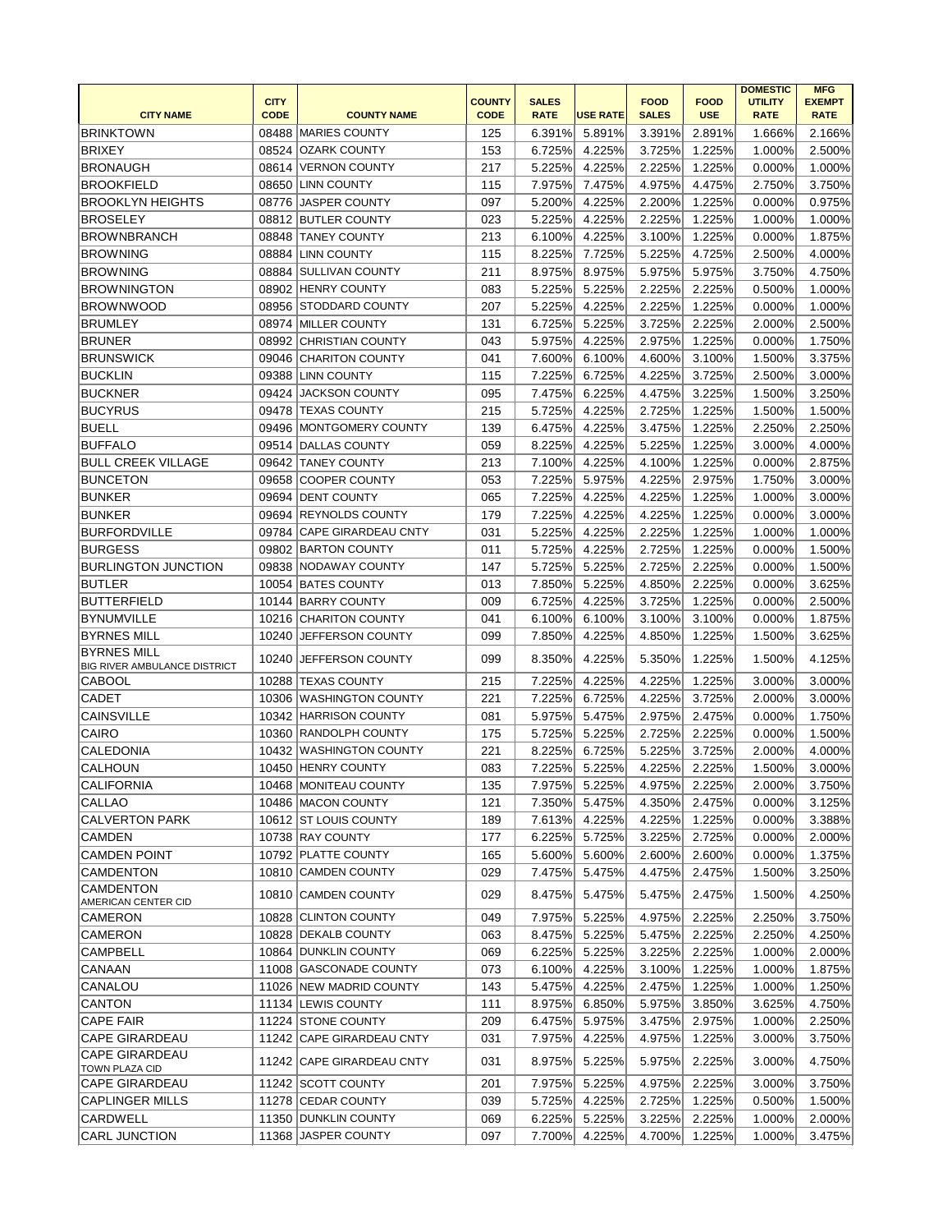|                                                |             |                            |               |                  |                 |              |             | <b>DOMESTIC</b> | <b>MFG</b>    |
|------------------------------------------------|-------------|----------------------------|---------------|------------------|-----------------|--------------|-------------|-----------------|---------------|
|                                                | <b>CITY</b> |                            | <b>COUNTY</b> | <b>SALES</b>     |                 | <b>FOOD</b>  | <b>FOOD</b> | <b>UTILITY</b>  | <b>EXEMPT</b> |
| <b>CITY NAME</b>                               | <b>CODE</b> | <b>COUNTY NAME</b>         | <b>CODE</b>   | <b>RATE</b>      | <b>USE RATE</b> | <b>SALES</b> | <b>USE</b>  | <b>RATE</b>     | <b>RATE</b>   |
| <b>BRINKTOWN</b>                               | 08488       | <b>MARIES COUNTY</b>       | 125           | 6.391%           | 5.891%          | 3.391%       | 2.891%      | 1.666%          | 2.166%        |
| <b>BRIXEY</b>                                  | 08524       | <b>OZARK COUNTY</b>        | 153           | 6.725%           | 4.225%          | 3.725%       | 1.225%      | 1.000%          | 2.500%        |
| <b>BRONAUGH</b>                                | 08614       | <b>VERNON COUNTY</b>       | 217           | 5.225%           | 4.225%          | 2.225%       | 1.225%      | 0.000%          | 1.000%        |
| <b>BROOKFIELD</b>                              |             | 08650 LINN COUNTY          | 115           | 7.975%           | 7.475%          | 4.975%       | 4.475%      | 2.750%          | 3.750%        |
| <b>BROOKLYN HEIGHTS</b>                        |             | 08776 JASPER COUNTY        | 097           | 5.200%           | 4.225%          | 2.200%       | 1.225%      | 0.000%          | 0.975%        |
| <b>BROSELEY</b>                                |             | 08812 BUTLER COUNTY        | 023           | 5.225%           | 4.225%          | 2.225%       | 1.225%      | 1.000%          | 1.000%        |
| <b>BROWNBRANCH</b>                             |             | 08848 TANEY COUNTY         | 213           | 6.100%           | 4.225%          | 3.100%       | 1.225%      | 0.000%          | 1.875%        |
| <b>BROWNING</b>                                | 08884       | <b>LINN COUNTY</b>         | 115           | 8.225%           | 7.725%          | 5.225%       | 4.725%      | 2.500%          | 4.000%        |
| <b>BROWNING</b>                                | 08884       | <b>SULLIVAN COUNTY</b>     | 211           | 8.975%           | 8.975%          | 5.975%       | 5.975%      | 3.750%          | 4.750%        |
| <b>BROWNINGTON</b>                             |             | 08902 HENRY COUNTY         | 083           | 5.225%           | 5.225%          | 2.225%       | 2.225%      | 0.500%          | 1.000%        |
| <b>BROWNWOOD</b>                               |             | 08956 STODDARD COUNTY      | 207           | 5.225%           | 4.225%          | 2.225%       | 1.225%      | 0.000%          | 1.000%        |
| <b>BRUMLEY</b>                                 |             | 08974 MILLER COUNTY        | 131           | 6.725%           | 5.225%          | 3.725%       | 2.225%      | 2.000%          | 2.500%        |
| <b>BRUNER</b>                                  | 08992       | <b>CHRISTIAN COUNTY</b>    | 043           | 5.975%           | 4.225%          | 2.975%       | 1.225%      | 0.000%          | 1.750%        |
| <b>BRUNSWICK</b>                               | 09046       | <b>CHARITON COUNTY</b>     | 041           | 7.600%           | 6.100%          | 4.600%       | 3.100%      | 1.500%          | 3.375%        |
| <b>BUCKLIN</b>                                 | 09388       | LINN COUNTY                | 115           |                  | 6.725%          | 4.225%       | 3.725%      |                 | 3.000%        |
| <b>BUCKNER</b>                                 |             | <b>JACKSON COUNTY</b>      |               | 7.225%<br>7.475% | 6.225%          |              | 3.225%      | 2.500%          | 3.250%        |
|                                                | 09424       |                            | 095           |                  |                 | 4.475%       |             | 1.500%          |               |
| <b>BUCYRUS</b>                                 | 09478       | <b>TEXAS COUNTY</b>        | 215           | 5.725%           | 4.225%          | 2.725%       | 1.225%      | 1.500%          | 1.500%        |
| <b>BUELL</b>                                   | 09496       | <b>MONTGOMERY COUNTY</b>   | 139           | 6.475%           | 4.225%          | 3.475%       | 1.225%      | 2.250%          | 2.250%        |
| <b>BUFFALO</b>                                 |             | 09514 DALLAS COUNTY        | 059           | 8.225%           | 4.225%          | 5.225%       | 1.225%      | 3.000%          | 4.000%        |
| <b>BULL CREEK VILLAGE</b>                      | 09642       | <b>TANEY COUNTY</b>        | 213           | 7.100%           | 4.225%          | 4.100%       | 1.225%      | 0.000%          | 2.875%        |
| <b>BUNCETON</b>                                | 09658       | COOPER COUNTY              | 053           | 7.225%           | 5.975%          | 4.225%       | 2.975%      | 1.750%          | 3.000%        |
| BUNKER                                         | 09694       | <b>DENT COUNTY</b>         | 065           | 7.225%           | 4.225%          | 4.225%       | 1.225%      | 1.000%          | 3.000%        |
| <b>BUNKER</b>                                  | 09694       | <b>REYNOLDS COUNTY</b>     | 179           | 7.225%           | 4.225%          | 4.225%       | 1.225%      | 0.000%          | 3.000%        |
| BURFORDVILLE                                   | 09784       | <b>CAPE GIRARDEAU CNTY</b> | 031           | 5.225%           | 4.225%          | 2.225%       | 1.225%      | 1.000%          | 1.000%        |
| <b>BURGESS</b>                                 | 09802       | <b>BARTON COUNTY</b>       | 011           | 5.725%           | 4.225%          | 2.725%       | 1.225%      | 0.000%          | 1.500%        |
| <b>BURLINGTON JUNCTION</b>                     | 09838       | NODAWAY COUNTY             | 147           | 5.725%           | 5.225%          | 2.725%       | 2.225%      | 0.000%          | 1.500%        |
| <b>BUTLER</b>                                  | 10054       | <b>BATES COUNTY</b>        | 013           | 7.850%           | 5.225%          | 4.850%       | 2.225%      | 0.000%          | 3.625%        |
| <b>BUTTERFIELD</b>                             |             | 10144 BARRY COUNTY         | 009           | 6.725%           | 4.225%          | 3.725%       | 1.225%      | 0.000%          | 2.500%        |
| BYNUMVILLE                                     |             | 10216 CHARITON COUNTY      | 041           |                  | 6.100% 6.100%   | 3.100%       | 3.100%      | 0.000%          | 1.875%        |
| <b>BYRNES MILL</b>                             |             | 10240 JEFFERSON COUNTY     | 099           | 7.850%           | 4.225%          | 4.850%       | 1.225%      | 1.500%          | 3.625%        |
| <b>BYRNES MILL</b>                             |             | 10240 JEFFERSON COUNTY     | 099           | 8.350%           | 4.225%          | 5.350%       | 1.225%      | 1.500%          | 4.125%        |
| <b>BIG RIVER AMBULANCE DISTRICT</b>            |             |                            |               |                  |                 |              |             |                 |               |
| <b>CABOOL</b>                                  |             | 10288 TEXAS COUNTY         | 215           | 7.225%           | 4.225%          | 4.225%       | 1.225%      | 3.000%          | 3.000%        |
| <b>CADET</b>                                   |             | 10306 WASHINGTON COUNTY    | 221           | 7.225%           | 6.725%          | 4.225%       | 3.725%      | 2.000%          | 3.000%        |
| <b>CAINSVILLE</b>                              |             | 10342 HARRISON COUNTY      | 081           | 5.975%           | 5.475%          | 2.975%       | 2.475%      | 0.000%          | 1.750%        |
| CAIRO                                          |             | 10360 RANDOLPH COUNTY      | 175           | 5.725%           | 5.225%          | 2.725%       | 2.225%      | 0.000%          | 1.500%        |
| <b>CALEDONIA</b>                               |             | 10432 WASHINGTON COUNTY    | 221           | 8.225%           | 6.725%          | 5.225%       | 3.725%      | 2.000%          | 4.000%        |
| CALHOUN                                        |             | 10450 HENRY COUNTY         | 083           | 7.225%           | 5.225%          | 4.225%       | 2.225%      | 1.500%          | 3.000%        |
| <b>CALIFORNIA</b>                              |             | 10468 MONITEAU COUNTY      | 135           | 7.975%           | 5.225%          | 4.975%       | 2.225%      | 2.000%          | 3.750%        |
| CALLAO                                         |             | 10486 MACON COUNTY         | 121           | 7.350%           | 5.475%          | 4.350%       | 2.475%      | 0.000%          | 3.125%        |
| <b>CALVERTON PARK</b>                          |             | 10612 ST LOUIS COUNTY      | 189           | 7.613%           | 4.225%          | 4.225%       | 1.225%      | 0.000%          | 3.388%        |
| <b>CAMDEN</b>                                  |             | 10738 RAY COUNTY           | 177           | 6.225%           | 5.725%          | 3.225%       | 2.725%      | 0.000%          | 2.000%        |
| <b>CAMDEN POINT</b>                            |             | 10792 PLATTE COUNTY        | 165           | 5.600%           | 5.600%          | 2.600%       | 2.600%      | 0.000%          | 1.375%        |
| <b>CAMDENTON</b>                               |             | 10810 CAMDEN COUNTY        | 029           | 7.475%           | 5.475%          | 4.475%       | 2.475%      | 1.500%          | 3.250%        |
| <b>CAMDENTON</b>                               |             | 10810 CAMDEN COUNTY        | 029           | 8.475%           | 5.475%          | 5.475%       | 2.475%      | 1.500%          | 4.250%        |
| <b>AMERICAN CENTER CID</b><br><b>CAMERON</b>   |             | 10828 CLINTON COUNTY       | 049           | 7.975%           | 5.225%          | 4.975%       | 2.225%      | 2.250%          | 3.750%        |
| <b>CAMERON</b>                                 |             | 10828 DEKALB COUNTY        | 063           | 8.475%           | 5.225%          | 5.475%       | 2.225%      | 2.250%          | 4.250%        |
|                                                |             |                            |               |                  |                 |              |             |                 |               |
| <b>CAMPBELL</b>                                |             | 10864 DUNKLIN COUNTY       | 069           | 6.225%           | 5.225%          | 3.225%       | 2.225%      | 1.000%          | 2.000%        |
| CANAAN                                         |             | 11008 GASCONADE COUNTY     | 073           | 6.100%           | 4.225%          | 3.100%       | 1.225%      | 1.000%          | 1.875%        |
| CANALOU                                        |             | 11026 INEW MADRID COUNTY   | 143           | 5.475%           | 4.225%          | 2.475%       | 1.225%      | 1.000%          | 1.250%        |
| CANTON                                         |             | 11134 LEWIS COUNTY         | 111           | 8.975%           | 6.850%          | 5.975%       | 3.850%      | 3.625%          | 4.750%        |
| <b>CAPE FAIR</b>                               |             | 11224 STONE COUNTY         | 209           | 6.475%           | 5.975%          | 3.475%       | 2.975%      | 1.000%          | 2.250%        |
| <b>CAPE GIRARDEAU</b>                          |             | 11242 CAPE GIRARDEAU CNTY  | 031           | 7.975%           | 4.225%          | 4.975%       | 1.225%      | 3.000%          | 3.750%        |
| <b>CAPE GIRARDEAU</b>                          |             | 11242 CAPE GIRARDEAU CNTY  | 031           | 8.975%           | 5.225%          | 5.975%       | 2.225%      | 3.000%          | 4.750%        |
| <b>TOWN PLAZA CID</b><br><b>CAPE GIRARDEAU</b> |             | 11242 SCOTT COUNTY         | 201           | 7.975%           | 5.225%          | 4.975%       | 2.225%      | 3.000%          | 3.750%        |
| <b>CAPLINGER MILLS</b>                         |             | 11278 CEDAR COUNTY         | 039           | 5.725%           | 4.225%          | 2.725%       | 1.225%      | 0.500%          | 1.500%        |
| <b>CARDWELL</b>                                |             |                            |               |                  |                 |              |             |                 |               |
|                                                |             | 11350 DUNKLIN COUNTY       | 069           | 6.225%           | 5.225%          | 3.225%       | 2.225%      | 1.000%          | 2.000%        |
| <b>CARL JUNCTION</b>                           |             | 11368 JASPER COUNTY        | 097           | 7.700%           | 4.225%          | 4.700%       | 1.225%      | 1.000%          | 3.475%        |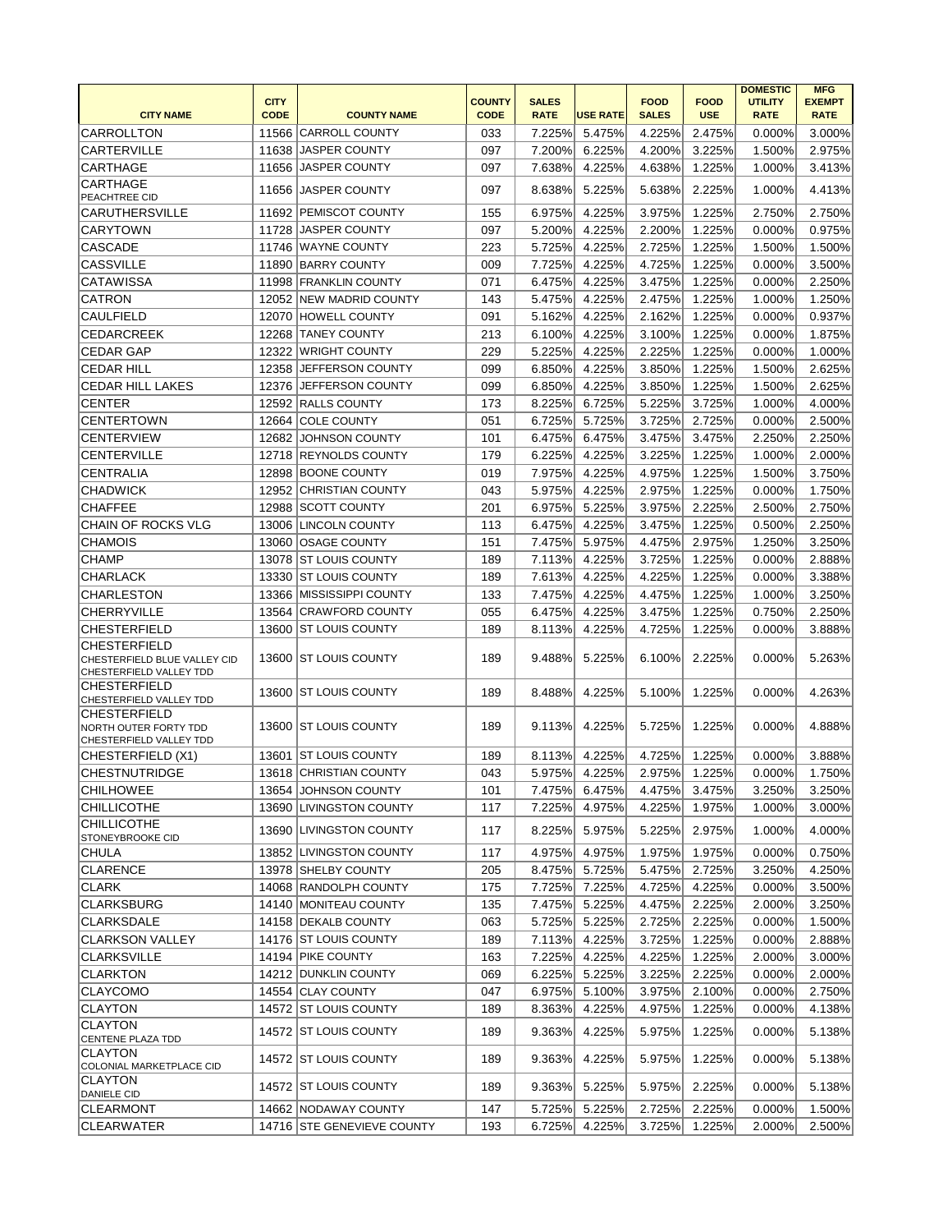|                                                                                |             |                            |               |              |                 |              |             | <b>DOMESTIC</b> | <b>MFG</b>    |
|--------------------------------------------------------------------------------|-------------|----------------------------|---------------|--------------|-----------------|--------------|-------------|-----------------|---------------|
|                                                                                | <b>CITY</b> |                            | <b>COUNTY</b> | <b>SALES</b> | <b>USE RATE</b> | <b>FOOD</b>  | <b>FOOD</b> | <b>UTILITY</b>  | <b>EXEMPT</b> |
| <b>CITY NAME</b>                                                               | <b>CODE</b> | <b>COUNTY NAME</b>         | <b>CODE</b>   | <b>RATE</b>  |                 | <b>SALES</b> | <b>USE</b>  | <b>RATE</b>     | <b>RATE</b>   |
| <b>CARROLLTON</b>                                                              |             | 11566 CARROLL COUNTY       | 033           | 7.225%       | 5.475%          | 4.225%       | 2.475%      | 0.000%          | 3.000%        |
| <b>CARTERVILLE</b>                                                             |             | 11638 JASPER COUNTY        | 097           | 7.200%       | 6.225%          | 4.200%       | 3.225%      | 1.500%          | 2.975%        |
| <b>CARTHAGE</b><br><b>CARTHAGE</b>                                             |             | 11656 JASPER COUNTY        | 097           | 7.638%       | 4.225%          | 4.638%       | 1.225%      | 1.000%          | 3.413%        |
| PEACHTREE CID                                                                  |             | 11656 JASPER COUNTY        | 097           | 8.638%       | 5.225%          | 5.638%       | 2.225%      | 1.000%          | 4.413%        |
| <b>CARUTHERSVILLE</b>                                                          |             | 11692 PEMISCOT COUNTY      | 155           | 6.975%       | 4.225%          | 3.975%       | 1.225%      | 2.750%          | 2.750%        |
| <b>CARYTOWN</b>                                                                |             | 11728 JASPER COUNTY        | 097           | 5.200%       | 4.225%          | 2.200%       | 1.225%      | 0.000%          | 0.975%        |
| <b>CASCADE</b>                                                                 |             | 11746 WAYNE COUNTY         | 223           | 5.725%       | 4.225%          | 2.725%       | 1.225%      | 1.500%          | 1.500%        |
| <b>CASSVILLE</b>                                                               | 11890       | <b>BARRY COUNTY</b>        | 009           | 7.725%       | 4.225%          | 4.725%       | 1.225%      | 0.000%          | 3.500%        |
| <b>CATAWISSA</b>                                                               |             | 11998 FRANKLIN COUNTY      | 071           | 6.475%       | 4.225%          | 3.475%       | 1.225%      | 0.000%          | 2.250%        |
| <b>CATRON</b>                                                                  |             | 12052 NEW MADRID COUNTY    | 143           | 5.475%       | 4.225%          | 2.475%       | 1.225%      | 1.000%          | 1.250%        |
| <b>CAULFIELD</b>                                                               |             | 12070 HOWELL COUNTY        | 091           | 5.162%       | 4.225%          | 2.162%       | 1.225%      | 0.000%          | 0.937%        |
| <b>CEDARCREEK</b>                                                              | 12268       | <b>ITANEY COUNTY</b>       | 213           | 6.100%       | 4.225%          | 3.100%       | 1.225%      | 0.000%          | 1.875%        |
| <b>CEDAR GAP</b>                                                               | 12322       | <b>WRIGHT COUNTY</b>       | 229           | 5.225%       | 4.225%          | 2.225%       | 1.225%      | 0.000%          | 1.000%        |
| <b>CEDAR HILL</b>                                                              | 12358       | JEFFERSON COUNTY           | 099           | 6.850%       | 4.225%          | 3.850%       | 1.225%      | 1.500%          | 2.625%        |
| <b>CEDAR HILL LAKES</b>                                                        | 12376       | JEFFERSON COUNTY           | 099           | 6.850%       | 4.225%          | 3.850%       | 1.225%      | 1.500%          | 2.625%        |
| <b>CENTER</b>                                                                  |             | 12592 RALLS COUNTY         | 173           | 8.225%       | 6.725%          | 5.225%       | 3.725%      | 1.000%          | 4.000%        |
| <b>CENTERTOWN</b>                                                              | 12664       | <b>COLE COUNTY</b>         | 051           | 6.725%       | 5.725%          | 3.725%       | 2.725%      | 0.000%          | 2.500%        |
| <b>CENTERVIEW</b>                                                              | 12682       | <b>JOHNSON COUNTY</b>      | 101           | 6.475%       | 6.475%          | 3.475%       | 3.475%      | 2.250%          | 2.250%        |
| <b>CENTERVILLE</b>                                                             |             | 12718 REYNOLDS COUNTY      | 179           | 6.225%       | 4.225%          | 3.225%       | 1.225%      | 1.000%          | 2.000%        |
| <b>CENTRALIA</b>                                                               |             | 12898 BOONE COUNTY         | 019           | 7.975%       | 4.225%          | 4.975%       | 1.225%      | 1.500%          | 3.750%        |
| <b>CHADWICK</b>                                                                | 12952       | <b>ICHRISTIAN COUNTY</b>   | 043           | 5.975%       | 4.225%          | 2.975%       | 1.225%      | 0.000%          | 1.750%        |
| <b>CHAFFEE</b>                                                                 | 12988       | <b>SCOTT COUNTY</b>        | 201           | 6.975%       | 5.225%          | 3.975%       | 2.225%      | 2.500%          | 2.750%        |
| <b>CHAIN OF ROCKS VLG</b>                                                      |             | 13006 LINCOLN COUNTY       | 113           | 6.475%       | 4.225%          | 3.475%       | 1.225%      | 0.500%          | 2.250%        |
| <b>CHAMOIS</b>                                                                 | 13060       | <b>OSAGE COUNTY</b>        | 151           | 7.475%       | 5.975%          | 4.475%       | 2.975%      | 1.250%          | 3.250%        |
| <b>CHAMP</b>                                                                   |             | 13078 ST LOUIS COUNTY      | 189           | 7.113%       | 4.225%          | 3.725%       | 1.225%      | 0.000%          | 2.888%        |
| <b>CHARLACK</b>                                                                | 13330       | <b>ST LOUIS COUNTY</b>     | 189           | 7.613%       | 4.225%          | 4.225%       | 1.225%      | 0.000%          | 3.388%        |
| <b>CHARLESTON</b>                                                              | 13366       | <b>MISSISSIPPI COUNTY</b>  | 133           | 7.475%       | 4.225%          | 4.475%       | 1.225%      | 1.000%          | 3.250%        |
| <b>CHERRYVILLE</b>                                                             |             | 13564 CRAWFORD COUNTY      | 055           | 6.475%       | 4.225%          | 3.475%       | 1.225%      | 0.750%          | 2.250%        |
| <b>CHESTERFIELD</b>                                                            |             | 13600 ST LOUIS COUNTY      | 189           | 8.113%       | 4.225%          | 4.725%       | 1.225%      | 0.000%          | 3.888%        |
| <b>CHESTERFIELD</b><br>CHESTERFIELD BLUE VALLEY CID<br>CHESTERFIELD VALLEY TDD |             | 13600 ST LOUIS COUNTY      | 189           | 9.488%       | 5.225%          | 6.100%       | 2.225%      | 0.000%          | 5.263%        |
| <b>CHESTERFIELD</b><br>CHESTERFIELD VALLEY TDD                                 |             | 13600 ST LOUIS COUNTY      | 189           | 8.488%       | 4.225%          | 5.100%       | 1.225%      | 0.000%          | 4.263%        |
| <b>CHESTERFIELD</b><br>NORTH OUTER FORTY TDD<br>CHESTERFIELD VALLEY TDD        |             | 13600 ST LOUIS COUNTY      | 189           | 9.113%       | 4.225%          | 5.725%       | 1.225%      | 0.000%          | 4.888%        |
| CHESTERFIELD (X1)                                                              |             | 13601 ST LOUIS COUNTY      | 189           | 8.113%       | 4.225%          | 4.725%       | 1.225%      | 0.000%          | 3.888%        |
| <b>CHESTNUTRIDGE</b>                                                           |             | 13618 CHRISTIAN COUNTY     | 043           | 5.975%       | 4.225%          | 2.975%       | 1.225%      | 0.000%          | 1.750%        |
| <b>CHILHOWEE</b>                                                               |             | 13654 JOHNSON COUNTY       | 101           | 7.475%       | 6.475%          | 4.475%       | 3.475%      | 3.250%          | 3.250%        |
| <b>CHILLICOTHE</b>                                                             |             | 13690 LIVINGSTON COUNTY    | 117           | 7.225%       | 4.975%          | 4.225%       | 1.975%      | 1.000%          | 3.000%        |
| <b>CHILLICOTHE</b><br><b>STONEYBROOKE CID</b>                                  |             | 13690 LIVINGSTON COUNTY    | 117           | 8.225%       | 5.975%          | 5.225%       | 2.975%      | 1.000%          | 4.000%        |
| <b>CHULA</b>                                                                   |             | 13852 LIVINGSTON COUNTY    | 117           | 4.975%       | 4.975%          | 1.975%       | 1.975%      | 0.000%          | 0.750%        |
| <b>CLARENCE</b>                                                                |             | 13978 SHELBY COUNTY        | 205           | 8.475%       | 5.725%          | 5.475%       | 2.725%      | 3.250%          | 4.250%        |
| <b>CLARK</b>                                                                   |             | 14068 RANDOLPH COUNTY      | 175           | 7.725%       | 7.225%          | 4.725%       | 4.225%      | 0.000%          | 3.500%        |
| <b>CLARKSBURG</b>                                                              |             | 14140 MONITEAU COUNTY      | 135           | 7.475%       | 5.225%          | 4.475%       | 2.225%      | 2.000%          | 3.250%        |
| <b>CLARKSDALE</b>                                                              |             | 14158 DEKALB COUNTY        | 063           | 5.725%       | 5.225%          | 2.725%       | 2.225%      | 0.000%          | 1.500%        |
| <b>CLARKSON VALLEY</b>                                                         |             | 14176 ST LOUIS COUNTY      | 189           | 7.113%       | 4.225%          | 3.725%       | 1.225%      | 0.000%          | 2.888%        |
| <b>CLARKSVILLE</b>                                                             |             | 14194 PIKE COUNTY          | 163           | 7.225%       | 4.225%          | 4.225%       | 1.225%      | 2.000%          | 3.000%        |
| <b>CLARKTON</b>                                                                |             | 14212 DUNKLIN COUNTY       | 069           | 6.225%       | 5.225%          | 3.225%       | 2.225%      | 0.000%          | 2.000%        |
| <b>CLAYCOMO</b>                                                                |             | 14554 CLAY COUNTY          | 047           | 6.975%       | 5.100%          | 3.975%       | 2.100%      | 0.000%          | 2.750%        |
| <b>CLAYTON</b>                                                                 |             | 14572 ST LOUIS COUNTY      | 189           | 8.363%       | 4.225%          | 4.975%       | 1.225%      | 0.000%          | 4.138%        |
| <b>CLAYTON</b><br><b>CENTENE PLAZA TDD</b>                                     |             | 14572 IST LOUIS COUNTY     | 189           | 9.363%       | 4.225%          | 5.975%       | 1.225%      | 0.000%          | 5.138%        |
| <b>CLAYTON</b><br>COLONIAL MARKETPLACE CID                                     |             | 14572 ST LOUIS COUNTY      | 189           | 9.363%       | 4.225%          | 5.975%       | 1.225%      | 0.000%          | 5.138%        |
| <b>CLAYTON</b><br><b>DANIELE CID</b>                                           |             | 14572 ST LOUIS COUNTY      | 189           | 9.363%       | 5.225%          | 5.975%       | 2.225%      | 0.000%          | 5.138%        |
| <b>CLEARMONT</b>                                                               |             | 14662 NODAWAY COUNTY       | 147           | 5.725%       | 5.225%          | 2.725%       | 2.225%      | 0.000%          | 1.500%        |
| <b>CLEARWATER</b>                                                              |             | 14716 STE GENEVIEVE COUNTY | 193           | 6.725%       | 4.225%          | 3.725%       | 1.225%      | 2.000%          | 2.500%        |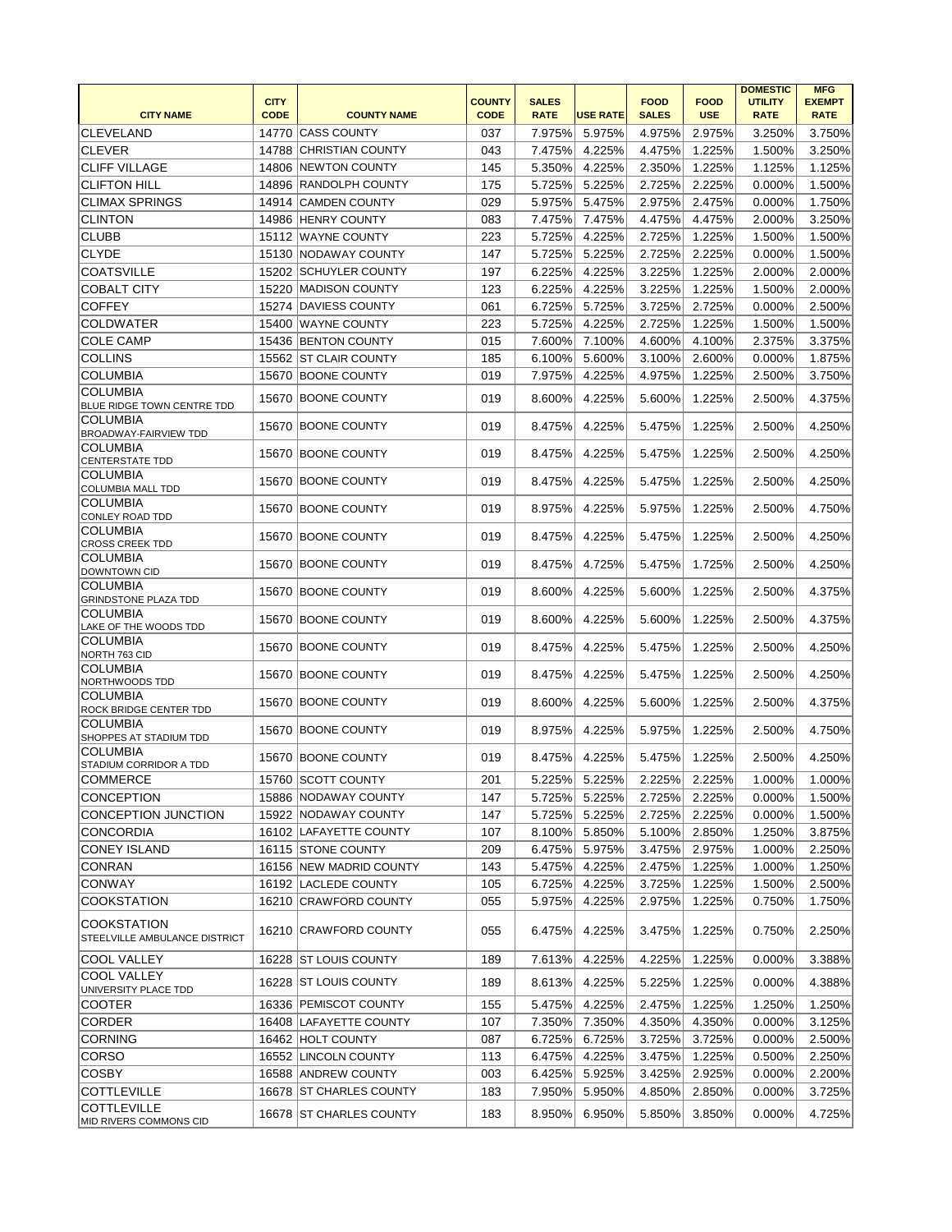| <b>CITY NAME</b>                                           | <b>CITY</b><br><b>CODE</b> | <b>COUNTY NAME</b>                              | <b>COUNTY</b><br><b>CODE</b> | <b>SALES</b><br><b>RATE</b> | <b>USE RATE</b>  | <b>FOOD</b><br><b>SALES</b> | <b>FOOD</b><br><b>USE</b> | <b>DOMESTIC</b><br><b>UTILITY</b><br><b>RATE</b> | <b>MFG</b><br><b>EXEMPT</b><br><b>RATE</b> |
|------------------------------------------------------------|----------------------------|-------------------------------------------------|------------------------------|-----------------------------|------------------|-----------------------------|---------------------------|--------------------------------------------------|--------------------------------------------|
| <b>CLEVELAND</b>                                           | 14770                      | <b>CASS COUNTY</b>                              | 037                          | 7.975%                      | 5.975%           | 4.975%                      | 2.975%                    | 3.250%                                           | 3.750%                                     |
| <b>CLEVER</b>                                              | 14788                      | <b>CHRISTIAN COUNTY</b>                         | 043                          | 7.475%                      | 4.225%           | 4.475%                      | 1.225%                    | 1.500%                                           | 3.250%                                     |
| <b>CLIFF VILLAGE</b>                                       |                            | 14806 NEWTON COUNTY                             | 145                          | 5.350%                      | 4.225%           | 2.350%                      | 1.225%                    | 1.125%                                           | 1.125%                                     |
| <b>CLIFTON HILL</b>                                        |                            | 14896 RANDOLPH COUNTY                           | 175                          | 5.725%                      | 5.225%           | 2.725%                      | 2.225%                    | 0.000%                                           | 1.500%                                     |
| <b>CLIMAX SPRINGS</b>                                      |                            | 14914 CAMDEN COUNTY                             | 029                          | 5.975%                      | 5.475%           | 2.975%                      | 2.475%                    | 0.000%                                           | 1.750%                                     |
| <b>CLINTON</b>                                             |                            | 14986 HENRY COUNTY                              | 083                          | 7.475%                      | 7.475%           | 4.475%                      | 4.475%                    | 2.000%                                           | 3.250%                                     |
| <b>CLUBB</b>                                               |                            | 15112 WAYNE COUNTY                              | 223                          | 5.725%                      | 4.225%           | 2.725%                      | 1.225%                    | 1.500%                                           | 1.500%                                     |
| <b>CLYDE</b>                                               |                            | 15130 NODAWAY COUNTY                            | 147                          | 5.725%                      | 5.225%           | 2.725%                      | 2.225%                    | 0.000%                                           | 1.500%                                     |
| <b>COATSVILLE</b>                                          |                            | 15202 SCHUYLER COUNTY                           | 197                          | 6.225%                      | 4.225%           | 3.225%                      | 1.225%                    | 2.000%                                           | 2.000%                                     |
| <b>COBALT CITY</b>                                         |                            | 15220 MADISON COUNTY                            | 123                          | 6.225%                      | 4.225%           | 3.225%                      | 1.225%                    | 1.500%                                           | 2.000%                                     |
| <b>COFFEY</b>                                              |                            | 15274 DAVIESS COUNTY                            | 061                          | 6.725%                      | 5.725%           | 3.725%                      | 2.725%                    | 0.000%                                           | 2.500%                                     |
| <b>COLDWATER</b>                                           |                            | 15400 WAYNE COUNTY                              | 223                          | 5.725%                      | 4.225%           | 2.725%                      | 1.225%                    | 1.500%                                           | 1.500%                                     |
| <b>COLE CAMP</b>                                           |                            | 15436 BENTON COUNTY                             | 015                          | 7.600%                      | 7.100%           | 4.600%                      | 4.100%                    | 2.375%                                           | 3.375%                                     |
| <b>COLLINS</b>                                             |                            | 15562 ST CLAIR COUNTY                           | 185                          | 6.100%                      | 5.600%           | 3.100%                      | 2.600%                    | 0.000%                                           | 1.875%                                     |
| COLUMBIA                                                   |                            | 15670 BOONE COUNTY                              | 019                          | 7.975%                      | 4.225%           | 4.975%                      | 1.225%                    | 2.500%                                           | 3.750%                                     |
| <b>COLUMBIA</b><br>BLUE RIDGE TOWN CENTRE TDD              |                            | 15670 BOONE COUNTY                              | 019                          | 8.600%                      | 4.225%           | 5.600%                      | 1.225%                    | 2.500%                                           | 4.375%                                     |
| <b>COLUMBIA</b><br><b>BROADWAY-FAIRVIEW TDD</b>            |                            | 15670 BOONE COUNTY                              | 019                          | 8.475%                      | 4.225%           | 5.475%                      | 1.225%                    | 2.500%                                           | 4.250%                                     |
| <b>COLUMBIA</b><br><b>CENTERSTATE TDD</b>                  |                            | 15670 BOONE COUNTY                              | 019                          | 8.475%                      | 4.225%           | 5.475%                      | 1.225%                    | 2.500%                                           | 4.250%                                     |
| <b>COLUMBIA</b><br>COLUMBIA MALL TDD                       |                            | 15670 BOONE COUNTY                              | 019                          | 8.475%                      | 4.225%           | 5.475%                      | 1.225%                    | 2.500%                                           | 4.250%                                     |
| <b>COLUMBIA</b><br>CONLEY ROAD TDD                         |                            | 15670 BOONE COUNTY                              | 019                          | 8.975%                      | 4.225%           | 5.975%                      | 1.225%                    | 2.500%                                           | 4.750%                                     |
| <b>COLUMBIA</b><br><b>CROSS CREEK TDD</b>                  |                            | 15670 BOONE COUNTY                              | 019                          | 8.475%                      | 4.225%           | 5.475%                      | 1.225%                    | 2.500%                                           | 4.250%                                     |
| <b>COLUMBIA</b><br><b>DOWNTOWN CID</b>                     |                            | 15670 BOONE COUNTY                              | 019                          | 8.475%                      | 4.725%           | 5.475%                      | 1.725%                    | 2.500%                                           | 4.250%                                     |
| <b>COLUMBIA</b><br><b>GRINDSTONE PLAZA TDD</b>             |                            | 15670 BOONE COUNTY                              | 019                          | 8.600%                      | 4.225%           | 5.600%                      | 1.225%                    | 2.500%                                           | 4.375%                                     |
| <b>COLUMBIA</b><br>LAKE OF THE WOODS TDD                   |                            | 15670 BOONE COUNTY                              | 019                          |                             | 8.600% 4.225%    |                             | 5.600% 1.225%             | 2.500%                                           | 4.375%                                     |
| <b>COLUMBIA</b><br>NORTH 763 CID                           |                            | 15670 BOONE COUNTY                              | 019                          | 8.475%                      | 4.225%           | 5.475%                      | 1.225%                    | 2.500%                                           | 4.250%                                     |
| <b>COLUMBIA</b><br>NORTHWOODS TDD                          |                            | 15670 BOONE COUNTY                              | 019                          | 8.475%                      | 4.225%           | 5.475%                      | 1.225%                    | 2.500%                                           | 4.250%                                     |
| <b>COLUMBIA</b><br><b>ROCK BRIDGE CENTER TDD</b>           |                            | 15670 BOONE COUNTY                              | 019                          | 8.600%                      | 4.225%           | 5.600%                      | 1.225%                    | 2.500%                                           | 4.375%                                     |
| <b>COLUMBIA</b><br><b>SHOPPES AT STADIUM TDD</b>           |                            | 15670 BOONE COUNTY                              | 019                          | 8.975%                      | 4.225%           | 5.975%                      | 1.225%                    | 2.500%                                           | 4.750%                                     |
| <b>COLUMBIA</b><br><b>STADIUM CORRIDOR A TDD</b>           |                            | 15670 BOONE COUNTY                              | 019                          | 8.475%                      | 4.225%           | 5.475%                      | 1.225%                    | 2.500%                                           | 4.250%                                     |
| <b>COMMERCE</b>                                            |                            | 15760 SCOTT COUNTY                              | 201                          | 5.225%                      | 5.225%           | 2.225%                      | 2.225%                    | 1.000%                                           | 1.000%                                     |
| <b>CONCEPTION</b>                                          |                            | 15886 NODAWAY COUNTY                            | 147                          | 5.725%                      | 5.225%           | 2.725%                      | 2.225%                    | 0.000%                                           | 1.500%                                     |
| <b>CONCEPTION JUNCTION</b>                                 |                            | 15922 NODAWAY COUNTY                            | 147                          | 5.725%                      | 5.225%           | 2.725%                      | 2.225%                    | 0.000%                                           | 1.500%                                     |
| <b>CONCORDIA</b>                                           |                            | 16102 LAFAYETTE COUNTY                          | 107                          | 8.100%                      | 5.850%           | 5.100%                      | 2.850%                    | 1.250%                                           | 3.875%                                     |
| <b>CONEY ISLAND</b>                                        |                            | 16115 STONE COUNTY                              | 209                          | 6.475%                      | 5.975%           | 3.475%                      | 2.975%                    | 1.000%                                           | 2.250%                                     |
| <b>CONRAN</b><br><b>CONWAY</b>                             |                            | 16156 NEW MADRID COUNTY<br>16192 LACLEDE COUNTY | 143                          | 5.475%                      | 4.225%           | 2.475%<br>3.725%            | 1.225%<br>1.225%          | 1.000%                                           | 1.250%<br>2.500%                           |
| <b>COOKSTATION</b>                                         |                            | 16210 CRAWFORD COUNTY                           | 105<br>055                   | 6.725%<br>5.975%            | 4.225%<br>4.225% | 2.975%                      | 1.225%                    | 1.500%<br>0.750%                                 | 1.750%                                     |
| <b>COOKSTATION</b><br><b>STEELVILLE AMBULANCE DISTRICT</b> |                            | 16210 CRAWFORD COUNTY                           | 055                          | 6.475%                      | 4.225%           | 3.475%                      | 1.225%                    | 0.750%                                           | 2.250%                                     |
| <b>COOL VALLEY</b>                                         |                            | 16228 ST LOUIS COUNTY                           | 189                          | 7.613%                      | 4.225%           | 4.225%                      | 1.225%                    | 0.000%                                           | 3.388%                                     |
| <b>COOL VALLEY</b><br>UNIVERSITY PLACE TDD                 |                            | 16228 ST LOUIS COUNTY                           | 189                          | 8.613%                      | 4.225%           | 5.225%                      | 1.225%                    | 0.000%                                           | 4.388%                                     |
| <b>COOTER</b>                                              |                            | 16336 PEMISCOT COUNTY                           | 155                          | 5.475%                      | 4.225%           | 2.475%                      | 1.225%                    | 1.250%                                           | 1.250%                                     |
| <b>CORDER</b>                                              |                            | 16408 LAFAYETTE COUNTY                          | 107                          | 7.350%                      | 7.350%           | 4.350%                      | 4.350%                    | 0.000%                                           | 3.125%                                     |
| <b>CORNING</b>                                             |                            | 16462 HOLT COUNTY                               | 087                          | 6.725%                      | 6.725%           | 3.725%                      | 3.725%                    | 0.000%                                           | 2.500%                                     |
| <b>CORSO</b>                                               |                            | 16552 LINCOLN COUNTY                            | 113                          | 6.475%                      | 4.225%           | 3.475%                      | 1.225%                    | 0.500%                                           | 2.250%                                     |
| <b>COSBY</b>                                               |                            | 16588 ANDREW COUNTY                             | 003                          | 6.425%                      | 5.925%           | 3.425%                      | 2.925%                    | 0.000%                                           | 2.200%                                     |
| <b>COTTLEVILLE</b>                                         |                            | 16678 ST CHARLES COUNTY                         | 183                          | 7.950%                      | 5.950%           | 4.850%                      | 2.850%                    | 0.000%                                           | 3.725%                                     |
| <b>COTTLEVILLE</b><br>MID RIVERS COMMONS CID               |                            | 16678 ST CHARLES COUNTY                         | 183                          | 8.950%                      | 6.950%           | 5.850%                      | 3.850%                    | 0.000%                                           | 4.725%                                     |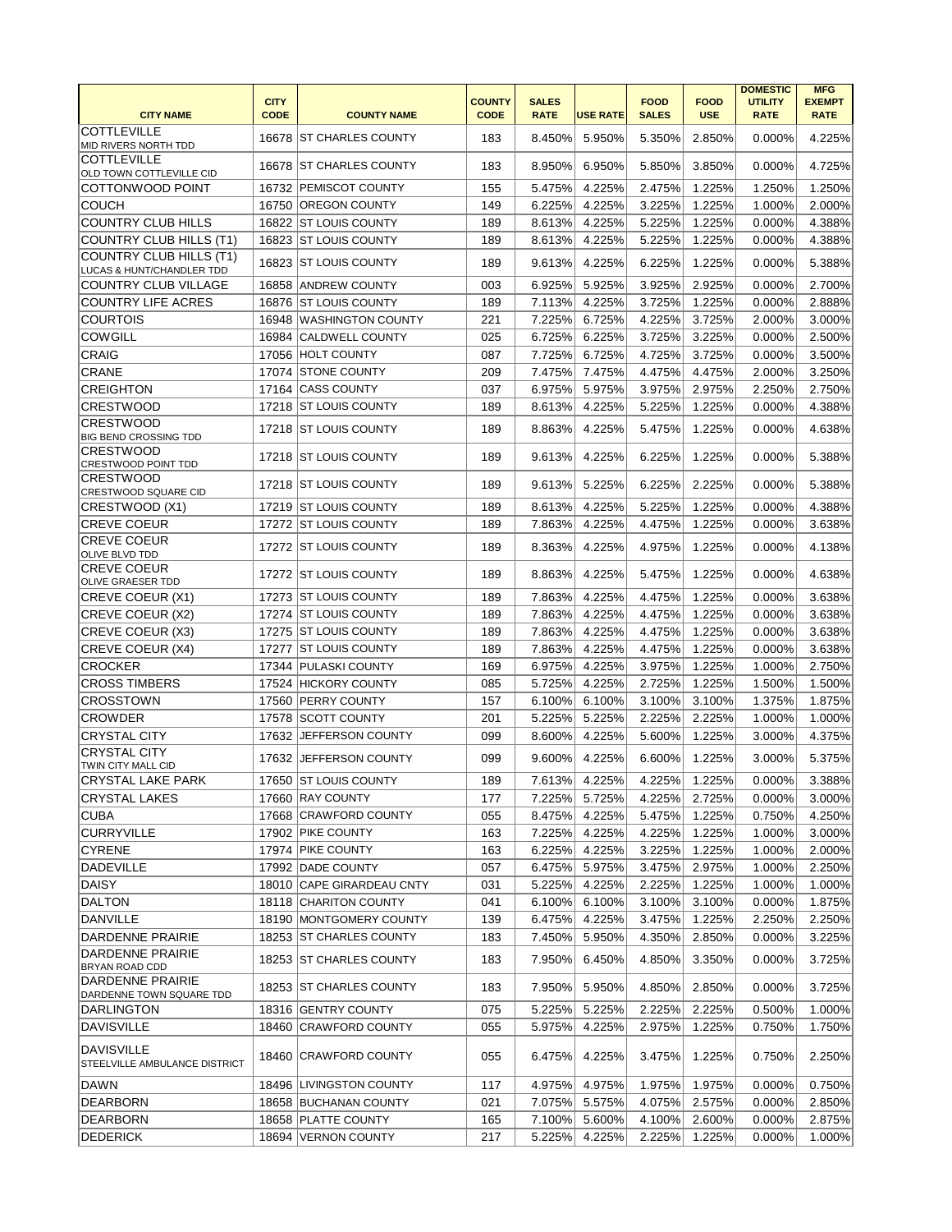|                                                           |                            |                           |                              |                             |                 |                             |                           | <b>DOMESTIC</b>               | <b>MFG</b>                   |
|-----------------------------------------------------------|----------------------------|---------------------------|------------------------------|-----------------------------|-----------------|-----------------------------|---------------------------|-------------------------------|------------------------------|
| <b>CITY NAME</b>                                          | <b>CITY</b><br><b>CODE</b> | <b>COUNTY NAME</b>        | <b>COUNTY</b><br><b>CODE</b> | <b>SALES</b><br><b>RATE</b> | <b>USE RATE</b> | <b>FOOD</b><br><b>SALES</b> | <b>FOOD</b><br><b>USE</b> | <b>UTILITY</b><br><b>RATE</b> | <b>EXEMPT</b><br><b>RATE</b> |
| <b>COTTLEVILLE</b><br>MID RIVERS NORTH TDD                |                            | 16678 ST CHARLES COUNTY   | 183                          | 8.450%                      | 5.950%          | 5.350%                      | 2.850%                    | 0.000%                        | 4.225%                       |
| <b>COTTLEVILLE</b><br>OLD TOWN COTTLEVILLE CID            |                            | 16678 ST CHARLES COUNTY   | 183                          | 8.950%                      | 6.950%          | 5.850%                      | 3.850%                    | 0.000%                        | 4.725%                       |
| COTTONWOOD POINT                                          |                            | 16732 PEMISCOT COUNTY     | 155                          | 5.475%                      | 4.225%          | 2.475%                      | 1.225%                    | 1.250%                        | 1.250%                       |
| <b>COUCH</b>                                              |                            | 16750 OREGON COUNTY       | 149                          | 6.225%                      | 4.225%          | 3.225%                      | 1.225%                    | 1.000%                        | 2.000%                       |
| COUNTRY CLUB HILLS                                        |                            | 16822 ST LOUIS COUNTY     | 189                          | 8.613%                      | 4.225%          | 5.225%                      | 1.225%                    | 0.000%                        | 4.388%                       |
| COUNTRY CLUB HILLS (T1)                                   |                            | 16823 ST LOUIS COUNTY     | 189                          | 8.613%                      | 4.225%          | 5.225%                      | 1.225%                    | 0.000%                        | 4.388%                       |
| COUNTRY CLUB HILLS (T1)                                   |                            |                           |                              |                             |                 |                             |                           |                               |                              |
| LUCAS & HUNT/CHANDLER TDD                                 |                            | 16823 ST LOUIS COUNTY     | 189                          | 9.613%                      | 4.225%          | 6.225%                      | 1.225%                    | 0.000%                        | 5.388%                       |
| <b>COUNTRY CLUB VILLAGE</b>                               |                            | 16858 ANDREW COUNTY       | 003                          | 6.925%                      | 5.925%          | 3.925%                      | 2.925%                    | 0.000%                        | 2.700%                       |
| <b>COUNTRY LIFE ACRES</b>                                 |                            | 16876 ST LOUIS COUNTY     | 189                          | 7.113%                      | 4.225%          | 3.725%                      | 1.225%                    | 0.000%                        | 2.888%                       |
| <b>COURTOIS</b>                                           |                            | 16948 WASHINGTON COUNTY   | 221                          | 7.225%                      | 6.725%          | 4.225%                      | 3.725%                    | 2.000%                        | 3.000%                       |
| <b>COWGILL</b>                                            |                            | 16984 CALDWELL COUNTY     | 025                          | 6.725%                      | 6.225%          | 3.725%                      | 3.225%                    | 0.000%                        | 2.500%                       |
| <b>CRAIG</b>                                              |                            | 17056 HOLT COUNTY         | 087                          | 7.725%                      | 6.725%          | 4.725%                      | 3.725%                    | 0.000%                        | 3.500%                       |
| CRANE                                                     |                            | 17074 STONE COUNTY        | 209                          | 7.475%                      | 7.475%          | 4.475%                      | 4.475%                    | 2.000%                        | 3.250%                       |
| <b>CREIGHTON</b>                                          |                            | 17164 CASS COUNTY         | 037                          | 6.975%                      | 5.975%          | 3.975%                      | 2.975%                    | 2.250%                        | 2.750%                       |
| <b>CRESTWOOD</b>                                          |                            | 17218 ST LOUIS COUNTY     | 189                          | 8.613%                      | 4.225%          | 5.225%                      | 1.225%                    | 0.000%                        | 4.388%                       |
| <b>CRESTWOOD</b><br><b>BIG BEND CROSSING TDD</b>          |                            | 17218 ST LOUIS COUNTY     | 189                          | 8.863%                      | 4.225%          | 5.475%                      | 1.225%                    | 0.000%                        | 4.638%                       |
| <b>CRESTWOOD</b><br><b>CRESTWOOD POINT TDD</b>            |                            | 17218 ST LOUIS COUNTY     | 189                          | 9.613%                      | 4.225%          | 6.225%                      | 1.225%                    | 0.000%                        | 5.388%                       |
| <b>CRESTWOOD</b><br>CRESTWOOD SQUARE CID                  |                            | 17218 ST LOUIS COUNTY     | 189                          | 9.613%                      | 5.225%          | 6.225%                      | 2.225%                    | 0.000%                        | 5.388%                       |
| CRESTWOOD (X1)                                            |                            | 17219 ST LOUIS COUNTY     | 189                          | 8.613%                      | 4.225%          | 5.225%                      | 1.225%                    | 0.000%                        | 4.388%                       |
| <b>CREVE COEUR</b>                                        |                            | 17272 ST LOUIS COUNTY     | 189                          | 7.863%                      | 4.225%          | 4.475%                      | 1.225%                    | 0.000%                        | 3.638%                       |
| <b>CREVE COEUR</b><br><b>OLIVE BLVD TDD</b>               |                            | 17272 ST LOUIS COUNTY     | 189                          | 8.363%                      | 4.225%          | 4.975%                      | 1.225%                    | 0.000%                        | 4.138%                       |
| <b>CREVE COEUR</b><br><b>OLIVE GRAESER TDD</b>            |                            | 17272 ST LOUIS COUNTY     | 189                          | 8.863%                      | 4.225%          | 5.475%                      | 1.225%                    | 0.000%                        | 4.638%                       |
| CREVE COEUR (X1)                                          |                            | 17273 ST LOUIS COUNTY     | 189                          | 7.863%                      | 4.225%          | 4.475%                      | 1.225%                    | 0.000%                        | 3.638%                       |
| CREVE COEUR (X2)                                          |                            | 17274 ST LOUIS COUNTY     | 189                          |                             | 7.863% 4.225%   | 4.475%                      | 1.225%                    | 0.000%                        | 3.638%                       |
| CREVE COEUR (X3)                                          |                            | 17275 ST LOUIS COUNTY     | 189                          | 7.863%                      | 4.225%          | 4.475%                      | 1.225%                    | 0.000%                        | 3.638%                       |
| CREVE COEUR (X4)                                          |                            | 17277 ST LOUIS COUNTY     | 189                          | 7.863%                      | 4.225%          | 4.475%                      | 1.225%                    | 0.000%                        | 3.638%                       |
| <b>CROCKER</b>                                            |                            | 17344 PULASKI COUNTY      | 169                          | 6.975%                      | 4.225%          | 3.975%                      | 1.225%                    | 1.000%                        | 2.750%                       |
| <b>CROSS TIMBERS</b>                                      |                            | 17524 HICKORY COUNTY      | 085                          | 5.725%                      | 4.225%          | 2.725%                      | 1.225%                    | 1.500%                        | 1.500%                       |
| <b>CROSSTOWN</b>                                          |                            | 17560 PERRY COUNTY        | 157                          | 6.100%                      | 6.100%          | 3.100%                      | 3.100%                    | 1.375%                        | 1.875%                       |
| <b>CROWDER</b>                                            |                            | 17578 SCOTT COUNTY        | 201                          | 5.225%                      | 5.225%          | 2.225%                      | 2.225%                    | 1.000%                        | 1.000%                       |
| <b>CRYSTAL CITY</b>                                       | 17632                      | JEFFERSON COUNTY          | 099                          | 8.600%                      | 4.225%          | 5.600%                      | 1.225%                    | 3.000%                        | 4.375%                       |
| <b>CRYSTAL CITY</b>                                       |                            | 17632 JEFFERSON COUNTY    | 099                          | 9.600%                      | 4.225%          | 6.600%                      | 1.225%                    | 3.000%                        | 5.375%                       |
| TWIN CITY MALL CID                                        |                            |                           |                              |                             |                 |                             |                           |                               |                              |
| <b>CRYSTAL LAKE PARK</b>                                  |                            | 17650 ST LOUIS COUNTY     | 189                          | 7.613%                      | 4.225%          | 4.225%                      | 1.225%                    | 0.000%                        | 3.388%                       |
| <b>CRYSTAL LAKES</b>                                      |                            | 17660 RAY COUNTY          | 177                          | 7.225%                      | 5.725%          | 4.225%                      | 2.725%                    | 0.000%                        | 3.000%                       |
| <b>CUBA</b>                                               |                            | 17668 CRAWFORD COUNTY     | 055                          | 8.475%                      | 4.225%          | 5.475%                      | 1.225%                    | 0.750%                        | 4.250%                       |
| <b>CURRYVILLE</b>                                         |                            | 17902 PIKE COUNTY         | 163                          | 7.225%                      | 4.225%          | 4.225%                      | 1.225%                    | 1.000%                        | 3.000%                       |
| <b>CYRENE</b>                                             |                            | 17974 PIKE COUNTY         | 163                          | 6.225%                      | 4.225%          | 3.225%                      | 1.225%                    | 1.000%                        | 2.000%                       |
| <b>DADEVILLE</b>                                          |                            | 17992 DADE COUNTY         | 057                          | 6.475%                      | 5.975%          | 3.475%                      | 2.975%                    | 1.000%                        | 2.250%                       |
| DAISY                                                     |                            | 18010 CAPE GIRARDEAU CNTY | 031                          | 5.225%                      | 4.225%          | 2.225%                      | 1.225%                    | 1.000%                        | 1.000%                       |
| <b>DALTON</b>                                             |                            | 18118 CHARITON COUNTY     | 041                          | 6.100%                      | 6.100%          | 3.100%                      | 3.100%                    | 0.000%                        | 1.875%                       |
| DANVILLE                                                  |                            | 18190 MONTGOMERY COUNTY   | 139                          | 6.475%                      | 4.225%          | 3.475%                      | 1.225%                    | 2.250%                        | 2.250%                       |
| <b>DARDENNE PRAIRIE</b>                                   |                            | 18253 ST CHARLES COUNTY   | 183                          | 7.450%                      | 5.950%          | 4.350%                      | 2.850%                    | 0.000%                        | 3.225%                       |
| <b>DARDENNE PRAIRIE</b><br><b>BRYAN ROAD CDD</b>          |                            | 18253 ST CHARLES COUNTY   | 183                          | 7.950%                      | 6.450%          | 4.850%                      | 3.350%                    | 0.000%                        | 3.725%                       |
| <b>DARDENNE PRAIRIE</b><br>DARDENNE TOWN SQUARE TDD       |                            | 18253 ST CHARLES COUNTY   | 183                          | 7.950%                      | 5.950%          | 4.850%                      | 2.850%                    | 0.000%                        | 3.725%                       |
| <b>DARLINGTON</b>                                         |                            | 18316 GENTRY COUNTY       | 075                          | 5.225%                      | 5.225%          | 2.225%                      | 2.225%                    | 0.500%                        | 1.000%                       |
| <b>DAVISVILLE</b>                                         |                            | 18460 CRAWFORD COUNTY     | 055                          | 5.975%                      | 4.225%          | 2.975%                      | 1.225%                    | 0.750%                        | 1.750%                       |
| <b>DAVISVILLE</b><br><b>STEELVILLE AMBULANCE DISTRICT</b> |                            | 18460 CRAWFORD COUNTY     | 055                          | 6.475%                      | 4.225%          | 3.475%                      | 1.225%                    | 0.750%                        | 2.250%                       |
| DAWN                                                      |                            | 18496 LIVINGSTON COUNTY   | 117                          | 4.975%                      | 4.975%          | 1.975%                      | 1.975%                    | 0.000%                        | 0.750%                       |
| <b>DEARBORN</b>                                           |                            | 18658 BUCHANAN COUNTY     | 021                          | 7.075%                      | 5.575%          | 4.075%                      | 2.575%                    | 0.000%                        | 2.850%                       |
| DEARBORN                                                  |                            | 18658 PLATTE COUNTY       | 165                          | 7.100%                      | 5.600%          | 4.100%                      | 2.600%                    | 0.000%                        | 2.875%                       |
| <b>DEDERICK</b>                                           |                            | 18694 VERNON COUNTY       | 217                          | 5.225%                      | 4.225%          | 2.225%                      | 1.225%                    | 0.000%                        | 1.000%                       |
|                                                           |                            |                           |                              |                             |                 |                             |                           |                               |                              |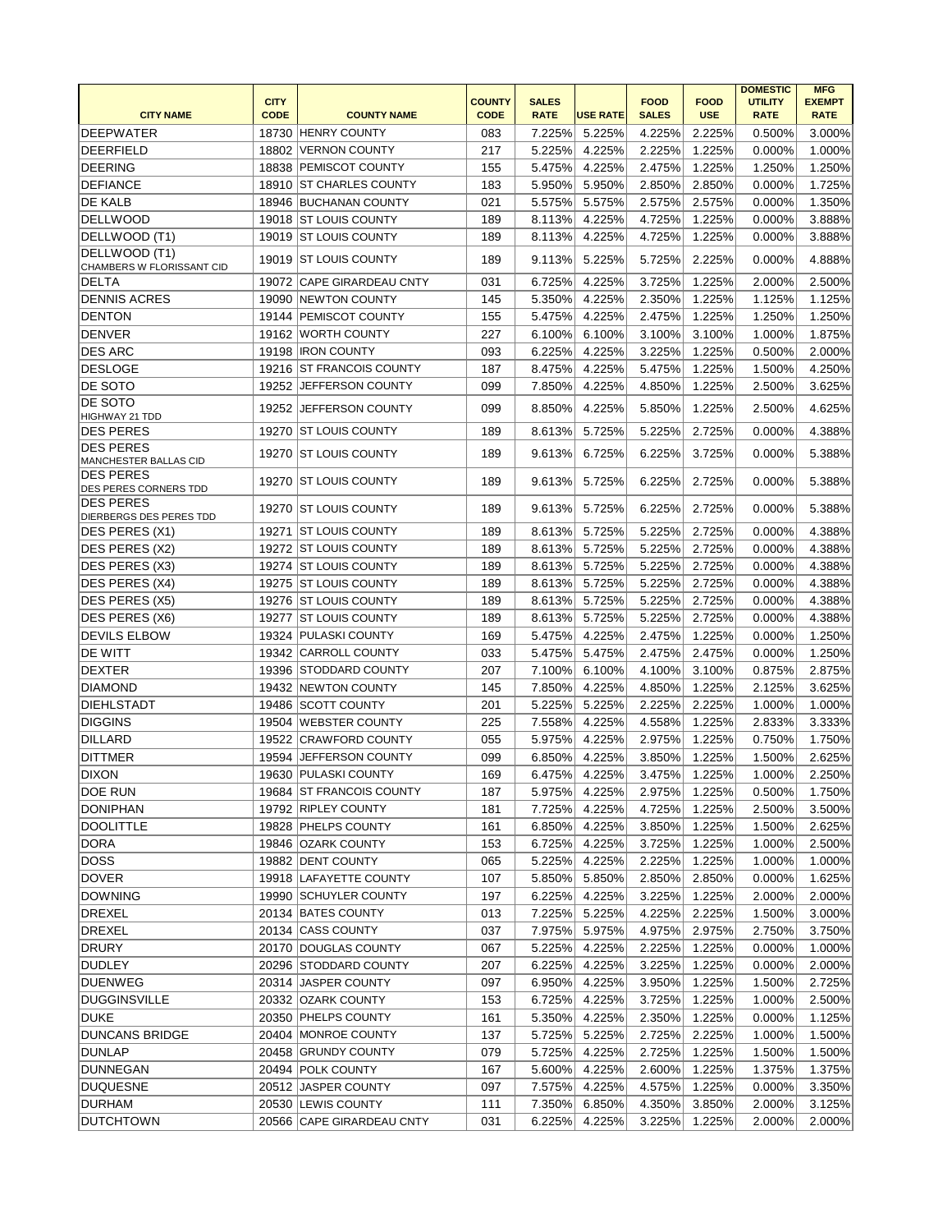| <b>CITY</b><br><b>COUNTY</b><br><b>SALES</b><br><b>FOOD</b><br><b>FOOD</b><br><b>UTILITY</b><br><b>EXEMPT</b><br><b>CITY NAME</b><br><b>RATE</b><br><b>CODE</b><br><b>COUNTY NAME</b><br><b>CODE</b><br><b>RATE</b><br><b>USE RATE</b><br><b>SALES</b><br><b>USE</b><br><b>RATE</b><br>3.000%<br>DEEPWATER<br>083<br>7.225%<br>5.225%<br>4.225%<br>2.225%<br>0.500%<br>18730 HENRY COUNTY<br>5.225%<br>4.225%<br>2.225%<br>0.000%<br>1.000%<br>DEERFIELD<br>VERNON COUNTY<br>217<br>1.225%<br>18802<br><b>DEERING</b><br>18838 PEMISCOT COUNTY<br>5.475%<br>4.225%<br>2.475%<br>1.225%<br>1.250%<br>1.250%<br>155<br><b>DEFIANCE</b><br>5.950%<br>5.950%<br>2.850%<br>2.850%<br>0.000%<br>1.725%<br>18910 ST CHARLES COUNTY<br>183<br><b>DE KALB</b><br>1.350%<br>18946 BUCHANAN COUNTY<br>021<br>5.575%<br>5.575%<br>2.575%<br>2.575%<br>0.000%<br><b>DELLWOOD</b><br>19018 ST LOUIS COUNTY<br>8.113%<br>4.225%<br>4.725%<br>0.000%<br>3.888%<br>189<br>1.225%<br>DELLWOOD (T1)<br>8.113%<br>4.225%<br>0.000%<br>3.888%<br>19019 ST LOUIS COUNTY<br>189<br>4.725%<br>1.225%<br>DELLWOOD (T1)<br>5.225%<br>4.888%<br>19019 IST LOUIS COUNTY<br>189<br>9.113%<br>5.725%<br>2.225%<br>0.000%<br>CHAMBERS W FLORISSANT CID<br>4.225%<br>1.225%<br>2.500%<br><b>DELTA</b><br>19072 CAPE GIRARDEAU CNTY<br>031<br>6.725%<br>3.725%<br>2.000%<br><b>DENNIS ACRES</b><br>19090 NEWTON COUNTY<br>5.350%<br>4.225%<br>2.350%<br>1.125%<br>1.125%<br>145<br>1.225%<br><b>DENTON</b><br>19144 PEMISCOT COUNTY<br>4.225%<br>2.475%<br>1.250%<br>1.250%<br>155<br>5.475%<br>1.225%<br><b>DENVER</b><br>6.100%<br>227<br>6.100%<br>3.100%<br>3.100%<br>1.000%<br>1.875%<br>19162 WORTH COUNTY<br><b>DES ARC</b><br>19198 <b>IRON COUNTY</b><br>6.225%<br>4.225%<br>3.225%<br>1.225%<br>0.500%<br>2.000%<br>093<br>4.225%<br><b>DESLOGE</b><br>19216 ST FRANCOIS COUNTY<br>8.475%<br>5.475%<br>1.225%<br>1.500%<br>4.250%<br>187<br><b>DE SOTO</b><br>7.850%<br>4.225%<br>2.500%<br>3.625%<br>19252 JEFFERSON COUNTY<br>099<br>4.850%<br>1.225%<br><b>DE SOTO</b><br>4.225%<br>5.850%<br>1.225%<br>4.625%<br>JEFFERSON COUNTY<br>099<br>8.850%<br>2.500%<br>19252<br>HIGHWAY 21 TDD<br><b>DES PERES</b><br>4.388%<br>19270 ST LOUIS COUNTY<br>189<br>8.613%<br>5.725%<br>5.225%<br>2.725%<br>0.000%<br><b>DES PERES</b><br>19270 ST LOUIS COUNTY<br>9.613%<br>6.225%<br>5.388%<br>189<br>6.725%<br>3.725%<br>0.000%<br>MANCHESTER BALLAS CID<br><b>DES PERES</b><br>9.613%<br>5.725%<br>6.225%<br>2.725%<br>5.388%<br>19270 ST LOUIS COUNTY<br>189<br>0.000%<br><b>DES PERES CORNERS TDD</b><br><b>DES PERES</b><br>5.388%<br>19270 ST LOUIS COUNTY<br>189<br>9.613%<br>5.725%<br>6.225%<br>2.725%<br>0.000%<br>DIERBERGS DES PERES TDD<br>5.225%<br>4.388%<br>DES PERES (X1)<br>19271 ST LOUIS COUNTY<br>189<br>8.613%<br>5.725%<br>2.725%<br>0.000%<br>DES PERES (X2)<br>8.613%<br>5.725%<br>5.225%<br>2.725%<br>0.000%<br>4.388%<br>19272 ST LOUIS COUNTY<br>189<br>DES PERES (X3)<br>19274 ST LOUIS COUNTY<br>8.613%<br>5.725%<br>5.225%<br>2.725%<br>0.000%<br>4.388%<br>189<br>4.388%<br>DES PERES (X4)<br>19275 ST LOUIS COUNTY<br>8.613%<br>5.725%<br>5.225%<br>2.725%<br>0.000%<br>189<br>DES PERES (X5)<br>8.613%<br>5.225%<br>5.725%<br>2.725%<br>0.000%<br>4.388%<br>19276 ST LOUIS COUNTY<br>189<br>189<br>8.613% 5.725%<br>5.225%<br>2.725%<br>4.388%<br>19277 ST LOUIS COUNTY<br>0.000%<br><b>DEVILS ELBOW</b><br>19324 PULASKI COUNTY<br>169<br>4.225%<br>2.475%<br>1.225%<br>0.000%<br>1.250%<br>5.475%<br><b>DE WITT</b><br>5.475%<br>19342 CARROLL COUNTY<br>033<br>5.475%<br>2.475%<br>2.475%<br>0.000%<br>1.250%<br>6.100%<br>4.100%<br>3.100%<br><b>DEXTER</b><br>19396 STODDARD COUNTY<br>207<br>7.100%<br>0.875%<br>2.875%<br>19432 NEWTON COUNTY<br>4.225%<br><b>DIAMOND</b><br>7.850%<br>4.850%<br>1.225%<br>2.125%<br>3.625%<br>145<br>DIEHLSTADT<br>19486 SCOTT COUNTY<br>5.225%<br>2.225%<br>1.000%<br>201<br>5.225%<br>2.225%<br>1.000%<br><b>DIGGINS</b><br>19504 WEBSTER COUNTY<br>3.333%<br>225<br>7.558%<br>4.225%<br>4.558%<br>1.225%<br>2.833%<br>2.975%<br>DILLARD<br>19522 CRAWFORD COUNTY<br>5.975%<br>4.225%<br>1.225%<br>0.750%<br>1.750%<br>055<br>4.225%<br>3.850%<br>1.500%<br><b>DITTMER</b><br>19594 JEFFERSON COUNTY<br>099<br>6.850%<br>1.225%<br>2.625%<br><b>DIXON</b><br>2.250%<br>19630 PULASKI COUNTY<br>6.475%<br>4.225%<br>3.475%<br>1.225%<br>1.000%<br>169<br><b>DOE RUN</b><br>19684 ST FRANCOIS COUNTY<br>187<br>5.975%<br>4.225%<br>2.975%<br>1.225%<br>0.500%<br>1.750%<br>3.500%<br>DONIPHAN<br>19792 RIPLEY COUNTY<br>4.225%<br>4.725%<br>1.225%<br>2.500%<br>181<br>7.725%<br>2.625%<br><b>DOOLITTLE</b><br>19828 PHELPS COUNTY<br>161<br>6.850%<br>4.225%<br>3.850%<br>1.225%<br>1.500%<br>DORA<br>19846 OZARK COUNTY<br>153<br>4.225%<br>3.725%<br>1.225%<br>1.000%<br>2.500%<br>6.725%<br><b>DOSS</b><br>19882 DENT COUNTY<br>1.000%<br>1.000%<br>065<br>5.225%<br>4.225%<br>2.225%<br>1.225%<br>5.850%<br>1.625%<br>DOVER<br>19918 LAFAYETTE COUNTY<br>107<br>5.850%<br>2.850%<br>2.850%<br>0.000%<br><b>DOWNING</b><br>6.225%<br>4.225%<br>3.225%<br>1.225%<br>2.000%<br>2.000%<br>19990 SCHUYLER COUNTY<br>197<br>DREXEL<br>20134 BATES COUNTY<br>5.225%<br>2.225%<br>3.000%<br>013<br>7.225%<br>4.225%<br>1.500%<br><b>DREXEL</b><br>20134 CASS COUNTY<br>5.975%<br>2.750%<br>3.750%<br>037<br>7.975%<br>4.975%<br>2.975%<br>DRURY<br>4.225%<br>2.225%<br>1.225%<br>0.000%<br>1.000%<br>20170 DOUGLAS COUNTY<br>067<br>5.225%<br><b>DUDLEY</b><br>20296 STODDARD COUNTY<br>207<br>6.225%<br>4.225%<br>3.225%<br>1.225%<br>0.000%<br>2.000%<br><b>DUENWEG</b><br>20314 JASPER COUNTY<br>4.225%<br>1.500%<br>2.725%<br>097<br>6.950%<br>3.950%<br>1.225%<br>DUGGINSVILLE<br>2.500%<br>20332 OZARK COUNTY<br>153<br>6.725%<br>4.225%<br>3.725%<br>1.225%<br>1.000%<br><b>DUKE</b><br>20350 PHELPS COUNTY<br>5.350%<br>4.225%<br>2.350%<br>1.225%<br>0.000%<br>1.125%<br>161<br><b>DUNCANS BRIDGE</b><br>20404 MONROE COUNTY<br>5.225%<br>2.725%<br>2.225%<br>1.000%<br>1.500%<br>137<br>5.725%<br><b>DUNLAP</b><br>4.225%<br>1.500%<br>1.500%<br>20458 GRUNDY COUNTY<br>079<br>5.725%<br>2.725%<br>1.225%<br>DUNNEGAN<br>20494 POLK COUNTY<br>4.225%<br>2.600%<br>1.375%<br>1.375%<br>167<br>5.600%<br>1.225%<br>20512 JASPER COUNTY<br>4.225%<br><b>DUQUESNE</b><br>097<br>7.575%<br>4.575%<br>1.225%<br>0.000%<br>3.350%<br>DURHAM<br>20530 LEWIS COUNTY<br>111<br>7.350%<br>6.850%<br>4.350%<br>3.850%<br>2.000%<br>3.125%<br><b>DUTCHTOWN</b><br>20566 CAPE GIRARDEAU CNTY<br>3.225%<br>2.000%<br>031<br>6.225%<br>4.225%<br>1.225%<br>2.000% |                       |  |  |  | <b>DOMESTIC</b> | <b>MFG</b> |
|--------------------------------------------------------------------------------------------------------------------------------------------------------------------------------------------------------------------------------------------------------------------------------------------------------------------------------------------------------------------------------------------------------------------------------------------------------------------------------------------------------------------------------------------------------------------------------------------------------------------------------------------------------------------------------------------------------------------------------------------------------------------------------------------------------------------------------------------------------------------------------------------------------------------------------------------------------------------------------------------------------------------------------------------------------------------------------------------------------------------------------------------------------------------------------------------------------------------------------------------------------------------------------------------------------------------------------------------------------------------------------------------------------------------------------------------------------------------------------------------------------------------------------------------------------------------------------------------------------------------------------------------------------------------------------------------------------------------------------------------------------------------------------------------------------------------------------------------------------------------------------------------------------------------------------------------------------------------------------------------------------------------------------------------------------------------------------------------------------------------------------------------------------------------------------------------------------------------------------------------------------------------------------------------------------------------------------------------------------------------------------------------------------------------------------------------------------------------------------------------------------------------------------------------------------------------------------------------------------------------------------------------------------------------------------------------------------------------------------------------------------------------------------------------------------------------------------------------------------------------------------------------------------------------------------------------------------------------------------------------------------------------------------------------------------------------------------------------------------------------------------------------------------------------------------------------------------------------------------------------------------------------------------------------------------------------------------------------------------------------------------------------------------------------------------------------------------------------------------------------------------------------------------------------------------------------------------------------------------------------------------------------------------------------------------------------------------------------------------------------------------------------------------------------------------------------------------------------------------------------------------------------------------------------------------------------------------------------------------------------------------------------------------------------------------------------------------------------------------------------------------------------------------------------------------------------------------------------------------------------------------------------------------------------------------------------------------------------------------------------------------------------------------------------------------------------------------------------------------------------------------------------------------------------------------------------------------------------------------------------------------------------------------------------------------------------------------------------------------------------------------------------------------------------------------------------------------------------------------------------------------------------------------------------------------------------------------------------------------------------------------------------------------------------------------------------------------------------------------------------------------------------------------------------------------------------------------------------------------------------------------------------------------------------------------------------------------------------------------------------------------------------------------------------------------------------------------------------------------------------------------------------------------------------------------------------------------------------------------------------------------------------------------------------------------------------------------------------------------------------------------------------------------------------------------------------------------------------------------------------------------------------------------------------------------------------------------------------------------------------------------------------------------------------------------------------------------------------------------------------------------------------------------------------------------------------------------------------------------------------------------------------------------------------------------------------------------------------------------------------------------------------------------------------------------------------------------------------------------------------------------------------------------------------------------------------------------------------------------|-----------------------|--|--|--|-----------------|------------|
|                                                                                                                                                                                                                                                                                                                                                                                                                                                                                                                                                                                                                                                                                                                                                                                                                                                                                                                                                                                                                                                                                                                                                                                                                                                                                                                                                                                                                                                                                                                                                                                                                                                                                                                                                                                                                                                                                                                                                                                                                                                                                                                                                                                                                                                                                                                                                                                                                                                                                                                                                                                                                                                                                                                                                                                                                                                                                                                                                                                                                                                                                                                                                                                                                                                                                                                                                                                                                                                                                                                                                                                                                                                                                                                                                                                                                                                                                                                                                                                                                                                                                                                                                                                                                                                                                                                                                                                                                                                                                                                                                                                                                                                                                                                                                                                                                                                                                                                                                                                                                                                                                                                                                                                                                                                                                                                                                                                                                                                                                                                                                                                                                                                                                                                                                                                                                                                                                                                                                                                                                                                                                                                                                                                                                                                                                                                                                                                                                                                                                                                                                                                                        |                       |  |  |  |                 |            |
|                                                                                                                                                                                                                                                                                                                                                                                                                                                                                                                                                                                                                                                                                                                                                                                                                                                                                                                                                                                                                                                                                                                                                                                                                                                                                                                                                                                                                                                                                                                                                                                                                                                                                                                                                                                                                                                                                                                                                                                                                                                                                                                                                                                                                                                                                                                                                                                                                                                                                                                                                                                                                                                                                                                                                                                                                                                                                                                                                                                                                                                                                                                                                                                                                                                                                                                                                                                                                                                                                                                                                                                                                                                                                                                                                                                                                                                                                                                                                                                                                                                                                                                                                                                                                                                                                                                                                                                                                                                                                                                                                                                                                                                                                                                                                                                                                                                                                                                                                                                                                                                                                                                                                                                                                                                                                                                                                                                                                                                                                                                                                                                                                                                                                                                                                                                                                                                                                                                                                                                                                                                                                                                                                                                                                                                                                                                                                                                                                                                                                                                                                                                                        |                       |  |  |  |                 |            |
|                                                                                                                                                                                                                                                                                                                                                                                                                                                                                                                                                                                                                                                                                                                                                                                                                                                                                                                                                                                                                                                                                                                                                                                                                                                                                                                                                                                                                                                                                                                                                                                                                                                                                                                                                                                                                                                                                                                                                                                                                                                                                                                                                                                                                                                                                                                                                                                                                                                                                                                                                                                                                                                                                                                                                                                                                                                                                                                                                                                                                                                                                                                                                                                                                                                                                                                                                                                                                                                                                                                                                                                                                                                                                                                                                                                                                                                                                                                                                                                                                                                                                                                                                                                                                                                                                                                                                                                                                                                                                                                                                                                                                                                                                                                                                                                                                                                                                                                                                                                                                                                                                                                                                                                                                                                                                                                                                                                                                                                                                                                                                                                                                                                                                                                                                                                                                                                                                                                                                                                                                                                                                                                                                                                                                                                                                                                                                                                                                                                                                                                                                                                                        |                       |  |  |  |                 |            |
|                                                                                                                                                                                                                                                                                                                                                                                                                                                                                                                                                                                                                                                                                                                                                                                                                                                                                                                                                                                                                                                                                                                                                                                                                                                                                                                                                                                                                                                                                                                                                                                                                                                                                                                                                                                                                                                                                                                                                                                                                                                                                                                                                                                                                                                                                                                                                                                                                                                                                                                                                                                                                                                                                                                                                                                                                                                                                                                                                                                                                                                                                                                                                                                                                                                                                                                                                                                                                                                                                                                                                                                                                                                                                                                                                                                                                                                                                                                                                                                                                                                                                                                                                                                                                                                                                                                                                                                                                                                                                                                                                                                                                                                                                                                                                                                                                                                                                                                                                                                                                                                                                                                                                                                                                                                                                                                                                                                                                                                                                                                                                                                                                                                                                                                                                                                                                                                                                                                                                                                                                                                                                                                                                                                                                                                                                                                                                                                                                                                                                                                                                                                                        |                       |  |  |  |                 |            |
|                                                                                                                                                                                                                                                                                                                                                                                                                                                                                                                                                                                                                                                                                                                                                                                                                                                                                                                                                                                                                                                                                                                                                                                                                                                                                                                                                                                                                                                                                                                                                                                                                                                                                                                                                                                                                                                                                                                                                                                                                                                                                                                                                                                                                                                                                                                                                                                                                                                                                                                                                                                                                                                                                                                                                                                                                                                                                                                                                                                                                                                                                                                                                                                                                                                                                                                                                                                                                                                                                                                                                                                                                                                                                                                                                                                                                                                                                                                                                                                                                                                                                                                                                                                                                                                                                                                                                                                                                                                                                                                                                                                                                                                                                                                                                                                                                                                                                                                                                                                                                                                                                                                                                                                                                                                                                                                                                                                                                                                                                                                                                                                                                                                                                                                                                                                                                                                                                                                                                                                                                                                                                                                                                                                                                                                                                                                                                                                                                                                                                                                                                                                                        |                       |  |  |  |                 |            |
|                                                                                                                                                                                                                                                                                                                                                                                                                                                                                                                                                                                                                                                                                                                                                                                                                                                                                                                                                                                                                                                                                                                                                                                                                                                                                                                                                                                                                                                                                                                                                                                                                                                                                                                                                                                                                                                                                                                                                                                                                                                                                                                                                                                                                                                                                                                                                                                                                                                                                                                                                                                                                                                                                                                                                                                                                                                                                                                                                                                                                                                                                                                                                                                                                                                                                                                                                                                                                                                                                                                                                                                                                                                                                                                                                                                                                                                                                                                                                                                                                                                                                                                                                                                                                                                                                                                                                                                                                                                                                                                                                                                                                                                                                                                                                                                                                                                                                                                                                                                                                                                                                                                                                                                                                                                                                                                                                                                                                                                                                                                                                                                                                                                                                                                                                                                                                                                                                                                                                                                                                                                                                                                                                                                                                                                                                                                                                                                                                                                                                                                                                                                                        |                       |  |  |  |                 |            |
|                                                                                                                                                                                                                                                                                                                                                                                                                                                                                                                                                                                                                                                                                                                                                                                                                                                                                                                                                                                                                                                                                                                                                                                                                                                                                                                                                                                                                                                                                                                                                                                                                                                                                                                                                                                                                                                                                                                                                                                                                                                                                                                                                                                                                                                                                                                                                                                                                                                                                                                                                                                                                                                                                                                                                                                                                                                                                                                                                                                                                                                                                                                                                                                                                                                                                                                                                                                                                                                                                                                                                                                                                                                                                                                                                                                                                                                                                                                                                                                                                                                                                                                                                                                                                                                                                                                                                                                                                                                                                                                                                                                                                                                                                                                                                                                                                                                                                                                                                                                                                                                                                                                                                                                                                                                                                                                                                                                                                                                                                                                                                                                                                                                                                                                                                                                                                                                                                                                                                                                                                                                                                                                                                                                                                                                                                                                                                                                                                                                                                                                                                                                                        |                       |  |  |  |                 |            |
|                                                                                                                                                                                                                                                                                                                                                                                                                                                                                                                                                                                                                                                                                                                                                                                                                                                                                                                                                                                                                                                                                                                                                                                                                                                                                                                                                                                                                                                                                                                                                                                                                                                                                                                                                                                                                                                                                                                                                                                                                                                                                                                                                                                                                                                                                                                                                                                                                                                                                                                                                                                                                                                                                                                                                                                                                                                                                                                                                                                                                                                                                                                                                                                                                                                                                                                                                                                                                                                                                                                                                                                                                                                                                                                                                                                                                                                                                                                                                                                                                                                                                                                                                                                                                                                                                                                                                                                                                                                                                                                                                                                                                                                                                                                                                                                                                                                                                                                                                                                                                                                                                                                                                                                                                                                                                                                                                                                                                                                                                                                                                                                                                                                                                                                                                                                                                                                                                                                                                                                                                                                                                                                                                                                                                                                                                                                                                                                                                                                                                                                                                                                                        |                       |  |  |  |                 |            |
|                                                                                                                                                                                                                                                                                                                                                                                                                                                                                                                                                                                                                                                                                                                                                                                                                                                                                                                                                                                                                                                                                                                                                                                                                                                                                                                                                                                                                                                                                                                                                                                                                                                                                                                                                                                                                                                                                                                                                                                                                                                                                                                                                                                                                                                                                                                                                                                                                                                                                                                                                                                                                                                                                                                                                                                                                                                                                                                                                                                                                                                                                                                                                                                                                                                                                                                                                                                                                                                                                                                                                                                                                                                                                                                                                                                                                                                                                                                                                                                                                                                                                                                                                                                                                                                                                                                                                                                                                                                                                                                                                                                                                                                                                                                                                                                                                                                                                                                                                                                                                                                                                                                                                                                                                                                                                                                                                                                                                                                                                                                                                                                                                                                                                                                                                                                                                                                                                                                                                                                                                                                                                                                                                                                                                                                                                                                                                                                                                                                                                                                                                                                                        |                       |  |  |  |                 |            |
|                                                                                                                                                                                                                                                                                                                                                                                                                                                                                                                                                                                                                                                                                                                                                                                                                                                                                                                                                                                                                                                                                                                                                                                                                                                                                                                                                                                                                                                                                                                                                                                                                                                                                                                                                                                                                                                                                                                                                                                                                                                                                                                                                                                                                                                                                                                                                                                                                                                                                                                                                                                                                                                                                                                                                                                                                                                                                                                                                                                                                                                                                                                                                                                                                                                                                                                                                                                                                                                                                                                                                                                                                                                                                                                                                                                                                                                                                                                                                                                                                                                                                                                                                                                                                                                                                                                                                                                                                                                                                                                                                                                                                                                                                                                                                                                                                                                                                                                                                                                                                                                                                                                                                                                                                                                                                                                                                                                                                                                                                                                                                                                                                                                                                                                                                                                                                                                                                                                                                                                                                                                                                                                                                                                                                                                                                                                                                                                                                                                                                                                                                                                                        |                       |  |  |  |                 |            |
|                                                                                                                                                                                                                                                                                                                                                                                                                                                                                                                                                                                                                                                                                                                                                                                                                                                                                                                                                                                                                                                                                                                                                                                                                                                                                                                                                                                                                                                                                                                                                                                                                                                                                                                                                                                                                                                                                                                                                                                                                                                                                                                                                                                                                                                                                                                                                                                                                                                                                                                                                                                                                                                                                                                                                                                                                                                                                                                                                                                                                                                                                                                                                                                                                                                                                                                                                                                                                                                                                                                                                                                                                                                                                                                                                                                                                                                                                                                                                                                                                                                                                                                                                                                                                                                                                                                                                                                                                                                                                                                                                                                                                                                                                                                                                                                                                                                                                                                                                                                                                                                                                                                                                                                                                                                                                                                                                                                                                                                                                                                                                                                                                                                                                                                                                                                                                                                                                                                                                                                                                                                                                                                                                                                                                                                                                                                                                                                                                                                                                                                                                                                                        |                       |  |  |  |                 |            |
|                                                                                                                                                                                                                                                                                                                                                                                                                                                                                                                                                                                                                                                                                                                                                                                                                                                                                                                                                                                                                                                                                                                                                                                                                                                                                                                                                                                                                                                                                                                                                                                                                                                                                                                                                                                                                                                                                                                                                                                                                                                                                                                                                                                                                                                                                                                                                                                                                                                                                                                                                                                                                                                                                                                                                                                                                                                                                                                                                                                                                                                                                                                                                                                                                                                                                                                                                                                                                                                                                                                                                                                                                                                                                                                                                                                                                                                                                                                                                                                                                                                                                                                                                                                                                                                                                                                                                                                                                                                                                                                                                                                                                                                                                                                                                                                                                                                                                                                                                                                                                                                                                                                                                                                                                                                                                                                                                                                                                                                                                                                                                                                                                                                                                                                                                                                                                                                                                                                                                                                                                                                                                                                                                                                                                                                                                                                                                                                                                                                                                                                                                                                                        |                       |  |  |  |                 |            |
|                                                                                                                                                                                                                                                                                                                                                                                                                                                                                                                                                                                                                                                                                                                                                                                                                                                                                                                                                                                                                                                                                                                                                                                                                                                                                                                                                                                                                                                                                                                                                                                                                                                                                                                                                                                                                                                                                                                                                                                                                                                                                                                                                                                                                                                                                                                                                                                                                                                                                                                                                                                                                                                                                                                                                                                                                                                                                                                                                                                                                                                                                                                                                                                                                                                                                                                                                                                                                                                                                                                                                                                                                                                                                                                                                                                                                                                                                                                                                                                                                                                                                                                                                                                                                                                                                                                                                                                                                                                                                                                                                                                                                                                                                                                                                                                                                                                                                                                                                                                                                                                                                                                                                                                                                                                                                                                                                                                                                                                                                                                                                                                                                                                                                                                                                                                                                                                                                                                                                                                                                                                                                                                                                                                                                                                                                                                                                                                                                                                                                                                                                                                                        |                       |  |  |  |                 |            |
|                                                                                                                                                                                                                                                                                                                                                                                                                                                                                                                                                                                                                                                                                                                                                                                                                                                                                                                                                                                                                                                                                                                                                                                                                                                                                                                                                                                                                                                                                                                                                                                                                                                                                                                                                                                                                                                                                                                                                                                                                                                                                                                                                                                                                                                                                                                                                                                                                                                                                                                                                                                                                                                                                                                                                                                                                                                                                                                                                                                                                                                                                                                                                                                                                                                                                                                                                                                                                                                                                                                                                                                                                                                                                                                                                                                                                                                                                                                                                                                                                                                                                                                                                                                                                                                                                                                                                                                                                                                                                                                                                                                                                                                                                                                                                                                                                                                                                                                                                                                                                                                                                                                                                                                                                                                                                                                                                                                                                                                                                                                                                                                                                                                                                                                                                                                                                                                                                                                                                                                                                                                                                                                                                                                                                                                                                                                                                                                                                                                                                                                                                                                                        |                       |  |  |  |                 |            |
|                                                                                                                                                                                                                                                                                                                                                                                                                                                                                                                                                                                                                                                                                                                                                                                                                                                                                                                                                                                                                                                                                                                                                                                                                                                                                                                                                                                                                                                                                                                                                                                                                                                                                                                                                                                                                                                                                                                                                                                                                                                                                                                                                                                                                                                                                                                                                                                                                                                                                                                                                                                                                                                                                                                                                                                                                                                                                                                                                                                                                                                                                                                                                                                                                                                                                                                                                                                                                                                                                                                                                                                                                                                                                                                                                                                                                                                                                                                                                                                                                                                                                                                                                                                                                                                                                                                                                                                                                                                                                                                                                                                                                                                                                                                                                                                                                                                                                                                                                                                                                                                                                                                                                                                                                                                                                                                                                                                                                                                                                                                                                                                                                                                                                                                                                                                                                                                                                                                                                                                                                                                                                                                                                                                                                                                                                                                                                                                                                                                                                                                                                                                                        |                       |  |  |  |                 |            |
|                                                                                                                                                                                                                                                                                                                                                                                                                                                                                                                                                                                                                                                                                                                                                                                                                                                                                                                                                                                                                                                                                                                                                                                                                                                                                                                                                                                                                                                                                                                                                                                                                                                                                                                                                                                                                                                                                                                                                                                                                                                                                                                                                                                                                                                                                                                                                                                                                                                                                                                                                                                                                                                                                                                                                                                                                                                                                                                                                                                                                                                                                                                                                                                                                                                                                                                                                                                                                                                                                                                                                                                                                                                                                                                                                                                                                                                                                                                                                                                                                                                                                                                                                                                                                                                                                                                                                                                                                                                                                                                                                                                                                                                                                                                                                                                                                                                                                                                                                                                                                                                                                                                                                                                                                                                                                                                                                                                                                                                                                                                                                                                                                                                                                                                                                                                                                                                                                                                                                                                                                                                                                                                                                                                                                                                                                                                                                                                                                                                                                                                                                                                                        |                       |  |  |  |                 |            |
|                                                                                                                                                                                                                                                                                                                                                                                                                                                                                                                                                                                                                                                                                                                                                                                                                                                                                                                                                                                                                                                                                                                                                                                                                                                                                                                                                                                                                                                                                                                                                                                                                                                                                                                                                                                                                                                                                                                                                                                                                                                                                                                                                                                                                                                                                                                                                                                                                                                                                                                                                                                                                                                                                                                                                                                                                                                                                                                                                                                                                                                                                                                                                                                                                                                                                                                                                                                                                                                                                                                                                                                                                                                                                                                                                                                                                                                                                                                                                                                                                                                                                                                                                                                                                                                                                                                                                                                                                                                                                                                                                                                                                                                                                                                                                                                                                                                                                                                                                                                                                                                                                                                                                                                                                                                                                                                                                                                                                                                                                                                                                                                                                                                                                                                                                                                                                                                                                                                                                                                                                                                                                                                                                                                                                                                                                                                                                                                                                                                                                                                                                                                                        |                       |  |  |  |                 |            |
|                                                                                                                                                                                                                                                                                                                                                                                                                                                                                                                                                                                                                                                                                                                                                                                                                                                                                                                                                                                                                                                                                                                                                                                                                                                                                                                                                                                                                                                                                                                                                                                                                                                                                                                                                                                                                                                                                                                                                                                                                                                                                                                                                                                                                                                                                                                                                                                                                                                                                                                                                                                                                                                                                                                                                                                                                                                                                                                                                                                                                                                                                                                                                                                                                                                                                                                                                                                                                                                                                                                                                                                                                                                                                                                                                                                                                                                                                                                                                                                                                                                                                                                                                                                                                                                                                                                                                                                                                                                                                                                                                                                                                                                                                                                                                                                                                                                                                                                                                                                                                                                                                                                                                                                                                                                                                                                                                                                                                                                                                                                                                                                                                                                                                                                                                                                                                                                                                                                                                                                                                                                                                                                                                                                                                                                                                                                                                                                                                                                                                                                                                                                                        |                       |  |  |  |                 |            |
|                                                                                                                                                                                                                                                                                                                                                                                                                                                                                                                                                                                                                                                                                                                                                                                                                                                                                                                                                                                                                                                                                                                                                                                                                                                                                                                                                                                                                                                                                                                                                                                                                                                                                                                                                                                                                                                                                                                                                                                                                                                                                                                                                                                                                                                                                                                                                                                                                                                                                                                                                                                                                                                                                                                                                                                                                                                                                                                                                                                                                                                                                                                                                                                                                                                                                                                                                                                                                                                                                                                                                                                                                                                                                                                                                                                                                                                                                                                                                                                                                                                                                                                                                                                                                                                                                                                                                                                                                                                                                                                                                                                                                                                                                                                                                                                                                                                                                                                                                                                                                                                                                                                                                                                                                                                                                                                                                                                                                                                                                                                                                                                                                                                                                                                                                                                                                                                                                                                                                                                                                                                                                                                                                                                                                                                                                                                                                                                                                                                                                                                                                                                                        |                       |  |  |  |                 |            |
|                                                                                                                                                                                                                                                                                                                                                                                                                                                                                                                                                                                                                                                                                                                                                                                                                                                                                                                                                                                                                                                                                                                                                                                                                                                                                                                                                                                                                                                                                                                                                                                                                                                                                                                                                                                                                                                                                                                                                                                                                                                                                                                                                                                                                                                                                                                                                                                                                                                                                                                                                                                                                                                                                                                                                                                                                                                                                                                                                                                                                                                                                                                                                                                                                                                                                                                                                                                                                                                                                                                                                                                                                                                                                                                                                                                                                                                                                                                                                                                                                                                                                                                                                                                                                                                                                                                                                                                                                                                                                                                                                                                                                                                                                                                                                                                                                                                                                                                                                                                                                                                                                                                                                                                                                                                                                                                                                                                                                                                                                                                                                                                                                                                                                                                                                                                                                                                                                                                                                                                                                                                                                                                                                                                                                                                                                                                                                                                                                                                                                                                                                                                                        |                       |  |  |  |                 |            |
|                                                                                                                                                                                                                                                                                                                                                                                                                                                                                                                                                                                                                                                                                                                                                                                                                                                                                                                                                                                                                                                                                                                                                                                                                                                                                                                                                                                                                                                                                                                                                                                                                                                                                                                                                                                                                                                                                                                                                                                                                                                                                                                                                                                                                                                                                                                                                                                                                                                                                                                                                                                                                                                                                                                                                                                                                                                                                                                                                                                                                                                                                                                                                                                                                                                                                                                                                                                                                                                                                                                                                                                                                                                                                                                                                                                                                                                                                                                                                                                                                                                                                                                                                                                                                                                                                                                                                                                                                                                                                                                                                                                                                                                                                                                                                                                                                                                                                                                                                                                                                                                                                                                                                                                                                                                                                                                                                                                                                                                                                                                                                                                                                                                                                                                                                                                                                                                                                                                                                                                                                                                                                                                                                                                                                                                                                                                                                                                                                                                                                                                                                                                                        |                       |  |  |  |                 |            |
|                                                                                                                                                                                                                                                                                                                                                                                                                                                                                                                                                                                                                                                                                                                                                                                                                                                                                                                                                                                                                                                                                                                                                                                                                                                                                                                                                                                                                                                                                                                                                                                                                                                                                                                                                                                                                                                                                                                                                                                                                                                                                                                                                                                                                                                                                                                                                                                                                                                                                                                                                                                                                                                                                                                                                                                                                                                                                                                                                                                                                                                                                                                                                                                                                                                                                                                                                                                                                                                                                                                                                                                                                                                                                                                                                                                                                                                                                                                                                                                                                                                                                                                                                                                                                                                                                                                                                                                                                                                                                                                                                                                                                                                                                                                                                                                                                                                                                                                                                                                                                                                                                                                                                                                                                                                                                                                                                                                                                                                                                                                                                                                                                                                                                                                                                                                                                                                                                                                                                                                                                                                                                                                                                                                                                                                                                                                                                                                                                                                                                                                                                                                                        |                       |  |  |  |                 |            |
|                                                                                                                                                                                                                                                                                                                                                                                                                                                                                                                                                                                                                                                                                                                                                                                                                                                                                                                                                                                                                                                                                                                                                                                                                                                                                                                                                                                                                                                                                                                                                                                                                                                                                                                                                                                                                                                                                                                                                                                                                                                                                                                                                                                                                                                                                                                                                                                                                                                                                                                                                                                                                                                                                                                                                                                                                                                                                                                                                                                                                                                                                                                                                                                                                                                                                                                                                                                                                                                                                                                                                                                                                                                                                                                                                                                                                                                                                                                                                                                                                                                                                                                                                                                                                                                                                                                                                                                                                                                                                                                                                                                                                                                                                                                                                                                                                                                                                                                                                                                                                                                                                                                                                                                                                                                                                                                                                                                                                                                                                                                                                                                                                                                                                                                                                                                                                                                                                                                                                                                                                                                                                                                                                                                                                                                                                                                                                                                                                                                                                                                                                                                                        |                       |  |  |  |                 |            |
|                                                                                                                                                                                                                                                                                                                                                                                                                                                                                                                                                                                                                                                                                                                                                                                                                                                                                                                                                                                                                                                                                                                                                                                                                                                                                                                                                                                                                                                                                                                                                                                                                                                                                                                                                                                                                                                                                                                                                                                                                                                                                                                                                                                                                                                                                                                                                                                                                                                                                                                                                                                                                                                                                                                                                                                                                                                                                                                                                                                                                                                                                                                                                                                                                                                                                                                                                                                                                                                                                                                                                                                                                                                                                                                                                                                                                                                                                                                                                                                                                                                                                                                                                                                                                                                                                                                                                                                                                                                                                                                                                                                                                                                                                                                                                                                                                                                                                                                                                                                                                                                                                                                                                                                                                                                                                                                                                                                                                                                                                                                                                                                                                                                                                                                                                                                                                                                                                                                                                                                                                                                                                                                                                                                                                                                                                                                                                                                                                                                                                                                                                                                                        |                       |  |  |  |                 |            |
|                                                                                                                                                                                                                                                                                                                                                                                                                                                                                                                                                                                                                                                                                                                                                                                                                                                                                                                                                                                                                                                                                                                                                                                                                                                                                                                                                                                                                                                                                                                                                                                                                                                                                                                                                                                                                                                                                                                                                                                                                                                                                                                                                                                                                                                                                                                                                                                                                                                                                                                                                                                                                                                                                                                                                                                                                                                                                                                                                                                                                                                                                                                                                                                                                                                                                                                                                                                                                                                                                                                                                                                                                                                                                                                                                                                                                                                                                                                                                                                                                                                                                                                                                                                                                                                                                                                                                                                                                                                                                                                                                                                                                                                                                                                                                                                                                                                                                                                                                                                                                                                                                                                                                                                                                                                                                                                                                                                                                                                                                                                                                                                                                                                                                                                                                                                                                                                                                                                                                                                                                                                                                                                                                                                                                                                                                                                                                                                                                                                                                                                                                                                                        |                       |  |  |  |                 |            |
|                                                                                                                                                                                                                                                                                                                                                                                                                                                                                                                                                                                                                                                                                                                                                                                                                                                                                                                                                                                                                                                                                                                                                                                                                                                                                                                                                                                                                                                                                                                                                                                                                                                                                                                                                                                                                                                                                                                                                                                                                                                                                                                                                                                                                                                                                                                                                                                                                                                                                                                                                                                                                                                                                                                                                                                                                                                                                                                                                                                                                                                                                                                                                                                                                                                                                                                                                                                                                                                                                                                                                                                                                                                                                                                                                                                                                                                                                                                                                                                                                                                                                                                                                                                                                                                                                                                                                                                                                                                                                                                                                                                                                                                                                                                                                                                                                                                                                                                                                                                                                                                                                                                                                                                                                                                                                                                                                                                                                                                                                                                                                                                                                                                                                                                                                                                                                                                                                                                                                                                                                                                                                                                                                                                                                                                                                                                                                                                                                                                                                                                                                                                                        |                       |  |  |  |                 |            |
|                                                                                                                                                                                                                                                                                                                                                                                                                                                                                                                                                                                                                                                                                                                                                                                                                                                                                                                                                                                                                                                                                                                                                                                                                                                                                                                                                                                                                                                                                                                                                                                                                                                                                                                                                                                                                                                                                                                                                                                                                                                                                                                                                                                                                                                                                                                                                                                                                                                                                                                                                                                                                                                                                                                                                                                                                                                                                                                                                                                                                                                                                                                                                                                                                                                                                                                                                                                                                                                                                                                                                                                                                                                                                                                                                                                                                                                                                                                                                                                                                                                                                                                                                                                                                                                                                                                                                                                                                                                                                                                                                                                                                                                                                                                                                                                                                                                                                                                                                                                                                                                                                                                                                                                                                                                                                                                                                                                                                                                                                                                                                                                                                                                                                                                                                                                                                                                                                                                                                                                                                                                                                                                                                                                                                                                                                                                                                                                                                                                                                                                                                                                                        |                       |  |  |  |                 |            |
|                                                                                                                                                                                                                                                                                                                                                                                                                                                                                                                                                                                                                                                                                                                                                                                                                                                                                                                                                                                                                                                                                                                                                                                                                                                                                                                                                                                                                                                                                                                                                                                                                                                                                                                                                                                                                                                                                                                                                                                                                                                                                                                                                                                                                                                                                                                                                                                                                                                                                                                                                                                                                                                                                                                                                                                                                                                                                                                                                                                                                                                                                                                                                                                                                                                                                                                                                                                                                                                                                                                                                                                                                                                                                                                                                                                                                                                                                                                                                                                                                                                                                                                                                                                                                                                                                                                                                                                                                                                                                                                                                                                                                                                                                                                                                                                                                                                                                                                                                                                                                                                                                                                                                                                                                                                                                                                                                                                                                                                                                                                                                                                                                                                                                                                                                                                                                                                                                                                                                                                                                                                                                                                                                                                                                                                                                                                                                                                                                                                                                                                                                                                                        | <b>DES PERES (X6)</b> |  |  |  |                 |            |
|                                                                                                                                                                                                                                                                                                                                                                                                                                                                                                                                                                                                                                                                                                                                                                                                                                                                                                                                                                                                                                                                                                                                                                                                                                                                                                                                                                                                                                                                                                                                                                                                                                                                                                                                                                                                                                                                                                                                                                                                                                                                                                                                                                                                                                                                                                                                                                                                                                                                                                                                                                                                                                                                                                                                                                                                                                                                                                                                                                                                                                                                                                                                                                                                                                                                                                                                                                                                                                                                                                                                                                                                                                                                                                                                                                                                                                                                                                                                                                                                                                                                                                                                                                                                                                                                                                                                                                                                                                                                                                                                                                                                                                                                                                                                                                                                                                                                                                                                                                                                                                                                                                                                                                                                                                                                                                                                                                                                                                                                                                                                                                                                                                                                                                                                                                                                                                                                                                                                                                                                                                                                                                                                                                                                                                                                                                                                                                                                                                                                                                                                                                                                        |                       |  |  |  |                 |            |
|                                                                                                                                                                                                                                                                                                                                                                                                                                                                                                                                                                                                                                                                                                                                                                                                                                                                                                                                                                                                                                                                                                                                                                                                                                                                                                                                                                                                                                                                                                                                                                                                                                                                                                                                                                                                                                                                                                                                                                                                                                                                                                                                                                                                                                                                                                                                                                                                                                                                                                                                                                                                                                                                                                                                                                                                                                                                                                                                                                                                                                                                                                                                                                                                                                                                                                                                                                                                                                                                                                                                                                                                                                                                                                                                                                                                                                                                                                                                                                                                                                                                                                                                                                                                                                                                                                                                                                                                                                                                                                                                                                                                                                                                                                                                                                                                                                                                                                                                                                                                                                                                                                                                                                                                                                                                                                                                                                                                                                                                                                                                                                                                                                                                                                                                                                                                                                                                                                                                                                                                                                                                                                                                                                                                                                                                                                                                                                                                                                                                                                                                                                                                        |                       |  |  |  |                 |            |
|                                                                                                                                                                                                                                                                                                                                                                                                                                                                                                                                                                                                                                                                                                                                                                                                                                                                                                                                                                                                                                                                                                                                                                                                                                                                                                                                                                                                                                                                                                                                                                                                                                                                                                                                                                                                                                                                                                                                                                                                                                                                                                                                                                                                                                                                                                                                                                                                                                                                                                                                                                                                                                                                                                                                                                                                                                                                                                                                                                                                                                                                                                                                                                                                                                                                                                                                                                                                                                                                                                                                                                                                                                                                                                                                                                                                                                                                                                                                                                                                                                                                                                                                                                                                                                                                                                                                                                                                                                                                                                                                                                                                                                                                                                                                                                                                                                                                                                                                                                                                                                                                                                                                                                                                                                                                                                                                                                                                                                                                                                                                                                                                                                                                                                                                                                                                                                                                                                                                                                                                                                                                                                                                                                                                                                                                                                                                                                                                                                                                                                                                                                                                        |                       |  |  |  |                 |            |
|                                                                                                                                                                                                                                                                                                                                                                                                                                                                                                                                                                                                                                                                                                                                                                                                                                                                                                                                                                                                                                                                                                                                                                                                                                                                                                                                                                                                                                                                                                                                                                                                                                                                                                                                                                                                                                                                                                                                                                                                                                                                                                                                                                                                                                                                                                                                                                                                                                                                                                                                                                                                                                                                                                                                                                                                                                                                                                                                                                                                                                                                                                                                                                                                                                                                                                                                                                                                                                                                                                                                                                                                                                                                                                                                                                                                                                                                                                                                                                                                                                                                                                                                                                                                                                                                                                                                                                                                                                                                                                                                                                                                                                                                                                                                                                                                                                                                                                                                                                                                                                                                                                                                                                                                                                                                                                                                                                                                                                                                                                                                                                                                                                                                                                                                                                                                                                                                                                                                                                                                                                                                                                                                                                                                                                                                                                                                                                                                                                                                                                                                                                                                        |                       |  |  |  |                 |            |
|                                                                                                                                                                                                                                                                                                                                                                                                                                                                                                                                                                                                                                                                                                                                                                                                                                                                                                                                                                                                                                                                                                                                                                                                                                                                                                                                                                                                                                                                                                                                                                                                                                                                                                                                                                                                                                                                                                                                                                                                                                                                                                                                                                                                                                                                                                                                                                                                                                                                                                                                                                                                                                                                                                                                                                                                                                                                                                                                                                                                                                                                                                                                                                                                                                                                                                                                                                                                                                                                                                                                                                                                                                                                                                                                                                                                                                                                                                                                                                                                                                                                                                                                                                                                                                                                                                                                                                                                                                                                                                                                                                                                                                                                                                                                                                                                                                                                                                                                                                                                                                                                                                                                                                                                                                                                                                                                                                                                                                                                                                                                                                                                                                                                                                                                                                                                                                                                                                                                                                                                                                                                                                                                                                                                                                                                                                                                                                                                                                                                                                                                                                                                        |                       |  |  |  |                 |            |
|                                                                                                                                                                                                                                                                                                                                                                                                                                                                                                                                                                                                                                                                                                                                                                                                                                                                                                                                                                                                                                                                                                                                                                                                                                                                                                                                                                                                                                                                                                                                                                                                                                                                                                                                                                                                                                                                                                                                                                                                                                                                                                                                                                                                                                                                                                                                                                                                                                                                                                                                                                                                                                                                                                                                                                                                                                                                                                                                                                                                                                                                                                                                                                                                                                                                                                                                                                                                                                                                                                                                                                                                                                                                                                                                                                                                                                                                                                                                                                                                                                                                                                                                                                                                                                                                                                                                                                                                                                                                                                                                                                                                                                                                                                                                                                                                                                                                                                                                                                                                                                                                                                                                                                                                                                                                                                                                                                                                                                                                                                                                                                                                                                                                                                                                                                                                                                                                                                                                                                                                                                                                                                                                                                                                                                                                                                                                                                                                                                                                                                                                                                                                        |                       |  |  |  |                 |            |
|                                                                                                                                                                                                                                                                                                                                                                                                                                                                                                                                                                                                                                                                                                                                                                                                                                                                                                                                                                                                                                                                                                                                                                                                                                                                                                                                                                                                                                                                                                                                                                                                                                                                                                                                                                                                                                                                                                                                                                                                                                                                                                                                                                                                                                                                                                                                                                                                                                                                                                                                                                                                                                                                                                                                                                                                                                                                                                                                                                                                                                                                                                                                                                                                                                                                                                                                                                                                                                                                                                                                                                                                                                                                                                                                                                                                                                                                                                                                                                                                                                                                                                                                                                                                                                                                                                                                                                                                                                                                                                                                                                                                                                                                                                                                                                                                                                                                                                                                                                                                                                                                                                                                                                                                                                                                                                                                                                                                                                                                                                                                                                                                                                                                                                                                                                                                                                                                                                                                                                                                                                                                                                                                                                                                                                                                                                                                                                                                                                                                                                                                                                                                        |                       |  |  |  |                 |            |
|                                                                                                                                                                                                                                                                                                                                                                                                                                                                                                                                                                                                                                                                                                                                                                                                                                                                                                                                                                                                                                                                                                                                                                                                                                                                                                                                                                                                                                                                                                                                                                                                                                                                                                                                                                                                                                                                                                                                                                                                                                                                                                                                                                                                                                                                                                                                                                                                                                                                                                                                                                                                                                                                                                                                                                                                                                                                                                                                                                                                                                                                                                                                                                                                                                                                                                                                                                                                                                                                                                                                                                                                                                                                                                                                                                                                                                                                                                                                                                                                                                                                                                                                                                                                                                                                                                                                                                                                                                                                                                                                                                                                                                                                                                                                                                                                                                                                                                                                                                                                                                                                                                                                                                                                                                                                                                                                                                                                                                                                                                                                                                                                                                                                                                                                                                                                                                                                                                                                                                                                                                                                                                                                                                                                                                                                                                                                                                                                                                                                                                                                                                                                        |                       |  |  |  |                 |            |
|                                                                                                                                                                                                                                                                                                                                                                                                                                                                                                                                                                                                                                                                                                                                                                                                                                                                                                                                                                                                                                                                                                                                                                                                                                                                                                                                                                                                                                                                                                                                                                                                                                                                                                                                                                                                                                                                                                                                                                                                                                                                                                                                                                                                                                                                                                                                                                                                                                                                                                                                                                                                                                                                                                                                                                                                                                                                                                                                                                                                                                                                                                                                                                                                                                                                                                                                                                                                                                                                                                                                                                                                                                                                                                                                                                                                                                                                                                                                                                                                                                                                                                                                                                                                                                                                                                                                                                                                                                                                                                                                                                                                                                                                                                                                                                                                                                                                                                                                                                                                                                                                                                                                                                                                                                                                                                                                                                                                                                                                                                                                                                                                                                                                                                                                                                                                                                                                                                                                                                                                                                                                                                                                                                                                                                                                                                                                                                                                                                                                                                                                                                                                        |                       |  |  |  |                 |            |
|                                                                                                                                                                                                                                                                                                                                                                                                                                                                                                                                                                                                                                                                                                                                                                                                                                                                                                                                                                                                                                                                                                                                                                                                                                                                                                                                                                                                                                                                                                                                                                                                                                                                                                                                                                                                                                                                                                                                                                                                                                                                                                                                                                                                                                                                                                                                                                                                                                                                                                                                                                                                                                                                                                                                                                                                                                                                                                                                                                                                                                                                                                                                                                                                                                                                                                                                                                                                                                                                                                                                                                                                                                                                                                                                                                                                                                                                                                                                                                                                                                                                                                                                                                                                                                                                                                                                                                                                                                                                                                                                                                                                                                                                                                                                                                                                                                                                                                                                                                                                                                                                                                                                                                                                                                                                                                                                                                                                                                                                                                                                                                                                                                                                                                                                                                                                                                                                                                                                                                                                                                                                                                                                                                                                                                                                                                                                                                                                                                                                                                                                                                                                        |                       |  |  |  |                 |            |
|                                                                                                                                                                                                                                                                                                                                                                                                                                                                                                                                                                                                                                                                                                                                                                                                                                                                                                                                                                                                                                                                                                                                                                                                                                                                                                                                                                                                                                                                                                                                                                                                                                                                                                                                                                                                                                                                                                                                                                                                                                                                                                                                                                                                                                                                                                                                                                                                                                                                                                                                                                                                                                                                                                                                                                                                                                                                                                                                                                                                                                                                                                                                                                                                                                                                                                                                                                                                                                                                                                                                                                                                                                                                                                                                                                                                                                                                                                                                                                                                                                                                                                                                                                                                                                                                                                                                                                                                                                                                                                                                                                                                                                                                                                                                                                                                                                                                                                                                                                                                                                                                                                                                                                                                                                                                                                                                                                                                                                                                                                                                                                                                                                                                                                                                                                                                                                                                                                                                                                                                                                                                                                                                                                                                                                                                                                                                                                                                                                                                                                                                                                                                        |                       |  |  |  |                 |            |
|                                                                                                                                                                                                                                                                                                                                                                                                                                                                                                                                                                                                                                                                                                                                                                                                                                                                                                                                                                                                                                                                                                                                                                                                                                                                                                                                                                                                                                                                                                                                                                                                                                                                                                                                                                                                                                                                                                                                                                                                                                                                                                                                                                                                                                                                                                                                                                                                                                                                                                                                                                                                                                                                                                                                                                                                                                                                                                                                                                                                                                                                                                                                                                                                                                                                                                                                                                                                                                                                                                                                                                                                                                                                                                                                                                                                                                                                                                                                                                                                                                                                                                                                                                                                                                                                                                                                                                                                                                                                                                                                                                                                                                                                                                                                                                                                                                                                                                                                                                                                                                                                                                                                                                                                                                                                                                                                                                                                                                                                                                                                                                                                                                                                                                                                                                                                                                                                                                                                                                                                                                                                                                                                                                                                                                                                                                                                                                                                                                                                                                                                                                                                        |                       |  |  |  |                 |            |
|                                                                                                                                                                                                                                                                                                                                                                                                                                                                                                                                                                                                                                                                                                                                                                                                                                                                                                                                                                                                                                                                                                                                                                                                                                                                                                                                                                                                                                                                                                                                                                                                                                                                                                                                                                                                                                                                                                                                                                                                                                                                                                                                                                                                                                                                                                                                                                                                                                                                                                                                                                                                                                                                                                                                                                                                                                                                                                                                                                                                                                                                                                                                                                                                                                                                                                                                                                                                                                                                                                                                                                                                                                                                                                                                                                                                                                                                                                                                                                                                                                                                                                                                                                                                                                                                                                                                                                                                                                                                                                                                                                                                                                                                                                                                                                                                                                                                                                                                                                                                                                                                                                                                                                                                                                                                                                                                                                                                                                                                                                                                                                                                                                                                                                                                                                                                                                                                                                                                                                                                                                                                                                                                                                                                                                                                                                                                                                                                                                                                                                                                                                                                        |                       |  |  |  |                 |            |
|                                                                                                                                                                                                                                                                                                                                                                                                                                                                                                                                                                                                                                                                                                                                                                                                                                                                                                                                                                                                                                                                                                                                                                                                                                                                                                                                                                                                                                                                                                                                                                                                                                                                                                                                                                                                                                                                                                                                                                                                                                                                                                                                                                                                                                                                                                                                                                                                                                                                                                                                                                                                                                                                                                                                                                                                                                                                                                                                                                                                                                                                                                                                                                                                                                                                                                                                                                                                                                                                                                                                                                                                                                                                                                                                                                                                                                                                                                                                                                                                                                                                                                                                                                                                                                                                                                                                                                                                                                                                                                                                                                                                                                                                                                                                                                                                                                                                                                                                                                                                                                                                                                                                                                                                                                                                                                                                                                                                                                                                                                                                                                                                                                                                                                                                                                                                                                                                                                                                                                                                                                                                                                                                                                                                                                                                                                                                                                                                                                                                                                                                                                                                        |                       |  |  |  |                 |            |
|                                                                                                                                                                                                                                                                                                                                                                                                                                                                                                                                                                                                                                                                                                                                                                                                                                                                                                                                                                                                                                                                                                                                                                                                                                                                                                                                                                                                                                                                                                                                                                                                                                                                                                                                                                                                                                                                                                                                                                                                                                                                                                                                                                                                                                                                                                                                                                                                                                                                                                                                                                                                                                                                                                                                                                                                                                                                                                                                                                                                                                                                                                                                                                                                                                                                                                                                                                                                                                                                                                                                                                                                                                                                                                                                                                                                                                                                                                                                                                                                                                                                                                                                                                                                                                                                                                                                                                                                                                                                                                                                                                                                                                                                                                                                                                                                                                                                                                                                                                                                                                                                                                                                                                                                                                                                                                                                                                                                                                                                                                                                                                                                                                                                                                                                                                                                                                                                                                                                                                                                                                                                                                                                                                                                                                                                                                                                                                                                                                                                                                                                                                                                        |                       |  |  |  |                 |            |
|                                                                                                                                                                                                                                                                                                                                                                                                                                                                                                                                                                                                                                                                                                                                                                                                                                                                                                                                                                                                                                                                                                                                                                                                                                                                                                                                                                                                                                                                                                                                                                                                                                                                                                                                                                                                                                                                                                                                                                                                                                                                                                                                                                                                                                                                                                                                                                                                                                                                                                                                                                                                                                                                                                                                                                                                                                                                                                                                                                                                                                                                                                                                                                                                                                                                                                                                                                                                                                                                                                                                                                                                                                                                                                                                                                                                                                                                                                                                                                                                                                                                                                                                                                                                                                                                                                                                                                                                                                                                                                                                                                                                                                                                                                                                                                                                                                                                                                                                                                                                                                                                                                                                                                                                                                                                                                                                                                                                                                                                                                                                                                                                                                                                                                                                                                                                                                                                                                                                                                                                                                                                                                                                                                                                                                                                                                                                                                                                                                                                                                                                                                                                        |                       |  |  |  |                 |            |
|                                                                                                                                                                                                                                                                                                                                                                                                                                                                                                                                                                                                                                                                                                                                                                                                                                                                                                                                                                                                                                                                                                                                                                                                                                                                                                                                                                                                                                                                                                                                                                                                                                                                                                                                                                                                                                                                                                                                                                                                                                                                                                                                                                                                                                                                                                                                                                                                                                                                                                                                                                                                                                                                                                                                                                                                                                                                                                                                                                                                                                                                                                                                                                                                                                                                                                                                                                                                                                                                                                                                                                                                                                                                                                                                                                                                                                                                                                                                                                                                                                                                                                                                                                                                                                                                                                                                                                                                                                                                                                                                                                                                                                                                                                                                                                                                                                                                                                                                                                                                                                                                                                                                                                                                                                                                                                                                                                                                                                                                                                                                                                                                                                                                                                                                                                                                                                                                                                                                                                                                                                                                                                                                                                                                                                                                                                                                                                                                                                                                                                                                                                                                        |                       |  |  |  |                 |            |
|                                                                                                                                                                                                                                                                                                                                                                                                                                                                                                                                                                                                                                                                                                                                                                                                                                                                                                                                                                                                                                                                                                                                                                                                                                                                                                                                                                                                                                                                                                                                                                                                                                                                                                                                                                                                                                                                                                                                                                                                                                                                                                                                                                                                                                                                                                                                                                                                                                                                                                                                                                                                                                                                                                                                                                                                                                                                                                                                                                                                                                                                                                                                                                                                                                                                                                                                                                                                                                                                                                                                                                                                                                                                                                                                                                                                                                                                                                                                                                                                                                                                                                                                                                                                                                                                                                                                                                                                                                                                                                                                                                                                                                                                                                                                                                                                                                                                                                                                                                                                                                                                                                                                                                                                                                                                                                                                                                                                                                                                                                                                                                                                                                                                                                                                                                                                                                                                                                                                                                                                                                                                                                                                                                                                                                                                                                                                                                                                                                                                                                                                                                                                        |                       |  |  |  |                 |            |
|                                                                                                                                                                                                                                                                                                                                                                                                                                                                                                                                                                                                                                                                                                                                                                                                                                                                                                                                                                                                                                                                                                                                                                                                                                                                                                                                                                                                                                                                                                                                                                                                                                                                                                                                                                                                                                                                                                                                                                                                                                                                                                                                                                                                                                                                                                                                                                                                                                                                                                                                                                                                                                                                                                                                                                                                                                                                                                                                                                                                                                                                                                                                                                                                                                                                                                                                                                                                                                                                                                                                                                                                                                                                                                                                                                                                                                                                                                                                                                                                                                                                                                                                                                                                                                                                                                                                                                                                                                                                                                                                                                                                                                                                                                                                                                                                                                                                                                                                                                                                                                                                                                                                                                                                                                                                                                                                                                                                                                                                                                                                                                                                                                                                                                                                                                                                                                                                                                                                                                                                                                                                                                                                                                                                                                                                                                                                                                                                                                                                                                                                                                                                        |                       |  |  |  |                 |            |
|                                                                                                                                                                                                                                                                                                                                                                                                                                                                                                                                                                                                                                                                                                                                                                                                                                                                                                                                                                                                                                                                                                                                                                                                                                                                                                                                                                                                                                                                                                                                                                                                                                                                                                                                                                                                                                                                                                                                                                                                                                                                                                                                                                                                                                                                                                                                                                                                                                                                                                                                                                                                                                                                                                                                                                                                                                                                                                                                                                                                                                                                                                                                                                                                                                                                                                                                                                                                                                                                                                                                                                                                                                                                                                                                                                                                                                                                                                                                                                                                                                                                                                                                                                                                                                                                                                                                                                                                                                                                                                                                                                                                                                                                                                                                                                                                                                                                                                                                                                                                                                                                                                                                                                                                                                                                                                                                                                                                                                                                                                                                                                                                                                                                                                                                                                                                                                                                                                                                                                                                                                                                                                                                                                                                                                                                                                                                                                                                                                                                                                                                                                                                        |                       |  |  |  |                 |            |
|                                                                                                                                                                                                                                                                                                                                                                                                                                                                                                                                                                                                                                                                                                                                                                                                                                                                                                                                                                                                                                                                                                                                                                                                                                                                                                                                                                                                                                                                                                                                                                                                                                                                                                                                                                                                                                                                                                                                                                                                                                                                                                                                                                                                                                                                                                                                                                                                                                                                                                                                                                                                                                                                                                                                                                                                                                                                                                                                                                                                                                                                                                                                                                                                                                                                                                                                                                                                                                                                                                                                                                                                                                                                                                                                                                                                                                                                                                                                                                                                                                                                                                                                                                                                                                                                                                                                                                                                                                                                                                                                                                                                                                                                                                                                                                                                                                                                                                                                                                                                                                                                                                                                                                                                                                                                                                                                                                                                                                                                                                                                                                                                                                                                                                                                                                                                                                                                                                                                                                                                                                                                                                                                                                                                                                                                                                                                                                                                                                                                                                                                                                                                        |                       |  |  |  |                 |            |
|                                                                                                                                                                                                                                                                                                                                                                                                                                                                                                                                                                                                                                                                                                                                                                                                                                                                                                                                                                                                                                                                                                                                                                                                                                                                                                                                                                                                                                                                                                                                                                                                                                                                                                                                                                                                                                                                                                                                                                                                                                                                                                                                                                                                                                                                                                                                                                                                                                                                                                                                                                                                                                                                                                                                                                                                                                                                                                                                                                                                                                                                                                                                                                                                                                                                                                                                                                                                                                                                                                                                                                                                                                                                                                                                                                                                                                                                                                                                                                                                                                                                                                                                                                                                                                                                                                                                                                                                                                                                                                                                                                                                                                                                                                                                                                                                                                                                                                                                                                                                                                                                                                                                                                                                                                                                                                                                                                                                                                                                                                                                                                                                                                                                                                                                                                                                                                                                                                                                                                                                                                                                                                                                                                                                                                                                                                                                                                                                                                                                                                                                                                                                        |                       |  |  |  |                 |            |
|                                                                                                                                                                                                                                                                                                                                                                                                                                                                                                                                                                                                                                                                                                                                                                                                                                                                                                                                                                                                                                                                                                                                                                                                                                                                                                                                                                                                                                                                                                                                                                                                                                                                                                                                                                                                                                                                                                                                                                                                                                                                                                                                                                                                                                                                                                                                                                                                                                                                                                                                                                                                                                                                                                                                                                                                                                                                                                                                                                                                                                                                                                                                                                                                                                                                                                                                                                                                                                                                                                                                                                                                                                                                                                                                                                                                                                                                                                                                                                                                                                                                                                                                                                                                                                                                                                                                                                                                                                                                                                                                                                                                                                                                                                                                                                                                                                                                                                                                                                                                                                                                                                                                                                                                                                                                                                                                                                                                                                                                                                                                                                                                                                                                                                                                                                                                                                                                                                                                                                                                                                                                                                                                                                                                                                                                                                                                                                                                                                                                                                                                                                                                        |                       |  |  |  |                 |            |
|                                                                                                                                                                                                                                                                                                                                                                                                                                                                                                                                                                                                                                                                                                                                                                                                                                                                                                                                                                                                                                                                                                                                                                                                                                                                                                                                                                                                                                                                                                                                                                                                                                                                                                                                                                                                                                                                                                                                                                                                                                                                                                                                                                                                                                                                                                                                                                                                                                                                                                                                                                                                                                                                                                                                                                                                                                                                                                                                                                                                                                                                                                                                                                                                                                                                                                                                                                                                                                                                                                                                                                                                                                                                                                                                                                                                                                                                                                                                                                                                                                                                                                                                                                                                                                                                                                                                                                                                                                                                                                                                                                                                                                                                                                                                                                                                                                                                                                                                                                                                                                                                                                                                                                                                                                                                                                                                                                                                                                                                                                                                                                                                                                                                                                                                                                                                                                                                                                                                                                                                                                                                                                                                                                                                                                                                                                                                                                                                                                                                                                                                                                                                        |                       |  |  |  |                 |            |
|                                                                                                                                                                                                                                                                                                                                                                                                                                                                                                                                                                                                                                                                                                                                                                                                                                                                                                                                                                                                                                                                                                                                                                                                                                                                                                                                                                                                                                                                                                                                                                                                                                                                                                                                                                                                                                                                                                                                                                                                                                                                                                                                                                                                                                                                                                                                                                                                                                                                                                                                                                                                                                                                                                                                                                                                                                                                                                                                                                                                                                                                                                                                                                                                                                                                                                                                                                                                                                                                                                                                                                                                                                                                                                                                                                                                                                                                                                                                                                                                                                                                                                                                                                                                                                                                                                                                                                                                                                                                                                                                                                                                                                                                                                                                                                                                                                                                                                                                                                                                                                                                                                                                                                                                                                                                                                                                                                                                                                                                                                                                                                                                                                                                                                                                                                                                                                                                                                                                                                                                                                                                                                                                                                                                                                                                                                                                                                                                                                                                                                                                                                                                        |                       |  |  |  |                 |            |
|                                                                                                                                                                                                                                                                                                                                                                                                                                                                                                                                                                                                                                                                                                                                                                                                                                                                                                                                                                                                                                                                                                                                                                                                                                                                                                                                                                                                                                                                                                                                                                                                                                                                                                                                                                                                                                                                                                                                                                                                                                                                                                                                                                                                                                                                                                                                                                                                                                                                                                                                                                                                                                                                                                                                                                                                                                                                                                                                                                                                                                                                                                                                                                                                                                                                                                                                                                                                                                                                                                                                                                                                                                                                                                                                                                                                                                                                                                                                                                                                                                                                                                                                                                                                                                                                                                                                                                                                                                                                                                                                                                                                                                                                                                                                                                                                                                                                                                                                                                                                                                                                                                                                                                                                                                                                                                                                                                                                                                                                                                                                                                                                                                                                                                                                                                                                                                                                                                                                                                                                                                                                                                                                                                                                                                                                                                                                                                                                                                                                                                                                                                                                        |                       |  |  |  |                 |            |
|                                                                                                                                                                                                                                                                                                                                                                                                                                                                                                                                                                                                                                                                                                                                                                                                                                                                                                                                                                                                                                                                                                                                                                                                                                                                                                                                                                                                                                                                                                                                                                                                                                                                                                                                                                                                                                                                                                                                                                                                                                                                                                                                                                                                                                                                                                                                                                                                                                                                                                                                                                                                                                                                                                                                                                                                                                                                                                                                                                                                                                                                                                                                                                                                                                                                                                                                                                                                                                                                                                                                                                                                                                                                                                                                                                                                                                                                                                                                                                                                                                                                                                                                                                                                                                                                                                                                                                                                                                                                                                                                                                                                                                                                                                                                                                                                                                                                                                                                                                                                                                                                                                                                                                                                                                                                                                                                                                                                                                                                                                                                                                                                                                                                                                                                                                                                                                                                                                                                                                                                                                                                                                                                                                                                                                                                                                                                                                                                                                                                                                                                                                                                        |                       |  |  |  |                 |            |
|                                                                                                                                                                                                                                                                                                                                                                                                                                                                                                                                                                                                                                                                                                                                                                                                                                                                                                                                                                                                                                                                                                                                                                                                                                                                                                                                                                                                                                                                                                                                                                                                                                                                                                                                                                                                                                                                                                                                                                                                                                                                                                                                                                                                                                                                                                                                                                                                                                                                                                                                                                                                                                                                                                                                                                                                                                                                                                                                                                                                                                                                                                                                                                                                                                                                                                                                                                                                                                                                                                                                                                                                                                                                                                                                                                                                                                                                                                                                                                                                                                                                                                                                                                                                                                                                                                                                                                                                                                                                                                                                                                                                                                                                                                                                                                                                                                                                                                                                                                                                                                                                                                                                                                                                                                                                                                                                                                                                                                                                                                                                                                                                                                                                                                                                                                                                                                                                                                                                                                                                                                                                                                                                                                                                                                                                                                                                                                                                                                                                                                                                                                                                        |                       |  |  |  |                 |            |
|                                                                                                                                                                                                                                                                                                                                                                                                                                                                                                                                                                                                                                                                                                                                                                                                                                                                                                                                                                                                                                                                                                                                                                                                                                                                                                                                                                                                                                                                                                                                                                                                                                                                                                                                                                                                                                                                                                                                                                                                                                                                                                                                                                                                                                                                                                                                                                                                                                                                                                                                                                                                                                                                                                                                                                                                                                                                                                                                                                                                                                                                                                                                                                                                                                                                                                                                                                                                                                                                                                                                                                                                                                                                                                                                                                                                                                                                                                                                                                                                                                                                                                                                                                                                                                                                                                                                                                                                                                                                                                                                                                                                                                                                                                                                                                                                                                                                                                                                                                                                                                                                                                                                                                                                                                                                                                                                                                                                                                                                                                                                                                                                                                                                                                                                                                                                                                                                                                                                                                                                                                                                                                                                                                                                                                                                                                                                                                                                                                                                                                                                                                                                        |                       |  |  |  |                 |            |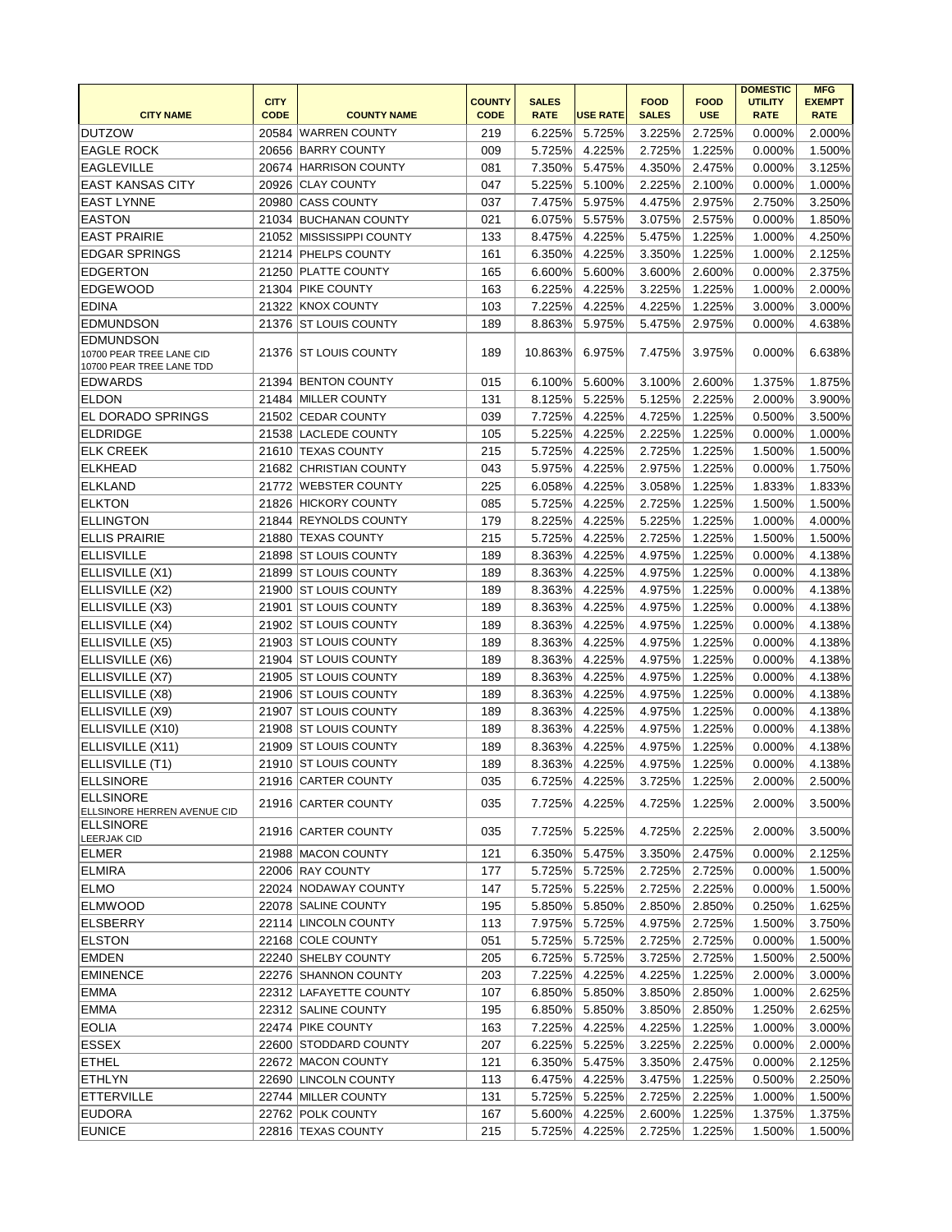|                                                      |                            |                          |                              |                             |                 |                             |                           | <b>DOMESTIC</b>               | <b>MFG</b>                   |
|------------------------------------------------------|----------------------------|--------------------------|------------------------------|-----------------------------|-----------------|-----------------------------|---------------------------|-------------------------------|------------------------------|
| <b>CITY NAME</b>                                     | <b>CITY</b><br><b>CODE</b> | <b>COUNTY NAME</b>       | <b>COUNTY</b><br><b>CODE</b> | <b>SALES</b><br><b>RATE</b> | <b>USE RATE</b> | <b>FOOD</b><br><b>SALES</b> | <b>FOOD</b><br><b>USE</b> | <b>UTILITY</b><br><b>RATE</b> | <b>EXEMPT</b><br><b>RATE</b> |
| DUTZOW                                               | 20584                      | <b>WARREN COUNTY</b>     | 219                          | 6.225%                      | 5.725%          | 3.225%                      | 2.725%                    | 0.000%                        | 2.000%                       |
| <b>EAGLE ROCK</b>                                    |                            | 20656 BARRY COUNTY       | 009                          | 5.725%                      | 4.225%          | 2.725%                      | 1.225%                    | 0.000%                        | 1.500%                       |
| <b>EAGLEVILLE</b>                                    |                            | 20674 HARRISON COUNTY    | 081                          | 7.350%                      | 5.475%          | 4.350%                      | 2.475%                    | 0.000%                        | 3.125%                       |
| <b>EAST KANSAS CITY</b>                              | 20926                      | <b>CLAY COUNTY</b>       | 047                          | 5.225%                      | 5.100%          | 2.225%                      | 2.100%                    | 0.000%                        | 1.000%                       |
| <b>EAST LYNNE</b>                                    |                            | 20980 CASS COUNTY        | 037                          | 7.475%                      | 5.975%          | 4.475%                      | 2.975%                    | 2.750%                        | 3.250%                       |
| <b>EASTON</b>                                        |                            | 21034 BUCHANAN COUNTY    | 021                          | 6.075%                      | 5.575%          | 3.075%                      | 2.575%                    | 0.000%                        | 1.850%                       |
| <b>EAST PRAIRIE</b>                                  |                            | 21052 MISSISSIPPI COUNTY | 133                          | 8.475%                      | 4.225%          | 5.475%                      | 1.225%                    | 1.000%                        | 4.250%                       |
| <b>EDGAR SPRINGS</b>                                 |                            | 21214 PHELPS COUNTY      | 161                          | 6.350%                      | 4.225%          | 3.350%                      | 1.225%                    | 1.000%                        | 2.125%                       |
| <b>EDGERTON</b>                                      |                            | 21250 PLATTE COUNTY      | 165                          | 6.600%                      | 5.600%          | 3.600%                      | 2.600%                    | 0.000%                        | 2.375%                       |
| <b>EDGEWOOD</b>                                      |                            | 21304 PIKE COUNTY        | 163                          | 6.225%                      | 4.225%          | 3.225%                      | 1.225%                    | 1.000%                        | 2.000%                       |
| <b>EDINA</b>                                         |                            | 21322 KNOX COUNTY        | 103                          | 7.225%                      | 4.225%          | 4.225%                      | 1.225%                    | 3.000%                        | 3.000%                       |
| <b>EDMUNDSON</b>                                     |                            | 21376 ST LOUIS COUNTY    | 189                          | 8.863%                      | 5.975%          | 5.475%                      | 2.975%                    | 0.000%                        | 4.638%                       |
| <b>EDMUNDSON</b>                                     |                            |                          |                              |                             |                 |                             |                           |                               |                              |
| 10700 PEAR TREE LANE CID<br>10700 PEAR TREE LANE TDD |                            | 21376 ST LOUIS COUNTY    | 189                          | 10.863%                     | 6.975%          | 7.475%                      | 3.975%                    | 0.000%                        | 6.638%                       |
| <b>EDWARDS</b>                                       |                            | 21394 BENTON COUNTY      | 015                          | 6.100%                      | 5.600%          | 3.100%                      | 2.600%                    | 1.375%                        | 1.875%                       |
| <b>ELDON</b>                                         |                            | 21484 MILLER COUNTY      | 131                          | 8.125%                      | 5.225%          | 5.125%                      | 2.225%                    | 2.000%                        | 3.900%                       |
| <b>EL DORADO SPRINGS</b>                             |                            | 21502 CEDAR COUNTY       | 039                          | 7.725%                      | 4.225%          | 4.725%                      | 1.225%                    | 0.500%                        | 3.500%                       |
| <b>ELDRIDGE</b>                                      |                            | 21538 LACLEDE COUNTY     | 105                          | 5.225%                      | 4.225%          | 2.225%                      | 1.225%                    | 0.000%                        | 1.000%                       |
| <b>ELK CREEK</b>                                     | 21610                      | <b>TEXAS COUNTY</b>      | 215                          | 5.725%                      | 4.225%          | 2.725%                      | 1.225%                    | 1.500%                        | 1.500%                       |
| <b>ELKHEAD</b>                                       |                            | 21682 CHRISTIAN COUNTY   | 043                          | 5.975%                      | 4.225%          | 2.975%                      | 1.225%                    | 0.000%                        | 1.750%                       |
| <b>ELKLAND</b>                                       | 21772                      | <b>WEBSTER COUNTY</b>    | 225                          | 6.058%                      | 4.225%          | 3.058%                      | 1.225%                    | 1.833%                        | 1.833%                       |
| <b>ELKTON</b>                                        |                            | 21826 HICKORY COUNTY     | 085                          | 5.725%                      | 4.225%          | 2.725%                      | 1.225%                    | 1.500%                        | 1.500%                       |
| <b>ELLINGTON</b>                                     |                            | 21844 REYNOLDS COUNTY    | 179                          | 8.225%                      | 4.225%          | 5.225%                      | 1.225%                    | 1.000%                        | 4.000%                       |
| <b>ELLIS PRAIRIE</b>                                 |                            | 21880 TEXAS COUNTY       | 215                          | 5.725%                      | 4.225%          | 2.725%                      | 1.225%                    | 1.500%                        | 1.500%                       |
| <b>ELLISVILLE</b>                                    | 21898                      | <b>ST LOUIS COUNTY</b>   | 189                          | 8.363%                      | 4.225%          | 4.975%                      | 1.225%                    | 0.000%                        | 4.138%                       |
| ELLISVILLE (X1)                                      |                            | 21899 ST LOUIS COUNTY    | 189                          | 8.363%                      | 4.225%          | 4.975%                      | 1.225%                    | 0.000%                        | 4.138%                       |
| ELLISVILLE (X2)                                      |                            | 21900 ST LOUIS COUNTY    | 189                          | 8.363%                      | 4.225%          | 4.975%                      | 1.225%                    | 0.000%                        | 4.138%                       |
| ELLISVILLE (X3)                                      |                            | 21901 ST LOUIS COUNTY    | 189                          | 8.363%                      | 4.225%          | 4.975%                      | 1.225%                    | 0.000%                        | 4.138%                       |
| ELLISVILLE (X4)                                      |                            | 21902 ST LOUIS COUNTY    | 189                          | 8.363%                      | 4.225%          | 4.975%                      | 1.225%                    | 0.000%                        | 4.138%                       |
| ELLISVILLE (X5)                                      |                            | 21903 ST LOUIS COUNTY    | 189                          | 8.363%                      | 4.225%          | 4.975%                      | 1.225%                    | 0.000%                        | 4.138%                       |
| ELLISVILLE (X6)                                      |                            | 21904 ST LOUIS COUNTY    | 189                          | 8.363%                      | 4.225%          | 4.975%                      | 1.225%                    | 0.000%                        | 4.138%                       |
| ELLISVILLE (X7)                                      |                            | 21905 ST LOUIS COUNTY    | 189                          | 8.363%                      | 4.225%          | 4.975%                      | 1.225%                    | 0.000%                        | 4.138%                       |
| ELLISVILLE (X8)                                      |                            | 21906 ST LOUIS COUNTY    | 189                          | 8.363%                      | 4.225%          | 4.975%                      | 1.225%                    | 0.000%                        | 4.138%                       |
| ELLISVILLE (X9)                                      |                            | 21907 ST LOUIS COUNTY    | 189                          | 8.363%                      | 4.225%          | 4.975%                      | 1.225%                    | 0.000%                        | 4.138%                       |
| ELLISVILLE (X10)                                     |                            | 21908 ST LOUIS COUNTY    | 189                          | 8.363%                      | 4.225%          | 4.975%                      | 1.225%                    | 0.000%                        | 4.138%                       |
| ELLISVILLE (X11)                                     |                            | 21909 ST LOUIS COUNTY    | 189                          | 8.363%                      | 4.225%          | 4.975%                      | 1.225%                    | 0.000%                        | 4.138%                       |
| ELLISVILLE (T1)                                      |                            | 21910 ST LOUIS COUNTY    | 189                          | 8.363%                      | 4.225%          | 4.975%                      | 1.225%                    | 0.000%                        | 4.138%                       |
| <b>ELLSINORE</b>                                     |                            | 21916 CARTER COUNTY      | 035                          | 6.725%                      | 4.225%          | 3.725%                      | 1.225%                    | 2.000%                        | 2.500%                       |
| <b>ELLSINORE</b><br>ELLSINORE HERREN AVENUE CID      |                            | 21916 CARTER COUNTY      | 035                          | 7.725%                      | 4.225%          | 4.725%                      | 1.225%                    | 2.000%                        | 3.500%                       |
| <b>ELLSINORE</b><br>LEERJAK CID                      |                            | 21916 CARTER COUNTY      | 035                          | 7.725%                      | 5.225%          | 4.725%                      | 2.225%                    | 2.000%                        | 3.500%                       |
| <b>ELMER</b>                                         |                            | 21988 MACON COUNTY       | 121                          | 6.350%                      | 5.475%          | 3.350%                      | 2.475%                    | 0.000%                        | 2.125%                       |
| <b>ELMIRA</b>                                        |                            | 22006 RAY COUNTY         | 177                          | 5.725%                      | 5.725%          | 2.725%                      | 2.725%                    | 0.000%                        | 1.500%                       |
| <b>ELMO</b>                                          |                            | 22024 NODAWAY COUNTY     | 147                          | 5.725%                      | 5.225%          | 2.725%                      | 2.225%                    | 0.000%                        | 1.500%                       |
| <b>ELMWOOD</b>                                       |                            | 22078 SALINE COUNTY      | 195                          | 5.850%                      | 5.850%          | 2.850%                      | 2.850%                    | 0.250%                        | 1.625%                       |
| <b>ELSBERRY</b>                                      |                            | 22114 LINCOLN COUNTY     | 113                          | 7.975%                      | 5.725%          | 4.975%                      | 2.725%                    | 1.500%                        | 3.750%                       |
| <b>ELSTON</b>                                        |                            | 22168 COLE COUNTY        | 051                          | 5.725%                      | 5.725%          | 2.725%                      | 2.725%                    | 0.000%                        | 1.500%                       |
| <b>EMDEN</b>                                         |                            | 22240 SHELBY COUNTY      | 205                          | 6.725%                      | 5.725%          | 3.725%                      | 2.725%                    | 1.500%                        | 2.500%                       |
| <b>EMINENCE</b>                                      |                            | 22276 SHANNON COUNTY     | 203                          | 7.225%                      | 4.225%          | 4.225%                      | 1.225%                    | 2.000%                        | 3.000%                       |
| <b>EMMA</b>                                          |                            | 22312 LAFAYETTE COUNTY   | 107                          | 6.850%                      | 5.850%          | 3.850%                      | 2.850%                    | 1.000%                        | 2.625%                       |
| <b>EMMA</b>                                          |                            | 22312 SALINE COUNTY      | 195                          | 6.850%                      | 5.850%          | 3.850%                      | 2.850%                    | 1.250%                        | 2.625%                       |
| <b>EOLIA</b>                                         |                            | 22474 PIKE COUNTY        | 163                          | 7.225%                      | 4.225%          | 4.225%                      | 1.225%                    | 1.000%                        | 3.000%                       |
| <b>ESSEX</b>                                         |                            | 22600 STODDARD COUNTY    | 207                          | 6.225%                      | 5.225%          | 3.225%                      | 2.225%                    | 0.000%                        | 2.000%                       |
| <b>ETHEL</b>                                         |                            | 22672 MACON COUNTY       | 121                          | 6.350%                      | 5.475%          | 3.350%                      | 2.475%                    | 0.000%                        | 2.125%                       |
| <b>ETHLYN</b>                                        |                            | 22690 LINCOLN COUNTY     | 113                          | 6.475%                      | 4.225%          | 3.475%                      | 1.225%                    | 0.500%                        | 2.250%                       |
| <b>ETTERVILLE</b>                                    |                            | 22744 MILLER COUNTY      | 131                          | 5.725%                      | 5.225%          | 2.725%                      | 2.225%                    | 1.000%                        | 1.500%                       |
| <b>EUDORA</b>                                        |                            | 22762 POLK COUNTY        | 167                          | 5.600%                      | 4.225%          | 2.600%                      | 1.225%                    | 1.375%                        | 1.375%                       |
| <b>EUNICE</b>                                        |                            | 22816 TEXAS COUNTY       | 215                          | 5.725%                      | 4.225%          | 2.725%                      | 1.225%                    | 1.500%                        | 1.500%                       |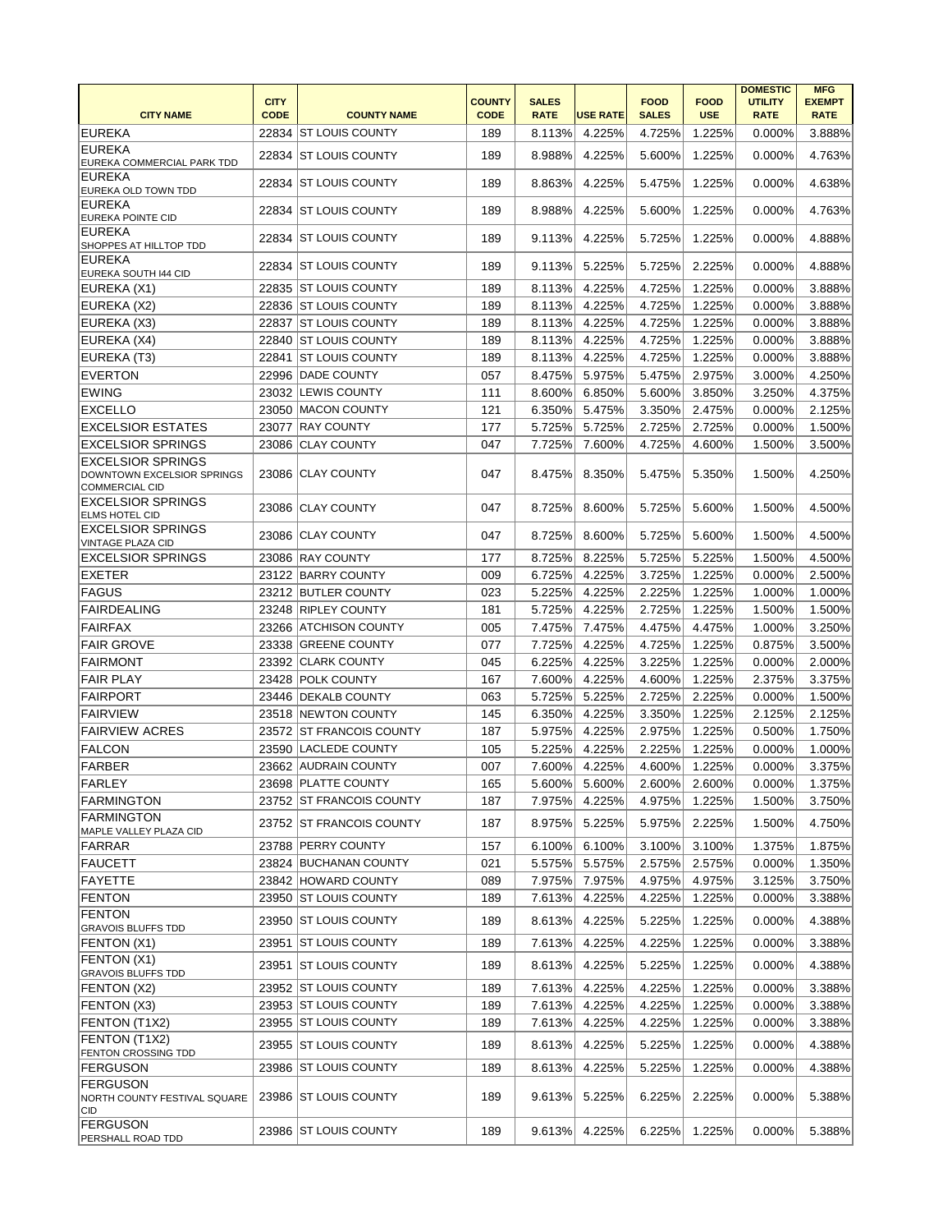|                                                      |             |                          |               |              |                 |              |             | <b>DOMESTIC</b> | <b>MFG</b>    |
|------------------------------------------------------|-------------|--------------------------|---------------|--------------|-----------------|--------------|-------------|-----------------|---------------|
|                                                      | <b>CITY</b> |                          | <b>COUNTY</b> | <b>SALES</b> |                 | <b>FOOD</b>  | <b>FOOD</b> | <b>UTILITY</b>  | <b>EXEMPT</b> |
| <b>CITY NAME</b>                                     | <b>CODE</b> | <b>COUNTY NAME</b>       | <b>CODE</b>   | <b>RATE</b>  | <b>USE RATE</b> | <b>SALES</b> | <b>USE</b>  | <b>RATE</b>     | <b>RATE</b>   |
| <b>EUREKA</b>                                        |             | 22834 ST LOUIS COUNTY    | 189           | 8.113%       | 4.225%          | 4.725%       | 1.225%      | 0.000%          | 3.888%        |
| <b>EUREKA</b><br>EUREKA COMMERCIAL PARK TDD          |             | 22834 ST LOUIS COUNTY    | 189           | 8.988%       | 4.225%          | 5.600%       | 1.225%      | 0.000%          | 4.763%        |
| <b>EUREKA</b><br>EUREKA OLD TOWN TDD                 |             | 22834 ST LOUIS COUNTY    | 189           | 8.863%       | 4.225%          | 5.475%       | 1.225%      | 0.000%          | 4.638%        |
| <b>EUREKA</b><br>EUREKA POINTE CID                   |             | 22834 ST LOUIS COUNTY    | 189           | 8.988%       | 4.225%          | 5.600%       | 1.225%      | 0.000%          | 4.763%        |
| <b>EUREKA</b><br>SHOPPES AT HILLTOP TDD              |             | 22834 ST LOUIS COUNTY    | 189           | 9.113%       | 4.225%          | 5.725%       | 1.225%      | 0.000%          | 4.888%        |
| <b>EUREKA</b><br>EUREKA SOUTH I44 CID                |             | 22834 ST LOUIS COUNTY    | 189           | 9.113%       | 5.225%          | 5.725%       | 2.225%      | 0.000%          | 4.888%        |
| EUREKA (X1)                                          |             | 22835 ST LOUIS COUNTY    | 189           | 8.113%       | 4.225%          | 4.725%       | 1.225%      | 0.000%          | 3.888%        |
| EUREKA (X2)                                          |             | 22836 ST LOUIS COUNTY    | 189           | 8.113%       | 4.225%          | 4.725%       | 1.225%      | 0.000%          | 3.888%        |
| EUREKA (X3)                                          |             | 22837 ST LOUIS COUNTY    | 189           | 8.113%       | 4.225%          | 4.725%       | 1.225%      | 0.000%          | 3.888%        |
| EUREKA (X4)                                          | 22840       | <b>ST LOUIS COUNTY</b>   | 189           | 8.113%       | 4.225%          | 4.725%       | 1.225%      | 0.000%          | 3.888%        |
| EUREKA (T3)                                          | 22841       | <b>ST LOUIS COUNTY</b>   | 189           | 8.113%       | 4.225%          | 4.725%       | 1.225%      | 0.000%          | 3.888%        |
| <b>EVERTON</b>                                       |             | 22996 DADE COUNTY        | 057           | 8.475%       | 5.975%          | 5.475%       | 2.975%      | 3.000%          | 4.250%        |
| <b>EWING</b>                                         |             | 23032 LEWIS COUNTY       | 111           | 8.600%       | 6.850%          | 5.600%       | 3.850%      | 3.250%          | 4.375%        |
| <b>EXCELLO</b>                                       |             | 23050 MACON COUNTY       | 121           | 6.350%       | 5.475%          | 3.350%       | 2.475%      | 0.000%          | 2.125%        |
| <b>EXCELSIOR ESTATES</b>                             | 23077       | <b>RAY COUNTY</b>        | 177           | 5.725%       | 5.725%          | 2.725%       | 2.725%      | 0.000%          | 1.500%        |
| <b>EXCELSIOR SPRINGS</b>                             | 23086       | <b>CLAY COUNTY</b>       | 047           | 7.725%       | 7.600%          | 4.725%       | 4.600%      | 1.500%          | 3.500%        |
| <b>EXCELSIOR SPRINGS</b>                             |             |                          |               |              |                 |              |             |                 |               |
| DOWNTOWN EXCELSIOR SPRINGS<br>COMMERCIAL CID         |             | 23086 CLAY COUNTY        | 047           | 8.475%       | 8.350%          | 5.475%       | 5.350%      | 1.500%          | 4.250%        |
| <b>EXCELSIOR SPRINGS</b><br><b>ELMS HOTEL CID</b>    |             | 23086 CLAY COUNTY        | 047           | 8.725%       | 8.600%          | 5.725%       | 5.600%      | 1.500%          | 4.500%        |
| <b>EXCELSIOR SPRINGS</b><br><b>VINTAGE PLAZA CID</b> |             | 23086 CLAY COUNTY        | 047           | 8.725%       | 8.600%          | 5.725%       | 5.600%      | 1.500%          | 4.500%        |
| <b>EXCELSIOR SPRINGS</b>                             |             | 23086 RAY COUNTY         | 177           | 8.725%       | 8.225%          | 5.725%       | 5.225%      | 1.500%          | 4.500%        |
| <b>EXETER</b>                                        |             | 23122 BARRY COUNTY       | 009           | 6.725%       | 4.225%          | 3.725%       | 1.225%      | 0.000%          | 2.500%        |
| FAGUS                                                |             | 23212 BUTLER COUNTY      | 023           | 5.225%       | 4.225%          | 2.225%       | 1.225%      | 1.000%          | 1.000%        |
| FAIRDEALING                                          |             | 23248 RIPLEY COUNTY      | 181           | 5.725%       | 4.225%          | 2.725%       | 1.225%      | 1.500%          | 1.500%        |
| FAIRFAX                                              |             | 23266 ATCHISON COUNTY    | 005           | 7.475%       | 7.475%          | 4.475%       | 4.475%      | 1.000%          | 3.250%        |
| <b>FAIR GROVE</b>                                    |             | 23338 GREENE COUNTY      | 077           | 7.725%       | 4.225%          | 4.725%       | 1.225%      | 0.875%          | 3.500%        |
| <b>FAIRMONT</b>                                      |             | 23392 CLARK COUNTY       | 045           | 6.225%       | 4.225%          | 3.225%       | 1.225%      | 0.000%          | 2.000%        |
| <b>FAIR PLAY</b>                                     |             | 23428 POLK COUNTY        | 167           | 7.600%       | 4.225%          | 4.600%       | 1.225%      | 2.375%          | 3.375%        |
| <b>FAIRPORT</b>                                      |             | 23446 DEKALB COUNTY      | 063           | 5.725%       | 5.225%          | 2.725%       | 2.225%      | 0.000%          | 1.500%        |
| <b>FAIRVIEW</b>                                      |             | 23518 NEWTON COUNTY      | 145           | 6.350%       | 4.225%          | 3.350%       | 1.225%      | 2.125%          | 2.125%        |
| <b>FAIRVIEW ACRES</b>                                |             | 23572 ST FRANCOIS COUNTY | 187           | 5.975%       | 4.225%          | 2.975%       | 1.225%      | 0.500%          | 1.750%        |
| <b>FALCON</b>                                        |             | 23590 LACLEDE COUNTY     | 105           | 5.225%       | 4.225%          | 2.225%       | 1.225%      | 0.000%          | 1.000%        |
| <b>FARBER</b>                                        |             | 23662 AUDRAIN COUNTY     | 007           | 7.600%       | 4.225%          | 4.600%       | 1.225%      | 0.000%          | 3.375%        |
| FARLEY                                               |             | 23698 PLATTE COUNTY      | 165           | 5.600%       | 5.600%          | 2.600%       | 2.600%      | 0.000%          | 1.375%        |
| <b>FARMINGTON</b>                                    |             | 23752 ST FRANCOIS COUNTY | 187           | 7.975%       | 4.225%          | 4.975%       | 1.225%      | 1.500%          | 3.750%        |
| <b>FARMINGTON</b><br>MAPLE VALLEY PLAZA CID          |             | 23752 ST FRANCOIS COUNTY | 187           | 8.975%       | 5.225%          | 5.975%       | 2.225%      | 1.500%          | 4.750%        |
| <b>FARRAR</b>                                        |             | 23788 PERRY COUNTY       | 157           | 6.100%       | 6.100%          | 3.100%       | 3.100%      | 1.375%          | 1.875%        |
| FAUCETT                                              |             | 23824 BUCHANAN COUNTY    | 021           | 5.575%       | 5.575%          | 2.575%       | 2.575%      | 0.000%          | 1.350%        |
| <b>FAYETTE</b>                                       |             | 23842 HOWARD COUNTY      | 089           | 7.975%       | 7.975%          | 4.975%       | 4.975%      | 3.125%          | 3.750%        |
| <b>FENTON</b>                                        |             | 23950 ST LOUIS COUNTY    | 189           | 7.613%       | 4.225%          | 4.225%       | 1.225%      | 0.000%          | 3.388%        |
| <b>FENTON</b><br><b>GRAVOIS BLUFFS TDD</b>           |             | 23950 ST LOUIS COUNTY    | 189           | 8.613%       | 4.225%          | 5.225%       | 1.225%      | 0.000%          | 4.388%        |
| FENTON (X1)                                          |             | 23951 ST LOUIS COUNTY    | 189           | 7.613%       | 4.225%          | 4.225%       | 1.225%      | 0.000%          | 3.388%        |
| FENTON (X1)<br><b>GRAVOIS BLUFFS TDD</b>             |             | 23951 ST LOUIS COUNTY    | 189           | 8.613%       | 4.225%          | 5.225%       | 1.225%      | 0.000%          | 4.388%        |
| FENTON (X2)                                          |             | 23952 ST LOUIS COUNTY    | 189           | 7.613%       | 4.225%          | 4.225%       | 1.225%      | 0.000%          | 3.388%        |
| FENTON (X3)                                          |             | 23953 ST LOUIS COUNTY    | 189           | 7.613%       | 4.225%          | 4.225%       | 1.225%      | 0.000%          | 3.388%        |
| FENTON (T1X2)                                        | 23955       | <b>ST LOUIS COUNTY</b>   | 189           | 7.613%       | 4.225%          | 4.225%       | 1.225%      | 0.000%          | 3.388%        |
| FENTON (T1X2)<br>FENTON CROSSING TDD                 |             | 23955 ST LOUIS COUNTY    | 189           | 8.613%       | 4.225%          | 5.225%       | 1.225%      | 0.000%          | 4.388%        |
| <b>FERGUSON</b>                                      |             | 23986 ST LOUIS COUNTY    | 189           | 8.613%       | 4.225%          | 5.225%       | 1.225%      | 0.000%          | 4.388%        |
| FERGUSON<br>NORTH COUNTY FESTIVAL SQUARE             |             | 23986 ST LOUIS COUNTY    | 189           | 9.613%       | 5.225%          | 6.225%       | 2.225%      | 0.000%          | 5.388%        |
| <b>CID</b><br>FERGUSON                               |             | 23986 ST LOUIS COUNTY    | 189           | 9.613%       | 4.225%          | 6.225%       | 1.225%      | 0.000%          | 5.388%        |
| PERSHALL ROAD TDD                                    |             |                          |               |              |                 |              |             |                 |               |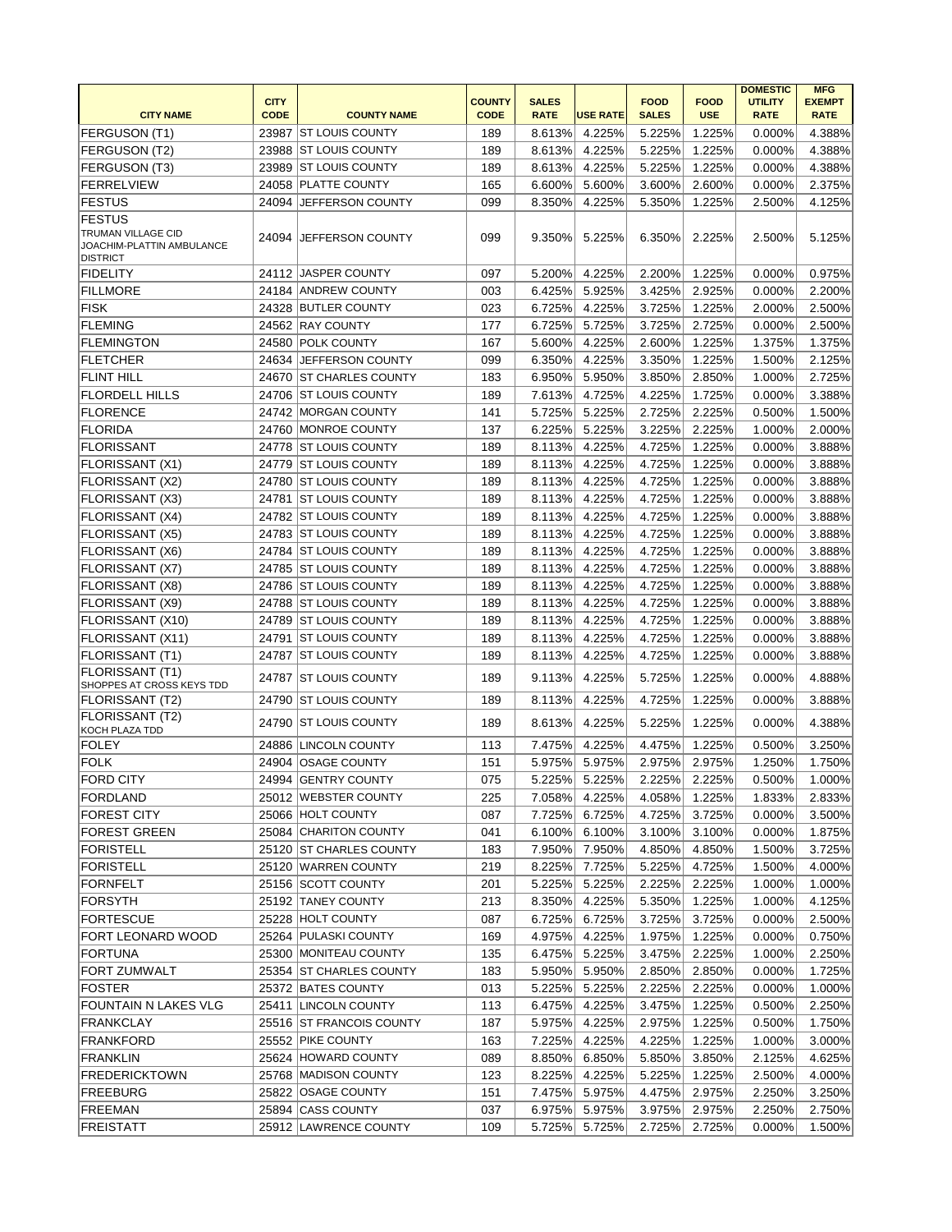|                                                                                     |             |                          |               |              |                 |              |             | <b>DOMESTIC</b>  | <b>MFG</b>       |
|-------------------------------------------------------------------------------------|-------------|--------------------------|---------------|--------------|-----------------|--------------|-------------|------------------|------------------|
|                                                                                     | <b>CITY</b> |                          | <b>COUNTY</b> | <b>SALES</b> |                 | <b>FOOD</b>  | <b>FOOD</b> | <b>UTILITY</b>   | <b>EXEMPT</b>    |
| <b>CITY NAME</b>                                                                    | <b>CODE</b> | <b>COUNTY NAME</b>       | <b>CODE</b>   | <b>RATE</b>  | <b>USE RATE</b> | <b>SALES</b> | <b>USE</b>  | <b>RATE</b>      | <b>RATE</b>      |
| <b>FERGUSON (T1)</b>                                                                |             | 23987 ST LOUIS COUNTY    | 189           | 8.613%       | 4.225%          | 5.225%       | 1.225%      | 0.000%           | 4.388%           |
| <b>FERGUSON (T2)</b>                                                                |             | 23988 ST LOUIS COUNTY    | 189           | 8.613%       | 4.225%          | 5.225%       | 1.225%      | 0.000%           | 4.388%           |
| <b>FERGUSON (T3)</b>                                                                |             | 23989 ST LOUIS COUNTY    | 189           | 8.613%       | 4.225%          | 5.225%       | 1.225%      | 0.000%           | 4.388%           |
| FERRELVIEW                                                                          |             | 24058 PLATTE COUNTY      | 165           | 6.600%       | 5.600%          | 3.600%       | 2.600%      | 0.000%           | 2.375%           |
| <b>FESTUS</b>                                                                       |             | 24094 JEFFERSON COUNTY   | 099           | 8.350%       | 4.225%          | 5.350%       | 1.225%      | 2.500%           | 4.125%           |
| <b>FESTUS</b><br>TRUMAN VILLAGE CID<br>JOACHIM-PLATTIN AMBULANCE<br><b>DISTRICT</b> |             | 24094 JEFFERSON COUNTY   | 099           | 9.350%       | 5.225%          | 6.350%       | 2.225%      | 2.500%           | 5.125%           |
| FIDELITY                                                                            |             | 24112 JASPER COUNTY      | 097           | 5.200%       | 4.225%          | 2.200%       | 1.225%      | 0.000%           | 0.975%           |
| <b>FILLMORE</b>                                                                     |             | 24184 ANDREW COUNTY      | 003           | 6.425%       | 5.925%          | 3.425%       | 2.925%      | 0.000%           | 2.200%           |
| <b>FISK</b>                                                                         |             | 24328 BUTLER COUNTY      | 023           | 6.725%       | 4.225%          | 3.725%       | 1.225%      | 2.000%           | 2.500%           |
| <b>FLEMING</b>                                                                      |             | 24562 RAY COUNTY         | 177           | 6.725%       | 5.725%          | 3.725%       | 2.725%      | 0.000%           | 2.500%           |
| <b>FLEMINGTON</b>                                                                   |             | 24580 POLK COUNTY        | 167           | 5.600%       | 4.225%          | 2.600%       | 1.225%      | 1.375%           | 1.375%           |
| <b>FLETCHER</b>                                                                     |             | 24634 JEFFERSON COUNTY   | 099           | 6.350%       | 4.225%          | 3.350%       | 1.225%      | 1.500%           | 2.125%           |
| <b>FLINT HILL</b>                                                                   |             | 24670 ST CHARLES COUNTY  | 183           | 6.950%       | 5.950%          | 3.850%       | 2.850%      | 1.000%           | 2.725%           |
| <b>FLORDELL HILLS</b>                                                               |             | 24706 ST LOUIS COUNTY    | 189           | 7.613%       | 4.725%          | 4.225%       | 1.725%      | 0.000%           | 3.388%           |
| FLORENCE                                                                            |             | 24742 MORGAN COUNTY      | 141           | 5.725%       | 5.225%          | 2.725%       | 2.225%      | 0.500%           | 1.500%           |
| FLORIDA                                                                             |             | 24760 MONROE COUNTY      | 137           | 6.225%       | 5.225%          | 3.225%       | 2.225%      | 1.000%           | 2.000%           |
| FLORISSANT                                                                          |             | 24778 ST LOUIS COUNTY    | 189           | 8.113%       | 4.225%          | 4.725%       | 1.225%      | 0.000%           | 3.888%           |
| <b>FLORISSANT (X1)</b>                                                              |             | 24779 ST LOUIS COUNTY    | 189           | 8.113%       | 4.225%          | 4.725%       | 1.225%      | 0.000%           | 3.888%           |
| <b>FLORISSANT (X2)</b>                                                              |             | 24780 ST LOUIS COUNTY    | 189           | 8.113%       | 4.225%          | 4.725%       | 1.225%      | 0.000%           | 3.888%           |
| <b>FLORISSANT (X3)</b>                                                              |             | 24781 ST LOUIS COUNTY    | 189           | 8.113%       | 4.225%          | 4.725%       | 1.225%      | 0.000%           | 3.888%           |
| FLORISSANT (X4)                                                                     |             | 24782 ST LOUIS COUNTY    | 189           | 8.113%       | 4.225%          | 4.725%       | 1.225%      | 0.000%           | 3.888%           |
| <b>FLORISSANT (X5)</b>                                                              |             | 24783 ST LOUIS COUNTY    | 189           | 8.113%       | 4.225%          | 4.725%       | 1.225%      | 0.000%           | 3.888%           |
| <b>FLORISSANT (X6)</b>                                                              |             | 24784 ST LOUIS COUNTY    | 189           | 8.113%       | 4.225%          | 4.725%       | 1.225%      | 0.000%           | 3.888%           |
| <b>FLORISSANT (X7)</b>                                                              |             | 24785 ST LOUIS COUNTY    | 189           | 8.113%       | 4.225%          | 4.725%       | 1.225%      | 0.000%           | 3.888%           |
| <b>FLORISSANT (X8)</b>                                                              |             | 24786 ST LOUIS COUNTY    | 189           | 8.113%       | 4.225%          | 4.725%       | 1.225%      | 0.000%           | 3.888%           |
| FLORISSANT (X9)                                                                     |             | 24788 ST LOUIS COUNTY    | 189           | 8.113%       | 4.225%          | 4.725%       | 1.225%      | 0.000%           | 3.888%           |
| FLORISSANT (X10)                                                                    |             | 24789 ST LOUIS COUNTY    | 189           |              | 8.113% 4.225%   | 4.725%       | 1.225%      | 0.000%           | 3.888%           |
| FLORISSANT (X11)                                                                    |             | 24791 ST LOUIS COUNTY    | 189           | 8.113%       | 4.225%          | 4.725%       | 1.225%      | 0.000%           | 3.888%           |
| <b>FLORISSANT (T1)</b>                                                              |             | 24787 ST LOUIS COUNTY    | 189           | 8.113%       |                 | 4.725%       | 1.225%      | 0.000%           | 3.888%           |
| <b>FLORISSANT (T1)</b>                                                              |             |                          |               |              | 4.225%          |              |             |                  |                  |
| SHOPPES AT CROSS KEYS TDD                                                           |             | 24787 ST LOUIS COUNTY    | 189           | 9.113%       | 4.225%          | 5.725%       | 1.225%      | 0.000%<br>0.000% | 4.888%<br>3.888% |
| <b>FLORISSANT (T2)</b><br><b>FLORISSANT (T2)</b>                                    |             | 24790 ST LOUIS COUNTY    | 189           | 8.113%       | 4.225%          | 4.725%       | 1.225%      |                  |                  |
| KOCH PLAZA TDD                                                                      |             | 24790 ST LOUIS COUNTY    | 189           | 8.613%       | 4.225%          | 5.225%       | 1.225%      | 0.000%           | 4.388%           |
| FOLEY                                                                               |             | 24886 LINCOLN COUNTY     | 113           | 7.475%       | 4.225%          | 4.475%       | 1.225%      | 0.500%           | 3.250%           |
| FOLK                                                                                |             | 24904 OSAGE COUNTY       | 151           | 5.975%       | 5.975%          | 2.975%       | 2.975%      | 1.250%           | 1.750%           |
| <b>FORD CITY</b>                                                                    |             | 24994 GENTRY COUNTY      | 075           | 5.225%       | 5.225%          | 2.225%       | 2.225%      | 0.500%           | 1.000%           |
| FORDLAND                                                                            |             | 25012 WEBSTER COUNTY     | 225           | 7.058%       | 4.225%          | 4.058%       | 1.225%      | 1.833%           | 2.833%           |
| <b>FOREST CITY</b>                                                                  |             | 25066 HOLT COUNTY        | 087           | 7.725%       | 6.725%          | 4.725%       | 3.725%      | 0.000%           | 3.500%           |
| <b>FOREST GREEN</b>                                                                 |             | 25084 CHARITON COUNTY    | 041           | 6.100%       | 6.100%          | 3.100%       | 3.100%      | 0.000%           | 1.875%           |
| <b>FORISTELL</b>                                                                    |             | 25120 ST CHARLES COUNTY  | 183           | 7.950%       | 7.950%          | 4.850%       | 4.850%      | 1.500%           | 3.725%           |
| <b>FORISTELL</b>                                                                    |             | 25120 WARREN COUNTY      | 219           | 8.225%       | 7.725%          | 5.225%       | 4.725%      | 1.500%           | 4.000%           |
| FORNFELT                                                                            |             | 25156 SCOTT COUNTY       | 201           | 5.225%       | 5.225%          | 2.225%       | 2.225%      | 1.000%           | 1.000%           |
| FORSYTH                                                                             |             | 25192 TANEY COUNTY       | 213           | 8.350%       | 4.225%          | 5.350%       | 1.225%      | 1.000%           | 4.125%           |
| <b>FORTESCUE</b>                                                                    |             | 25228 HOLT COUNTY        | 087           | 6.725%       | 6.725%          | 3.725%       | 3.725%      | 0.000%           | 2.500%           |
| <b>FORT LEONARD WOOD</b>                                                            |             | 25264 PULASKI COUNTY     | 169           | 4.975%       | 4.225%          | 1.975%       | 1.225%      | 0.000%           | 0.750%           |
| FORTUNA                                                                             |             | 25300 MONITEAU COUNTY    | 135           | 6.475%       | 5.225%          | 3.475%       | 2.225%      | 1.000%           | 2.250%           |
| <b>FORT ZUMWALT</b>                                                                 |             | 25354 ST CHARLES COUNTY  | 183           | 5.950%       | 5.950%          | 2.850%       | 2.850%      | 0.000%           | 1.725%           |
| FOSTER                                                                              |             | 25372 BATES COUNTY       | 013           | 5.225%       | 5.225%          | 2.225%       | 2.225%      | 0.000%           | 1.000%           |
| <b>FOUNTAIN N LAKES VLG</b>                                                         |             | 25411 LINCOLN COUNTY     | 113           | 6.475%       | 4.225%          | 3.475%       | 1.225%      | 0.500%           | 2.250%           |
| FRANKCLAY                                                                           |             | 25516 ST FRANCOIS COUNTY | 187           | 5.975%       | 4.225%          | 2.975%       | 1.225%      | 0.500%           | 1.750%           |
| FRANKFORD                                                                           |             | 25552 PIKE COUNTY        | 163           | 7.225%       | 4.225%          | 4.225%       | 1.225%      | 1.000%           | 3.000%           |
| FRANKLIN                                                                            |             | 25624 HOWARD COUNTY      | 089           | 8.850%       | 6.850%          | 5.850%       | 3.850%      | 2.125%           | 4.625%           |
| <b>FREDERICKTOWN</b>                                                                |             | 25768 MADISON COUNTY     | 123           | 8.225%       | 4.225%          | 5.225%       | 1.225%      | 2.500%           | 4.000%           |
| FREEBURG                                                                            |             | 25822 OSAGE COUNTY       | 151           | 7.475%       | 5.975%          | 4.475%       | 2.975%      | 2.250%           | 3.250%           |
| FREEMAN                                                                             |             | 25894 CASS COUNTY        | 037           | 6.975%       | 5.975%          | 3.975%       | 2.975%      | 2.250%           | 2.750%           |
| <b>FREISTATT</b>                                                                    |             | 25912 LAWRENCE COUNTY    | 109           | 5.725%       | 5.725%          | 2.725%       | 2.725%      | 0.000%           | 1.500%           |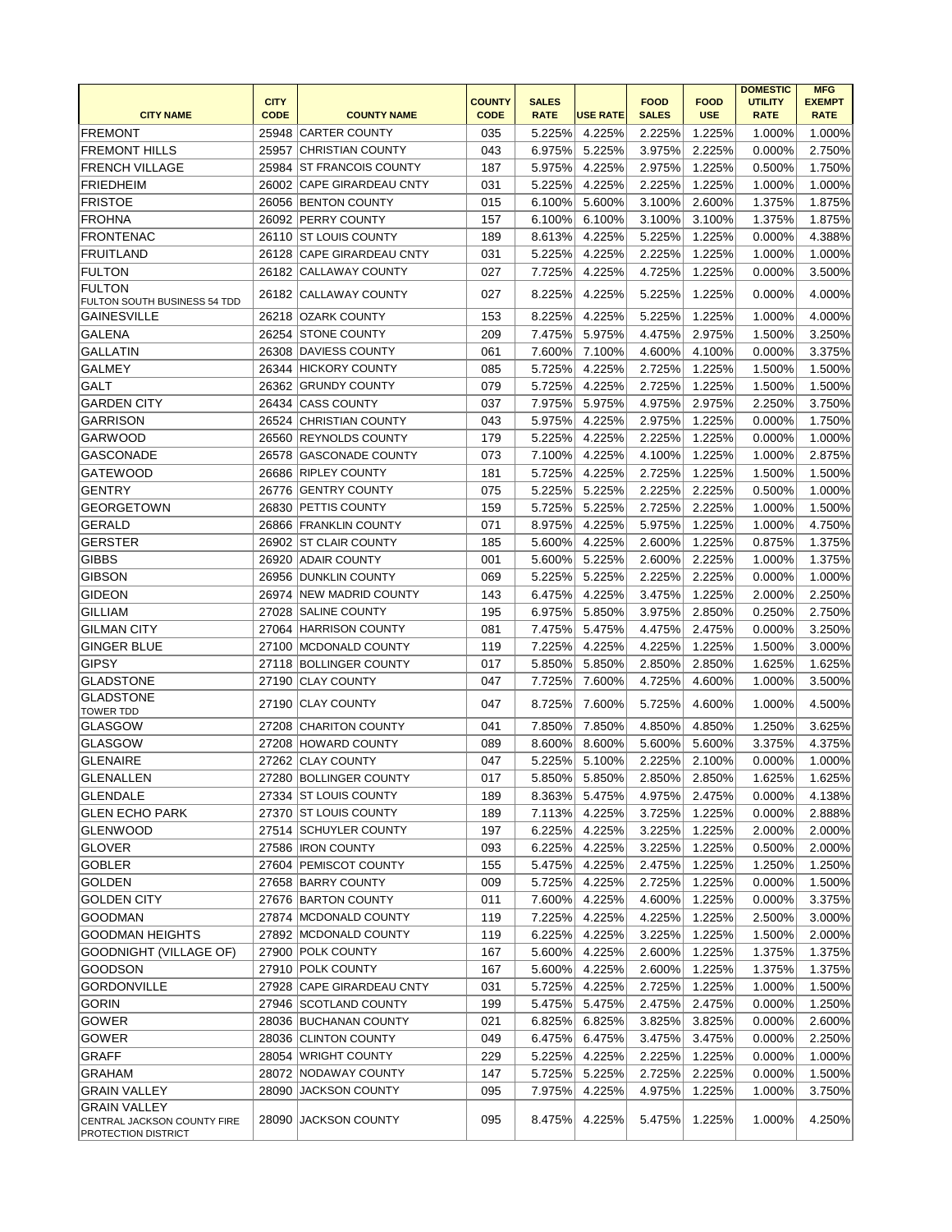|                                                                                  |             |                            |               |              |                 |              |             | <b>DOMESTIC</b> | <b>MFG</b>    |
|----------------------------------------------------------------------------------|-------------|----------------------------|---------------|--------------|-----------------|--------------|-------------|-----------------|---------------|
|                                                                                  | <b>CITY</b> |                            | <b>COUNTY</b> | <b>SALES</b> |                 | <b>FOOD</b>  | <b>FOOD</b> | <b>UTILITY</b>  | <b>EXEMPT</b> |
| <b>CITY NAME</b>                                                                 | <b>CODE</b> | <b>COUNTY NAME</b>         | <b>CODE</b>   | <b>RATE</b>  | <b>USE RATE</b> | <b>SALES</b> | <b>USE</b>  | <b>RATE</b>     | <b>RATE</b>   |
| <b>FREMONT</b>                                                                   |             | 25948 CARTER COUNTY        | 035           | 5.225%       | 4.225%          | 2.225%       | 1.225%      | 1.000%          | 1.000%        |
| <b>FREMONT HILLS</b>                                                             | 25957       | <b>CHRISTIAN COUNTY</b>    | 043           | 6.975%       | 5.225%          | 3.975%       | 2.225%      | 0.000%          | 2.750%        |
| <b>FRENCH VILLAGE</b>                                                            | 25984       | <b>ST FRANCOIS COUNTY</b>  | 187           | 5.975%       | 4.225%          | 2.975%       | 1.225%      | 0.500%          | 1.750%        |
| <b>FRIEDHEIM</b>                                                                 |             | 26002 CAPE GIRARDEAU CNTY  | 031           | 5.225%       | 4.225%          | 2.225%       | 1.225%      | 1.000%          | 1.000%        |
| <b>FRISTOE</b>                                                                   |             | 26056 BENTON COUNTY        | 015           | 6.100%       | 5.600%          | 3.100%       | 2.600%      | 1.375%          | 1.875%        |
| <b>FROHNA</b>                                                                    |             | 26092 PERRY COUNTY         | 157           | 6.100%       | 6.100%          | 3.100%       | 3.100%      | 1.375%          | 1.875%        |
| <b>FRONTENAC</b>                                                                 |             | 26110 ST LOUIS COUNTY      | 189           | 8.613%       | 4.225%          | 5.225%       | 1.225%      | 0.000%          | 4.388%        |
| <b>FRUITLAND</b>                                                                 | 26128       | <b>CAPE GIRARDEAU CNTY</b> | 031           | 5.225%       | 4.225%          | 2.225%       | 1.225%      | 1.000%          | 1.000%        |
| <b>FULTON</b>                                                                    |             | 26182 CALLAWAY COUNTY      | 027           | 7.725%       | 4.225%          | 4.725%       | 1.225%      | 0.000%          | 3.500%        |
| <b>FULTON</b><br>FULTON SOUTH BUSINESS 54 TDD                                    |             | 26182 CALLAWAY COUNTY      | 027           | 8.225%       | 4.225%          | 5.225%       | 1.225%      | 0.000%          | 4.000%        |
| <b>GAINESVILLE</b>                                                               |             | 26218 OZARK COUNTY         | 153           | 8.225%       | 4.225%          | 5.225%       | 1.225%      | 1.000%          | 4.000%        |
| <b>GALENA</b>                                                                    |             | 26254 STONE COUNTY         | 209           | 7.475%       | 5.975%          | 4.475%       | 2.975%      | 1.500%          | 3.250%        |
| <b>GALLATIN</b>                                                                  | 26308       | <b>DAVIESS COUNTY</b>      | 061           | 7.600%       | 7.100%          | 4.600%       | 4.100%      | 0.000%          | 3.375%        |
| <b>GALMEY</b>                                                                    |             | 26344 HICKORY COUNTY       | 085           | 5.725%       | 4.225%          | 2.725%       | 1.225%      | 1.500%          | 1.500%        |
| <b>GALT</b>                                                                      |             | 26362 GRUNDY COUNTY        | 079           | 5.725%       | 4.225%          | 2.725%       | 1.225%      | 1.500%          | 1.500%        |
| <b>GARDEN CITY</b>                                                               |             | 26434 CASS COUNTY          | 037           | 7.975%       | 5.975%          | 4.975%       | 2.975%      | 2.250%          | 3.750%        |
| <b>GARRISON</b>                                                                  | 26524       | <b>CHRISTIAN COUNTY</b>    | 043           | 5.975%       | 4.225%          | 2.975%       | 1.225%      | 0.000%          | 1.750%        |
| <b>GARWOOD</b>                                                                   |             | 26560 REYNOLDS COUNTY      | 179           | 5.225%       | 4.225%          | 2.225%       | 1.225%      | 0.000%          | 1.000%        |
| <b>GASCONADE</b>                                                                 | 26578       | <b>GASCONADE COUNTY</b>    | 073           | 7.100%       | 4.225%          | 4.100%       | 1.225%      | 1.000%          | 2.875%        |
| <b>GATEWOOD</b>                                                                  |             | 26686 RIPLEY COUNTY        | 181           | 5.725%       | 4.225%          | 2.725%       | 1.225%      | 1.500%          | 1.500%        |
| <b>GENTRY</b>                                                                    |             | 26776 GENTRY COUNTY        | 075           | 5.225%       | 5.225%          | 2.225%       | 2.225%      | 0.500%          | 1.000%        |
| <b>GEORGETOWN</b>                                                                |             | 26830 PETTIS COUNTY        | 159           | 5.725%       | 5.225%          | 2.725%       | 2.225%      | 1.000%          | 1.500%        |
|                                                                                  |             |                            |               |              |                 |              |             |                 |               |
| <b>GERALD</b>                                                                    |             | 26866 FRANKLIN COUNTY      | 071           | 8.975%       | 4.225%          | 5.975%       | 1.225%      | 1.000%          | 4.750%        |
| <b>GERSTER</b>                                                                   | 26902       | <b>ST CLAIR COUNTY</b>     | 185           | 5.600%       | 4.225%          | 2.600%       | 1.225%      | 0.875%          | 1.375%        |
| <b>GIBBS</b>                                                                     | 26920       | <b>ADAIR COUNTY</b>        | 001           | 5.600%       | 5.225%          | 2.600%       | 2.225%      | 1.000%          | 1.375%        |
| <b>GIBSON</b>                                                                    |             | 26956 DUNKLIN COUNTY       | 069           | 5.225%       | 5.225%          | 2.225%       | 2.225%      | 0.000%          | 1.000%        |
| <b>GIDEON</b>                                                                    |             | 26974 NEW MADRID COUNTY    | 143           | 6.475%       | 4.225%          | 3.475%       | 1.225%      | 2.000%          | 2.250%        |
| <b>GILLIAM</b>                                                                   |             | 27028 SALINE COUNTY        | 195           | 6.975%       | 5.850%          | 3.975%       | 2.850%      | 0.250%          | 2.750%        |
| <b>GILMAN CITY</b>                                                               |             | 27064 HARRISON COUNTY      | 081           | 7.475%       | 5.475%          | 4.475%       | 2.475%      | 0.000%          | 3.250%        |
| <b>GINGER BLUE</b>                                                               |             | 27100 MCDONALD COUNTY      | 119           | 7.225%       | 4.225%          | 4.225%       | 1.225%      | 1.500%          | 3.000%        |
| <b>GIPSY</b>                                                                     |             | 27118 BOLLINGER COUNTY     | 017           | 5.850%       | 5.850%          | 2.850%       | 2.850%      | 1.625%          | 1.625%        |
| <b>GLADSTONE</b>                                                                 |             | 27190 CLAY COUNTY          | 047           | 7.725%       | 7.600%          | 4.725%       | 4.600%      | 1.000%          | 3.500%        |
| <b>GLADSTONE</b><br>TOWER TDD                                                    |             | 27190 CLAY COUNTY          | 047           | 8.725%       | 7.600%          | 5.725%       | 4.600%      | 1.000%          | 4.500%        |
| <b>GLASGOW</b>                                                                   |             | 27208 CHARITON COUNTY      | 041           | 7.850%       | 7.850%          | 4.850%       | 4.850%      | 1.250%          | 3.625%        |
| <b>GLASGOW</b>                                                                   |             | 27208 HOWARD COUNTY        | 089           | 8.600%       | 8.600%          | 5.600%       | 5.600%      | 3.375%          | 4.375%        |
| <b>GLENAIRE</b>                                                                  |             | 27262 CLAY COUNTY          | 047           | 5.225%       | 5.100%          | 2.225%       | 2.100%      | 0.000%          | 1.000%        |
| <b>GLENALLEN</b>                                                                 |             | 27280 BOLLINGER COUNTY     | 017           | 5.850%       | 5.850%          | 2.850%       | 2.850%      | 1.625%          | 1.625%        |
| <b>GLENDALE</b>                                                                  |             | 27334 ST LOUIS COUNTY      | 189           | 8.363%       | 5.475%          | 4.975%       | 2.475%      | 0.000%          | 4.138%        |
| <b>GLEN ECHO PARK</b>                                                            |             | 27370 ST LOUIS COUNTY      | 189           | 7.113%       | 4.225%          | 3.725%       | 1.225%      | 0.000%          | 2.888%        |
| <b>GLENWOOD</b>                                                                  |             | 27514 SCHUYLER COUNTY      | 197           | 6.225%       | 4.225%          | 3.225%       | 1.225%      | 2.000%          | 2.000%        |
| <b>GLOVER</b>                                                                    |             | 27586  IRON COUNTY         | 093           | 6.225%       | 4.225%          | 3.225%       | 1.225%      | 0.500%          | 2.000%        |
| <b>GOBLER</b>                                                                    |             | 27604 PEMISCOT COUNTY      | 155           | 5.475%       | 4.225%          | 2.475%       | 1.225%      | 1.250%          | 1.250%        |
| <b>GOLDEN</b>                                                                    |             | 27658 BARRY COUNTY         | 009           | 5.725%       | 4.225%          | 2.725%       | 1.225%      | 0.000%          | 1.500%        |
| <b>GOLDEN CITY</b>                                                               |             | 27676 BARTON COUNTY        | 011           | 7.600%       | 4.225%          | 4.600%       | 1.225%      | 0.000%          | 3.375%        |
| <b>GOODMAN</b>                                                                   |             | 27874 MCDONALD COUNTY      | 119           | 7.225%       | 4.225%          | 4.225%       | 1.225%      | 2.500%          | 3.000%        |
| <b>GOODMAN HEIGHTS</b>                                                           |             | 27892 MCDONALD COUNTY      | 119           | 6.225%       | 4.225%          | 3.225%       | 1.225%      | 1.500%          | 2.000%        |
| <b>GOODNIGHT (VILLAGE OF)</b>                                                    |             | 27900 POLK COUNTY          | 167           | 5.600%       | 4.225%          | 2.600%       | 1.225%      | 1.375%          | 1.375%        |
| <b>GOODSON</b>                                                                   |             | 27910 POLK COUNTY          | 167           | 5.600%       | 4.225%          | 2.600%       | 1.225%      | 1.375%          | 1.375%        |
| <b>GORDONVILLE</b>                                                               |             | 27928 CAPE GIRARDEAU CNTY  | 031           | 5.725%       | 4.225%          | 2.725%       | 1.225%      | 1.000%          | 1.500%        |
| <b>GORIN</b>                                                                     |             | 27946 SCOTLAND COUNTY      | 199           | 5.475%       | 5.475%          | 2.475%       | 2.475%      | 0.000%          | 1.250%        |
| <b>GOWER</b>                                                                     |             | 28036 BUCHANAN COUNTY      | 021           | 6.825%       | 6.825%          | 3.825%       | 3.825%      | 0.000%          | 2.600%        |
| <b>GOWER</b>                                                                     |             | 28036 CLINTON COUNTY       | 049           | 6.475%       | 6.475%          | 3.475%       | 3.475%      | 0.000%          | 2.250%        |
| <b>GRAFF</b>                                                                     |             | 28054 WRIGHT COUNTY        | 229           |              |                 | 2.225%       | 1.225%      | 0.000%          | 1.000%        |
|                                                                                  |             |                            |               | 5.225%       | 4.225%          |              |             |                 |               |
| <b>GRAHAM</b>                                                                    |             | 28072 NODAWAY COUNTY       | 147           | 5.725%       | 5.225%          | 2.725%       | 2.225%      | 0.000%          | 1.500%        |
| <b>GRAIN VALLEY</b>                                                              | 28090       | JACKSON COUNTY             | 095           | 7.975%       | 4.225%          | 4.975%       | 1.225%      | 1.000%          | 3.750%        |
| <b>GRAIN VALLEY</b><br>CENTRAL JACKSON COUNTY FIRE<br><b>PROTECTION DISTRICT</b> |             | 28090 JACKSON COUNTY       | 095           | 8.475%       | 4.225%          | 5.475%       | 1.225%      | 1.000%          | 4.250%        |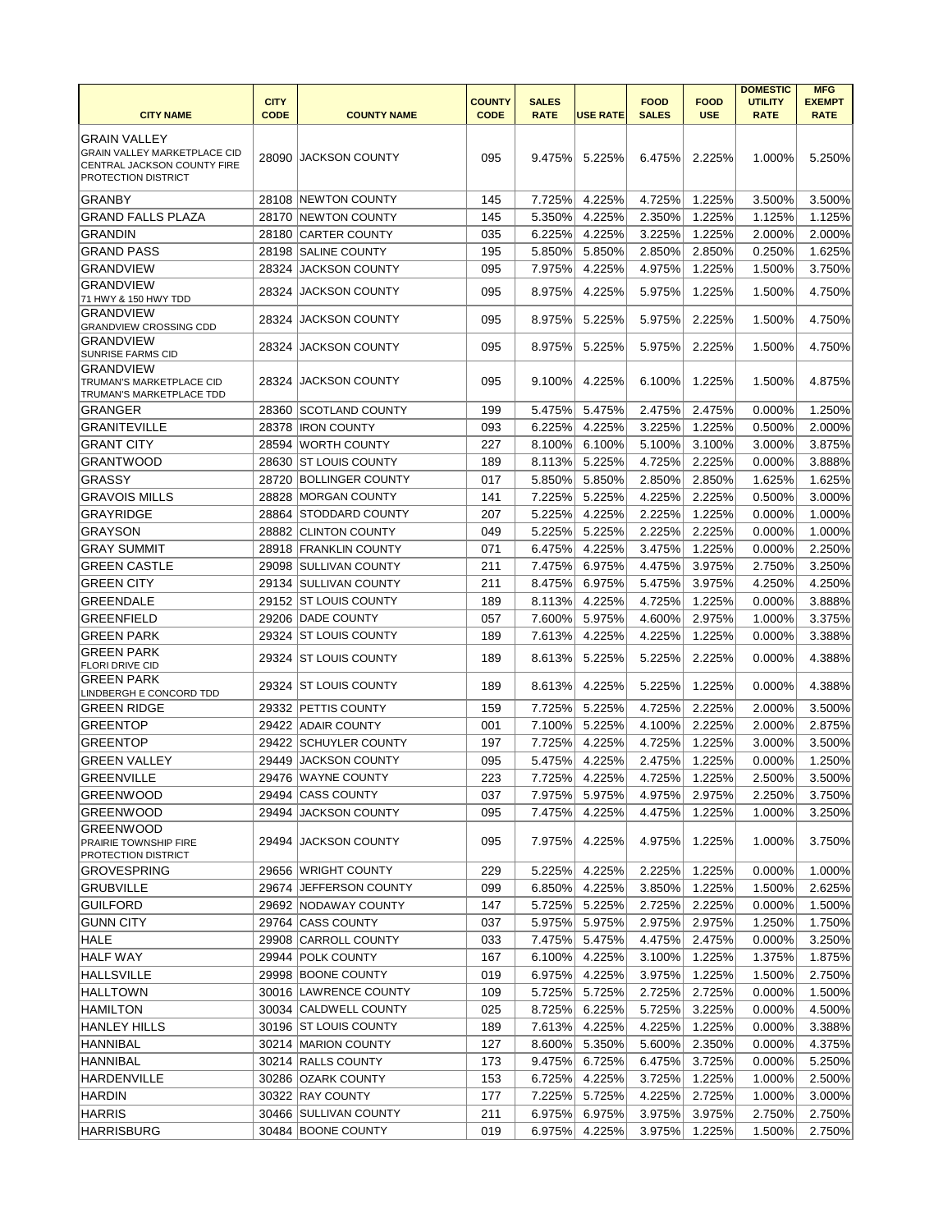|                                                                  |             |                        |               |              |                 |              |             | <b>DOMESTIC</b> | <b>MFG</b>    |
|------------------------------------------------------------------|-------------|------------------------|---------------|--------------|-----------------|--------------|-------------|-----------------|---------------|
|                                                                  | <b>CITY</b> |                        | <b>COUNTY</b> | <b>SALES</b> |                 | <b>FOOD</b>  | <b>FOOD</b> | <b>UTILITY</b>  | <b>EXEMPT</b> |
| <b>CITY NAME</b>                                                 | <b>CODE</b> | <b>COUNTY NAME</b>     | <b>CODE</b>   | <b>RATE</b>  | <b>USE RATE</b> | <b>SALES</b> | <b>USE</b>  | <b>RATE</b>     | <b>RATE</b>   |
| GRAIN VALLEY                                                     |             |                        |               |              |                 |              |             |                 |               |
| <b>GRAIN VALLEY MARKETPLACE CID</b>                              |             | 28090 JACKSON COUNTY   | 095           | 9.475%       | 5.225%          | 6.475%       | 2.225%      | 1.000%          | 5.250%        |
| <b>CENTRAL JACKSON COUNTY FIRE</b><br><b>PROTECTION DISTRICT</b> |             |                        |               |              |                 |              |             |                 |               |
|                                                                  |             |                        |               |              |                 |              |             |                 |               |
| GRANBY                                                           |             | 28108 NEWTON COUNTY    | 145           | 7.725%       | 4.225%          | 4.725%       | 1.225%      | 3.500%          | 3.500%        |
| <b>GRAND FALLS PLAZA</b>                                         |             | 28170 NEWTON COUNTY    | 145           | 5.350%       | 4.225%          | 2.350%       | 1.225%      | 1.125%          | 1.125%        |
| <b>GRANDIN</b>                                                   | 28180       | <b>CARTER COUNTY</b>   | 035           | 6.225%       | 4.225%          | 3.225%       | 1.225%      | 2.000%          | 2.000%        |
| <b>GRAND PASS</b>                                                |             | 28198 SALINE COUNTY    | 195           | 5.850%       | 5.850%          | 2.850%       | 2.850%      | 0.250%          | 1.625%        |
| <b>GRANDVIEW</b>                                                 | 28324       | <b>JACKSON COUNTY</b>  | 095           | 7.975%       | 4.225%          | 4.975%       | 1.225%      | 1.500%          | 3.750%        |
| <b>GRANDVIEW</b>                                                 | 28324       | <b>JACKSON COUNTY</b>  | 095           | 8.975%       | 4.225%          | 5.975%       | 1.225%      | 1.500%          | 4.750%        |
| 71 HWY & 150 HWY TDD                                             |             |                        |               |              |                 |              |             |                 |               |
| <b>GRANDVIEW</b><br><b>GRANDVIEW CROSSING CDD</b>                | 28324       | <b>JACKSON COUNTY</b>  | 095           | 8.975%       | 5.225%          | 5.975%       | 2.225%      | 1.500%          | 4.750%        |
| <b>GRANDVIEW</b>                                                 |             |                        |               |              |                 |              |             |                 |               |
| <b>SUNRISE FARMS CID</b>                                         |             | 28324 JACKSON COUNTY   | 095           | 8.975%       | 5.225%          | 5.975%       | 2.225%      | 1.500%          | 4.750%        |
| GRANDVIEW                                                        |             |                        |               |              |                 |              |             |                 |               |
| TRUMAN'S MARKETPLACE CID<br>TRUMAN'S MARKETPLACE TDD             |             | 28324 JACKSON COUNTY   | 095           | $9.100\%$    | 4.225%          | 6.100%       | 1.225%      | 1.500%          | 4.875%        |
| GRANGER                                                          |             | 28360 SCOTLAND COUNTY  | 199           | 5.475%       | 5.475%          | 2.475%       | 2.475%      | 0.000%          | 1.250%        |
| <b>GRANITEVILLE</b>                                              |             | 28378  IRON COUNTY     | 093           | 6.225%       | 4.225%          | 3.225%       | 1.225%      | 0.500%          | 2.000%        |
| <b>GRANT CITY</b>                                                |             | <b>WORTH COUNTY</b>    | 227           | 8.100%       |                 | 5.100%       | 3.100%      | 3.000%          | 3.875%        |
|                                                                  | 28594       |                        |               |              | 6.100%          |              |             |                 |               |
| <b>GRANTWOOD</b>                                                 | 28630       | <b>ST LOUIS COUNTY</b> | 189           | 8.113%       | 5.225%          | 4.725%       | 2.225%      | 0.000%          | 3.888%        |
| GRASSY                                                           |             | 28720 BOLLINGER COUNTY | 017           | 5.850%       | 5.850%          | 2.850%       | 2.850%      | 1.625%          | 1.625%        |
| <b>GRAVOIS MILLS</b>                                             |             | 28828 MORGAN COUNTY    | 141           | 7.225%       | 5.225%          | 4.225%       | 2.225%      | 0.500%          | 3.000%        |
| <b>GRAYRIDGE</b>                                                 | 28864       | <b>STODDARD COUNTY</b> | 207           | 5.225%       | 4.225%          | 2.225%       | 1.225%      | 0.000%          | 1.000%        |
| GRAYSON                                                          |             | 28882 CLINTON COUNTY   | 049           | 5.225%       | 5.225%          | 2.225%       | 2.225%      | 0.000%          | 1.000%        |
| <b>GRAY SUMMIT</b>                                               |             | 28918 FRANKLIN COUNTY  | 071           | 6.475%       | 4.225%          | 3.475%       | 1.225%      | 0.000%          | 2.250%        |
| <b>GREEN CASTLE</b>                                              | 29098       | <b>SULLIVAN COUNTY</b> | 211           | 7.475%       | 6.975%          | 4.475%       | 3.975%      | 2.750%          | 3.250%        |
| <b>GREEN CITY</b>                                                | 29134       | <b>SULLIVAN COUNTY</b> | 211           | 8.475%       | 6.975%          | 5.475%       | 3.975%      | 4.250%          | 4.250%        |
| <b>GREENDALE</b>                                                 |             | 29152 ST LOUIS COUNTY  | 189           | 8.113%       | 4.225%          | 4.725%       | 1.225%      | 0.000%          | 3.888%        |
| GREENFIELD                                                       |             | 29206 DADE COUNTY      | 057           | 7.600%       | 5.975%          | 4.600%       | 2.975%      | 1.000%          | 3.375%        |
| <b>GREEN PARK</b>                                                |             | 29324 ST LOUIS COUNTY  | 189           | 7.613%       | 4.225%          | 4.225%       | 1.225%      | 0.000%          | 3.388%        |
| <b>GREEN PARK</b>                                                |             | 29324 ST LOUIS COUNTY  | 189           | 8.613%       | 5.225%          | 5.225%       | 2.225%      | 0.000%          | 4.388%        |
| <b>FLORI DRIVE CID</b>                                           |             |                        |               |              |                 |              |             |                 |               |
| <b>GREEN PARK</b><br>LINDBERGH E CONCORD TDD                     |             | 29324 ST LOUIS COUNTY  | 189           | 8.613%       | 4.225%          | 5.225%       | 1.225%      | 0.000%          | 4.388%        |
| <b>GREEN RIDGE</b>                                               |             | 29332 PETTIS COUNTY    | 159           | 7.725%       | 5.225%          | 4.725%       | 2.225%      | 2.000%          | 3.500%        |
| <b>GREENTOP</b>                                                  |             | 29422 ADAIR COUNTY     | 001           | 7.100%       | 5.225%          | 4.100%       | 2.225%      | 2.000%          | 2.875%        |
| <b>GREENTOP</b>                                                  |             | 29422 SCHUYLER COUNTY  | 197           | 7.725%       | 4.225%          | 4.725%       | 1.225%      | 3.000%          | 3.500%        |
|                                                                  |             |                        |               |              |                 |              |             |                 |               |
| <b>GREEN VALLEY</b>                                              | 29449       | JACKSON COUNTY         | 095           | 5.475%       | 4.225%          | 2.475%       | 1.225%      | 0.000%          | 1.250%        |
| GREENVILLE                                                       |             | 29476 WAYNE COUNTY     | 223           | 7.725%       | 4.225%          | 4.725%       | 1.225%      | 2.500%          | 3.500%        |
| <b>GREENWOOD</b>                                                 | 29494       | <b>CASS COUNTY</b>     | 037           | 7.975%       | 5.975%          | 4.975%       | 2.975%      | 2.250%          | 3.750%        |
| <b>GREENWOOD</b>                                                 |             | 29494 JACKSON COUNTY   | 095           | 7.475%       | 4.225%          | 4.475%       | 1.225%      | 1.000%          | 3.250%        |
| <b>GREENWOOD</b>                                                 |             | 29494 JACKSON COUNTY   | 095           | 7.975%       | 4.225%          | 4.975%       | 1.225%      | 1.000%          | 3.750%        |
| <b>PRAIRIE TOWNSHIP FIRE</b><br><b>PROTECTION DISTRICT</b>       |             |                        |               |              |                 |              |             |                 |               |
| GROVESPRING                                                      |             | 29656 WRIGHT COUNTY    | 229           | 5.225%       | 4.225%          | 2.225%       | 1.225%      | 0.000%          | 1.000%        |
| <b>GRUBVILLE</b>                                                 |             | 29674 JEFFERSON COUNTY | 099           | 6.850%       | 4.225%          | 3.850%       | 1.225%      | 1.500%          | 2.625%        |
| GUILFORD                                                         |             | 29692 NODAWAY COUNTY   | 147           | 5.725%       | 5.225%          | 2.725%       | 2.225%      | 0.000%          | 1.500%        |
| <b>GUNN CITY</b>                                                 |             | 29764 CASS COUNTY      | 037           | 5.975%       | 5.975%          | 2.975%       | 2.975%      | 1.250%          | 1.750%        |
| <b>HALE</b>                                                      | 29908       | <b>CARROLL COUNTY</b>  | 033           | 7.475%       | 5.475%          | 4.475%       | 2.475%      | 0.000%          | 3.250%        |
| <b>HALF WAY</b>                                                  |             | 29944 POLK COUNTY      | 167           | 6.100%       | 4.225%          | 3.100%       | 1.225%      | 1.375%          | 1.875%        |
| HALLSVILLE                                                       |             | 29998 BOONE COUNTY     | 019           | 6.975%       | 4.225%          | 3.975%       | 1.225%      | 1.500%          | 2.750%        |
|                                                                  |             |                        |               |              |                 |              |             |                 |               |
| <b>HALLTOWN</b>                                                  |             | 30016 LAWRENCE COUNTY  | 109           | 5.725%       | 5.725%          | 2.725%       | 2.725%      | 0.000%          | 1.500%        |
| <b>HAMILTON</b>                                                  |             | 30034 CALDWELL COUNTY  | 025           | 8.725%       | 6.225%          | 5.725%       | 3.225%      | 0.000%          | 4.500%        |
| <b>HANLEY HILLS</b>                                              |             | 30196 ST LOUIS COUNTY  | 189           | 7.613%       | 4.225%          | 4.225%       | 1.225%      | 0.000%          | 3.388%        |
| <b>HANNIBAL</b>                                                  |             | 30214 MARION COUNTY    | 127           | 8.600%       | 5.350%          | 5.600%       | 2.350%      | 0.000%          | 4.375%        |
| <b>HANNIBAL</b>                                                  |             | 30214 RALLS COUNTY     | 173           | 9.475%       | 6.725%          | 6.475%       | 3.725%      | 0.000%          | 5.250%        |
| <b>HARDENVILLE</b>                                               |             | 30286 OZARK COUNTY     | 153           | 6.725%       | 4.225%          | 3.725%       | 1.225%      | 1.000%          | 2.500%        |
| <b>HARDIN</b>                                                    |             | 30322 RAY COUNTY       | 177           | 7.225%       | 5.725%          | 4.225%       | 2.725%      | 1.000%          | 3.000%        |
| <b>HARRIS</b>                                                    |             | 30466 SULLIVAN COUNTY  | 211           | 6.975%       | 6.975%          | 3.975%       | 3.975%      | 2.750%          | 2.750%        |
| <b>HARRISBURG</b>                                                |             | 30484 BOONE COUNTY     | 019           | 6.975%       | 4.225%          | 3.975%       | 1.225%      | 1.500%          | 2.750%        |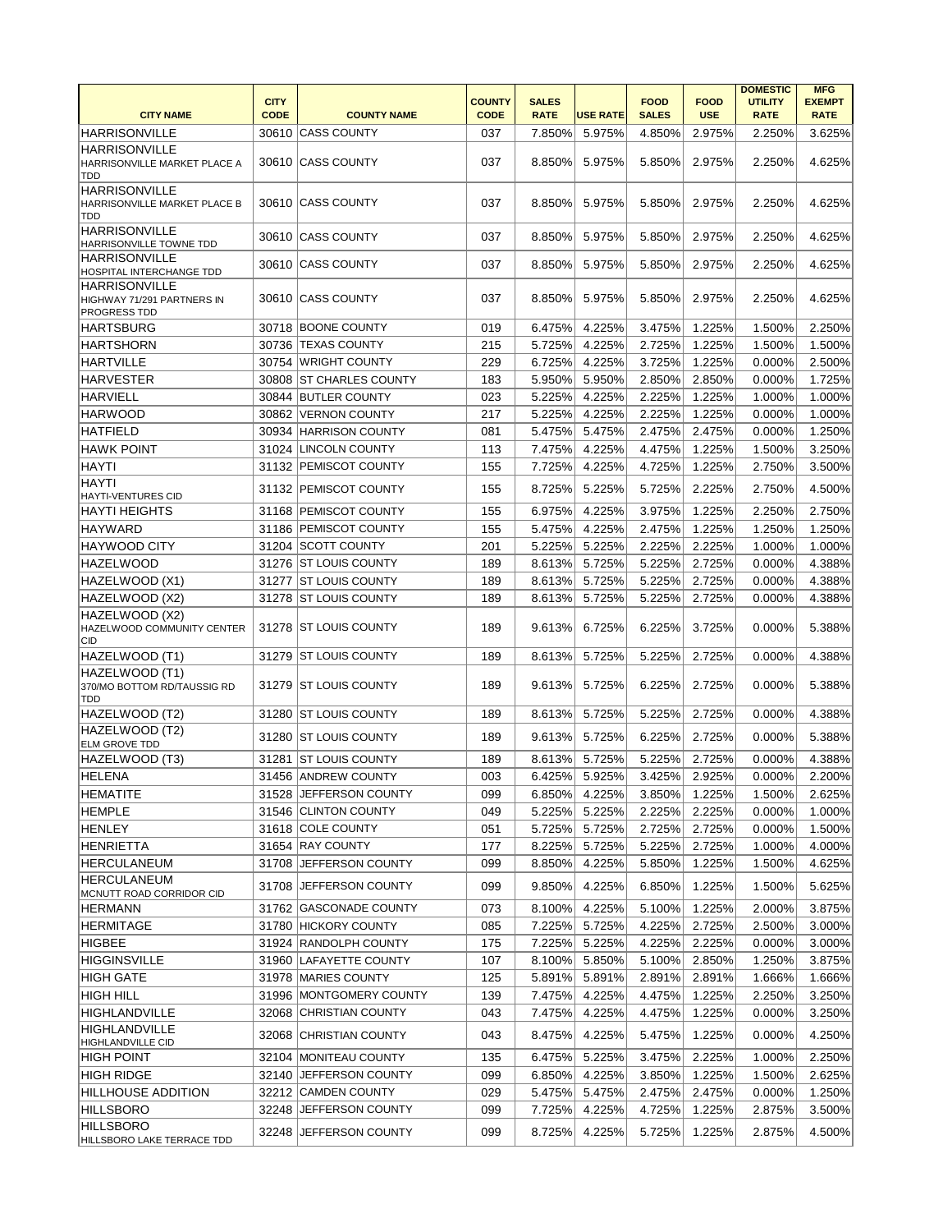|                                                  |             |                         |               |              |                 |              |             | <b>DOMESTIC</b> | <b>MFG</b>    |
|--------------------------------------------------|-------------|-------------------------|---------------|--------------|-----------------|--------------|-------------|-----------------|---------------|
|                                                  | <b>CITY</b> |                         | <b>COUNTY</b> | <b>SALES</b> |                 | <b>FOOD</b>  | <b>FOOD</b> | <b>UTILITY</b>  | <b>EXEMPT</b> |
| <b>CITY NAME</b>                                 | <b>CODE</b> | <b>COUNTY NAME</b>      | <b>CODE</b>   | <b>RATE</b>  | <b>USE RATE</b> | <b>SALES</b> | <b>USE</b>  | <b>RATE</b>     | <b>RATE</b>   |
| <b>HARRISONVILLE</b>                             |             | 30610 CASS COUNTY       | 037           | 7.850%       | 5.975%          | 4.850%       | 2.975%      | 2.250%          | 3.625%        |
| <b>HARRISONVILLE</b>                             |             |                         |               |              |                 |              |             |                 |               |
| HARRISONVILLE MARKET PLACE A<br>TDD              |             | 30610 CASS COUNTY       | 037           | 8.850%       | 5.975%          | 5.850%       | 2.975%      | 2.250%          | 4.625%        |
| <b>HARRISONVILLE</b>                             |             |                         |               |              |                 |              |             |                 |               |
| HARRISONVILLE MARKET PLACE B                     |             | 30610 CASS COUNTY       | 037           | 8.850%       | 5.975%          | 5.850%       | 2.975%      | 2.250%          | 4.625%        |
| TDD                                              |             |                         |               |              |                 |              |             |                 |               |
| <b>HARRISONVILLE</b>                             |             | 30610 CASS COUNTY       | 037           | 8.850%       | 5.975%          | 5.850%       | 2.975%      | 2.250%          | 4.625%        |
| HARRISONVILLE TOWNE TDD                          |             |                         |               |              |                 |              |             |                 |               |
| <b>HARRISONVILLE</b><br>HOSPITAL INTERCHANGE TDD |             | 30610 CASS COUNTY       | 037           | 8.850%       | 5.975%          | 5.850%       | 2.975%      | 2.250%          | 4.625%        |
| <b>HARRISONVILLE</b>                             |             |                         |               |              |                 |              |             |                 |               |
| HIGHWAY 71/291 PARTNERS IN                       |             | 30610 CASS COUNTY       | 037           | 8.850%       | 5.975%          | 5.850%       | 2.975%      | 2.250%          | 4.625%        |
| <b>PROGRESS TDD</b>                              |             |                         |               |              |                 |              |             |                 |               |
| <b>HARTSBURG</b>                                 |             | 30718 BOONE COUNTY      | 019           | 6.475%       | 4.225%          | 3.475%       | 1.225%      | 1.500%          | 2.250%        |
| <b>HARTSHORN</b>                                 | 30736       | <b>TEXAS COUNTY</b>     | 215           | 5.725%       | 4.225%          | 2.725%       | 1.225%      | 1.500%          | 1.500%        |
| <b>HARTVILLE</b>                                 |             | 30754 WRIGHT COUNTY     | 229           | 6.725%       | 4.225%          | 3.725%       | 1.225%      | 0.000%          | 2.500%        |
| <b>HARVESTER</b>                                 |             | 30808 ST CHARLES COUNTY | 183           | 5.950%       | 5.950%          | 2.850%       | 2.850%      | 0.000%          | 1.725%        |
| <b>HARVIELL</b>                                  |             | 30844 BUTLER COUNTY     | 023           | 5.225%       | 4.225%          | 2.225%       | 1.225%      | 1.000%          | 1.000%        |
| <b>HARWOOD</b>                                   |             | 30862 VERNON COUNTY     | 217           | 5.225%       | 4.225%          | 2.225%       | 1.225%      | 0.000%          | 1.000%        |
| <b>HATFIELD</b>                                  |             | 30934 HARRISON COUNTY   | 081           | 5.475%       | 5.475%          | 2.475%       | 2.475%      | 0.000%          | 1.250%        |
|                                                  |             |                         |               |              |                 |              |             |                 |               |
| <b>HAWK POINT</b>                                |             | 31024 LINCOLN COUNTY    | 113           | 7.475%       | 4.225%          | 4.475%       | 1.225%      | 1.500%          | 3.250%        |
| <b>HAYTI</b>                                     |             | 31132 PEMISCOT COUNTY   | 155           | 7.725%       | 4.225%          | 4.725%       | 1.225%      | 2.750%          | 3.500%        |
| <b>HAYTI</b><br><b>HAYTI-VENTURES CID</b>        |             | 31132 PEMISCOT COUNTY   | 155           | 8.725%       | 5.225%          | 5.725%       | 2.225%      | 2.750%          | 4.500%        |
| <b>HAYTI HEIGHTS</b>                             |             | 31168 PEMISCOT COUNTY   | 155           | 6.975%       | 4.225%          | 3.975%       | 1.225%      | 2.250%          | 2.750%        |
| HAYWARD                                          |             | 31186 PEMISCOT COUNTY   | 155           | 5.475%       | 4.225%          | 2.475%       | 1.225%      | 1.250%          | 1.250%        |
|                                                  |             |                         |               |              |                 |              |             |                 |               |
| <b>HAYWOOD CITY</b>                              |             | 31204 SCOTT COUNTY      | 201           | 5.225%       | 5.225%          | 2.225%       | 2.225%      | 1.000%          | 1.000%        |
| <b>HAZELWOOD</b>                                 |             | 31276 ST LOUIS COUNTY   | 189           | 8.613%       | 5.725%          | 5.225%       | 2.725%      | 0.000%          | 4.388%        |
| HAZELWOOD (X1)                                   | 31277       | <b>ST LOUIS COUNTY</b>  | 189           | 8.613%       | 5.725%          | 5.225%       | 2.725%      | 0.000%          | 4.388%        |
| HAZELWOOD (X2)                                   | 31278       | <b>ST LOUIS COUNTY</b>  | 189           | 8.613%       | 5.725%          | 5.225%       | 2.725%      | 0.000%          | 4.388%        |
| HAZELWOOD (X2)                                   |             |                         |               |              |                 |              |             |                 |               |
| HAZELWOOD COMMUNITY CENTER  <br><b>CID</b>       |             | 31278 ST LOUIS COUNTY   | 189           |              | 9.613% 6.725%   | 6.225%       | 3.725%      | 0.000%          | 5.388%        |
| HAZELWOOD (T1)                                   |             | 31279 ST LOUIS COUNTY   | 189           | 8.613%       | 5.725%          | 5.225%       | 2.725%      | 0.000%          | 4.388%        |
| HAZELWOOD (T1)                                   |             |                         |               |              |                 |              |             |                 |               |
| 370/MO BOTTOM RD/TAUSSIG RD                      |             | 31279 ST LOUIS COUNTY   | 189           | 9.613%       | 5.725%          | 6.225%       | 2.725%      | 0.000%          | 5.388%        |
| <b>TDD</b>                                       |             |                         |               |              |                 |              |             |                 |               |
| HAZELWOOD (T2)                                   |             | 31280 ST LOUIS COUNTY   | 189           | 8.613%       | 5.725%          | 5.225%       | 2.725%      | 0.000%          | 4.388%        |
| HAZELWOOD (T2)                                   |             | 31280 ST LOUIS COUNTY   | 189           | 9.613%       | 5.725%          | 6.225%       | 2.725%      | 0.000%          | 5.388%        |
| <b>ELM GROVE TDD</b>                             |             |                         |               |              |                 |              |             |                 |               |
| HAZELWOOD (T3)                                   |             | 31281 ST LOUIS COUNTY   | 189           | 8.613%       | 5.725%          | 5.225%       | 2.725%      | 0.000%          | 4.388%        |
| <b>HELENA</b>                                    |             | 31456 ANDREW COUNTY     | 003           | 6.425%       | 5.925%          | 3.425%       | 2.925%      | 0.000%          | 2.200%        |
| <b>HEMATITE</b>                                  | 31528       | JEFFERSON COUNTY        | 099           | 6.850%       | 4.225%          | 3.850%       | 1.225%      | 1.500%          | 2.625%        |
| <b>HEMPLE</b>                                    |             | 31546 CLINTON COUNTY    | 049           | 5.225%       | 5.225%          | 2.225%       | 2.225%      | 0.000%          | 1.000%        |
| <b>HENLEY</b>                                    |             | 31618 COLE COUNTY       | 051           | 5.725%       | 5.725%          | 2.725%       | 2.725%      | 0.000%          | 1.500%        |
| <b>HENRIETTA</b>                                 |             | 31654 RAY COUNTY        | 177           | 8.225%       | 5.725%          | 5.225%       | 2.725%      | 1.000%          | 4.000%        |
| <b>HERCULANEUM</b>                               |             | 31708 JEFFERSON COUNTY  | 099           | 8.850%       | 4.225%          | 5.850%       | 1.225%      | 1.500%          | 4.625%        |
| <b>HERCULANEUM</b>                               |             |                         |               |              |                 |              |             |                 |               |
| MCNUTT ROAD CORRIDOR CID                         |             | 31708 JEFFERSON COUNTY  | 099           | 9.850%       | 4.225%          | 6.850%       | 1.225%      | 1.500%          | 5.625%        |
| <b>HERMANN</b>                                   |             | 31762 GASCONADE COUNTY  | 073           | 8.100%       | 4.225%          | 5.100%       | 1.225%      | 2.000%          | 3.875%        |
| <b>HERMITAGE</b>                                 |             | 31780 HICKORY COUNTY    | 085           | 7.225%       | 5.725%          | 4.225%       | 2.725%      | 2.500%          | 3.000%        |
| <b>HIGBEE</b>                                    |             | 31924 RANDOLPH COUNTY   | 175           | 7.225%       | 5.225%          | 4.225%       | 2.225%      | 0.000%          | 3.000%        |
| <b>HIGGINSVILLE</b>                              |             | 31960 LAFAYETTE COUNTY  | 107           | 8.100%       | 5.850%          | 5.100%       | 2.850%      | 1.250%          | 3.875%        |
| <b>HIGH GATE</b>                                 |             | 31978 MARIES COUNTY     | 125           | 5.891%       | 5.891%          | 2.891%       | 2.891%      | 1.666%          | 1.666%        |
| <b>HIGH HILL</b>                                 |             | 31996 MONTGOMERY COUNTY | 139           | 7.475%       | 4.225%          | 4.475%       | 1.225%      | 2.250%          | 3.250%        |
| <b>HIGHLANDVILLE</b>                             |             | 32068 CHRISTIAN COUNTY  | 043           | 7.475%       | 4.225%          | 4.475%       | 1.225%      | 0.000%          | 3.250%        |
| HIGHLANDVILLE                                    |             |                         |               |              |                 |              |             |                 |               |
| <b>HIGHLANDVILLE CID</b>                         |             | 32068 CHRISTIAN COUNTY  | 043           | 8.475%       | 4.225%          | 5.475%       | 1.225%      | 0.000%          | 4.250%        |
| <b>HIGH POINT</b>                                |             | 32104 MONITEAU COUNTY   | 135           | 6.475%       | 5.225%          | 3.475%       | 2.225%      | 1.000%          | 2.250%        |
| <b>HIGH RIDGE</b>                                |             | 32140 JEFFERSON COUNTY  | 099           | 6.850%       | 4.225%          | 3.850%       | 1.225%      | 1.500%          | 2.625%        |
| <b>HILLHOUSE ADDITION</b>                        |             | 32212 CAMDEN COUNTY     | 029           | 5.475%       | 5.475%          | 2.475%       | 2.475%      | 0.000%          | 1.250%        |
| <b>HILLSBORO</b>                                 | 32248       | JEFFERSON COUNTY        | 099           | 7.725%       | 4.225%          | 4.725%       | 1.225%      | 2.875%          | 3.500%        |
| <b>HILLSBORO</b>                                 |             |                         |               |              |                 |              |             |                 |               |
| <b>HILLSBORO LAKE TERRACE TDD</b>                |             | 32248 JEFFERSON COUNTY  | 099           | 8.725%       | 4.225%          | 5.725%       | 1.225%      | 2.875%          | 4.500%        |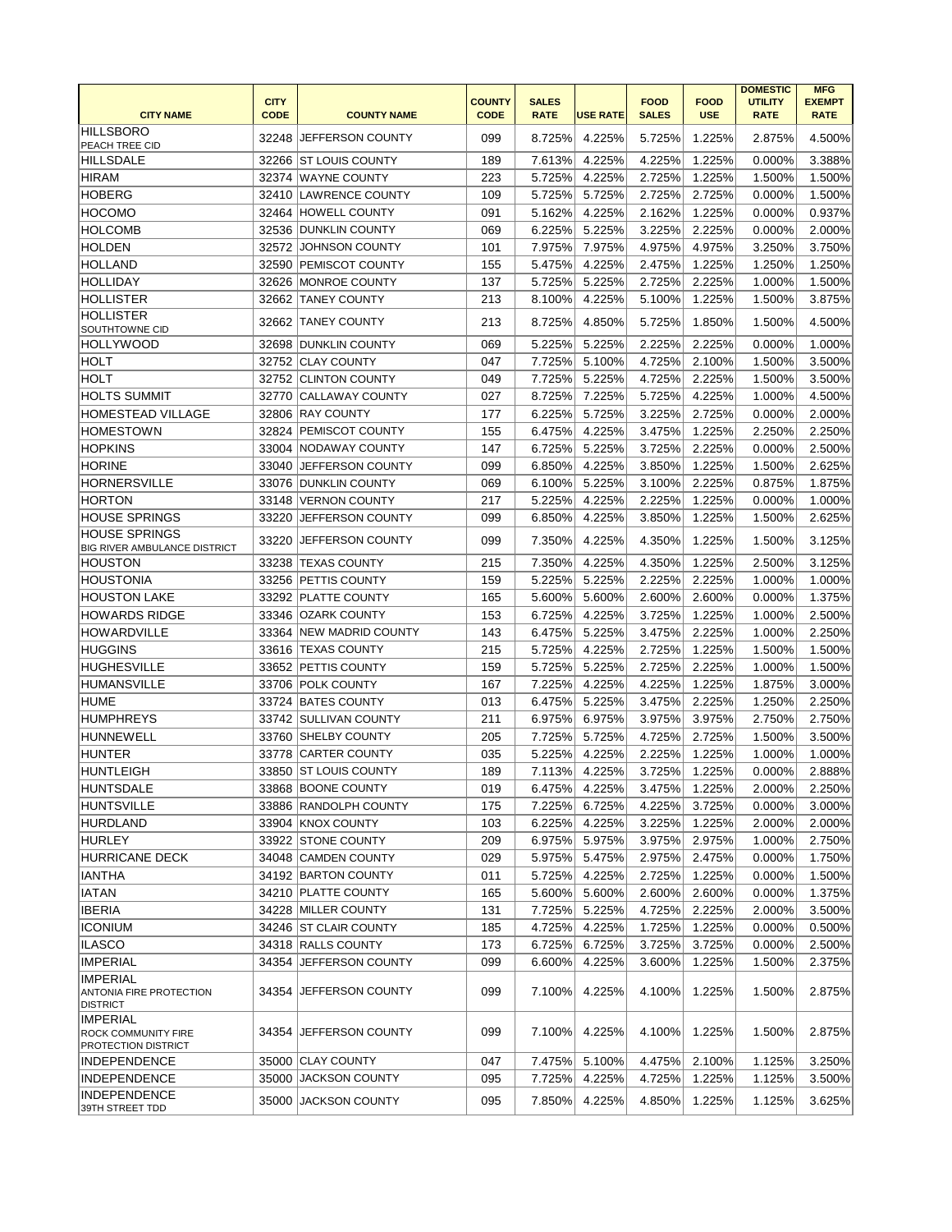|                                                                             | <b>CITY</b> |                         | <b>COUNTY</b> | <b>SALES</b> |                 | <b>FOOD</b>  | <b>FOOD</b> | <b>DOMESTIC</b><br><b>UTILITY</b> | <b>MFG</b><br><b>EXEMPT</b> |
|-----------------------------------------------------------------------------|-------------|-------------------------|---------------|--------------|-----------------|--------------|-------------|-----------------------------------|-----------------------------|
| <b>CITY NAME</b>                                                            | <b>CODE</b> | <b>COUNTY NAME</b>      | <b>CODE</b>   | <b>RATE</b>  | <b>USE RATE</b> | <b>SALES</b> | <b>USE</b>  | <b>RATE</b>                       | <b>RATE</b>                 |
| <b>HILLSBORO</b><br><b>PEACH TREE CID</b>                                   | 32248       | <b>JEFFERSON COUNTY</b> | 099           | 8.725%       | 4.225%          | 5.725%       | 1.225%      | 2.875%                            | 4.500%                      |
| <b>HILLSDALE</b>                                                            |             | 32266 ST LOUIS COUNTY   | 189           | 7.613%       | 4.225%          | 4.225%       | 1.225%      | 0.000%                            | 3.388%                      |
| <b>HIRAM</b>                                                                | 32374       | <b>WAYNE COUNTY</b>     | 223           | 5.725%       | 4.225%          | 2.725%       | 1.225%      | 1.500%                            | 1.500%                      |
| HOBERG                                                                      |             | 32410 LAWRENCE COUNTY   | 109           | 5.725%       | 5.725%          | 2.725%       | 2.725%      | 0.000%                            | 1.500%                      |
| <b>HOCOMO</b>                                                               | 32464       | <b>HOWELL COUNTY</b>    | 091           | 5.162%       | 4.225%          | 2.162%       | 1.225%      | 0.000%                            | 0.937%                      |
| <b>HOLCOMB</b>                                                              |             | 32536 DUNKLIN COUNTY    | 069           | 6.225%       | 5.225%          | 3.225%       | 2.225%      | 0.000%                            | 2.000%                      |
| <b>HOLDEN</b>                                                               | 32572       | JOHNSON COUNTY          | 101           | 7.975%       | 7.975%          | 4.975%       | 4.975%      | 3.250%                            | 3.750%                      |
| HOLLAND                                                                     | 32590       | <b>PEMISCOT COUNTY</b>  | 155           | 5.475%       | 4.225%          | 2.475%       | 1.225%      | 1.250%                            | 1.250%                      |
| HOLLIDAY                                                                    | 32626       | MONROE COUNTY           | 137           | 5.725%       | 5.225%          | 2.725%       | 2.225%      | 1.000%                            | 1.500%                      |
| HOLLISTER                                                                   | 32662       | <b>TANEY COUNTY</b>     | 213           | 8.100%       | 4.225%          | 5.100%       | 1.225%      | 1.500%                            | 3.875%                      |
| <b>HOLLISTER</b>                                                            |             |                         |               |              |                 |              |             |                                   |                             |
| <b>SOUTHTOWNE CID</b>                                                       | 32662       | <b>ITANEY COUNTY</b>    | 213           | 8.725%       | 4.850%          | 5.725%       | 1.850%      | 1.500%                            | 4.500%                      |
| <b>HOLLYWOOD</b>                                                            | 32698       | <b>IDUNKLIN COUNTY</b>  | 069           | 5.225%       | 5.225%          | 2.225%       | 2.225%      | 0.000%                            | 1.000%                      |
| <b>HOLT</b>                                                                 |             | 32752 CLAY COUNTY       | 047           | 7.725%       | 5.100%          | 4.725%       | 2.100%      | 1.500%                            | 3.500%                      |
| <b>HOLT</b>                                                                 | 32752       | <b>CLINTON COUNTY</b>   | 049           | 7.725%       | 5.225%          | 4.725%       | 2.225%      | 1.500%                            | 3.500%                      |
| <b>HOLTS SUMMIT</b>                                                         | 32770       | <b>CALLAWAY COUNTY</b>  | 027           | 8.725%       | 7.225%          | 5.725%       | 4.225%      | 1.000%                            | 4.500%                      |
| <b>HOMESTEAD VILLAGE</b>                                                    |             | 32806 RAY COUNTY        | 177           | 6.225%       | 5.725%          | 3.225%       | 2.725%      | 0.000%                            | 2.000%                      |
| <b>HOMESTOWN</b>                                                            |             | 32824 PEMISCOT COUNTY   | 155           | 6.475%       | 4.225%          | 3.475%       | 1.225%      | 2.250%                            | 2.250%                      |
| <b>HOPKINS</b>                                                              |             | 33004 NODAWAY COUNTY    | 147           | 6.725%       | 5.225%          | 3.725%       | 2.225%      | 0.000%                            | 2.500%                      |
| <b>HORINE</b>                                                               | 33040       | JEFFERSON COUNTY        | 099           | 6.850%       | 4.225%          | 3.850%       | 1.225%      | 1.500%                            | 2.625%                      |
| <b>HORNERSVILLE</b>                                                         |             | 33076 DUNKLIN COUNTY    | 069           | 6.100%       | 5.225%          | 3.100%       | 2.225%      | 0.875%                            | 1.875%                      |
| <b>HORTON</b>                                                               |             | 33148 VERNON COUNTY     | 217           | 5.225%       | 4.225%          | 2.225%       | 1.225%      | 0.000%                            | 1.000%                      |
| <b>HOUSE SPRINGS</b>                                                        |             | 33220 JEFFERSON COUNTY  | 099           | 6.850%       | 4.225%          | 3.850%       | 1.225%      | 1.500%                            | 2.625%                      |
| <b>HOUSE SPRINGS</b>                                                        | 33220       | <b>JEFFERSON COUNTY</b> | 099           | 7.350%       | 4.225%          | 4.350%       | 1.225%      | 1.500%                            | 3.125%                      |
| <b>BIG RIVER AMBULANCE DISTRICT</b>                                         |             |                         |               |              |                 |              |             |                                   |                             |
| <b>HOUSTON</b>                                                              | 33238       | <b>TEXAS COUNTY</b>     | 215           | 7.350%       | 4.225%          | 4.350%       | 1.225%      | 2.500%                            | 3.125%                      |
| <b>HOUSTONIA</b>                                                            | 33256       | <b>PETTIS COUNTY</b>    | 159           | 5.225%       | 5.225%          | 2.225%       | 2.225%      | 1.000%                            | 1.000%                      |
| <b>HOUSTON LAKE</b>                                                         |             | 33292 PLATTE COUNTY     | 165           | 5.600%       | 5.600%          | 2.600%       | 2.600%      | 0.000%                            | 1.375%                      |
| <b>HOWARDS RIDGE</b>                                                        |             | 33346 OZARK COUNTY      | 153           | 6.725%       | 4.225%          | 3.725%       | 1.225%      | 1.000%                            | 2.500%                      |
| <b>HOWARDVILLE</b>                                                          |             | 33364 NEW MADRID COUNTY | 143           | 6.475%       | 5.225%          | 3.475%       | 2.225%      | 1.000%                            | 2.250%                      |
| <b>HUGGINS</b>                                                              |             | 33616 TEXAS COUNTY      | 215           | 5.725%       | 4.225%          | 2.725%       | 1.225%      | 1.500%                            | 1.500%                      |
| HUGHESVILLE                                                                 |             | 33652 PETTIS COUNTY     | 159           | 5.725%       | 5.225%          | 2.725%       | 2.225%      | 1.000%                            | 1.500%                      |
| HUMANSVILLE                                                                 |             | 33706 POLK COUNTY       | 167           | 7.225%       | 4.225%          | 4.225%       | 1.225%      | 1.875%                            | 3.000%                      |
| HUME                                                                        |             | 33724 BATES COUNTY      | 013           | 6.475%       | 5.225%          | 3.475%       | 2.225%      | 1.250%                            | 2.250%                      |
| <b>HUMPHREYS</b>                                                            |             | 33742 SULLIVAN COUNTY   | 211           | 6.975%       | 6.975%          | 3.975%       | 3.975%      | 2.750%                            | 2.750%                      |
| HUNNEWELL                                                                   |             | 33760 SHELBY COUNTY     | 205           | 7.725%       | 5.725%          | 4.725%       | 2.725%      | 1.500%                            | 3.500%                      |
| <b>HUNTER</b>                                                               |             | 33778 CARTER COUNTY     | 035           | 5.225%       | 4.225%          | 2.225%       | 1.225%      | 1.000%                            | 1.000%                      |
| HUNTLEIGH                                                                   |             | 33850 ST LOUIS COUNTY   | 189           | 7.113%       | 4.225%          | 3.725%       | 1.225%      | 0.000%                            | 2.888%                      |
| HUNTSDALE                                                                   |             | 33868 BOONE COUNTY      | 019           | 6.475%       | 4.225%          | 3.475%       | 1.225%      | 2.000%                            | 2.250%                      |
| <b>HUNTSVILLE</b>                                                           |             | 33886 RANDOLPH COUNTY   | 175           | 7.225%       | 6.725%          | 4.225%       | 3.725%      | 0.000%                            | 3.000%                      |
| HURDLAND                                                                    |             | 33904 KNOX COUNTY       | 103           | 6.225%       | 4.225%          | 3.225%       | 1.225%      | 2.000%                            | 2.000%                      |
| HURLEY                                                                      |             | 33922 STONE COUNTY      | 209           | 6.975%       | 5.975%          | 3.975%       | 2.975%      | 1.000%                            | 2.750%                      |
| <b>HURRICANE DECK</b>                                                       |             | 34048 CAMDEN COUNTY     | 029           | 5.975%       | 5.475%          | 2.975%       | 2.475%      | 0.000%                            | 1.750%                      |
| <b>IANTHA</b>                                                               |             | 34192 BARTON COUNTY     | 011           | 5.725%       | 4.225%          | 2.725%       | 1.225%      | 0.000%                            | 1.500%                      |
| <b>IATAN</b>                                                                |             | 34210 PLATTE COUNTY     | 165           | 5.600%       | 5.600%          | 2.600%       | 2.600%      | 0.000%                            | 1.375%                      |
| <b>IBERIA</b>                                                               |             | 34228 MILLER COUNTY     | 131           | 7.725%       | 5.225%          | 4.725%       | 2.225%      | 2.000%                            | 3.500%                      |
| <b>ICONIUM</b>                                                              |             | 34246 ST CLAIR COUNTY   | 185           | 4.725%       | 4.225%          | 1.725%       | 1.225%      | 0.000%                            | 0.500%                      |
| <b>ILASCO</b>                                                               |             | 34318 RALLS COUNTY      | 173           | 6.725%       | 6.725%          | 3.725%       | 3.725%      | 0.000%                            | 2.500%                      |
| <b>IMPERIAL</b>                                                             |             | 34354 JEFFERSON COUNTY  | 099           | 6.600%       | 4.225%          | 3.600%       | 1.225%      | 1.500%                            | 2.375%                      |
| <b>IMPERIAL</b>                                                             |             |                         |               |              |                 |              |             |                                   |                             |
| <b>ANTONIA FIRE PROTECTION</b><br><b>DISTRICT</b>                           |             | 34354 JEFFERSON COUNTY  | 099           | 7.100%       | 4.225%          | 4.100%       | 1.225%      | 1.500%                            | 2.875%                      |
| <b>IMPERIAL</b><br><b>ROCK COMMUNITY FIRE</b><br><b>PROTECTION DISTRICT</b> |             | 34354 JEFFERSON COUNTY  | 099           | 7.100%       | 4.225%          | 4.100%       | 1.225%      | 1.500%                            | 2.875%                      |
| <b>INDEPENDENCE</b>                                                         |             | 35000 CLAY COUNTY       | 047           | 7.475%       | 5.100%          | 4.475%       | 2.100%      | 1.125%                            | 3.250%                      |
| <b>INDEPENDENCE</b>                                                         |             | 35000 JACKSON COUNTY    | 095           | 7.725%       | 4.225%          | 4.725%       | 1.225%      | 1.125%                            | 3.500%                      |
| INDEPENDENCE                                                                |             | 35000 JACKSON COUNTY    | 095           | 7.850%       | 4.225%          | 4.850%       | 1.225%      | 1.125%                            | 3.625%                      |
| 39TH STREET TDD                                                             |             |                         |               |              |                 |              |             |                                   |                             |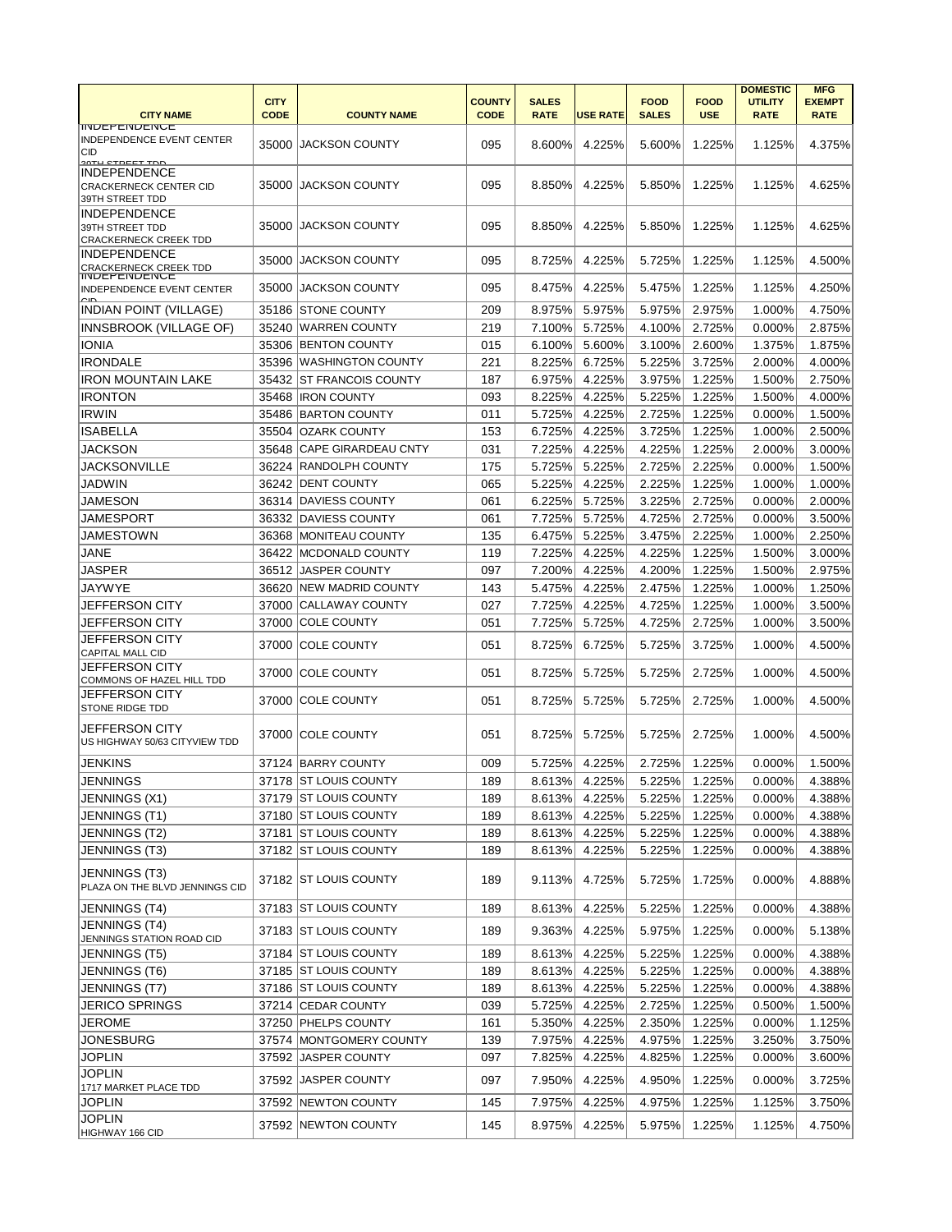|                                                     |             |                            |               |              |                 |              |             | <b>DOMESTIC</b> | <b>MFG</b>    |
|-----------------------------------------------------|-------------|----------------------------|---------------|--------------|-----------------|--------------|-------------|-----------------|---------------|
|                                                     | <b>CITY</b> |                            | <b>COUNTY</b> | <b>SALES</b> |                 | <b>FOOD</b>  | <b>FOOD</b> | <b>UTILITY</b>  | <b>EXEMPT</b> |
| <b>CITY NAME</b><br><b>INDEPENDENCE</b>             | <b>CODE</b> | <b>COUNTY NAME</b>         | <b>CODE</b>   | <b>RATE</b>  | <b>USE RATE</b> | <b>SALES</b> | <b>USE</b>  | <b>RATE</b>     | <b>RATE</b>   |
| <b>INDEPENDENCE EVENT CENTER</b>                    | 35000       | <b>JACKSON COUNTY</b>      | 095           | 8.600%       | 4.225%          | 5.600%       | 1.225%      | 1.125%          | 4.375%        |
| <b>CID</b>                                          |             |                            |               |              |                 |              |             |                 |               |
| <b>20TH CTOEET TOD</b><br><b>INDEPENDENCE</b>       |             |                            |               |              |                 |              |             |                 |               |
| <b>CRACKERNECK CENTER CID</b>                       | 35000       | <b>JACKSON COUNTY</b>      | 095           | 8.850%       | 4.225%          | 5.850%       | 1.225%      | 1.125%          | 4.625%        |
| 39TH STREET TDD                                     |             |                            |               |              |                 |              |             |                 |               |
| <b>INDEPENDENCE</b>                                 |             |                            |               |              |                 |              |             |                 |               |
| 39TH STREET TDD                                     | 35000       | <b>JACKSON COUNTY</b>      | 095           | 8.850%       | 4.225%          | 5.850%       | 1.225%      | 1.125%          | 4.625%        |
| <b>CRACKERNECK CREEK TDD</b>                        |             |                            |               |              |                 |              |             |                 |               |
| <b>INDEPENDENCE</b><br><b>CRACKERNECK CREEK TDD</b> | 35000       | <b>JACKSON COUNTY</b>      | 095           | 8.725%       | 4.225%          | 5.725%       | 1.225%      | 1.125%          | 4.500%        |
| <b>INDEPENDENCE</b>                                 |             |                            |               |              |                 |              |             |                 |               |
| <b>INDEPENDENCE EVENT CENTER</b><br>$\sim$          | 35000       | <b>JACKSON COUNTY</b>      | 095           | 8.475%       | 4.225%          | 5.475%       | 1.225%      | 1.125%          | 4.250%        |
| <b>INDIAN POINT (VILLAGE)</b>                       | 35186       | <b>STONE COUNTY</b>        | 209           | 8.975%       | 5.975%          | 5.975%       | 2.975%      | 1.000%          | 4.750%        |
| <b>INNSBROOK (VILLAGE OF)</b>                       | 35240       | <b>WARREN COUNTY</b>       | 219           | 7.100%       | 5.725%          | 4.100%       | 2.725%      | 0.000%          | 2.875%        |
| <b>IONIA</b>                                        | 35306       | <b>BENTON COUNTY</b>       | 015           | 6.100%       | 5.600%          | 3.100%       | 2.600%      | 1.375%          | 1.875%        |
| <b>IRONDALE</b>                                     | 35396       | <b>WASHINGTON COUNTY</b>   | 221           | 8.225%       | 6.725%          | 5.225%       | 3.725%      | 2.000%          | 4.000%        |
|                                                     |             |                            |               |              |                 |              |             |                 |               |
| <b>IRON MOUNTAIN LAKE</b>                           |             | 35432 ST FRANCOIS COUNTY   | 187           | 6.975%       | 4.225%          | 3.975%       | 1.225%      | 1.500%          | 2.750%        |
| <b>IRONTON</b>                                      |             | 35468  IRON COUNTY         | 093           | 8.225%       | 4.225%          | 5.225%       | 1.225%      | 1.500%          | 4.000%        |
| <b>IRWIN</b>                                        | 35486       | <b>BARTON COUNTY</b>       | 011           | 5.725%       | 4.225%          | 2.725%       | 1.225%      | 0.000%          | 1.500%        |
| <b>ISABELLA</b>                                     | 35504       | <b>OZARK COUNTY</b>        | 153           | 6.725%       | 4.225%          | 3.725%       | 1.225%      | 1.000%          | 2.500%        |
| <b>JACKSON</b>                                      | 35648       | <b>CAPE GIRARDEAU CNTY</b> | 031           | 7.225%       | 4.225%          | 4.225%       | 1.225%      | 2.000%          | 3.000%        |
| <b>JACKSONVILLE</b>                                 | 36224       | <b>RANDOLPH COUNTY</b>     | 175           | 5.725%       | 5.225%          | 2.725%       | 2.225%      | 0.000%          | 1.500%        |
| <b>JADWIN</b>                                       |             | 36242 DENT COUNTY          | 065           | 5.225%       | 4.225%          | 2.225%       | 1.225%      | 1.000%          | 1.000%        |
| <b>JAMESON</b>                                      | 36314       | <b>DAVIESS COUNTY</b>      | 061           | 6.225%       | 5.725%          | 3.225%       | 2.725%      | 0.000%          | 2.000%        |
| <b>JAMESPORT</b>                                    |             | 36332 DAVIESS COUNTY       | 061           | 7.725%       | 5.725%          | 4.725%       | 2.725%      | 0.000%          | 3.500%        |
|                                                     |             |                            |               |              |                 |              |             |                 |               |
| <b>JAMESTOWN</b>                                    | 36368       | MONITEAU COUNTY            | 135           | 6.475%       | 5.225%          | 3.475%       | 2.225%      | 1.000%          | 2.250%        |
| <b>JANE</b>                                         | 36422       | MCDONALD COUNTY            | 119           | 7.225%       | 4.225%          | 4.225%       | 1.225%      | 1.500%          | 3.000%        |
| <b>JASPER</b>                                       | 36512       | JASPER COUNTY              | 097           | 7.200%       | 4.225%          | 4.200%       | 1.225%      | 1.500%          | 2.975%        |
| <b>JAYWYE</b>                                       | 36620       | <b>NEW MADRID COUNTY</b>   | 143           | 5.475%       | 4.225%          | 2.475%       | 1.225%      | 1.000%          | 1.250%        |
| <b>JEFFERSON CITY</b>                               | 37000       | <b>CALLAWAY COUNTY</b>     | 027           | 7.725%       | 4.225%          | 4.725%       | 1.225%      | 1.000%          | 3.500%        |
| JEFFERSON CITY                                      |             | 37000 COLE COUNTY          | 051           | 7.725%       | 5.725%          | 4.725%       | 2.725%      | 1.000%          | 3.500%        |
| JEFFERSON CITY                                      |             |                            |               |              |                 |              |             |                 |               |
| CAPITAL MALL CID                                    |             | 37000 COLE COUNTY          | 051           | 8.725%       | 6.725%          | 5.725%       | 3.725%      | 1.000%          | 4.500%        |
| <b>JEFFERSON CITY</b>                               |             | 37000 COLE COUNTY          | 051           | 8.725%       | 5.725%          | 5.725%       | 2.725%      | 1.000%          | 4.500%        |
| COMMONS OF HAZEL HILL TDD                           |             |                            |               |              |                 |              |             |                 |               |
| JEFFERSON CITY                                      |             | 37000 COLE COUNTY          | 051           | 8.725%       | 5.725%          | 5.725%       | 2.725%      | 1.000%          | 4.500%        |
| STONE RIDGE TDD                                     |             |                            |               |              |                 |              |             |                 |               |
| JEFFERSON CITY                                      |             | 37000 COLE COUNTY          | 051           | 8.725%       | 5.725%          | 5.725%       | 2.725%      | 1.000%          | 4.500%        |
| US HIGHWAY 50/63 CITYVIEW TDD                       |             |                            |               |              |                 |              |             |                 |               |
| <b>JENKINS</b>                                      |             | 37124 BARRY COUNTY         | 009           | 5.725%       | 4.225%          | 2.725%       | 1.225%      | 0.000%          | 1.500%        |
| <b>JENNINGS</b>                                     |             | 37178 ST LOUIS COUNTY      | 189           | 8.613%       | 4.225%          | 5.225%       | 1.225%      | 0.000%          | 4.388%        |
| JENNINGS (X1)                                       |             | 37179 ST LOUIS COUNTY      | 189           | 8.613%       | 4.225%          | 5.225%       | 1.225%      | 0.000%          | 4.388%        |
|                                                     |             |                            |               |              |                 |              |             |                 |               |
| JENNINGS (T1)                                       |             | 37180 ST LOUIS COUNTY      | 189           | 8.613%       | 4.225%          | 5.225%       | 1.225%      | 0.000%          | 4.388%        |
| JENNINGS (T2)                                       |             | 37181 ST LOUIS COUNTY      | 189           | 8.613%       | 4.225%          | 5.225%       | 1.225%      | 0.000%          | 4.388%        |
| JENNINGS (T3)                                       |             | 37182 ST LOUIS COUNTY      | 189           | 8.613%       | 4.225%          | 5.225%       | 1.225%      | 0.000%          | 4.388%        |
| JENNINGS (T3)                                       |             |                            |               |              |                 |              |             |                 |               |
| PLAZA ON THE BLVD JENNINGS CID                      |             | 37182 ST LOUIS COUNTY      | 189           | 9.113%       | 4.725%          | 5.725%       | 1.725%      | 0.000%          | 4.888%        |
|                                                     |             |                            |               |              |                 |              |             |                 |               |
| JENNINGS (T4)                                       |             | 37183 ST LOUIS COUNTY      | 189           | 8.613%       | 4.225%          | 5.225%       | 1.225%      | 0.000%          | 4.388%        |
| <b>JENNINGS (T4)</b><br>JENNINGS STATION ROAD CID   |             | 37183 ST LOUIS COUNTY      | 189           | 9.363%       | 4.225%          | 5.975%       | 1.225%      | 0.000%          | 5.138%        |
| JENNINGS (T5)                                       |             | 37184 ST LOUIS COUNTY      | 189           | 8.613%       | 4.225%          | 5.225%       | 1.225%      | 0.000%          | 4.388%        |
|                                                     |             |                            |               |              |                 |              |             |                 |               |
| JENNINGS (T6)                                       |             | 37185 ST LOUIS COUNTY      | 189           | 8.613%       | 4.225%          | 5.225%       | 1.225%      | 0.000%          | 4.388%        |
| JENNINGS (T7)                                       |             | 37186 ST LOUIS COUNTY      | 189           | 8.613%       | 4.225%          | 5.225%       | 1.225%      | 0.000%          | 4.388%        |
| <b>JERICO SPRINGS</b>                               |             | 37214 CEDAR COUNTY         | 039           | 5.725%       | 4.225%          | 2.725%       | 1.225%      | 0.500%          | 1.500%        |
| <b>JEROME</b>                                       |             | 37250 PHELPS COUNTY        | 161           | 5.350%       | 4.225%          | 2.350%       | 1.225%      | 0.000%          | 1.125%        |
| <b>JONESBURG</b>                                    |             | 37574 MONTGOMERY COUNTY    | 139           | 7.975%       | 4.225%          | 4.975%       | 1.225%      | 3.250%          | 3.750%        |
| <b>JOPLIN</b>                                       |             | 37592 JASPER COUNTY        | 097           | 7.825%       | 4.225%          | 4.825%       | 1.225%      | 0.000%          | 3.600%        |
| <b>JOPLIN</b>                                       |             |                            |               |              |                 |              |             |                 |               |
| 1717 MARKET PLACE TDD                               |             | 37592 JASPER COUNTY        | 097           | 7.950%       | 4.225%          | 4.950%       | 1.225%      | 0.000%          | 3.725%        |
| <b>JOPLIN</b>                                       |             | 37592 NEWTON COUNTY        | 145           | 7.975%       | 4.225%          | 4.975%       | 1.225%      | 1.125%          | 3.750%        |
| <b>JOPLIN</b>                                       |             |                            |               |              |                 |              |             |                 |               |
| HIGHWAY 166 CID                                     |             | 37592 NEWTON COUNTY        | 145           | 8.975%       | 4.225%          | 5.975%       | 1.225%      | 1.125%          | 4.750%        |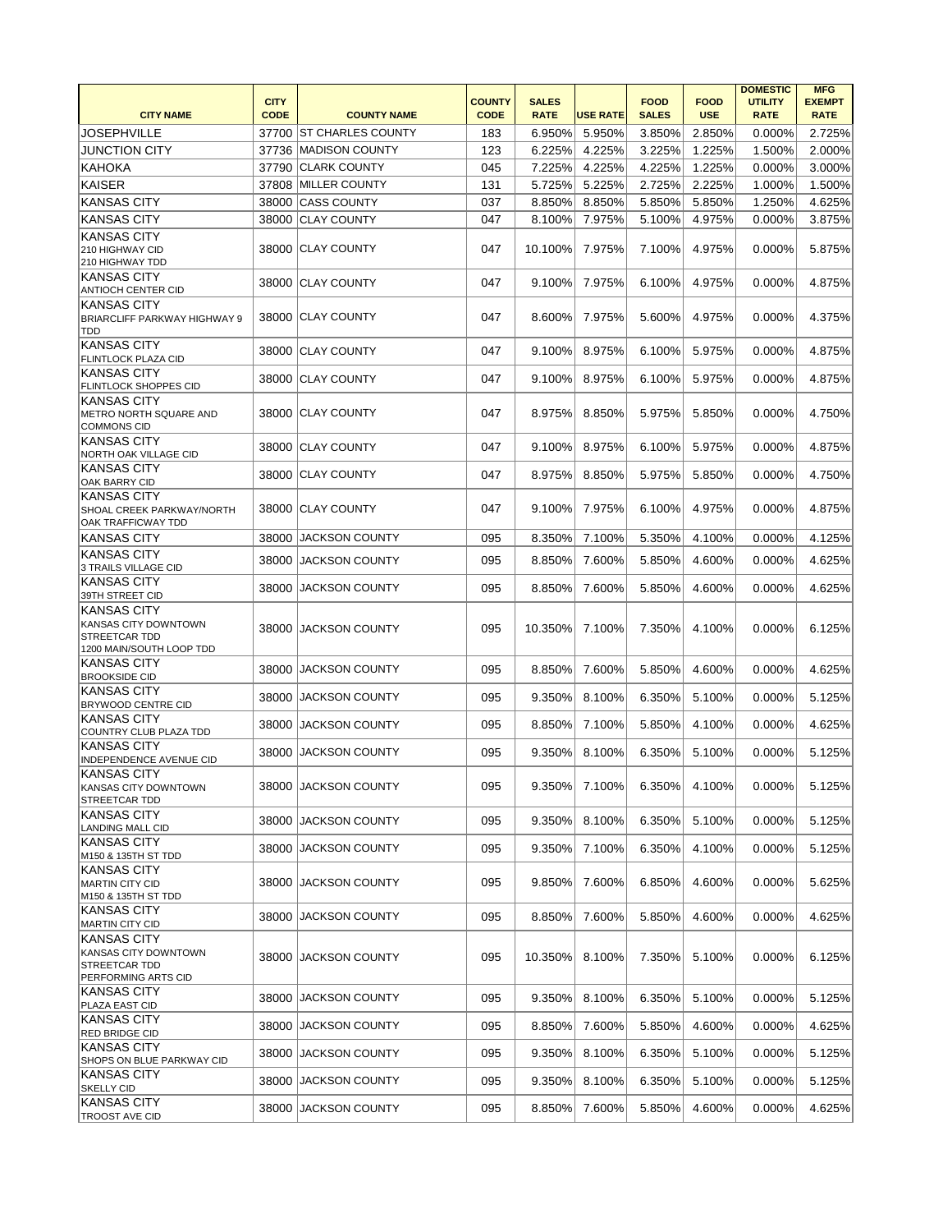|                                                    |             |                          |               |              |                 |              |             | <b>DOMESTIC</b> | <b>MFG</b>    |
|----------------------------------------------------|-------------|--------------------------|---------------|--------------|-----------------|--------------|-------------|-----------------|---------------|
|                                                    | <b>CITY</b> |                          | <b>COUNTY</b> | <b>SALES</b> |                 | <b>FOOD</b>  | <b>FOOD</b> | <b>UTILITY</b>  | <b>EXEMPT</b> |
| <b>CITY NAME</b>                                   | <b>CODE</b> | <b>COUNTY NAME</b>       | <b>CODE</b>   | <b>RATE</b>  | <b>USE RATE</b> | <b>SALES</b> | <b>USE</b>  | <b>RATE</b>     | <b>RATE</b>   |
| <b>JOSEPHVILLE</b>                                 | 37700       | <b>ST CHARLES COUNTY</b> | 183           | 6.950%       | 5.950%          | 3.850%       | 2.850%      | 0.000%          | 2.725%        |
| <b>JUNCTION CITY</b>                               |             | 37736 MADISON COUNTY     | 123           | 6.225%       | 4.225%          | 3.225%       | 1.225%      | 1.500%          | 2.000%        |
| KAHOKA                                             | 37790       | <b>CLARK COUNTY</b>      | 045           | 7.225%       | 4.225%          | 4.225%       | 1.225%      | 0.000%          | 3.000%        |
| KAISER                                             |             | 37808 MILLER COUNTY      | 131           | 5.725%       | 5.225%          | 2.725%       | 2.225%      | 1.000%          | 1.500%        |
| <b>KANSAS CITY</b>                                 |             | 38000 CASS COUNTY        | 037           | 8.850%       | 8.850%          | 5.850%       | 5.850%      | 1.250%          | 4.625%        |
| <b>KANSAS CITY</b>                                 |             | 38000 CLAY COUNTY        | 047           | 8.100%       | 7.975%          | 5.100%       | 4.975%      | 0.000%          | 3.875%        |
| <b>KANSAS CITY</b>                                 |             |                          |               |              |                 |              |             |                 |               |
| 210 HIGHWAY CID                                    |             | 38000 CLAY COUNTY        | 047           | 10.100%      | 7.975%          | 7.100%       | 4.975%      | 0.000%          | 5.875%        |
| 210 HIGHWAY TDD                                    |             |                          |               |              |                 |              |             |                 |               |
| <b>KANSAS CITY</b>                                 |             |                          | 047           |              | 7.975%          |              |             |                 | 4.875%        |
| <b>ANTIOCH CENTER CID</b>                          |             | 38000 CLAY COUNTY        |               | 9.100%       |                 | 6.100%       | 4.975%      | 0.000%          |               |
| <b>KANSAS CITY</b>                                 |             |                          |               |              |                 |              |             |                 |               |
| <b>BRIARCLIFF PARKWAY HIGHWAY 9</b><br><b>TDD</b>  |             | 38000 CLAY COUNTY        | 047           | 8.600%       | 7.975%          | 5.600%       | 4.975%      | 0.000%          | 4.375%        |
| <b>KANSAS CITY</b>                                 |             |                          |               |              |                 |              |             |                 |               |
| <b>FLINTLOCK PLAZA CID</b>                         |             | 38000 CLAY COUNTY        | 047           | 9.100%       | 8.975%          | 6.100%       | 5.975%      | 0.000%          | 4.875%        |
| <b>KANSAS CITY</b>                                 |             | 38000 CLAY COUNTY        | 047           | 9.100%       | 8.975%          | 6.100%       | 5.975%      | 0.000%          | 4.875%        |
| <b>FLINTLOCK SHOPPES CID</b>                       |             |                          |               |              |                 |              |             |                 |               |
| <b>KANSAS CITY</b>                                 |             |                          |               |              |                 |              |             |                 |               |
| METRO NORTH SQUARE AND                             |             | 38000 CLAY COUNTY        | 047           | 8.975%       | 8.850%          | 5.975%       | 5.850%      | 0.000%          | 4.750%        |
| COMMONS CID<br><b>KANSAS CITY</b>                  |             |                          |               |              |                 |              |             |                 |               |
| <b>NORTH OAK VILLAGE CID</b>                       |             | 38000 CLAY COUNTY        | 047           | 9.100%       | 8.975%          | 6.100%       | 5.975%      | 0.000%          | 4.875%        |
| <b>KANSAS CITY</b>                                 |             |                          |               |              |                 |              |             |                 |               |
| <b>OAK BARRY CID</b>                               |             | 38000 CLAY COUNTY        | 047           | 8.975%       | 8.850%          | 5.975%       | 5.850%      | 0.000%          | 4.750%        |
| <b>KANSAS CITY</b>                                 |             |                          |               |              |                 |              |             |                 |               |
| <b>SHOAL CREEK PARKWAY/NORTH</b>                   |             | 38000 CLAY COUNTY        | 047           | 9.100%       | 7.975%          | 6.100%       | 4.975%      | 0.000%          | 4.875%        |
| OAK TRAFFICWAY TDD                                 |             |                          |               |              |                 |              |             |                 |               |
| <b>KANSAS CITY</b>                                 | 38000       | <b>JACKSON COUNTY</b>    | 095           | 8.350%       | 7.100%          | 5.350%       | 4.100%      | 0.000%          | 4.125%        |
| <b>KANSAS CITY</b>                                 | 38000       | <b>JACKSON COUNTY</b>    | 095           | 8.850%       | 7.600%          | 5.850%       | 4.600%      | 0.000%          | 4.625%        |
| 3 TRAILS VILLAGE CID<br><b>KANSAS CITY</b>         |             |                          |               |              |                 |              |             |                 |               |
| 39TH STREET CID                                    | 38000       | <b>JACKSON COUNTY</b>    | 095           | 8.850%       | 7.600%          | 5.850%       | 4.600%      | 0.000%          | 4.625%        |
| <b>KANSAS CITY</b>                                 |             |                          |               |              |                 |              |             |                 |               |
| <b>KANSAS CITY DOWNTOWN</b>                        |             | 38000 JACKSON COUNTY     | 095           | 10.350%      | 7.100%          | 7.350%       | 4.100%      | 0.000%          | 6.125%        |
| <b>STREETCAR TDD</b>                               |             |                          |               |              |                 |              |             |                 |               |
| 1200 MAIN/SOUTH LOOP TDD                           |             |                          |               |              |                 |              |             |                 |               |
| <b>KANSAS CITY</b><br><b>BROOKSIDE CID</b>         |             | 38000 JACKSON COUNTY     | 095           | 8.850%       | 7.600%          | 5.850%       | 4.600%      | 0.000%          | 4.625%        |
| <b>KANSAS CITY</b>                                 |             |                          |               |              |                 |              |             |                 |               |
| <b>BRYWOOD CENTRE CID</b>                          |             | 38000 JACKSON COUNTY     | 095           | 9.350%       | 8.100%          | 6.350%       | 5.100%      | 0.000%          | 5.125%        |
| KANSAS CITY                                        | 38000       | <b>JACKSON COUNTY</b>    | 095           | 8.850%       | 7.100%          | 5.850%       | 4.100%      | 0.000%          | 4.625%        |
| COUNTRY CLUB PLAZA TDD                             |             |                          |               |              |                 |              |             |                 |               |
| <b>KANSAS CITY</b>                                 |             | 38000 JACKSON COUNTY     | 095           | 9.350%       | 8.100%          | 6.350%       | 5.100%      | 0.000%          | 5.125%        |
| <b>INDEPENDENCE AVENUE CID</b>                     |             |                          |               |              |                 |              |             |                 |               |
| KANSAS CITY<br>KANSAS CITY DOWNTOWN                |             | 38000 JJACKSON COUNTY    | 095           | 9.350%       | 7.100%          | 6.350%       | 4.100%      | 0.000%          | 5.125%        |
| <b>STREETCAR TDD</b>                               |             |                          |               |              |                 |              |             |                 |               |
| <b>KANSAS CITY</b>                                 |             |                          |               |              |                 |              |             |                 | 5.125%        |
| <b>LANDING MALL CID</b>                            |             | 38000 JACKSON COUNTY     | 095           | 9.350%       | 8.100%          | 6.350%       | 5.100%      | 0.000%          |               |
| <b>KANSAS CITY</b>                                 | 38000       | <b>JACKSON COUNTY</b>    | 095           | 9.350%       | 7.100%          | 6.350%       | 4.100%      | 0.000%          | 5.125%        |
| M150 & 135TH ST TDD                                |             |                          |               |              |                 |              |             |                 |               |
| <b>KANSAS CITY</b><br><b>MARTIN CITY CID</b>       |             | 38000 JACKSON COUNTY     | 095           | 9.850%       | 7.600%          | 6.850%       | 4.600%      | 0.000%          | 5.625%        |
| M150 & 135TH ST TDD                                |             |                          |               |              |                 |              |             |                 |               |
| <b>KANSAS CITY</b>                                 |             |                          |               |              |                 |              |             |                 | 4.625%        |
| <b>MARTIN CITY CID</b>                             |             | 38000 JACKSON COUNTY     | 095           | 8.850%       | 7.600%          | 5.850%       | 4.600%      | 0.000%          |               |
| KANSAS CITY                                        |             |                          |               |              |                 |              |             |                 |               |
| <b>KANSAS CITY DOWNTOWN</b>                        |             | 38000 JACKSON COUNTY     | 095           | 10.350%      | 8.100%          | 7.350%       | 5.100%      | 0.000%          | 6.125%        |
| <b>STREETCAR TDD</b><br><b>PERFORMING ARTS CID</b> |             |                          |               |              |                 |              |             |                 |               |
| <b>KANSAS CITY</b>                                 |             |                          |               |              |                 |              |             |                 |               |
| PLAZA EAST CID                                     | 38000       | <b>JACKSON COUNTY</b>    | 095           | 9.350%       | 8.100%          | 6.350%       | 5.100%      | 0.000%          | 5.125%        |
| <b>KANSAS CITY</b>                                 |             | 38000 JACKSON COUNTY     | 095           | 8.850%       | 7.600%          | 5.850%       | 4.600%      | 0.000%          | 4.625%        |
| <b>RED BRIDGE CID</b>                              |             |                          |               |              |                 |              |             |                 |               |
| <b>KANSAS CITY</b>                                 |             | 38000 JACKSON COUNTY     | 095           | 9.350%       | 8.100%          | 6.350%       | 5.100%      | 0.000%          | 5.125%        |
| SHOPS ON BLUE PARKWAY CID<br><b>KANSAS CITY</b>    |             |                          |               |              |                 |              |             |                 |               |
| <b>SKELLY CID</b>                                  | 38000       | <b>JACKSON COUNTY</b>    | 095           | 9.350%       | 8.100%          | 6.350%       | 5.100%      | 0.000%          | 5.125%        |
| <b>KANSAS CITY</b>                                 |             |                          |               |              |                 |              |             |                 |               |
| <b>TROOST AVE CID</b>                              |             | 38000 JACKSON COUNTY     | 095           | 8.850%       | 7.600%          | 5.850%       | 4.600%      | 0.000%          | 4.625%        |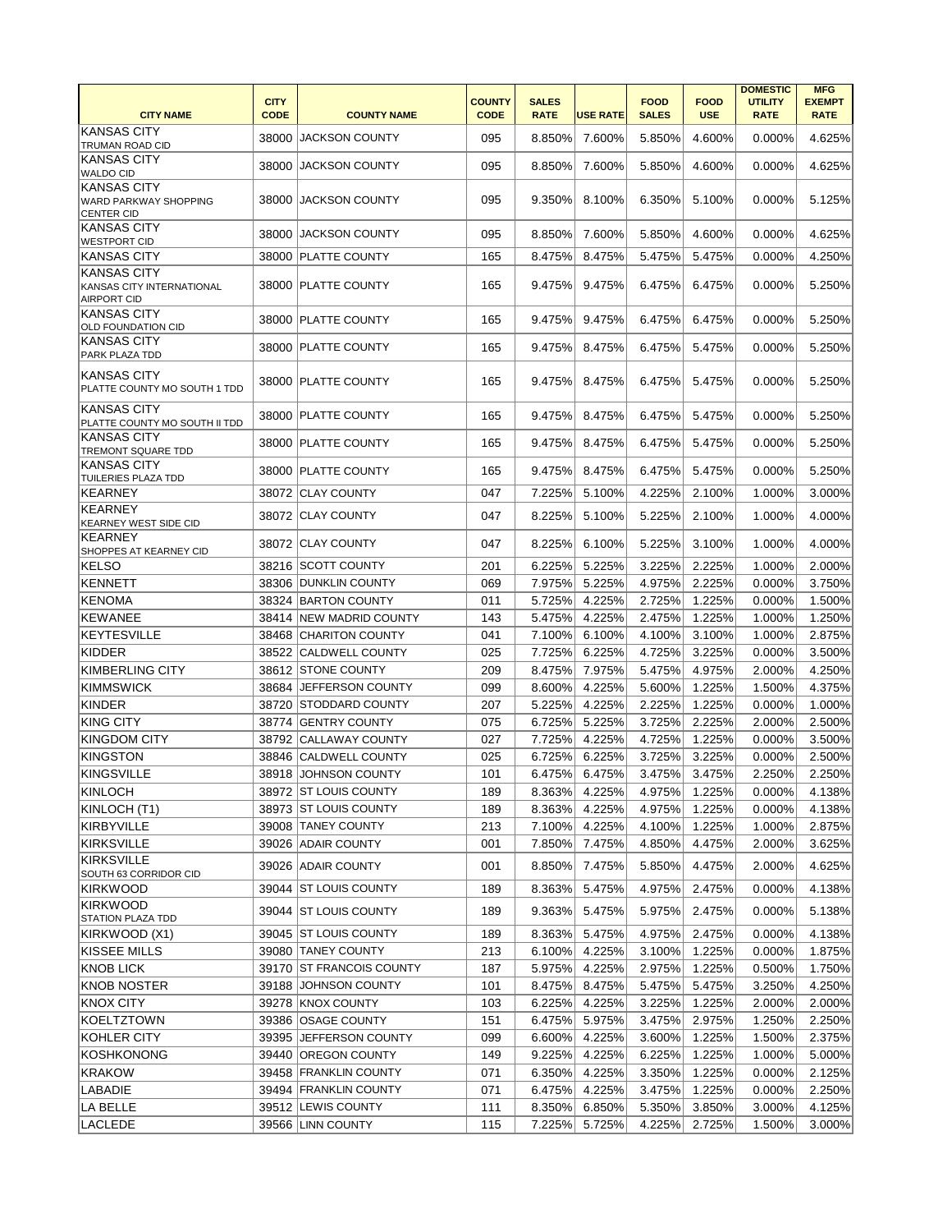|                                                                       | <b>CITY</b> |                                          | <b>COUNTY</b> | <b>SALES</b> |                 | <b>FOOD</b>  | <b>FOOD</b> | <b>DOMESTIC</b><br><b>UTILITY</b> | <b>MFG</b><br><b>EXEMPT</b> |
|-----------------------------------------------------------------------|-------------|------------------------------------------|---------------|--------------|-----------------|--------------|-------------|-----------------------------------|-----------------------------|
| <b>CITY NAME</b>                                                      | <b>CODE</b> | <b>COUNTY NAME</b>                       | <b>CODE</b>   | <b>RATE</b>  | <b>USE RATE</b> | <b>SALES</b> | <b>USE</b>  | <b>RATE</b>                       | <b>RATE</b>                 |
| <b>KANSAS CITY</b><br><b>TRUMAN ROAD CID</b>                          |             | 38000 JACKSON COUNTY                     | 095           | 8.850%       | 7.600%          | 5.850%       | 4.600%      | 0.000%                            | 4.625%                      |
| <b>KANSAS CITY</b><br><b>WALDO CID</b>                                | 38000       | <b>JACKSON COUNTY</b>                    | 095           | 8.850%       | 7.600%          | 5.850%       | 4.600%      | 0.000%                            | 4.625%                      |
| <b>KANSAS CITY</b><br>WARD PARKWAY SHOPPING<br><b>CENTER CID</b>      |             | 38000 JACKSON COUNTY                     | 095           | 9.350%       | 8.100%          | 6.350%       | 5.100%      | 0.000%                            | 5.125%                      |
| <b>KANSAS CITY</b><br><b>WESTPORT CID</b>                             | 38000       | <b>JACKSON COUNTY</b>                    | 095           | 8.850%       | 7.600%          | 5.850%       | 4.600%      | 0.000%                            | 4.625%                      |
| <b>KANSAS CITY</b>                                                    |             | 38000 PLATTE COUNTY                      | 165           | 8.475%       | 8.475%          | 5.475%       | 5.475%      | 0.000%                            | 4.250%                      |
| <b>KANSAS CITY</b><br>KANSAS CITY INTERNATIONAL<br><b>AIRPORT CID</b> |             | 38000 PLATTE COUNTY                      | 165           | 9.475%       | 9.475%          | 6.475%       | 6.475%      | 0.000%                            | 5.250%                      |
| <b>KANSAS CITY</b><br><b>OLD FOUNDATION CID</b>                       |             | 38000 PLATTE COUNTY                      | 165           | 9.475%       | 9.475%          | 6.475%       | 6.475%      | 0.000%                            | 5.250%                      |
| <b>KANSAS CITY</b><br>PARK PLAZA TDD                                  |             | 38000 PLATTE COUNTY                      | 165           | 9.475%       | 8.475%          | 6.475%       | 5.475%      | 0.000%                            | 5.250%                      |
| <b>KANSAS CITY</b><br>PLATTE COUNTY MO SOUTH 1 TDD                    |             | 38000 PLATTE COUNTY                      | 165           | 9.475%       | 8.475%          | 6.475%       | 5.475%      | 0.000%                            | 5.250%                      |
| <b>KANSAS CITY</b><br>PLATTE COUNTY MO SOUTH II TDD                   |             | 38000 PLATTE COUNTY                      | 165           | 9.475%       | 8.475%          | 6.475%       | 5.475%      | 0.000%                            | 5.250%                      |
| <b>KANSAS CITY</b><br><b>TREMONT SQUARE TDD</b>                       |             | 38000 PLATTE COUNTY                      | 165           | 9.475%       | 8.475%          | 6.475%       | 5.475%      | 0.000%                            | 5.250%                      |
| <b>KANSAS CITY</b><br>TUILERIES PLAZA TDD                             |             | 38000 PLATTE COUNTY                      | 165           | 9.475%       | 8.475%          | 6.475%       | 5.475%      | 0.000%                            | 5.250%                      |
| <b>KEARNEY</b>                                                        |             | 38072 CLAY COUNTY                        | 047           | 7.225%       | 5.100%          | 4.225%       | 2.100%      | 1.000%                            | 3.000%                      |
| <b>KEARNEY</b><br><b>KEARNEY WEST SIDE CID</b>                        |             | 38072 CLAY COUNTY                        | 047           | 8.225%       | 5.100%          | 5.225%       | 2.100%      | 1.000%                            | 4.000%                      |
| <b>KEARNEY</b><br>SHOPPES AT KEARNEY CID                              |             | 38072 CLAY COUNTY                        | 047           | 8.225%       | 6.100%          | 5.225%       | 3.100%      | 1.000%                            | 4.000%                      |
| <b>KELSO</b>                                                          |             | 38216 SCOTT COUNTY                       | 201           | 6.225%       | 5.225%          | 3.225%       | 2.225%      | 1.000%                            | 2.000%                      |
| <b>KENNETT</b>                                                        |             | 38306 DUNKLIN COUNTY                     | 069           | 7.975%       | 5.225%          | 4.975%       | 2.225%      | 0.000%                            | 3.750%                      |
| <b>KENOMA</b>                                                         |             | 38324 BARTON COUNTY                      | 011           | 5.725%       | 4.225%          | 2.725%       | 1.225%      | 0.000%                            | 1.500%                      |
| KEWANEE                                                               |             | 38414 NEW MADRID COUNTY                  | 143           | 5.475%       | 4.225%          | 2.475%       | 1.225%      | 1.000%                            | 1.250%                      |
| KEYTESVILLE                                                           |             | 38468 CHARITON COUNTY                    | 041           | 7.100%       | 6.100%          | 4.100%       | 3.100%      | 1.000%                            | 2.875%                      |
| <b>KIDDER</b>                                                         |             | 38522 CALDWELL COUNTY                    | 025           | 7.725%       | 6.225%          | 4.725%       | 3.225%      | 0.000%                            | 3.500%                      |
| <b>KIMBERLING CITY</b>                                                |             | 38612 STONE COUNTY                       | 209           | 8.475%       | 7.975%          | 5.475%       | 4.975%      | 2.000%                            | 4.250%                      |
| <b>KIMMSWICK</b>                                                      |             | 38684 JEFFERSON COUNTY                   | 099           | 8.600%       | 4.225%          | 5.600%       | 1.225%      | 1.500%                            | 4.375%                      |
| <b>KINDER</b>                                                         | 38720       | <b>STODDARD COUNTY</b>                   | 207           | 5.225%       | 4.225%          | 2.225%       | 1.225%      | 0.000%                            | 1.000%                      |
| <b>KING CITY</b>                                                      |             | 38774 GENTRY COUNTY                      | 075           | 6.725%       | 5.225%          | 3.725%       | 2.225%      | 2.000%                            | 2.500%                      |
| <b>KINGDOM CITY</b>                                                   |             | 38792 CALLAWAY COUNTY                    | 027           | 7.725%       | 4.225%          | 4.725%       | 1.225%      | 0.000%                            | 3.500%                      |
| <b>KINGSTON</b>                                                       |             | 38846 CALDWELL COUNTY                    | 025           | 6.725%       | 6.225%          | 3.725%       | 3.225%      | 0.000%                            | 2.500%                      |
| <b>KINGSVILLE</b>                                                     | 38918       | JOHNSON COUNTY                           | 101           | 6.475%       | 6.475%          | 3.475%       | 3.475%      | 2.250%                            | 2.250%                      |
| <b>KINLOCH</b>                                                        |             | 38972 ST LOUIS COUNTY                    | 189           | 8.363%       | 4.225%          | 4.975%       | 1.225%      | 0.000%                            | 4.138%                      |
| KINLOCH (T1)<br><b>KIRBYVILLE</b>                                     |             | 38973 ST LOUIS COUNTY                    | 189           | 8.363%       | 4.225%          | 4.975%       | 1.225%      | 0.000%                            | 4.138%                      |
| <b>KIRKSVILLE</b>                                                     |             | 39008 TANEY COUNTY<br>39026 ADAIR COUNTY | 213           | 7.100%       | 4.225%          | 4.100%       | 1.225%      | 1.000%                            | 2.875%                      |
| <b>KIRKSVILLE</b>                                                     |             |                                          | 001           | 7.850%       | 7.475%          | 4.850%       | 4.475%      | 2.000%                            | 3.625%                      |
| SOUTH 63 CORRIDOR CID                                                 |             | 39026 ADAIR COUNTY                       | 001           | 8.850%       | 7.475%          | 5.850%       | 4.475%      | 2.000%                            | 4.625%                      |
| <b>KIRKWOOD</b>                                                       |             | 39044 ST LOUIS COUNTY                    | 189           | 8.363%       | 5.475%          | 4.975%       | 2.475%      | 0.000%                            | 4.138%                      |
| <b>KIRKWOOD</b><br><b>STATION PLAZA TDD</b>                           |             | 39044 ST LOUIS COUNTY                    | 189           | 9.363%       | 5.475%          | 5.975%       | 2.475%      | 0.000%                            | 5.138%                      |
| KIRKWOOD (X1)                                                         |             | 39045 ST LOUIS COUNTY                    | 189           | 8.363%       | 5.475%          | 4.975%       | 2.475%      | 0.000%                            | 4.138%                      |
| <b>KISSEE MILLS</b>                                                   |             | 39080 TANEY COUNTY                       | 213           | 6.100%       | 4.225%          | 3.100%       | 1.225%      | 0.000%                            | 1.875%                      |
| <b>KNOB LICK</b>                                                      |             | 39170 ST FRANCOIS COUNTY                 | 187           | 5.975%       | 4.225%          | 2.975%       | 1.225%      | 0.500%                            | 1.750%                      |
| <b>KNOB NOSTER</b>                                                    |             | 39188 JOHNSON COUNTY                     | 101           | 8.475%       | 8.475%          | 5.475%       | 5.475%      | 3.250%                            | 4.250%                      |
| <b>KNOX CITY</b>                                                      |             | 39278 KNOX COUNTY                        | 103           | 6.225%       | 4.225%          | 3.225%       | 1.225%      | 2.000%                            | 2.000%                      |
| <b>KOELTZTOWN</b>                                                     |             | 39386 OSAGE COUNTY                       | 151           | 6.475%       | 5.975%          | 3.475%       | 2.975%      | 1.250%                            | 2.250%                      |
| <b>KOHLER CITY</b>                                                    | 39395       | <b>JEFFERSON COUNTY</b>                  | 099           | 6.600%       | 4.225%          | 3.600%       | 1.225%      | 1.500%                            | 2.375%                      |
| <b>KOSHKONONG</b>                                                     |             | 39440 OREGON COUNTY                      | 149           | 9.225%       | 4.225%          | 6.225%       | 1.225%      | 1.000%                            | 5.000%                      |
| <b>KRAKOW</b>                                                         |             | 39458 FRANKLIN COUNTY                    | 071           | 6.350%       | 4.225%          | 3.350%       | 1.225%      | 0.000%                            | 2.125%                      |
| LABADIE                                                               |             | 39494 FRANKLIN COUNTY                    | 071           | 6.475%       | 4.225%          | 3.475%       | 1.225%      | 0.000%                            | 2.250%                      |
| LA BELLE                                                              |             | 39512 LEWIS COUNTY                       | 111           | 8.350%       | 6.850%          | 5.350%       | 3.850%      | 3.000%                            | 4.125%                      |
| <b>LACLEDE</b>                                                        |             | 39566 LINN COUNTY                        | 115           | 7.225%       | 5.725%          | 4.225%       | 2.725%      | 1.500%                            | 3.000%                      |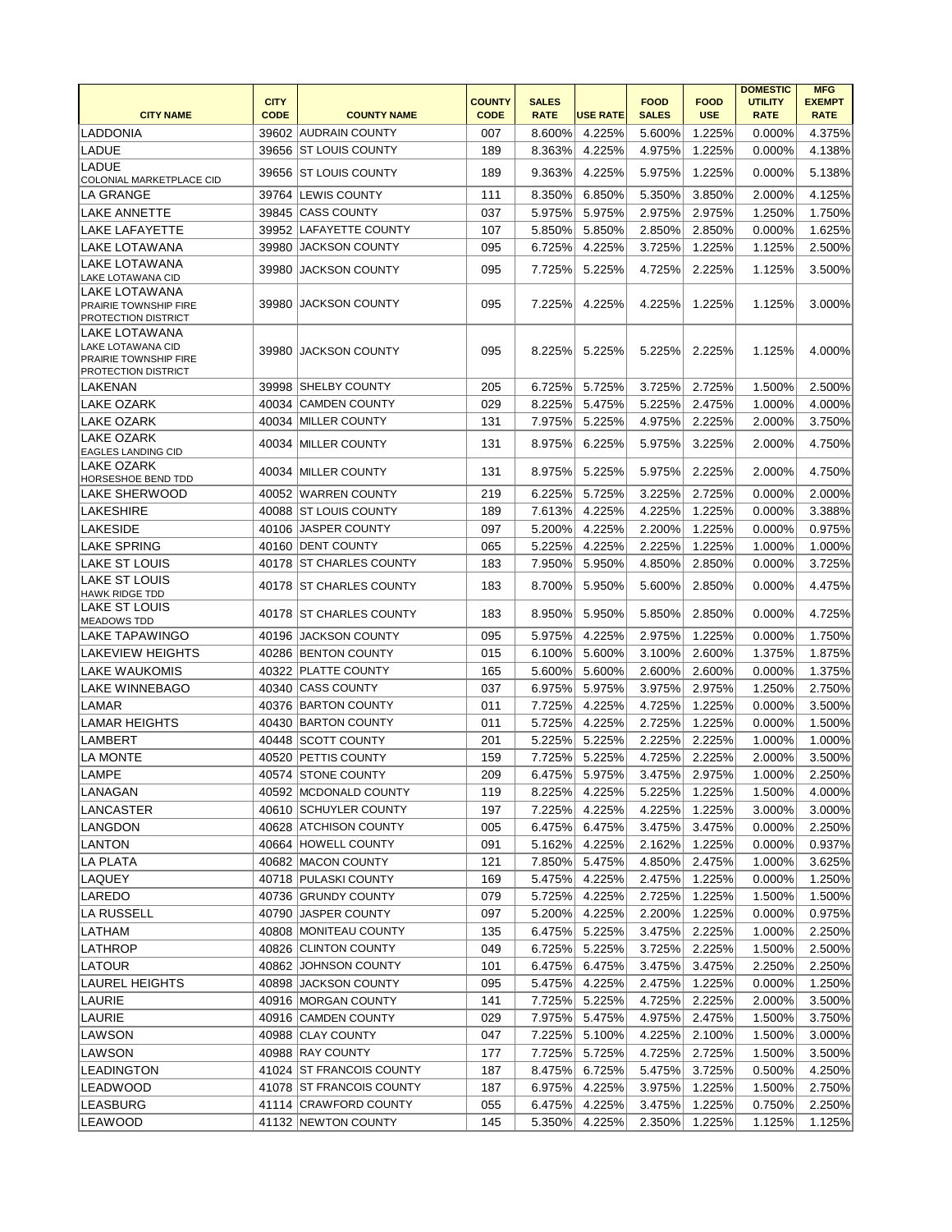|                                                                                                  |             |                          |               |              |                 |              |             | <b>DOMESTIC</b> | <b>MFG</b>    |
|--------------------------------------------------------------------------------------------------|-------------|--------------------------|---------------|--------------|-----------------|--------------|-------------|-----------------|---------------|
|                                                                                                  | <b>CITY</b> |                          | <b>COUNTY</b> | <b>SALES</b> |                 | <b>FOOD</b>  | <b>FOOD</b> | <b>UTILITY</b>  | <b>EXEMPT</b> |
| <b>CITY NAME</b>                                                                                 | <b>CODE</b> | <b>COUNTY NAME</b>       | <b>CODE</b>   | <b>RATE</b>  | <b>USE RATE</b> | <b>SALES</b> | <b>USE</b>  | <b>RATE</b>     | <b>RATE</b>   |
| <b>LADDONIA</b>                                                                                  |             | 39602 AUDRAIN COUNTY     | 007           | 8.600%       | 4.225%          | 5.600%       | 1.225%      | 0.000%          | 4.375%        |
| <b>LADUE</b>                                                                                     |             | 39656 ST LOUIS COUNTY    | 189           | 8.363%       | 4.225%          | 4.975%       | 1.225%      | 0.000%          | 4.138%        |
| <b>LADUE</b>                                                                                     |             | 39656 ST LOUIS COUNTY    | 189           | 9.363%       | 4.225%          | 5.975%       | 1.225%      | 0.000%          | 5.138%        |
| COLONIAL MARKETPLACE CID                                                                         |             |                          |               |              |                 |              |             |                 |               |
| <b>LA GRANGE</b>                                                                                 |             | 39764 LEWIS COUNTY       | 111           | 8.350%       | 6.850%          | 5.350%       | 3.850%      | 2.000%          | 4.125%        |
| <b>LAKE ANNETTE</b>                                                                              | 39845       | <b>CASS COUNTY</b>       | 037           | 5.975%       | 5.975%          | 2.975%       | 2.975%      | 1.250%          | 1.750%        |
| <b>LAKE LAFAYETTE</b>                                                                            |             | 39952 LAFAYETTE COUNTY   | 107           | 5.850%       | 5.850%          | 2.850%       | 2.850%      | 0.000%          | 1.625%        |
| <b>LAKE LOTAWANA</b>                                                                             | 39980       | <b>JACKSON COUNTY</b>    | 095           | 6.725%       | 4.225%          | 3.725%       | 1.225%      | 1.125%          | 2.500%        |
| <b>LAKE LOTAWANA</b><br>LAKE LOTAWANA CID                                                        | 39980       | <b>JACKSON COUNTY</b>    | 095           | 7.725%       | 5.225%          | 4.725%       | 2.225%      | 1.125%          | 3.500%        |
| <b>LAKE LOTAWANA</b><br><b>PRAIRIE TOWNSHIP FIRE</b><br>PROTECTION DISTRICT                      | 39980       | JACKSON COUNTY           | 095           | 7.225%       | 4.225%          | 4.225%       | 1.225%      | 1.125%          | 3.000%        |
| <b>LAKE LOTAWANA</b><br><b>LAKE LOTAWANA CID</b><br>PRAIRIE TOWNSHIP FIRE<br>PROTECTION DISTRICT | 39980       | <b>JACKSON COUNTY</b>    | 095           | 8.225%       | 5.225%          | 5.225%       | 2.225%      | 1.125%          | 4.000%        |
| LAKENAN                                                                                          |             | 39998 SHELBY COUNTY      | 205           | 6.725%       | 5.725%          | 3.725%       | 2.725%      | 1.500%          | 2.500%        |
| <b>LAKE OZARK</b>                                                                                |             | 40034 CAMDEN COUNTY      | 029           | 8.225%       | 5.475%          | 5.225%       | 2.475%      | 1.000%          | 4.000%        |
| <b>LAKE OZARK</b>                                                                                |             | 40034 MILLER COUNTY      | 131           | 7.975%       | 5.225%          | 4.975%       | 2.225%      | 2.000%          | 3.750%        |
| <b>LAKE OZARK</b>                                                                                |             |                          |               |              |                 |              |             |                 |               |
| <b>EAGLES LANDING CID</b><br><b>LAKE OZARK</b>                                                   |             | 40034 MILLER COUNTY      | 131           | 8.975%       | 6.225%          | 5.975%       | 3.225%      | 2.000%          | 4.750%        |
| <b>HORSESHOE BEND TDD</b>                                                                        |             | 40034 MILLER COUNTY      | 131           | 8.975%       | 5.225%          | 5.975%       | 2.225%      | 2.000%          | 4.750%        |
| <b>LAKE SHERWOOD</b>                                                                             | 40052       | <b>WARREN COUNTY</b>     | 219           | 6.225%       | 5.725%          | 3.225%       | 2.725%      | 0.000%          | 2.000%        |
| <b>LAKESHIRE</b>                                                                                 |             | 40088 ST LOUIS COUNTY    | 189           | 7.613%       | 4.225%          | 4.225%       | 1.225%      | 0.000%          | 3.388%        |
| <b>LAKESIDE</b>                                                                                  | 40106       | JASPER COUNTY            | 097           | 5.200%       | 4.225%          | 2.200%       | 1.225%      | 0.000%          | 0.975%        |
| <b>LAKE SPRING</b>                                                                               |             | 40160 DENT COUNTY        | 065           | 5.225%       | 4.225%          | 2.225%       | 1.225%      | 1.000%          | 1.000%        |
| <b>LAKE ST LOUIS</b>                                                                             |             | 40178 ST CHARLES COUNTY  | 183           | 7.950%       | 5.950%          | 4.850%       | 2.850%      | 0.000%          | 3.725%        |
| <b>LAKE ST LOUIS</b><br><b>HAWK RIDGE TDD</b>                                                    |             | 40178 ST CHARLES COUNTY  | 183           | 8.700%       | 5.950%          | 5.600%       | 2.850%      | 0.000%          | 4.475%        |
| <b>LAKE ST LOUIS</b>                                                                             |             | 40178 ST CHARLES COUNTY  | 183           |              | 8.950% 5.950%   | 5.850%       | 2.850%      | 0.000%          | 4.725%        |
| <b>MEADOWS TDD</b><br><b>LAKE TAPAWINGO</b>                                                      |             | 40196 IJACKSON COUNTY    | 095           | 5.975%       | 4.225%          | 2.975%       | 1.225%      | 0.000%          | 1.750%        |
| <b>LAKEVIEW HEIGHTS</b>                                                                          |             | 40286 BENTON COUNTY      | 015           | 6.100%       | 5.600%          | 3.100%       | 2.600%      | 1.375%          | 1.875%        |
|                                                                                                  |             |                          |               |              |                 |              |             |                 |               |
| <b>LAKE WAUKOMIS</b>                                                                             |             | 40322 PLATTE COUNTY      | 165           | 5.600%       | 5.600%          | 2.600%       | 2.600%      | 0.000%          | 1.375%        |
| <b>LAKE WINNEBAGO</b>                                                                            |             | 40340 CASS COUNTY        | 037           | 6.975%       | 5.975%          | 3.975%       | 2.975%      | 1.250%          | 2.750%        |
| <b>LAMAR</b>                                                                                     |             | 40376 BARTON COUNTY      | 011           | 7.725%       | 4.225%          | 4.725%       | 1.225%      | 0.000%          | 3.500%        |
| <b>LAMAR HEIGHTS</b>                                                                             |             | 40430 BARTON COUNTY      | 011           | 5.725%       | 4.225%          | 2.725%       | 1.225%      | 0.000%          | 1.500%        |
| <b>LAMBERT</b>                                                                                   |             | 40448 SCOTT COUNTY       | 201           | 5.225%       | 5.225%          | 2.225%       | 2.225%      | 1.000%          | 1.000%        |
| <b>LA MONTE</b>                                                                                  |             | 40520 PETTIS COUNTY      | 159           | 7.725%       | 5.225%          | 4.725%       | 2.225%      | 2.000%          | 3.500%        |
| <b>LAMPE</b>                                                                                     |             | 40574 STONE COUNTY       | 209           | 6.475%       | 5.975%          | 3.475%       | 2.975%      | 1.000%          | 2.250%        |
| LANAGAN                                                                                          |             | 40592 MCDONALD COUNTY    | 119           | 8.225%       | 4.225%          | 5.225%       | 1.225%      | 1.500%          | 4.000%        |
| LANCASTER                                                                                        |             | 40610 SCHUYLER COUNTY    | 197           | 7.225%       | 4.225%          | 4.225%       | 1.225%      | 3.000%          | 3.000%        |
| LANGDON                                                                                          |             | 40628 ATCHISON COUNTY    | 005           | 6.475%       | 6.475%          | 3.475%       | 3.475%      | 0.000%          | 2.250%        |
| <b>LANTON</b>                                                                                    |             | 40664 HOWELL COUNTY      | 091           | 5.162%       | 4.225%          | 2.162%       | 1.225%      | 0.000%          | 0.937%        |
| LA PLATA                                                                                         |             | 40682 MACON COUNTY       | 121           | 7.850%       | 5.475%          | 4.850%       | 2.475%      | 1.000%          | 3.625%        |
| <b>LAQUEY</b>                                                                                    |             | 40718 PULASKI COUNTY     | 169           | 5.475%       | 4.225%          | 2.475%       | 1.225%      | 0.000%          | 1.250%        |
| LAREDO                                                                                           | 40736       | <b>GRUNDY COUNTY</b>     | 079           | 5.725%       | 4.225%          | 2.725%       | 1.225%      | 1.500%          | 1.500%        |
| ILA RUSSELL                                                                                      | 40790       | <b>JASPER COUNTY</b>     | 097           | 5.200%       | 4.225%          | 2.200%       | 1.225%      | 0.000%          | 0.975%        |
|                                                                                                  |             |                          |               |              |                 |              |             |                 |               |
| <b>LATHAM</b>                                                                                    |             | 40808 MONITEAU COUNTY    | 135           | 6.475%       | 5.225%          | 3.475%       | 2.225%      | 1.000%          | 2.250%        |
| <b>LATHROP</b>                                                                                   |             | 40826 CLINTON COUNTY     | 049           | 6.725%       | 5.225%          | 3.725%       | 2.225%      | 1.500%          | 2.500%        |
| <b>LATOUR</b>                                                                                    | 40862       | <b>JOHNSON COUNTY</b>    | 101           | 6.475%       | 6.475%          | 3.475%       | 3.475%      | 2.250%          | 2.250%        |
| <b>LAUREL HEIGHTS</b>                                                                            | 40898       | <b>JACKSON COUNTY</b>    | 095           | 5.475%       | 4.225%          | 2.475%       | 1.225%      | 0.000%          | 1.250%        |
| <b>LAURIE</b>                                                                                    |             | 40916 MORGAN COUNTY      | 141           | 7.725%       | 5.225%          | 4.725%       | 2.225%      | 2.000%          | 3.500%        |
| <b>LAURIE</b>                                                                                    |             | 40916 CAMDEN COUNTY      | 029           | 7.975%       | 5.475%          | 4.975%       | 2.475%      | 1.500%          | 3.750%        |
| <b>LAWSON</b>                                                                                    |             | 40988 CLAY COUNTY        | 047           | 7.225%       | 5.100%          | 4.225%       | 2.100%      | 1.500%          | 3.000%        |
| LAWSON                                                                                           |             | 40988 RAY COUNTY         | 177           | 7.725%       | 5.725%          | 4.725%       | 2.725%      | 1.500%          | 3.500%        |
| <b>LEADINGTON</b>                                                                                |             | 41024 ST FRANCOIS COUNTY | 187           | 8.475%       | 6.725%          | 5.475%       | 3.725%      | 0.500%          | 4.250%        |
| <b>LEADWOOD</b>                                                                                  |             | 41078 ST FRANCOIS COUNTY | 187           | 6.975%       | 4.225%          | 3.975%       | 1.225%      | 1.500%          | 2.750%        |
| LEASBURG                                                                                         |             | 41114 CRAWFORD COUNTY    | 055           | 6.475%       | 4.225%          | 3.475%       | 1.225%      | 0.750%          | 2.250%        |
| <b>LEAWOOD</b>                                                                                   |             | 41132 NEWTON COUNTY      | 145           | 5.350%       | 4.225%          | 2.350%       | 1.225%      | 1.125%          | 1.125%        |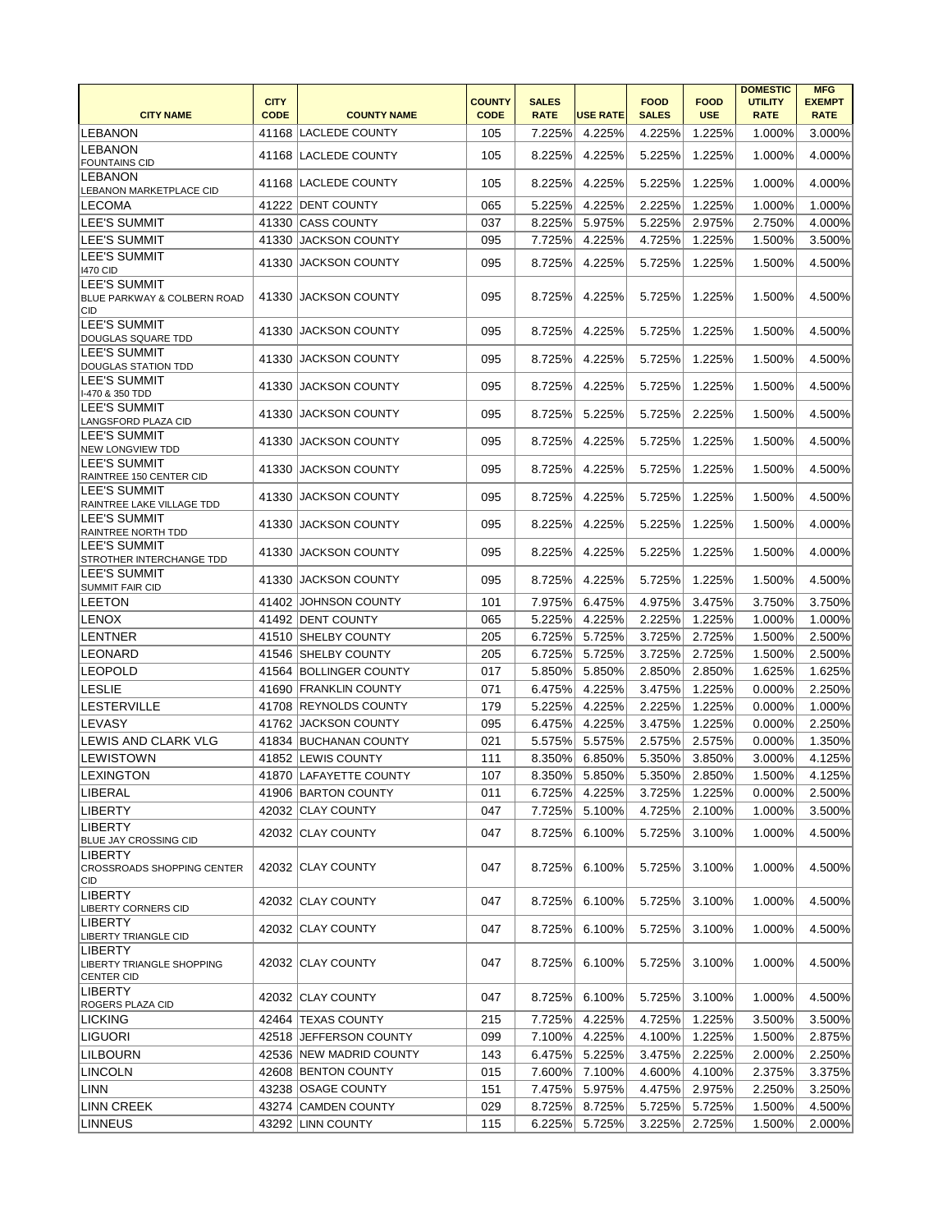|                                                                         |                            |                         |                              |                             |                 |                             |                           | <b>DOMESTIC</b>               | <b>MFG</b>                   |
|-------------------------------------------------------------------------|----------------------------|-------------------------|------------------------------|-----------------------------|-----------------|-----------------------------|---------------------------|-------------------------------|------------------------------|
| <b>CITY NAME</b>                                                        | <b>CITY</b><br><b>CODE</b> | <b>COUNTY NAME</b>      | <b>COUNTY</b><br><b>CODE</b> | <b>SALES</b><br><b>RATE</b> | <b>USE RATE</b> | <b>FOOD</b><br><b>SALES</b> | <b>FOOD</b><br><b>USE</b> | <b>UTILITY</b><br><b>RATE</b> | <b>EXEMPT</b><br><b>RATE</b> |
| <b>LEBANON</b>                                                          | 41168                      | <b>LACLEDE COUNTY</b>   | 105                          | 7.225%                      | 4.225%          | 4.225%                      | 1.225%                    | 1.000%                        | 3.000%                       |
| <b>LEBANON</b>                                                          |                            |                         |                              |                             |                 |                             |                           |                               |                              |
| <b>FOUNTAINS CID</b>                                                    |                            | 41168 LACLEDE COUNTY    | 105                          | 8.225%                      | 4.225%          | 5.225%                      | 1.225%                    | 1.000%                        | 4.000%                       |
| <b>LEBANON</b><br><b>LEBANON MARKETPLACE CID</b>                        |                            | 41168 LACLEDE COUNTY    | 105                          | 8.225%                      | 4.225%          | 5.225%                      | 1.225%                    | 1.000%                        | 4.000%                       |
| <b>LECOMA</b>                                                           |                            | 41222 DENT COUNTY       | 065                          | 5.225%                      | 4.225%          | 2.225%                      | 1.225%                    | 1.000%                        | 1.000%                       |
| <b>LEE'S SUMMIT</b>                                                     | 41330                      | <b>CASS COUNTY</b>      | 037                          | 8.225%                      | 5.975%          | 5.225%                      | 2.975%                    | 2.750%                        | 4.000%                       |
| <b>LEE'S SUMMIT</b>                                                     | 41330                      | JACKSON COUNTY          | 095                          | 7.725%                      | 4.225%          | 4.725%                      | 1.225%                    | 1.500%                        | 3.500%                       |
| LEE'S SUMMIT                                                            | 41330                      | <b>JACKSON COUNTY</b>   | 095                          | 8.725%                      | 4.225%          | 5.725%                      | 1.225%                    | 1.500%                        | 4.500%                       |
| 1470 CID<br>LEE'S SUMMIT                                                |                            |                         |                              |                             |                 |                             |                           |                               |                              |
| <b>BLUE PARKWAY &amp; COLBERN ROAD</b><br> CID                          | 41330                      | <b>JACKSON COUNTY</b>   | 095                          | 8.725%                      | 4.225%          | 5.725%                      | 1.225%                    | 1.500%                        | 4.500%                       |
| <b>LEE'S SUMMIT</b><br>DOUGLAS SQUARE TDD                               |                            | 41330 JACKSON COUNTY    | 095                          | 8.725%                      | 4.225%          | 5.725%                      | 1.225%                    | 1.500%                        | 4.500%                       |
| <b>LEE'S SUMMIT</b><br><b>DOUGLAS STATION TDD</b>                       |                            | 41330 JACKSON COUNTY    | 095                          | 8.725%                      | 4.225%          | 5.725%                      | 1.225%                    | 1.500%                        | 4.500%                       |
| <b>LEE'S SUMMIT</b><br>1-470 & 350 TDD                                  | 41330                      | JACKSON COUNTY          | 095                          | 8.725%                      | 4.225%          | 5.725%                      | 1.225%                    | 1.500%                        | 4.500%                       |
| LEE'S SUMMIT<br>LANGSFORD PLAZA CID                                     | 41330                      | JACKSON COUNTY          | 095                          | 8.725%                      | 5.225%          | 5.725%                      | 2.225%                    | 1.500%                        | 4.500%                       |
| <b>LEE'S SUMMIT</b><br>NEW LONGVIEW TDD                                 |                            | 41330 JACKSON COUNTY    | 095                          | 8.725%                      | 4.225%          | 5.725%                      | 1.225%                    | 1.500%                        | 4.500%                       |
| <b>LEE'S SUMMIT</b><br>RAINTREE 150 CENTER CID                          |                            | 41330 JACKSON COUNTY    | 095                          | 8.725%                      | 4.225%          | 5.725%                      | 1.225%                    | 1.500%                        | 4.500%                       |
| <b>LEE'S SUMMIT</b><br>RAINTREE LAKE VILLAGE TDD                        |                            | 41330 JACKSON COUNTY    | 095                          | 8.725%                      | 4.225%          | 5.725%                      | 1.225%                    | 1.500%                        | 4.500%                       |
| <b>LEE'S SUMMIT</b><br>RAINTREE NORTH TDD                               |                            | 41330 JACKSON COUNTY    | 095                          | 8.225%                      | 4.225%          | 5.225%                      | 1.225%                    | 1.500%                        | 4.000%                       |
| <b>LEE'S SUMMIT</b><br>STROTHER INTERCHANGE TDD                         | 41330                      | <b>JACKSON COUNTY</b>   | 095                          | 8.225%                      | 4.225%          | 5.225%                      | 1.225%                    | 1.500%                        | 4.000%                       |
| <b>LEE'S SUMMIT</b><br><b>SUMMIT FAIR CID</b>                           |                            | 41330 JACKSON COUNTY    | 095                          | 8.725%                      | 4.225%          | 5.725%                      | 1.225%                    | 1.500%                        | 4.500%                       |
| <b>LEETON</b>                                                           | 41402                      | <b>JOHNSON COUNTY</b>   | 101                          | 7.975%                      | 6.475%          | 4.975%                      | 3.475%                    | 3.750%                        | 3.750%                       |
| LENOX                                                                   |                            | 41492 DENT COUNTY       | 065                          |                             | 5.225% 4.225%   |                             | 2.225% 1.225%             |                               | 1.000% 1.000%                |
| <b>LENTNER</b>                                                          |                            | 41510 SHELBY COUNTY     | 205                          | 6.725%                      | 5.725%          | 3.725%                      | 2.725%                    | 1.500%                        | 2.500%                       |
| LEONARD                                                                 |                            | 41546 SHELBY COUNTY     | 205                          | 6.725%                      | 5.725%          | 3.725%                      | 2.725%                    | 1.500%                        | 2.500%                       |
| <b>LEOPOLD</b>                                                          |                            | 41564 BOLLINGER COUNTY  | 017                          | 5.850%                      | 5.850%          | 2.850%                      | 2.850%                    | 1.625%                        | 1.625%                       |
| <b>LESLIE</b>                                                           |                            | 41690 FRANKLIN COUNTY   | 071                          | 6.475%                      | 4.225%          | 3.475%                      | 1.225%                    | 0.000%                        | 2.250%                       |
| <b>LESTERVILLE</b>                                                      |                            | 41708 REYNOLDS COUNTY   | 179                          | 5.225%                      | 4.225%          | 2.225%                      | 1.225%                    | 0.000%                        | 1.000%                       |
| <b>LEVASY</b>                                                           |                            | 41762 JACKSON COUNTY    | 095                          | 6.475%                      | 4.225%          | 3.475%                      | 1.225%                    | 0.000%                        | 2.250%                       |
| <b>LEWIS AND CLARK VLG</b>                                              |                            | 41834 BUCHANAN COUNTY   | 021                          | 5.575%                      | 5.575%          | 2.575%                      | 2.575%                    | 0.000%                        | 1.350%                       |
| <b>LEWISTOWN</b>                                                        |                            | 41852 LEWIS COUNTY      | 111                          | 8.350%                      | 6.850%          | 5.350%                      | 3.850%                    | 3.000%                        | 4.125%                       |
| <b>LEXINGTON</b>                                                        |                            | 41870 LAFAYETTE COUNTY  | 107                          | 8.350%                      | 5.850%          | 5.350%                      | 2.850%                    | 1.500%                        | 4.125%                       |
| LIBERAL                                                                 |                            | 41906 BARTON COUNTY     | 011                          | 6.725%                      | 4.225%          | 3.725%                      | 1.225%                    | 0.000%                        | 2.500%                       |
| <b>LIBERTY</b><br><b>LIBERTY</b>                                        |                            | 42032 CLAY COUNTY       | 047                          | 7.725%                      | 5.100%          | 4.725%                      | 2.100%                    | 1.000%                        | 3.500%                       |
| <b>BLUE JAY CROSSING CID</b>                                            |                            | 42032 CLAY COUNTY       | 047                          | 8.725%                      | 6.100%          | 5.725%                      | 3.100%                    | 1.000%                        | 4.500%                       |
| <b>LIBERTY</b><br><b>CROSSROADS SHOPPING CENTER</b><br>CID              |                            | 42032 CLAY COUNTY       | 047                          | 8.725%                      | 6.100%          | 5.725%                      | 3.100%                    | 1.000%                        | 4.500%                       |
| <b>LIBERTY</b><br><b>LIBERTY CORNERS CID</b>                            |                            | 42032 CLAY COUNTY       | 047                          | 8.725%                      | 6.100%          | 5.725%                      | 3.100%                    | 1.000%                        | 4.500%                       |
| <b>LIBERTY</b><br><b>LIBERTY TRIANGLE CID</b>                           |                            | 42032 CLAY COUNTY       | 047                          | 8.725%                      | 6.100%          | 5.725%                      | 3.100%                    | 1.000%                        | 4.500%                       |
| <b>LIBERTY</b><br><b>LIBERTY TRIANGLE SHOPPING</b><br><b>CENTER CID</b> |                            | 42032 CLAY COUNTY       | 047                          | 8.725%                      | 6.100%          | 5.725%                      | 3.100%                    | 1.000%                        | 4.500%                       |
| <b>LIBERTY</b><br><b>ROGERS PLAZA CID</b>                               |                            | 42032 CLAY COUNTY       | 047                          | 8.725%                      | 6.100%          | 5.725%                      | 3.100%                    | 1.000%                        | 4.500%                       |
| <b>LICKING</b>                                                          |                            | 42464 TEXAS COUNTY      | 215                          | 7.725%                      | 4.225%          | 4.725%                      | 1.225%                    | 3.500%                        | 3.500%                       |
| <b>LIGUORI</b>                                                          | 42518                      | JEFFERSON COUNTY        | 099                          | 7.100%                      | 4.225%          | 4.100%                      | 1.225%                    | 1.500%                        | 2.875%                       |
| <b>LILBOURN</b>                                                         |                            | 42536 NEW MADRID COUNTY | 143                          | 6.475%                      | 5.225%          | 3.475%                      | 2.225%                    | 2.000%                        | 2.250%                       |
| LINCOLN                                                                 |                            | 42608 BENTON COUNTY     | 015                          | 7.600%                      | 7.100%          | 4.600%                      | 4.100%                    | 2.375%                        | 3.375%                       |
| <b>LINN</b>                                                             |                            | 43238 OSAGE COUNTY      | 151                          | 7.475%                      | 5.975%          | 4.475%                      | 2.975%                    | 2.250%                        | 3.250%                       |
| <b>LINN CREEK</b>                                                       | 43274                      | <b>CAMDEN COUNTY</b>    | 029                          | 8.725%                      | 8.725%          | 5.725%                      | 5.725%                    | 1.500%                        | 4.500%                       |
| LINNEUS                                                                 |                            | 43292 LINN COUNTY       | 115                          | 6.225%                      | 5.725%          | 3.225%                      | 2.725%                    | 1.500%                        | 2.000%                       |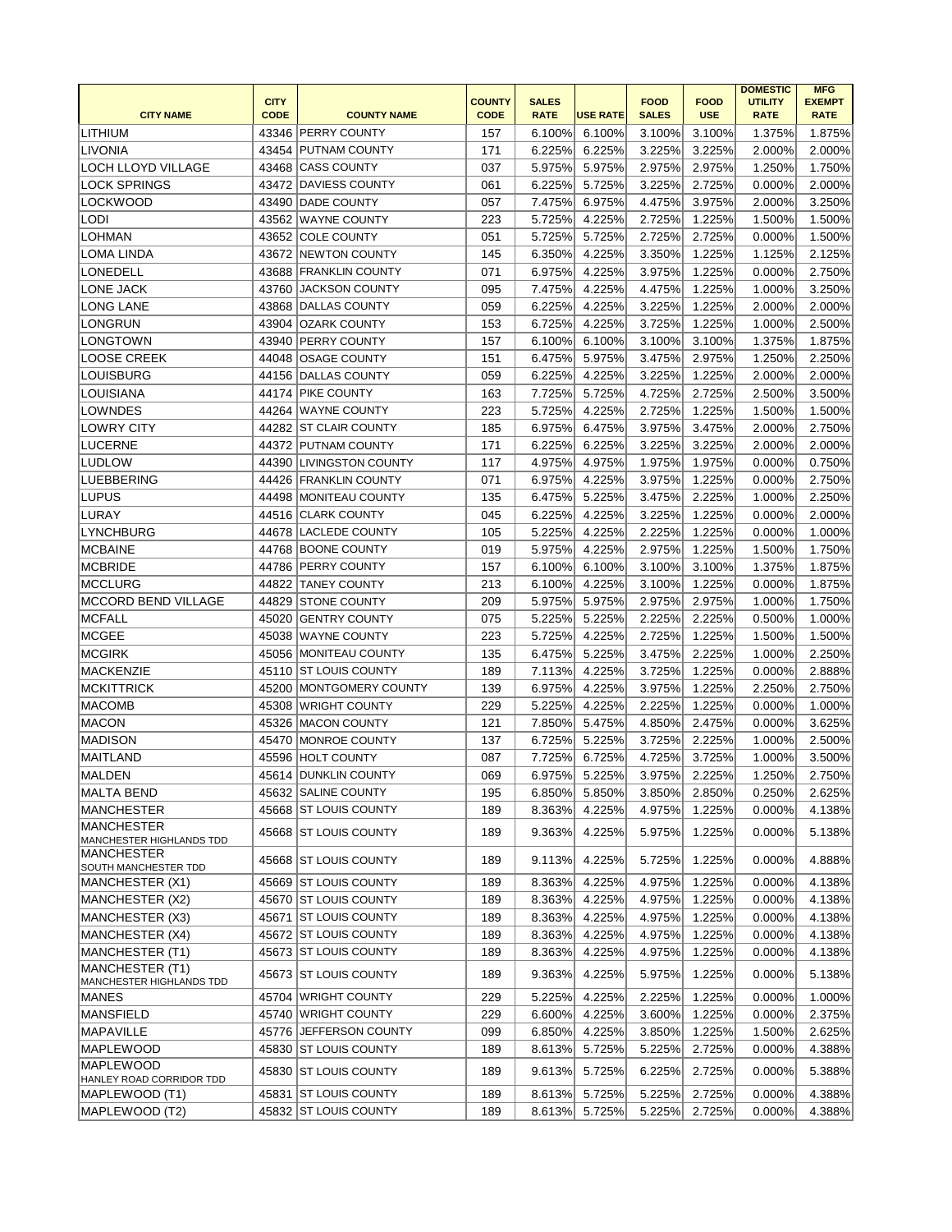|                                        |             |                                              |               |                  |                  |                  |                  | <b>DOMESTIC</b>  | <b>MFG</b>       |
|----------------------------------------|-------------|----------------------------------------------|---------------|------------------|------------------|------------------|------------------|------------------|------------------|
|                                        | <b>CITY</b> |                                              | <b>COUNTY</b> | <b>SALES</b>     |                  | <b>FOOD</b>      | <b>FOOD</b>      | <b>UTILITY</b>   | <b>EXEMPT</b>    |
| <b>CITY NAME</b>                       | <b>CODE</b> | <b>COUNTY NAME</b>                           | <b>CODE</b>   | <b>RATE</b>      | <b>USE RATE</b>  | <b>SALES</b>     | <b>USE</b>       | <b>RATE</b>      | <b>RATE</b>      |
| LITHIUM                                |             | 43346 PERRY COUNTY                           | 157           | 6.100%           | 6.100%           | 3.100%           | 3.100%           | 1.375%           | 1.875%           |
| <b>LIVONIA</b>                         |             | 43454 PUTNAM COUNTY                          | 171           | 6.225%           | 6.225%           | 3.225%           | 3.225%           | 2.000%           | 2.000%           |
| <b>LOCH LLOYD VILLAGE</b>              |             | 43468 CASS COUNTY                            | 037           | 5.975%           | 5.975%           | 2.975%           | 2.975%           | 1.250%           | 1.750%           |
| <b>LOCK SPRINGS</b>                    | 43472       | DAVIESS COUNTY                               | 061           | 6.225%           | 5.725%           | 3.225%           | 2.725%           | 0.000%           | 2.000%           |
| <b>LOCKWOOD</b>                        |             | 43490 DADE COUNTY                            | 057           | 7.475%           | 6.975%           | 4.475%           | 3.975%           | 2.000%           | 3.250%           |
| <b>LODI</b>                            |             | 43562 WAYNE COUNTY                           | 223           | 5.725%           | 4.225%           | 2.725%           | 1.225%           | 1.500%           | 1.500%           |
| <b>LOHMAN</b>                          |             | 43652 COLE COUNTY                            | 051           | 5.725%           | 5.725%           | 2.725%           | 2.725%           | 0.000%           | 1.500%           |
| LOMA LINDA                             |             | 43672 NEWTON COUNTY                          | 145           | 6.350%           | 4.225%           | 3.350%           | 1.225%           | 1.125%           | 2.125%           |
| <b>LONEDELL</b>                        |             | 43688 FRANKLIN COUNTY                        | 071           | 6.975%           | 4.225%           | 3.975%           | 1.225%           | 0.000%           | 2.750%           |
| <b>LONE JACK</b>                       | 43760       | <b>JACKSON COUNTY</b>                        | 095           | 7.475%           | 4.225%           | 4.475%           | 1.225%           | 1.000%           | 3.250%           |
| <b>LONG LANE</b>                       | 43868       | DALLAS COUNTY                                | 059           | 6.225%           | 4.225%           | 3.225%           | 1.225%           | 2.000%           | 2.000%           |
| <b>LONGRUN</b>                         | 43904       | <b>OZARK COUNTY</b>                          | 153           | 6.725%           | 4.225%           | 3.725%           | 1.225%           | 1.000%           | 2.500%           |
| <b>LONGTOWN</b>                        | 43940       | <b>PERRY COUNTY</b>                          | 157           | 6.100%           | 6.100%           | 3.100%           | 3.100%           | 1.375%           | 1.875%           |
| <b>LOOSE CREEK</b>                     |             | 44048 OSAGE COUNTY                           | 151           | 6.475%           | 5.975%           | 3.475%           | 2.975%           | 1.250%           | 2.250%           |
| <b>LOUISBURG</b>                       | 44156       | DALLAS COUNTY                                | 059           | 6.225%           | 4.225%           | 3.225%           | 1.225%           | 2.000%           | 2.000%           |
| LOUISIANA                              | 44174       | <b>PIKE COUNTY</b>                           | 163           | 7.725%           | 5.725%           | 4.725%           | 2.725%           | 2.500%           | 3.500%           |
| <b>LOWNDES</b>                         | 44264       | <b>WAYNE COUNTY</b>                          | 223           | 5.725%           | 4.225%           | 2.725%           | 1.225%           | 1.500%           | 1.500%           |
| <b>LOWRY CITY</b>                      |             | 44282 ST CLAIR COUNTY                        | 185           | 6.975%           | 6.475%           | 3.975%           | 3.475%           | 2.000%           | 2.750%           |
| LUCERNE                                |             | 44372 PUTNAM COUNTY                          | 171           | 6.225%           | 6.225%           | 3.225%           | 3.225%           | 2.000%           | 2.000%           |
| <b>LUDLOW</b>                          | 44390       | <b>LIVINGSTON COUNTY</b>                     | 117           | 4.975%           | 4.975%           | 1.975%           | 1.975%           | 0.000%           | 0.750%           |
| LUEBBERING                             |             | 44426 FRANKLIN COUNTY                        | 071           | 6.975%           | 4.225%           | 3.975%           | 1.225%           | 0.000%           | 2.750%           |
| LUPUS                                  |             | 44498 MONITEAU COUNTY                        | 135           | 6.475%           | 5.225%           | 3.475%           | 2.225%           | 1.000%           | 2.250%           |
| LURAY                                  |             | 44516 CLARK COUNTY                           | 045           | 6.225%           | 4.225%           | 3.225%           | 1.225%           | 0.000%           | 2.000%           |
| <b>LYNCHBURG</b>                       |             | 44678 LACLEDE COUNTY                         | 105           | 5.225%           | 4.225%           | 2.225%           | 1.225%           | 0.000%           | 1.000%           |
| <b>MCBAINE</b>                         |             | 44768 BOONE COUNTY                           | 019           | 5.975%           | 4.225%           | 2.975%           | 1.225%           | 1.500%           | 1.750%           |
| MCBRIDE                                |             | 44786 PERRY COUNTY                           | 157           | 6.100%           | 6.100%           | 3.100%           | 3.100%           | 1.375%           | 1.875%           |
| MCCLURG                                | 44822       | <b>TANEY COUNTY</b>                          | 213           |                  | 4.225%           |                  |                  | 0.000%           | 1.875%           |
|                                        |             | 44829 STONE COUNTY                           |               | 6.100%           |                  | 3.100%           | 1.225%<br>2.975% |                  |                  |
| MCCORD BEND VILLAGE                    |             |                                              | 209           | 5.975%           | 5.975%           | 2.975%           | 2.225% 2.225%    | 1.000%           | 1.750%           |
| MCFALL                                 |             | 45020 GENTRY COUNTY                          | 075           |                  | 5.225% 5.225%    |                  |                  |                  | $0.500\%$ 1.000% |
| <b>MCGEE</b>                           |             | 45038 WAYNE COUNTY                           | 223           | 5.725%           | 4.225%           | 2.725%           | 1.225%           | 1.500%           | 1.500%           |
| MCGIRK                                 |             | 45056 MONITEAU COUNTY                        | 135           | 6.475%           | 5.225%           | 3.475%           | 2.225%           | 1.000%           | 2.250%           |
| <b>MACKENZIE</b>                       |             | 45110 ST LOUIS COUNTY                        | 189           | 7.113%           | 4.225%           | 3.725%           | 1.225%           | 0.000%           | 2.888%           |
| MCKITTRICK                             |             | 45200 MONTGOMERY COUNTY                      | 139           | 6.975%           | 4.225%           | 3.975%           | 1.225%           | 2.250%           | 2.750%           |
| <b>MACOMB</b>                          |             | 45308 WRIGHT COUNTY                          | 229           | 5.225%           | 4.225%           | 2.225%           | 1.225%           | 0.000%           | 1.000%           |
| <b>MACON</b>                           |             | 45326 MACON COUNTY                           | 121           | 7.850%           | 5.475%           | 4.850%           | 2.475%           | 0.000%           | 3.625%           |
| <b>MADISON</b>                         |             | 45470 MONROE COUNTY                          | 137           | 6.725%           | 5.225%           | 3.725%           | 2.225%           | 1.000%           | 2.500%           |
| MAITLAND                               |             | 45596 HOLT COUNTY                            | 087           | 7.725%           | 6.725%           | 4.725%           | 3.725%           | 1.000%           | 3.500%           |
| MALDEN                                 |             | 45614 DUNKLIN COUNTY                         | 069           | 6.975%           | 5.225%           | 3.975%           | 2.225%           | 1.250%           | 2.750%           |
| MALTA BEND                             |             | 45632 SALINE COUNTY                          | 195           | 6.850%           | 5.850%           | 3.850%           | 2.850%           | 0.250%           | 2.625%           |
| MANCHESTER                             |             | 45668 ST LOUIS COUNTY                        | 189           | 8.363%           | 4.225%           | 4.975%           | 1.225%           | 0.000%           | 4.138%           |
| MANCHESTER<br>MANCHESTER HIGHLANDS TDD |             | 45668 ST LOUIS COUNTY                        | 189           | 9.363%           | 4.225%           | 5.975%           | 1.225%           | 0.000%           | 5.138%           |
| MANCHESTER<br>SOUTH MANCHESTER TDD     |             | 45668 ST LOUIS COUNTY                        | 189           | 9.113%           | 4.225%           | 5.725%           | 1.225%           | 0.000%           | 4.888%           |
| MANCHESTER (X1)                        |             | 45669 ST LOUIS COUNTY                        | 189           | 8.363%           | 4.225%           | 4.975%           | 1.225%           | 0.000%           | 4.138%           |
| MANCHESTER (X2)                        |             | 45670 ST LOUIS COUNTY                        | 189           | 8.363%           | 4.225%           | 4.975%           | 1.225%           | 0.000%           | 4.138%           |
| MANCHESTER (X3)                        |             | 45671 ST LOUIS COUNTY                        | 189           | 8.363%           | 4.225%           | 4.975%           | 1.225%           | 0.000%           | 4.138%           |
| MANCHESTER (X4)                        |             | 45672 ST LOUIS COUNTY                        | 189           | 8.363%           | 4.225%           | 4.975%           | 1.225%           | 0.000%           | 4.138%           |
| MANCHESTER (T1)                        |             | 45673 ST LOUIS COUNTY                        | 189           | 8.363%           | 4.225%           | 4.975%           | 1.225%           | 0.000%           | 4.138%           |
| MANCHESTER (T1)                        |             |                                              |               |                  |                  |                  |                  |                  |                  |
| MANCHESTER HIGHLANDS TDD<br>MANES      |             | 45673 ST LOUIS COUNTY<br>45704 WRIGHT COUNTY | 189<br>229    | 9.363%<br>5.225% | 4.225%<br>4.225% | 5.975%<br>2.225% | 1.225%<br>1.225% | 0.000%<br>0.000% | 5.138%<br>1.000% |
|                                        |             | 45740 WRIGHT COUNTY                          | 229           |                  |                  |                  |                  |                  |                  |
| MANSFIELD                              |             |                                              |               | 6.600%           | 4.225%           | 3.600%           | 1.225%           | 0.000%           | 2.375%           |
| MAPAVILLE                              |             | 45776 JEFFERSON COUNTY                       | 099           | 6.850%           | 4.225%           | 3.850%           | 1.225%           | 1.500%           | 2.625%           |
| <b>MAPLEWOOD</b><br><b>MAPLEWOOD</b>   |             | 45830 ST LOUIS COUNTY                        | 189           | 8.613%           | 5.725%           | 5.225%           | 2.725%           | 0.000%           | 4.388%           |
| HANLEY ROAD CORRIDOR TDD               |             | 45830 IST LOUIS COUNTY                       | 189           | 9.613%           | 5.725%           | 6.225%           | 2.725%           | 0.000%           | 5.388%           |
| MAPLEWOOD (T1)                         |             | 45831 ST LOUIS COUNTY                        | 189           | 8.613%           | 5.725%           | 5.225%           | 2.725%           | 0.000%           | 4.388%           |
| MAPLEWOOD (T2)                         |             | 45832 ST LOUIS COUNTY                        | 189           | 8.613%           | 5.725%           | 5.225%           | 2.725%           | 0.000%           | 4.388%           |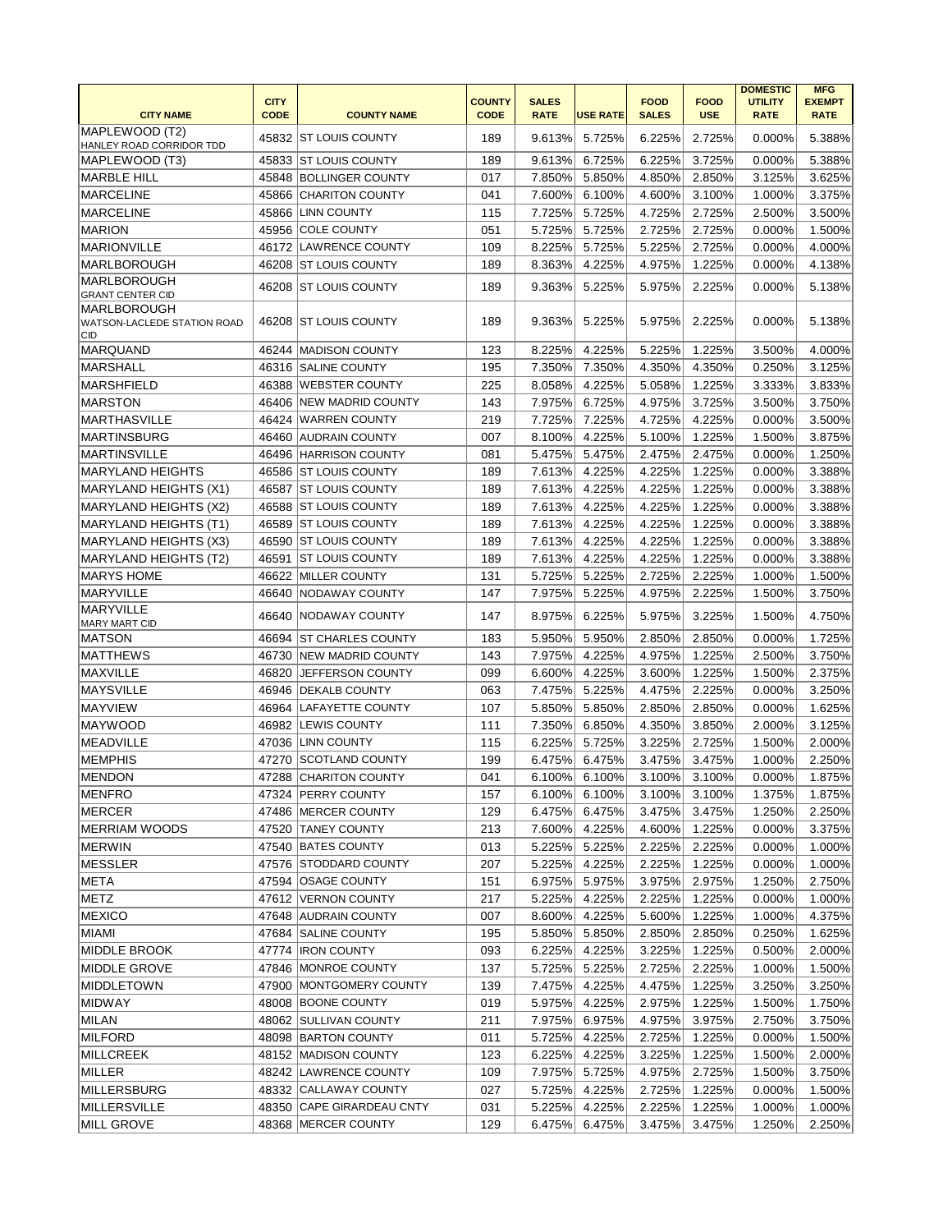|                                                                 |                            |                           |                              |                             |                 |                             |                           | <b>DOMESTIC</b>               | <b>MFG</b>                   |
|-----------------------------------------------------------------|----------------------------|---------------------------|------------------------------|-----------------------------|-----------------|-----------------------------|---------------------------|-------------------------------|------------------------------|
| <b>CITY NAME</b>                                                | <b>CITY</b><br><b>CODE</b> | <b>COUNTY NAME</b>        | <b>COUNTY</b><br><b>CODE</b> | <b>SALES</b><br><b>RATE</b> | <b>USE RATE</b> | <b>FOOD</b><br><b>SALES</b> | <b>FOOD</b><br><b>USE</b> | <b>UTILITY</b><br><b>RATE</b> | <b>EXEMPT</b><br><b>RATE</b> |
| MAPLEWOOD (T2)<br>HANLEY ROAD CORRIDOR TDD                      |                            | 45832 ST LOUIS COUNTY     | 189                          | 9.613%                      | 5.725%          | 6.225%                      | 2.725%                    | 0.000%                        | 5.388%                       |
| MAPLEWOOD (T3)                                                  |                            | 45833 ST LOUIS COUNTY     | 189                          | 9.613%                      | 6.725%          | 6.225%                      | 3.725%                    | 0.000%                        | 5.388%                       |
| <b>MARBLE HILL</b>                                              |                            | 45848 BOLLINGER COUNTY    | 017                          | 7.850%                      | 5.850%          | 4.850%                      | 2.850%                    | 3.125%                        | 3.625%                       |
| <b>MARCELINE</b>                                                |                            | 45866 CHARITON COUNTY     | 041                          | 7.600%                      | 6.100%          | 4.600%                      | 3.100%                    | 1.000%                        | 3.375%                       |
| <b>MARCELINE</b>                                                |                            | 45866 LINN COUNTY         | 115                          | 7.725%                      | 5.725%          | 4.725%                      | 2.725%                    | 2.500%                        | 3.500%                       |
| <b>MARION</b>                                                   |                            | 45956 COLE COUNTY         | 051                          | 5.725%                      | 5.725%          | 2.725%                      | 2.725%                    | 0.000%                        | 1.500%                       |
| <b>MARIONVILLE</b>                                              |                            | 46172 LAWRENCE COUNTY     | 109                          | 8.225%                      | 5.725%          | 5.225%                      | 2.725%                    | 0.000%                        | 4.000%                       |
| MARLBOROUGH                                                     |                            | 46208 ST LOUIS COUNTY     | 189                          | 8.363%                      | 4.225%          | 4.975%                      | 1.225%                    | 0.000%                        | 4.138%                       |
| MARLBOROUGH<br><b>GRANT CENTER CID</b>                          |                            | 46208 ST LOUIS COUNTY     | 189                          | 9.363%                      | 5.225%          | 5.975%                      | 2.225%                    | 0.000%                        | 5.138%                       |
| <b>MARLBOROUGH</b><br>WATSON-LACLEDE STATION ROAD<br><b>CID</b> |                            | 46208 ST LOUIS COUNTY     | 189                          | 9.363%                      | 5.225%          | 5.975%                      | 2.225%                    | 0.000%                        | 5.138%                       |
| MARQUAND                                                        |                            | 46244 MADISON COUNTY      | 123                          | 8.225%                      | 4.225%          | 5.225%                      | 1.225%                    | 3.500%                        | 4.000%                       |
| MARSHALL                                                        |                            | 46316 SALINE COUNTY       | 195                          | 7.350%                      | 7.350%          | 4.350%                      | 4.350%                    | 0.250%                        | 3.125%                       |
| <b>MARSHFIELD</b>                                               |                            | 46388 WEBSTER COUNTY      | 225                          | 8.058%                      | 4.225%          | 5.058%                      | 1.225%                    | 3.333%                        | 3.833%                       |
| <b>MARSTON</b>                                                  |                            | 46406 NEW MADRID COUNTY   | 143                          | 7.975%                      | 6.725%          | 4.975%                      | 3.725%                    | 3.500%                        | 3.750%                       |
| <b>MARTHASVILLE</b>                                             |                            | 46424 WARREN COUNTY       | 219                          | 7.725%                      | 7.225%          | 4.725%                      | 4.225%                    | 0.000%                        | 3.500%                       |
| <b>MARTINSBURG</b>                                              |                            | 46460 AUDRAIN COUNTY      | 007                          | 8.100%                      | 4.225%          | 5.100%                      | 1.225%                    | 1.500%                        | 3.875%                       |
| <b>MARTINSVILLE</b>                                             |                            | 46496 HARRISON COUNTY     | 081                          | 5.475%                      | 5.475%          | 2.475%                      | 2.475%                    | 0.000%                        | 1.250%                       |
| <b>MARYLAND HEIGHTS</b>                                         |                            | 46586 ST LOUIS COUNTY     | 189                          | 7.613%                      | 4.225%          | 4.225%                      | 1.225%                    | 0.000%                        | 3.388%                       |
| MARYLAND HEIGHTS (X1)                                           |                            | 46587 ST LOUIS COUNTY     | 189                          | 7.613%                      | 4.225%          | 4.225%                      | 1.225%                    | 0.000%                        | 3.388%                       |
| MARYLAND HEIGHTS (X2)                                           |                            | 46588 ST LOUIS COUNTY     | 189                          | 7.613%                      | 4.225%          | 4.225%                      | 1.225%                    | 0.000%                        | 3.388%                       |
| MARYLAND HEIGHTS (T1)                                           |                            | 46589 ST LOUIS COUNTY     | 189                          | 7.613%                      | 4.225%          | 4.225%                      | 1.225%                    | 0.000%                        | 3.388%                       |
| MARYLAND HEIGHTS (X3)                                           |                            | 46590 ST LOUIS COUNTY     | 189                          | 7.613%                      | 4.225%          | 4.225%                      | 1.225%                    | 0.000%                        | 3.388%                       |
| MARYLAND HEIGHTS (T2)                                           | 46591                      | <b>ST LOUIS COUNTY</b>    | 189                          | 7.613%                      | 4.225%          | 4.225%                      | 1.225%                    | 0.000%                        | 3.388%                       |
| <b>MARYS HOME</b>                                               |                            | 46622 MILLER COUNTY       | 131                          | 5.725%                      | 5.225%          | 2.725%                      | 2.225%                    | 1.000%                        | 1.500%                       |
| MARYVILLE                                                       |                            | 46640 NODAWAY COUNTY      | 147                          | 7.975%                      | 5.225%          | 4.975%                      | 2.225%                    | 1.500%                        | 3.750%                       |
| MARYVILLE                                                       |                            |                           |                              |                             |                 |                             |                           |                               |                              |
| MARY MART CID                                                   |                            | 46640 NODAWAY COUNTY      | 147                          |                             | 8.975% 6.225%   | 5.975%                      | 3.225%                    | 1.500%                        | 4.750%                       |
| <b>MATSON</b>                                                   |                            | 46694 ST CHARLES COUNTY   | 183                          | 5.950%                      | 5.950%          | 2.850%                      | 2.850%                    | 0.000%                        | 1.725%                       |
| IMATTHEWS                                                       |                            | 46730 NEW MADRID COUNTY   | 143                          | 7.975%                      | 4.225%          | 4.975%                      | 1.225%                    | 2.500%                        | 3.750%                       |
| MAXVILLE                                                        |                            | 46820 JEFFERSON COUNTY    | 099                          | 6.600%                      | 4.225%          | 3.600%                      | 1.225%                    | 1.500%                        | 2.375%                       |
| <b>MAYSVILLE</b>                                                |                            | 46946 DEKALB COUNTY       | 063                          | 7.475%                      | 5.225%          | 4.475%                      | 2.225%                    | 0.000%                        | 3.250%                       |
| <b>MAYVIEW</b>                                                  |                            | 46964 LAFAYETTE COUNTY    | 107                          | 5.850%                      | 5.850%          | 2.850%                      | 2.850%                    | 0.000%                        | 1.625%                       |
| <b>MAYWOOD</b>                                                  |                            | 46982 LEWIS COUNTY        | 111                          | 7.350%                      | 6.850%          | 4.350%                      | 3.850%                    | 2.000%                        | 3.125%                       |
| MEADVILLE                                                       |                            | 47036 LINN COUNTY         | 115                          | 6.225%                      | 5.725%          | 3.225%                      | 2.725%                    | 1.500%                        | 2.000%                       |
| MEMPHIS                                                         | 47270                      | <b>SCOTLAND COUNTY</b>    | 199                          | 6.475%                      | 6.475%          | 3.475%                      | 3.475%                    | 1.000%                        | 2.250%                       |
| <b>MENDON</b>                                                   |                            | 47288 CHARITON COUNTY     | 041                          | 6.100%                      | 6.100%          | 3.100%                      | 3.100%                    | 0.000%                        | 1.875%                       |
| MENFRO                                                          |                            | 47324 PERRY COUNTY        | 157                          | 6.100%                      | 6.100%          | 3.100%                      | 3.100%                    | 1.375%                        | 1.875%                       |
| MERCER                                                          |                            | 47486 IMERCER COUNTY      | 129                          | 6.475%                      | 6.475%          | 3.475%                      | 3.475%                    | 1.250%                        | 2.250%                       |
| MERRIAM WOODS                                                   | 47520                      | <b>TANEY COUNTY</b>       | 213                          | 7.600%                      | 4.225%          | 4.600%                      | 1.225%                    | 0.000%                        | 3.375%                       |
| <b>MERWIN</b>                                                   |                            | 47540 BATES COUNTY        | 013                          | 5.225%                      | 5.225%          | 2.225%                      | 2.225%                    | 0.000%                        | 1.000%                       |
| <b>MESSLER</b>                                                  |                            | 47576 STODDARD COUNTY     | 207                          | 5.225%                      | 4.225%          | 2.225%                      | 1.225%                    | 0.000%                        | 1.000%                       |
| META                                                            |                            | 47594 OSAGE COUNTY        | 151                          | 6.975%                      | 5.975%          | 3.975%                      | 2.975%                    | 1.250%                        | 2.750%                       |
| METZ                                                            |                            | 47612 VERNON COUNTY       | 217                          | 5.225%                      | 4.225%          | 2.225%                      | 1.225%                    | 0.000%                        | 1.000%                       |
| <b>MEXICO</b>                                                   |                            | 47648 AUDRAIN COUNTY      | 007                          | 8.600%                      | 4.225%          | 5.600%                      | 1.225%                    | 1.000%                        | 4.375%                       |
| MIAMI                                                           |                            | 47684 SALINE COUNTY       | 195                          | 5.850%                      | 5.850%          | 2.850%                      | 2.850%                    | 0.250%                        | 1.625%                       |
| <b>MIDDLE BROOK</b>                                             |                            | 47774   IRON COUNTY       | 093                          | 6.225%                      | 4.225%          | 3.225%                      | 1.225%                    | 0.500%                        | 2.000%                       |
| <b>IMIDDLE GROVE</b>                                            |                            | 47846 MONROE COUNTY       | 137                          | 5.725%                      | 5.225%          | 2.725%                      | 2.225%                    | 1.000%                        | 1.500%                       |
| <b>MIDDLETOWN</b>                                               |                            | 47900 MONTGOMERY COUNTY   | 139                          | 7.475%                      | 4.225%          | 4.475%                      | 1.225%                    | 3.250%                        | 3.250%                       |
| MIDWAY                                                          |                            | 48008 BOONE COUNTY        | 019                          | 5.975%                      | 4.225%          | 2.975%                      | 1.225%                    | 1.500%                        | 1.750%                       |
| MILAN                                                           |                            | 48062 SULLIVAN COUNTY     | 211                          | 7.975%                      | 6.975%          | 4.975%                      | 3.975%                    | 2.750%                        | 3.750%                       |
| MILFORD                                                         |                            | 48098 BARTON COUNTY       | 011                          | 5.725%                      | 4.225%          | 2.725%                      | 1.225%                    | 0.000%                        | 1.500%                       |
| MILLCREEK                                                       |                            | 48152 MADISON COUNTY      | 123                          | 6.225%                      | 4.225%          | 3.225%                      | 1.225%                    | 1.500%                        | 2.000%                       |
| MILLER                                                          |                            | 48242 LAWRENCE COUNTY     | 109                          | 7.975%                      | 5.725%          | 4.975%                      | 2.725%                    | 1.500%                        | 3.750%                       |
| MILLERSBURG                                                     |                            | 48332 CALLAWAY COUNTY     | 027                          | 5.725%                      | 4.225%          | 2.725%                      | 1.225%                    | 0.000%                        | 1.500%                       |
| MILLERSVILLE                                                    |                            | 48350 CAPE GIRARDEAU CNTY | 031                          | 5.225%                      | 4.225%          | 2.225%                      | 1.225%                    | 1.000%                        | 1.000%                       |
| <b>MILL GROVE</b>                                               |                            | 48368 MERCER COUNTY       | 129                          | 6.475%                      | 6.475%          | 3.475%                      | 3.475%                    | 1.250%                        | 2.250%                       |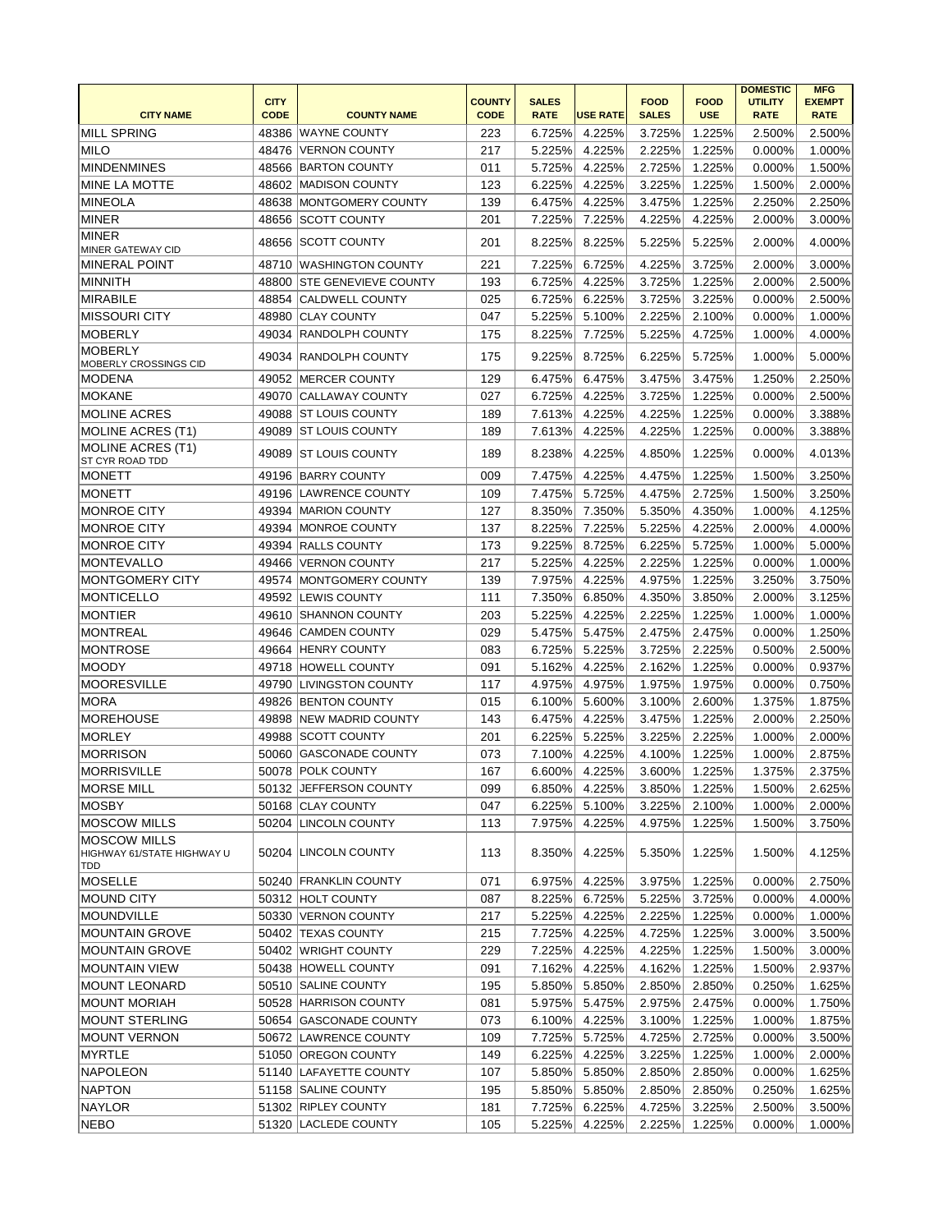|                                                          |             |                            |               |              |                 |              |             | <b>DOMESTIC</b> | <b>MFG</b>    |
|----------------------------------------------------------|-------------|----------------------------|---------------|--------------|-----------------|--------------|-------------|-----------------|---------------|
|                                                          | <b>CITY</b> |                            | <b>COUNTY</b> | <b>SALES</b> |                 | <b>FOOD</b>  | <b>FOOD</b> | <b>UTILITY</b>  | <b>EXEMPT</b> |
| <b>CITY NAME</b>                                         | <b>CODE</b> | <b>COUNTY NAME</b>         | <b>CODE</b>   | <b>RATE</b>  | <b>USE RATE</b> | <b>SALES</b> | <b>USE</b>  | <b>RATE</b>     | <b>RATE</b>   |
| <b>MILL SPRING</b>                                       | 48386       | <b>WAYNE COUNTY</b>        | 223           | 6.725%       | 4.225%          | 3.725%       | 1.225%      | 2.500%          | 2.500%        |
| MILO                                                     | 48476       | VERNON COUNTY              | 217           | 5.225%       | 4.225%          | 2.225%       | 1.225%      | 0.000%          | 1.000%        |
| <b>MINDENMINES</b>                                       |             | 48566 BARTON COUNTY        | 011           | 5.725%       | 4.225%          | 2.725%       | 1.225%      | 0.000%          | 1.500%        |
| <b>MINE LA MOTTE</b>                                     |             | 48602 MADISON COUNTY       | 123           | 6.225%       | 4.225%          | 3.225%       | 1.225%      | 1.500%          | 2.000%        |
| MINEOLA                                                  |             | 48638 MONTGOMERY COUNTY    | 139           | 6.475%       | 4.225%          | 3.475%       | 1.225%      | 2.250%          | 2.250%        |
| MINER                                                    |             | 48656 SCOTT COUNTY         | 201           | 7.225%       | 7.225%          | 4.225%       | 4.225%      | 2.000%          | 3.000%        |
| MINER<br>MINER GATEWAY CID                               |             | 48656 SCOTT COUNTY         | 201           | 8.225%       | 8.225%          | 5.225%       | 5.225%      | 2.000%          | 4.000%        |
| <b>MINERAL POINT</b>                                     | 48710       | <b>WASHINGTON COUNTY</b>   | 221           | 7.225%       | 6.725%          | 4.225%       | 3.725%      | 2.000%          | 3.000%        |
| MINNITH                                                  |             | 48800 STE GENEVIEVE COUNTY | 193           | 6.725%       | 4.225%          | 3.725%       | 1.225%      | 2.000%          | 2.500%        |
| <b>MIRABILE</b>                                          | 48854       | <b>CALDWELL COUNTY</b>     | 025           | 6.725%       | 6.225%          | 3.725%       | 3.225%      | 0.000%          | 2.500%        |
| <b>MISSOURI CITY</b>                                     | 48980       | <b>CLAY COUNTY</b>         | 047           | 5.225%       | 5.100%          | 2.225%       | 2.100%      | 0.000%          | 1.000%        |
| MOBERLY                                                  |             | 49034 RANDOLPH COUNTY      | 175           | 8.225%       | 7.725%          | 5.225%       | 4.725%      | 1.000%          | 4.000%        |
| MOBERLY                                                  |             |                            |               |              |                 |              |             |                 |               |
| MOBERLY CROSSINGS CID                                    |             | 49034 RANDOLPH COUNTY      | 175           | 9.225%       | 8.725%          | 6.225%       | 5.725%      | 1.000%          | 5.000%        |
| MODENA                                                   |             | 49052 MERCER COUNTY        | 129           | 6.475%       | 6.475%          | 3.475%       | 3.475%      | 1.250%          | 2.250%        |
| <b>MOKANE</b>                                            |             | 49070 CALLAWAY COUNTY      | 027           | 6.725%       | 4.225%          | 3.725%       | 1.225%      | 0.000%          | 2.500%        |
| <b>MOLINE ACRES</b>                                      |             | 49088 ST LOUIS COUNTY      | 189           | 7.613%       | 4.225%          | 4.225%       | 1.225%      | 0.000%          | 3.388%        |
| MOLINE ACRES (T1)                                        | 49089       | <b>ST LOUIS COUNTY</b>     | 189           | 7.613%       | 4.225%          | 4.225%       | 1.225%      | 0.000%          | 3.388%        |
| <b>MOLINE ACRES (T1)</b><br>ST CYR ROAD TDD              |             | 49089 ST LOUIS COUNTY      | 189           | 8.238%       | 4.225%          | 4.850%       | 1.225%      | 0.000%          | 4.013%        |
| MONETT                                                   |             | 49196 BARRY COUNTY         | 009           | 7.475%       | 4.225%          | 4.475%       | 1.225%      | 1.500%          | 3.250%        |
| <b>MONETT</b>                                            |             | 49196 LAWRENCE COUNTY      | 109           | 7.475%       | 5.725%          | 4.475%       | 2.725%      | 1.500%          | 3.250%        |
| <b>MONROE CITY</b>                                       |             | 49394 MARION COUNTY        | 127           | 8.350%       | 7.350%          | 5.350%       | 4.350%      | 1.000%          | 4.125%        |
| <b>MONROE CITY</b>                                       |             | 49394 MONROE COUNTY        | 137           | 8.225%       | 7.225%          | 5.225%       | 4.225%      | 2.000%          | 4.000%        |
| <b>MONROE CITY</b>                                       |             | 49394 RALLS COUNTY         | 173           | 9.225%       | 8.725%          | 6.225%       | 5.725%      | 1.000%          | 5.000%        |
| MONTEVALLO                                               | 49466       | <b>VERNON COUNTY</b>       | 217           | 5.225%       | 4.225%          | 2.225%       | 1.225%      | 0.000%          | 1.000%        |
| MONTGOMERY CITY                                          | 49574       | <b>MONTGOMERY COUNTY</b>   | 139           | 7.975%       | 4.225%          | 4.975%       | 1.225%      | 3.250%          | 3.750%        |
|                                                          |             |                            |               | 7.350%       |                 |              |             |                 |               |
| MONTICELLO                                               |             | 49592 LEWIS COUNTY         | 111           |              | 6.850%          | 4.350%       | 3.850%      | 2.000%          | 3.125%        |
| MONTIER                                                  |             | 49610 SHANNON COUNTY       | 203           | 5.225%       | 4.225%          | 2.225%       | 1.225%      | 1.000%          | 1.000%        |
| MONTREAL                                                 |             | 49646 CAMDEN COUNTY        | 029           | 5.475%       | 5.475%          | 2.475%       | 2.475%      | 0.000%          | 1.250%        |
| <b>MONTROSE</b>                                          |             | 49664 HENRY COUNTY         | 083           | 6.725%       | 5.225%          | 3.725%       | 2.225%      | 0.500%          | 2.500%        |
| MOODY                                                    |             | 49718 HOWELL COUNTY        | 091           | 5.162%       | 4.225%          | 2.162%       | 1.225%      | 0.000%          | 0.937%        |
| <b>MOORESVILLE</b>                                       |             | 49790 LIVINGSTON COUNTY    | 117           | 4.975%       | 4.975%          | 1.975%       | 1.975%      | 0.000%          | 0.750%        |
| MORA                                                     |             | 49826 BENTON COUNTY        | 015           | 6.100%       | 5.600%          | 3.100%       | 2.600%      | 1.375%          | 1.875%        |
| <b>MOREHOUSE</b>                                         |             | 49898 NEW MADRID COUNTY    | 143           | 6.475%       | 4.225%          | 3.475%       | 1.225%      | 2.000%          | 2.250%        |
| <b>MORLEY</b>                                            |             | 49988 SCOTT COUNTY         | 201           | 6.225%       | 5.225%          | 3.225%       | 2.225%      | 1.000%          | 2.000%        |
| <b>MORRISON</b>                                          | 50060       | <b>GASCONADE COUNTY</b>    | 073           | 7.100%       | 4.225%          | 4.100%       | 1.225%      | 1.000%          | 2.875%        |
| <b>MORRISVILLE</b>                                       |             | 50078 POLK COUNTY          | 167           | 6.600%       | 4.225%          | 3.600%       | 1.225%      | 1.375%          | 2.375%        |
| <b>MORSE MILL</b>                                        |             | 50132 JEFFERSON COUNTY     | 099           | 6.850%       | 4.225%          | 3.850%       | 1.225%      | 1.500%          | 2.625%        |
| <b>MOSBY</b>                                             |             | 50168 CLAY COUNTY          | 047           | 6.225%       | 5.100%          | 3.225%       | 2.100%      | 1.000%          | 2.000%        |
| <b>MOSCOW MILLS</b>                                      |             | 50204 LINCOLN COUNTY       | 113           | 7.975%       | 4.225%          | 4.975%       | 1.225%      | 1.500%          | 3.750%        |
| <b>MOSCOW MILLS</b><br>HIGHWAY 61/STATE HIGHWAY U<br>TDD |             | 50204 LINCOLN COUNTY       | 113           | 8.350%       | 4.225%          | 5.350%       | 1.225%      | 1.500%          | 4.125%        |
| <b>MOSELLE</b>                                           |             | 50240 FRANKLIN COUNTY      | 071           | 6.975%       | 4.225%          | 3.975%       | 1.225%      | 0.000%          | 2.750%        |
| <b>MOUND CITY</b>                                        |             | 50312 HOLT COUNTY          | 087           | 8.225%       | 6.725%          | 5.225%       | 3.725%      | 0.000%          | 4.000%        |
| MOUNDVILLE                                               |             | 50330 VERNON COUNTY        | 217           | 5.225%       | 4.225%          | 2.225%       | 1.225%      | 0.000%          | 1.000%        |
| <b>MOUNTAIN GROVE</b>                                    |             | 50402 TEXAS COUNTY         | 215           | 7.725%       | 4.225%          | 4.725%       | 1.225%      | 3.000%          | 3.500%        |
| <b>MOUNTAIN GROVE</b>                                    |             | 50402 WRIGHT COUNTY        | 229           | 7.225%       | 4.225%          | 4.225%       | 1.225%      | 1.500%          | 3.000%        |
| <b>MOUNTAIN VIEW</b>                                     |             | 50438 HOWELL COUNTY        | 091           | 7.162%       | 4.225%          | 4.162%       | 1.225%      | 1.500%          | 2.937%        |
| <b>MOUNT LEONARD</b>                                     |             | 50510 SALINE COUNTY        | 195           | 5.850%       | 5.850%          | 2.850%       | 2.850%      | 0.250%          | 1.625%        |
| <b>MOUNT MORIAH</b>                                      |             | 50528 HARRISON COUNTY      | 081           | 5.975%       | 5.475%          | 2.975%       | 2.475%      | 0.000%          | 1.750%        |
| <b>MOUNT STERLING</b>                                    |             | 50654 GASCONADE COUNTY     | 073           | 6.100%       | 4.225%          | 3.100%       | 1.225%      | 1.000%          | 1.875%        |
|                                                          |             |                            |               |              |                 |              |             |                 |               |
| <b>MOUNT VERNON</b>                                      |             | 50672 LAWRENCE COUNTY      | 109           | 7.725%       | 5.725%          | 4.725%       | 2.725%      | 0.000%          | 3.500%        |
| MYRTLE                                                   |             | 51050 OREGON COUNTY        | 149           | 6.225%       | 4.225%          | 3.225%       | 1.225%      | 1.000%          | 2.000%        |
| <b>NAPOLEON</b>                                          |             | 51140 LAFAYETTE COUNTY     | 107           | 5.850%       | 5.850%          | 2.850%       | 2.850%      | 0.000%          | 1.625%        |
| <b>NAPTON</b>                                            |             | 51158 SALINE COUNTY        | 195           | 5.850%       | 5.850%          | 2.850%       | 2.850%      | 0.250%          | 1.625%        |
| NAYLOR                                                   |             | 51302 RIPLEY COUNTY        | 181           | 7.725%       | 6.225%          | 4.725%       | 3.225%      | 2.500%          | 3.500%        |
| NEBO                                                     |             | 51320 LACLEDE COUNTY       | 105           | 5.225%       | 4.225%          | 2.225%       | 1.225%      | 0.000%          | 1.000%        |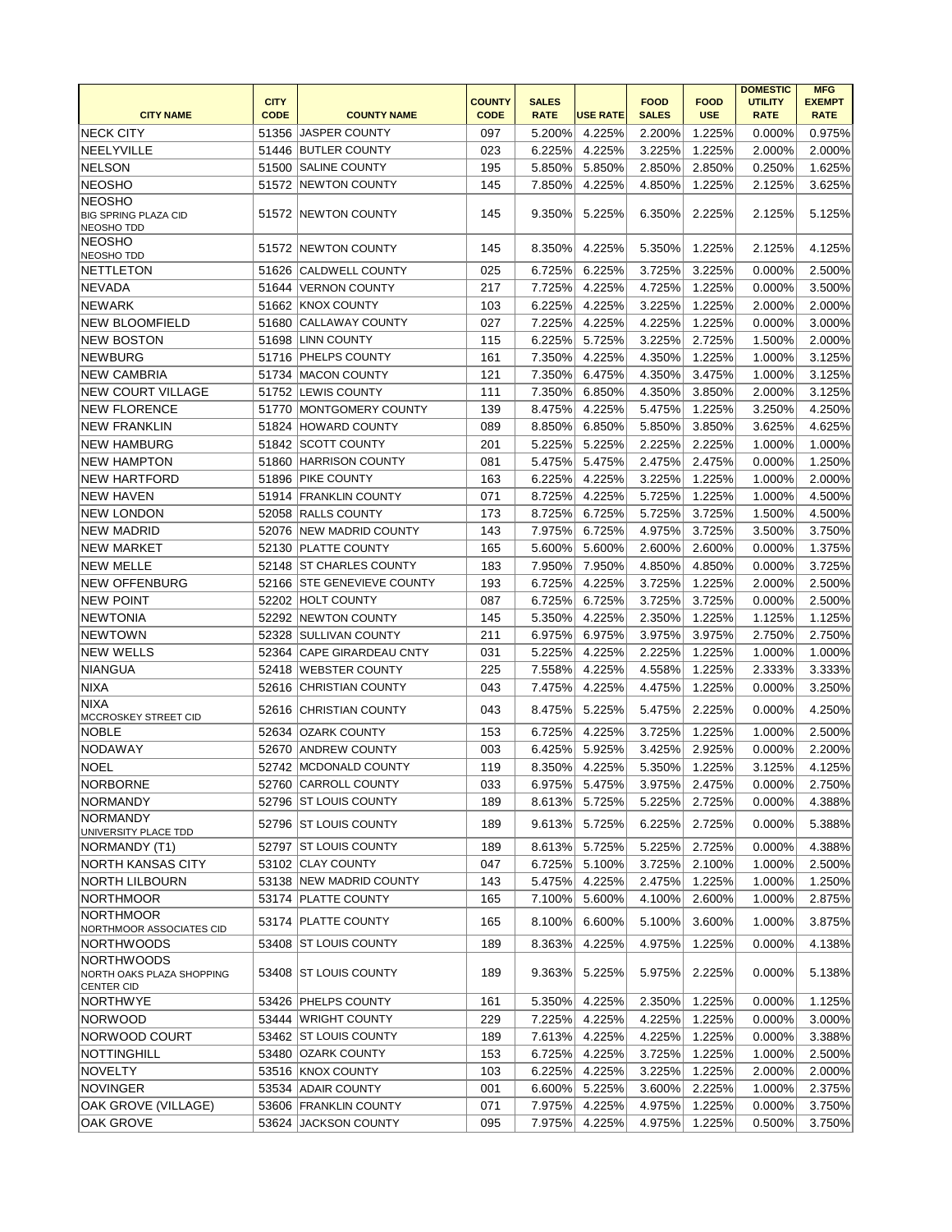|                                                              |                            |                            |                              |                             |                 |                             |                           | <b>DOMESTIC</b>               | <b>MFG</b>                   |
|--------------------------------------------------------------|----------------------------|----------------------------|------------------------------|-----------------------------|-----------------|-----------------------------|---------------------------|-------------------------------|------------------------------|
| <b>CITY NAME</b>                                             | <b>CITY</b><br><b>CODE</b> | <b>COUNTY NAME</b>         | <b>COUNTY</b><br><b>CODE</b> | <b>SALES</b><br><b>RATE</b> | <b>USE RATE</b> | <b>FOOD</b><br><b>SALES</b> | <b>FOOD</b><br><b>USE</b> | <b>UTILITY</b><br><b>RATE</b> | <b>EXEMPT</b><br><b>RATE</b> |
|                                                              |                            |                            |                              |                             |                 |                             |                           |                               |                              |
| <b>NECK CITY</b>                                             | 51356                      | <b>JASPER COUNTY</b>       | 097                          | 5.200%                      | 4.225%          | 2.200%                      | 1.225%                    | 0.000%                        | 0.975%                       |
| NEELYVILLE                                                   | 51446                      | <b>BUTLER COUNTY</b>       | 023                          | 6.225%                      | 4.225%          | 3.225%                      | 1.225%                    | 2.000%                        | 2.000%                       |
| NELSON                                                       |                            | 51500 SALINE COUNTY        | 195                          | 5.850%                      | 5.850%          | 2.850%                      | 2.850%                    | 0.250%                        | 1.625%                       |
| <b>NEOSHO</b>                                                |                            | 51572 NEWTON COUNTY        | 145                          | 7.850%                      | 4.225%          | 4.850%                      | 1.225%                    | 2.125%                        | 3.625%                       |
| <b>NEOSHO</b><br><b>BIG SPRING PLAZA CID</b><br>NEOSHO TDD   |                            | 51572 INEWTON COUNTY       | 145                          | 9.350%                      | 5.225%          | 6.350%                      | 2.225%                    | 2.125%                        | 5.125%                       |
| <b>NEOSHO</b><br>NEOSHO TDD                                  |                            | 51572 INEWTON COUNTY       | 145                          | 8.350%                      | 4.225%          | 5.350%                      | 1.225%                    | 2.125%                        | 4.125%                       |
| NETTLETON                                                    | 51626                      | <b>CALDWELL COUNTY</b>     | 025                          | 6.725%                      | 6.225%          | 3.725%                      | 3.225%                    | 0.000%                        | 2.500%                       |
| NEVADA                                                       | 51644                      | <b>VERNON COUNTY</b>       | 217                          | 7.725%                      | 4.225%          | 4.725%                      | 1.225%                    | 0.000%                        | 3.500%                       |
| <b>NEWARK</b>                                                |                            | 51662 KNOX COUNTY          | 103                          | 6.225%                      | 4.225%          | 3.225%                      | 1.225%                    | 2.000%                        | 2.000%                       |
| <b>NEW BLOOMFIELD</b>                                        | 51680                      | <b>CALLAWAY COUNTY</b>     | 027                          | 7.225%                      | 4.225%          | 4.225%                      | 1.225%                    | 0.000%                        | 3.000%                       |
| <b>NEW BOSTON</b>                                            |                            | 51698 LINN COUNTY          | 115                          | 6.225%                      | 5.725%          | 3.225%                      | 2.725%                    | 1.500%                        | 2.000%                       |
| NEWBURG                                                      |                            | 51716 PHELPS COUNTY        | 161                          | 7.350%                      | 4.225%          | 4.350%                      | 1.225%                    | 1.000%                        | 3.125%                       |
| <b>NEW CAMBRIA</b>                                           |                            | 51734 MACON COUNTY         | 121                          | 7.350%                      | 6.475%          | 4.350%                      | 3.475%                    | 1.000%                        | 3.125%                       |
| <b>NEW COURT VILLAGE</b>                                     |                            | 51752 LEWIS COUNTY         | 111                          | 7.350%                      | 6.850%          | 4.350%                      | 3.850%                    | 2.000%                        | 3.125%                       |
| <b>NEW FLORENCE</b>                                          | 51770                      | <b>MONTGOMERY COUNTY</b>   | 139                          | 8.475%                      | 4.225%          | 5.475%                      | 1.225%                    | 3.250%                        | 4.250%                       |
| <b>NEW FRANKLIN</b>                                          |                            | 51824 HOWARD COUNTY        | 089                          | 8.850%                      | 6.850%          | 5.850%                      | 3.850%                    | 3.625%                        | 4.625%                       |
| <b>INEW HAMBURG</b>                                          | 51842                      | <b>SCOTT COUNTY</b>        | 201                          | 5.225%                      | 5.225%          | 2.225%                      | 2.225%                    | 1.000%                        | 1.000%                       |
| <b>NEW HAMPTON</b>                                           |                            | 51860 HARRISON COUNTY      | 081                          | 5.475%                      | 5.475%          | 2.475%                      | 2.475%                    | 0.000%                        | 1.250%                       |
| NEW HARTFORD                                                 |                            | 51896 PIKE COUNTY          | 163                          | 6.225%                      | 4.225%          | 3.225%                      | 1.225%                    | 1.000%                        | 2.000%                       |
| <b>NEW HAVEN</b>                                             |                            | 51914 FRANKLIN COUNTY      | 071                          | 8.725%                      | 4.225%          | 5.725%                      | 1.225%                    | 1.000%                        | 4.500%                       |
| <b>NEW LONDON</b>                                            |                            | 52058 RALLS COUNTY         | 173                          | 8.725%                      | 6.725%          | 5.725%                      | 3.725%                    | 1.500%                        | 4.500%                       |
| <b>NEW MADRID</b>                                            | 52076                      | <b>NEW MADRID COUNTY</b>   | 143                          | 7.975%                      | 6.725%          | 4.975%                      | 3.725%                    | 3.500%                        | 3.750%                       |
| NEW MARKET                                                   |                            | 52130 PLATTE COUNTY        | 165                          | 5.600%                      | 5.600%          | 2.600%                      | 2.600%                    | 0.000%                        | 1.375%                       |
| NEW MELLE                                                    |                            | 52148 ST CHARLES COUNTY    | 183                          | 7.950%                      | 7.950%          | 4.850%                      | 4.850%                    | 0.000%                        | 3.725%                       |
| <b>NEW OFFENBURG</b>                                         |                            | 52166 STE GENEVIEVE COUNTY | 193                          | 6.725%                      | 4.225%          | 3.725%                      | 1.225%                    | 2.000%                        | 2.500%                       |
| <b>NEW POINT</b>                                             |                            | 52202 HOLT COUNTY          | 087                          | 6.725%                      | 6.725%          | 3.725%                      | 3.725%                    | 0.000%                        | 2.500%                       |
| NEWTONIA                                                     |                            | 52292 NEWTON COUNTY        | 145                          | 5.350%                      | 4.225%          | 2.350%                      | 1.225%                    | 1.125%                        | 1.125%                       |
| <b>NEWTOWN</b>                                               |                            | 52328 SULLIVAN COUNTY      | 211                          | 6.975%                      | 6.975%          | 3.975%                      | 3.975%                    | 2.750%                        | 2.750%                       |
| <b>NEW WELLS</b>                                             |                            | 52364 CAPE GIRARDEAU CNTY  | 031                          | 5.225%                      | 4.225%          | 2.225%                      | 1.225%                    | 1.000%                        | 1.000%                       |
| NIANGUA                                                      |                            | 52418 WEBSTER COUNTY       | 225                          | 7.558%                      | 4.225%          | 4.558%                      | 1.225%                    | 2.333%                        | 3.333%                       |
| NIXA                                                         |                            | 52616 CHRISTIAN COUNTY     | 043                          | 7.475%                      |                 |                             | 1.225%                    | 0.000%                        |                              |
| NIXA                                                         |                            |                            |                              |                             | 4.225%          | 4.475%                      |                           |                               | 3.250%                       |
| MCCROSKEY STREET CID                                         |                            | 52616 CHRISTIAN COUNTY     | 043                          | 8.475%                      | 5.225%          | 5.475%                      | 2.225%                    | 0.000%                        | 4.250%                       |
| NOBLE                                                        |                            | 52634 OZARK COUNTY         | 153                          | 6.725%                      | 4.225%          | 3.725%                      | 1.225%                    | 1.000%                        | 2.500%                       |
| NODAWAY                                                      |                            | 52670 ANDREW COUNTY        | 003                          | 6.425%                      | 5.925%          | 3.425%                      | 2.925%                    | 0.000%                        | 2.200%                       |
| NOEL                                                         |                            | 52742 MCDONALD COUNTY      | 119                          | 8.350%                      | 4.225%          | 5.350%                      | 1.225%                    | 3.125%                        | 4.125%                       |
| NORBORNE                                                     |                            | 52760 CARROLL COUNTY       | 033                          | 6.975%                      | 5.475%          | 3.975%                      | 2.475%                    | 0.000%                        | 2.750%                       |
| NORMANDY                                                     |                            | 52796 ST LOUIS COUNTY      | 189                          | 8.613%                      | 5.725%          | 5.225%                      | 2.725%                    | 0.000%                        | 4.388%                       |
| NORMANDY<br>UNIVERSITY PLACE TDD                             |                            | 52796 ST LOUIS COUNTY      | 189                          | 9.613%                      | 5.725%          | 6.225%                      | 2.725%                    | 0.000%                        | 5.388%                       |
| NORMANDY (T1)                                                |                            | 52797 ST LOUIS COUNTY      | 189                          | 8.613%                      | 5.725%          | 5.225%                      | 2.725%                    | 0.000%                        | 4.388%                       |
| NORTH KANSAS CITY                                            |                            | 53102 CLAY COUNTY          | 047                          | 6.725%                      | 5.100%          | 3.725%                      | 2.100%                    | 1.000%                        | 2.500%                       |
| <b>NORTH LILBOURN</b>                                        |                            | 53138 NEW MADRID COUNTY    | 143                          | 5.475%                      | 4.225%          | 2.475%                      | 1.225%                    | 1.000%                        | 1.250%                       |
| NORTHMOOR                                                    |                            | 53174 PLATTE COUNTY        | 165                          | 7.100%                      | 5.600%          | 4.100%                      | 2.600%                    | 1.000%                        | 2.875%                       |
| NORTHMOOR                                                    |                            |                            |                              |                             |                 |                             |                           |                               |                              |
| NORTHMOOR ASSOCIATES CID                                     |                            | 53174 PLATTE COUNTY        | 165                          | 8.100%                      | 6.600%          | 5.100%                      | 3.600%                    | 1.000%                        | 3.875%                       |
| NORTHWOODS                                                   |                            | 53408 ST LOUIS COUNTY      | 189                          | 8.363%                      | 4.225%          | 4.975%                      | 1.225%                    | 0.000%                        | 4.138%                       |
| <b>NORTHWOODS</b><br>NORTH OAKS PLAZA SHOPPING<br>CENTER CID |                            | 53408 ST LOUIS COUNTY      | 189                          | 9.363%                      | 5.225%          | 5.975%                      | 2.225%                    | 0.000%                        | 5.138%                       |
| NORTHWYE                                                     |                            | 53426 PHELPS COUNTY        | 161                          | 5.350%                      | 4.225%          | 2.350%                      | 1.225%                    | 0.000%                        | 1.125%                       |
| NORWOOD                                                      |                            | 53444 WRIGHT COUNTY        | 229                          | 7.225%                      | 4.225%          | 4.225%                      | 1.225%                    | 0.000%                        | 3.000%                       |
| NORWOOD COURT                                                |                            | 53462 ST LOUIS COUNTY      | 189                          | 7.613%                      | 4.225%          | 4.225%                      | 1.225%                    | 0.000%                        | 3.388%                       |
| NOTTINGHILL                                                  |                            | 53480 OZARK COUNTY         | 153                          | 6.725%                      | 4.225%          | 3.725%                      | 1.225%                    | 1.000%                        | 2.500%                       |
| NOVELTY                                                      |                            | 53516 KNOX COUNTY          | 103                          | 6.225%                      | 4.225%          | 3.225%                      | 1.225%                    | 2.000%                        | 2.000%                       |
| NOVINGER                                                     |                            | 53534 ADAIR COUNTY         | 001                          | 6.600%                      | 5.225%          | 3.600%                      | 2.225%                    | 1.000%                        | 2.375%                       |
| <b>OAK GROVE (VILLAGE)</b>                                   |                            | 53606 FRANKLIN COUNTY      | 071                          | 7.975%                      | 4.225%          | 4.975%                      | 1.225%                    | 0.000%                        | 3.750%                       |
| <b>OAK GROVE</b>                                             |                            | 53624 JACKSON COUNTY       | 095                          | 7.975%                      | 4.225%          | 4.975%                      | 1.225%                    | 0.500%                        | 3.750%                       |
|                                                              |                            |                            |                              |                             |                 |                             |                           |                               |                              |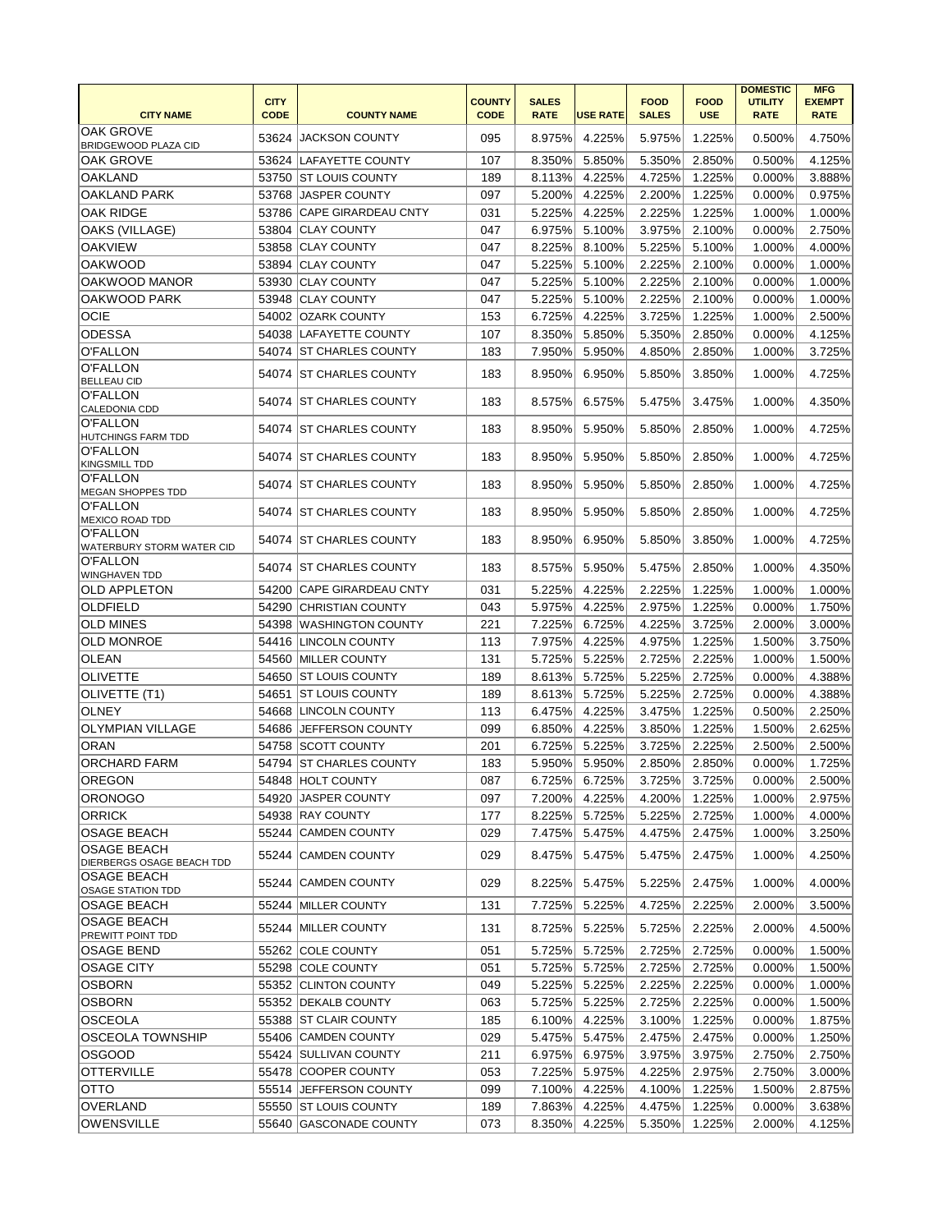|                                                        |                            |                            |                              |                             |                 |                             |                           | <b>DOMESTIC</b>               | <b>MFG</b>                   |
|--------------------------------------------------------|----------------------------|----------------------------|------------------------------|-----------------------------|-----------------|-----------------------------|---------------------------|-------------------------------|------------------------------|
| <b>CITY NAME</b>                                       | <b>CITY</b><br><b>CODE</b> | <b>COUNTY NAME</b>         | <b>COUNTY</b><br><b>CODE</b> | <b>SALES</b><br><b>RATE</b> | <b>USE RATE</b> | <b>FOOD</b><br><b>SALES</b> | <b>FOOD</b><br><b>USE</b> | <b>UTILITY</b><br><b>RATE</b> | <b>EXEMPT</b><br><b>RATE</b> |
| <b>OAK GROVE</b><br><b>BRIDGEWOOD PLAZA CID</b>        |                            | 53624 JACKSON COUNTY       | 095                          | 8.975%                      | 4.225%          | 5.975%                      | 1.225%                    | 0.500%                        | 4.750%                       |
| <b>OAK GROVE</b>                                       |                            | 53624 LAFAYETTE COUNTY     | 107                          | 8.350%                      | 5.850%          | 5.350%                      | 2.850%                    | 0.500%                        | 4.125%                       |
| <b>OAKLAND</b>                                         | 53750                      | <b>ST LOUIS COUNTY</b>     | 189                          | 8.113%                      | 4.225%          | 4.725%                      | 1.225%                    | 0.000%                        | 3.888%                       |
| <b>OAKLAND PARK</b>                                    | 53768                      | JASPER COUNTY              | 097                          | 5.200%                      | 4.225%          | 2.200%                      | 1.225%                    | 0.000%                        | 0.975%                       |
| <b>OAK RIDGE</b>                                       | 53786                      | <b>CAPE GIRARDEAU CNTY</b> | 031                          | 5.225%                      | 4.225%          | 2.225%                      | 1.225%                    | 1.000%                        | 1.000%                       |
| <b>OAKS (VILLAGE)</b>                                  |                            | 53804 CLAY COUNTY          | 047                          | 6.975%                      | 5.100%          | 3.975%                      | 2.100%                    | 0.000%                        | 2.750%                       |
| <b>OAKVIEW</b>                                         | 53858                      | <b>CLAY COUNTY</b>         | 047                          | 8.225%                      | 8.100%          | 5.225%                      | 5.100%                    | 1.000%                        | 4.000%                       |
| <b>OAKWOOD</b>                                         | 53894                      | <b>CLAY COUNTY</b>         | 047                          | 5.225%                      | 5.100%          | 2.225%                      | 2.100%                    | 0.000%                        | 1.000%                       |
| OAKWOOD MANOR                                          | 53930                      | <b>CLAY COUNTY</b>         | 047                          | 5.225%                      | 5.100%          | 2.225%                      | 2.100%                    | 0.000%                        | 1.000%                       |
| OAKWOOD PARK                                           | 53948                      | <b>CLAY COUNTY</b>         | 047                          | 5.225%                      | 5.100%          | 2.225%                      | 2.100%                    | 0.000%                        | 1.000%                       |
| <b>OCIE</b>                                            |                            | 54002 OZARK COUNTY         | 153                          | 6.725%                      | 4.225%          | 3.725%                      | 1.225%                    | 1.000%                        | 2.500%                       |
| <b>ODESSA</b>                                          |                            | 54038 LAFAYETTE COUNTY     | 107                          | 8.350%                      | 5.850%          | 5.350%                      | 2.850%                    | 0.000%                        | 4.125%                       |
| O'FALLON                                               |                            | 54074 ST CHARLES COUNTY    | 183                          | 7.950%                      | 5.950%          | 4.850%                      | 2.850%                    | 1.000%                        | 3.725%                       |
| O'FALLON                                               |                            |                            |                              |                             |                 |                             |                           |                               |                              |
| <b>BELLEAU CID</b>                                     |                            | 54074 ST CHARLES COUNTY    | 183                          | 8.950%                      | 6.950%          | 5.850%                      | 3.850%                    | 1.000%                        | 4.725%                       |
| O'FALLON<br>CALEDONIA CDD                              |                            | 54074 ST CHARLES COUNTY    | 183                          | 8.575%                      | 6.575%          | 5.475%                      | 3.475%                    | 1.000%                        | 4.350%                       |
| O'FALLON<br><b>HUTCHINGS FARM TDD</b>                  |                            | 54074 ST CHARLES COUNTY    | 183                          | 8.950%                      | 5.950%          | 5.850%                      | 2.850%                    | 1.000%                        | 4.725%                       |
| O'FALLON<br>KINGSMILL TDD                              |                            | 54074 ST CHARLES COUNTY    | 183                          | 8.950%                      | 5.950%          | 5.850%                      | 2.850%                    | 1.000%                        | 4.725%                       |
| <b>O'FALLON</b><br>MEGAN SHOPPES TDD                   |                            | 54074 ST CHARLES COUNTY    | 183                          | 8.950%                      | 5.950%          | 5.850%                      | 2.850%                    | 1.000%                        | 4.725%                       |
| O'FALLON<br>MEXICO ROAD TDD                            |                            | 54074 ST CHARLES COUNTY    | 183                          | 8.950%                      | 5.950%          | 5.850%                      | 2.850%                    | 1.000%                        | 4.725%                       |
| O'FALLON<br><b>WATERBURY STORM WATER CID</b>           |                            | 54074 ST CHARLES COUNTY    | 183                          | 8.950%                      | 6.950%          | 5.850%                      | 3.850%                    | 1.000%                        | 4.725%                       |
| O'FALLON<br><b>WINGHAVEN TDD</b>                       |                            | 54074 ST CHARLES COUNTY    | 183                          | 8.575%                      | 5.950%          | 5.475%                      | 2.850%                    | 1.000%                        | 4.350%                       |
| <b>OLD APPLETON</b>                                    | 54200                      | <b>CAPE GIRARDEAU CNTY</b> | 031                          | 5.225%                      | 4.225%          | 2.225%                      | 1.225%                    | 1.000%                        | 1.000%                       |
| <b>OLDFIELD</b>                                        | 54290                      | <b>CHRISTIAN COUNTY</b>    | 043                          | 5.975%                      | 4.225%          | 2.975%                      | 1.225%                    | 0.000%                        | 1.750%                       |
| <b>OLD MINES</b>                                       |                            | 54398 WASHINGTON COUNTY    | 221                          | 7.225%                      | 6.725%          | 4.225%                      | 3.725%                    | 2.000%                        | 3.000%                       |
| <b>OLD MONROE</b>                                      |                            | 54416 LINCOLN COUNTY       | 113                          | 7.975%                      | 4.225%          | 4.975%                      | 1.225%                    | 1.500%                        | 3.750%                       |
| <b>OLEAN</b>                                           |                            | 54560 MILLER COUNTY        | 131                          | 5.725%                      | 5.225%          | 2.725%                      | 2.225%                    | 1.000%                        | 1.500%                       |
| <b>OLIVETTE</b>                                        |                            | 54650 ST LOUIS COUNTY      | 189                          | 8.613%                      | 5.725%          | 5.225%                      | 2.725%                    | 0.000%                        | 4.388%                       |
| OLIVETTE (T1)                                          | 54651                      | <b>ST LOUIS COUNTY</b>     | 189                          | 8.613%                      | 5.725%          | 5.225%                      | 2.725%                    | 0.000%                        | 4.388%                       |
| <b>OLNEY</b>                                           |                            | 54668 LINCOLN COUNTY       | 113                          | 6.475%                      | 4.225%          | 3.475%                      | 1.225%                    | 0.500%                        | 2.250%                       |
| <b>OLYMPIAN VILLAGE</b>                                | 54686                      | JEFFERSON COUNTY           | 099                          | 6.850%                      | 4.225%          | 3.850%                      | 1.225%                    | 1.500%                        | 2.625%                       |
| ORAN                                                   |                            | 54758 SCOTT COUNTY         | 201                          | 6.725%                      | 5.225%          | 3.725%                      | 2.225%                    | 2.500%                        | 2.500%                       |
| ORCHARD FARM                                           | 54794                      | <b>ST CHARLES COUNTY</b>   | 183                          | 5.950%                      | 5.950%          | 2.850%                      | 2.850%                    | 0.000%                        | 1.725%                       |
| <b>OREGON</b>                                          |                            | 54848 HOLT COUNTY          | 087                          | 6.725%                      | 6.725%          | 3.725%                      | 3.725%                    | 0.000%                        | 2.500%                       |
| ORONOGO                                                | 54920                      | JASPER COUNTY              | 097                          | 7.200%                      | 4.225%          | 4.200%                      | 1.225%                    | 1.000%                        | 2.975%                       |
| <b>ORRICK</b>                                          |                            | 54938 RAY COUNTY           | 177                          | 8.225%                      | 5.725%          | 5.225%                      | 2.725%                    | 1.000%                        | 4.000%                       |
| <b>OSAGE BEACH</b>                                     |                            | 55244 CAMDEN COUNTY        | 029                          | 7.475%                      | 5.475%          | 4.475%                      | 2.475%                    | 1.000%                        | 3.250%                       |
| <b>OSAGE BEACH</b><br><b>DIERBERGS OSAGE BEACH TDD</b> |                            | 55244 CAMDEN COUNTY        | 029                          | 8.475%                      | 5.475%          | 5.475%                      | 2.475%                    | 1.000%                        | 4.250%                       |
| <b>OSAGE BEACH</b><br><b>OSAGE STATION TDD</b>         |                            | 55244 CAMDEN COUNTY        | 029                          | 8.225%                      | 5.475%          | 5.225%                      | 2.475%                    | 1.000%                        | 4.000%                       |
| <b>OSAGE BEACH</b>                                     |                            | 55244 MILLER COUNTY        | 131                          | 7.725%                      | 5.225%          | 4.725%                      | 2.225%                    | 2.000%                        | 3.500%                       |
| <b>OSAGE BEACH</b><br><b>PREWITT POINT TDD</b>         |                            | 55244 MILLER COUNTY        | 131                          | 8.725%                      | 5.225%          | 5.725%                      | 2.225%                    | 2.000%                        | 4.500%                       |
| <b>OSAGE BEND</b>                                      |                            | 55262 COLE COUNTY          | 051                          | 5.725%                      | 5.725%          | 2.725%                      | 2.725%                    | 0.000%                        | 1.500%                       |
| <b>OSAGE CITY</b>                                      | 55298                      | <b>COLE COUNTY</b>         | 051                          | 5.725%                      | 5.725%          | 2.725%                      | 2.725%                    | 0.000%                        | 1.500%                       |
| <b>OSBORN</b>                                          |                            | 55352 CLINTON COUNTY       | 049                          | 5.225%                      | 5.225%          | 2.225%                      | 2.225%                    | 0.000%                        | 1.000%                       |
| <b>OSBORN</b>                                          |                            | 55352 DEKALB COUNTY        | 063                          | 5.725%                      | 5.225%          | 2.725%                      | 2.225%                    | 0.000%                        | 1.500%                       |
| OSCEOLA                                                |                            | 55388 ST CLAIR COUNTY      | 185                          | 6.100%                      | 4.225%          | 3.100%                      | 1.225%                    | 0.000%                        | 1.875%                       |
| <b>OSCEOLA TOWNSHIP</b>                                | 55406                      | <b>CAMDEN COUNTY</b>       | 029                          | 5.475%                      | 5.475%          | 2.475%                      | 2.475%                    | 0.000%                        | 1.250%                       |
| <b>OSGOOD</b>                                          |                            | 55424 SULLIVAN COUNTY      | 211                          | 6.975%                      | 6.975%          | 3.975%                      | 3.975%                    | 2.750%                        | 2.750%                       |
| <b>OTTERVILLE</b>                                      |                            | 55478 COOPER COUNTY        | 053                          | 7.225%                      | 5.975%          | 4.225%                      | 2.975%                    | 2.750%                        | 3.000%                       |
| <b>OTTO</b>                                            | 55514                      | <b>JEFFERSON COUNTY</b>    | 099                          | 7.100%                      | 4.225%          | 4.100%                      | 1.225%                    | 1.500%                        | 2.875%                       |
| <b>OVERLAND</b>                                        |                            | 55550 ST LOUIS COUNTY      | 189                          | 7.863%                      | 4.225%          | 4.475%                      | 1.225%                    | 0.000%                        | 3.638%                       |
| <b>OWENSVILLE</b>                                      |                            | 55640 GASCONADE COUNTY     | 073                          | 8.350%                      | 4.225%          | 5.350%                      | 1.225%                    | 2.000%                        | 4.125%                       |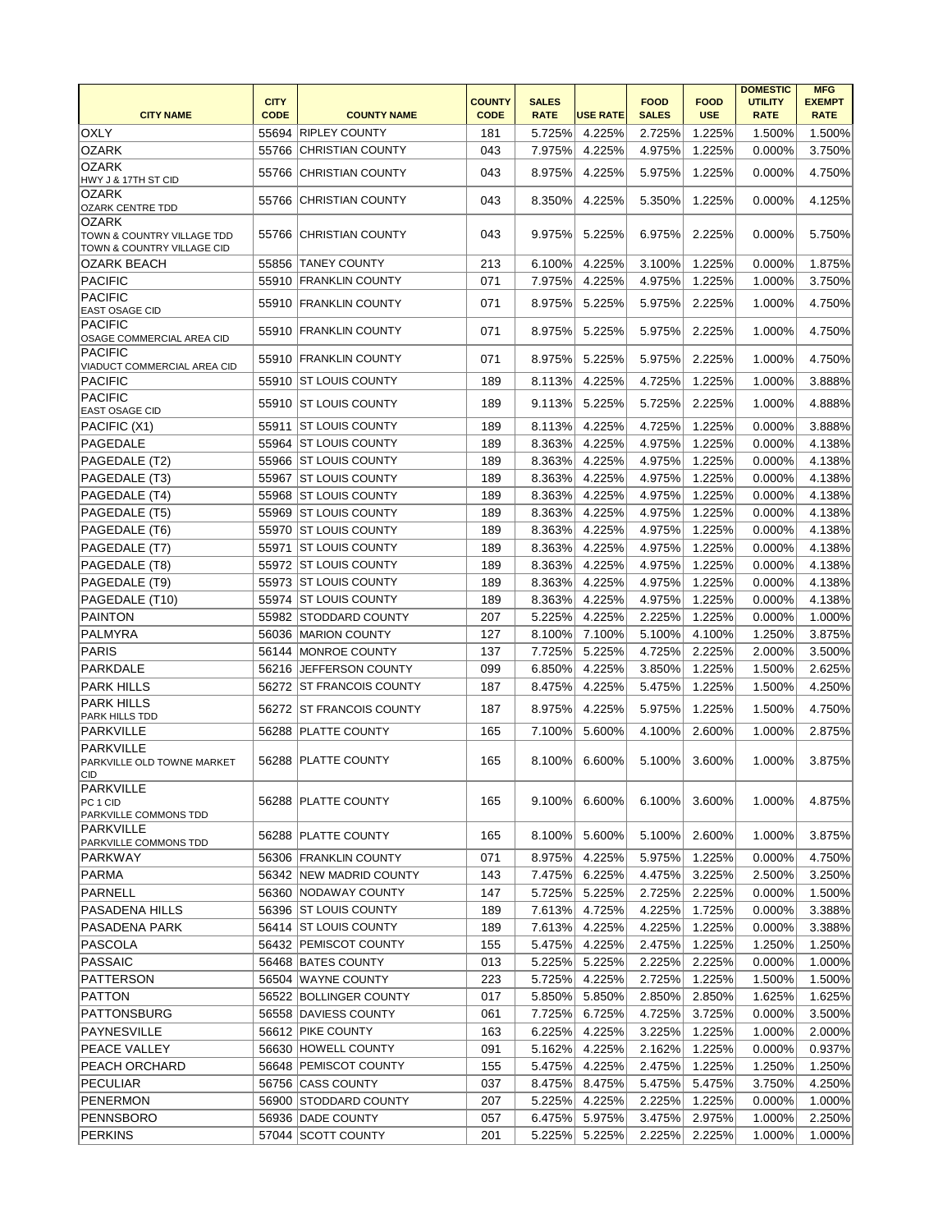|                                                                     |             |                          |               |              |                 |              |             | <b>DOMESTIC</b> | <b>MFG</b>    |
|---------------------------------------------------------------------|-------------|--------------------------|---------------|--------------|-----------------|--------------|-------------|-----------------|---------------|
|                                                                     | <b>CITY</b> |                          | <b>COUNTY</b> | <b>SALES</b> |                 | <b>FOOD</b>  | <b>FOOD</b> | <b>UTILITY</b>  | <b>EXEMPT</b> |
| <b>CITY NAME</b>                                                    | <b>CODE</b> | <b>COUNTY NAME</b>       | <b>CODE</b>   | <b>RATE</b>  | <b>USE RATE</b> | <b>SALES</b> | <b>USE</b>  | <b>RATE</b>     | <b>RATE</b>   |
| <b>OXLY</b>                                                         |             | 55694 RIPLEY COUNTY      | 181           | 5.725%       | 4.225%          | 2.725%       | 1.225%      | 1.500%          | 1.500%        |
| <b>OZARK</b>                                                        | 55766       | <b>CHRISTIAN COUNTY</b>  | 043           | 7.975%       | 4.225%          | 4.975%       | 1.225%      | 0.000%          | 3.750%        |
| <b>OZARK</b><br>HWY J & 17TH ST CID                                 |             | 55766 CHRISTIAN COUNTY   | 043           | 8.975%       | 4.225%          | 5.975%       | 1.225%      | 0.000%          | 4.750%        |
| <b>OZARK</b>                                                        |             |                          |               |              |                 |              |             |                 |               |
| <b>OZARK CENTRE TDD</b>                                             |             | 55766 CHRISTIAN COUNTY   | 043           | 8.350%       | 4.225%          | 5.350%       | 1.225%      | 0.000%          | 4.125%        |
| <b>OZARK</b>                                                        |             |                          |               |              |                 |              |             |                 | 5.750%        |
| <b>TOWN &amp; COUNTRY VILLAGE TDD</b><br>TOWN & COUNTRY VILLAGE CID |             | 55766 CHRISTIAN COUNTY   | 043           | 9.975%       | 5.225%          | 6.975%       | 2.225%      | 0.000%          |               |
| <b>OZARK BEACH</b>                                                  |             | 55856 TANEY COUNTY       | 213           | 6.100%       | 4.225%          | 3.100%       | 1.225%      | 0.000%          | 1.875%        |
| PACIFIC                                                             |             | 55910 FRANKLIN COUNTY    | 071           | 7.975%       | 4.225%          | 4.975%       | 1.225%      | 1.000%          | 3.750%        |
| PACIFIC                                                             |             | 55910 FRANKLIN COUNTY    | 071           | 8.975%       | 5.225%          | 5.975%       | 2.225%      | 1.000%          | 4.750%        |
| <b>EAST OSAGE CID</b>                                               |             |                          |               |              |                 |              |             |                 |               |
| PACIFIC<br>OSAGE COMMERCIAL AREA CID                                |             | 55910 FRANKLIN COUNTY    | 071           | 8.975%       | 5.225%          | 5.975%       | 2.225%      | 1.000%          | 4.750%        |
| PACIFIC                                                             |             |                          |               |              |                 |              |             |                 |               |
| VIADUCT COMMERCIAL AREA CID                                         |             | 55910 FRANKLIN COUNTY    | 071           | 8.975%       | 5.225%          | 5.975%       | 2.225%      | 1.000%          | 4.750%        |
| PACIFIC                                                             |             | 55910 ST LOUIS COUNTY    | 189           | 8.113%       | 4.225%          | 4.725%       | 1.225%      | 1.000%          | 3.888%        |
| PACIFIC<br><b>EAST OSAGE CID</b>                                    |             | 55910 ST LOUIS COUNTY    | 189           | 9.113%       | 5.225%          | 5.725%       | 2.225%      | 1.000%          | 4.888%        |
| PACIFIC (X1)                                                        | 55911       | <b>ST LOUIS COUNTY</b>   | 189           | 8.113%       | 4.225%          | 4.725%       | 1.225%      | 0.000%          | 3.888%        |
| PAGEDALE                                                            |             | 55964 ST LOUIS COUNTY    | 189           | 8.363%       | 4.225%          | 4.975%       | 1.225%      | 0.000%          | 4.138%        |
| PAGEDALE (T2)                                                       |             | 55966 ST LOUIS COUNTY    | 189           | 8.363%       | 4.225%          | 4.975%       | 1.225%      | 0.000%          | 4.138%        |
| PAGEDALE (T3)                                                       | 55967       | <b>ST LOUIS COUNTY</b>   | 189           | 8.363%       | 4.225%          | 4.975%       | 1.225%      | 0.000%          | 4.138%        |
| PAGEDALE (T4)                                                       |             | 55968 ST LOUIS COUNTY    | 189           | 8.363%       | 4.225%          | 4.975%       | 1.225%      | 0.000%          | 4.138%        |
| PAGEDALE (T5)                                                       |             | 55969 ST LOUIS COUNTY    | 189           | 8.363%       | 4.225%          | 4.975%       | 1.225%      | 0.000%          | 4.138%        |
| PAGEDALE (T6)                                                       |             | 55970 ST LOUIS COUNTY    | 189           | 8.363%       | 4.225%          | 4.975%       | 1.225%      | 0.000%          | 4.138%        |
| PAGEDALE (T7)                                                       |             | 55971 ST LOUIS COUNTY    | 189           | 8.363%       | 4.225%          | 4.975%       | 1.225%      | 0.000%          | 4.138%        |
| PAGEDALE (T8)                                                       |             | 55972 ST LOUIS COUNTY    | 189           | 8.363%       | 4.225%          | 4.975%       | 1.225%      | 0.000%          | 4.138%        |
| PAGEDALE (T9)                                                       |             | 55973 ST LOUIS COUNTY    | 189           | 8.363%       | 4.225%          | 4.975%       | 1.225%      | 0.000%          | 4.138%        |
| PAGEDALE (T10)                                                      |             | 55974 ST LOUIS COUNTY    | 189           | 8.363%       | 4.225%          | 4.975%       | 1.225%      | 0.000%          | 4.138%        |
| <b>PAINTON</b>                                                      |             | 55982 STODDARD COUNTY    | 207           | 5.225%       | 4.225%          | 2.225%       | 1.225%      | 0.000%          | 1.000%        |
| <b>PALMYRA</b>                                                      |             | 56036 MARION COUNTY      | 127           | 8.100%       | 7.100%          | 5.100%       | 4.100%      | 1.250%          | 3.875%        |
| PARIS                                                               |             | 56144 MONROE COUNTY      | 137           | 7.725%       | 5.225%          | 4.725%       | 2.225%      | 2.000%          | 3.500%        |
| PARKDALE                                                            |             | 56216 JEFFERSON COUNTY   | 099           | 6.850%       | 4.225%          | 3.850%       | 1.225%      | 1.500%          | 2.625%        |
| <b>PARK HILLS</b>                                                   |             | 56272 ST FRANCOIS COUNTY | 187           | 8.475%       | 4.225%          | 5.475%       | 1.225%      | 1.500%          | 4.250%        |
| <b>PARK HILLS</b>                                                   |             | 56272 ST FRANCOIS COUNTY | 187           | 8.975%       | 4.225%          | 5.975%       | 1.225%      | 1.500%          | 4.750%        |
| PARK HILLS TDD                                                      |             |                          |               |              |                 |              |             |                 |               |
| PARKVILLE                                                           |             | 56288 PLATTE COUNTY      | 165           | 7.100%       | 5.600%          | 4.100%       | 2.600%      | 1.000%          | 2.875%        |
| PARKVILLE<br>PARKVILLE OLD TOWNE MARKET                             |             | 56288 PLATTE COUNTY      | 165           | $8.100\%$    | 6.600%          | 5.100%       | 3.600%      | 1.000%          | 3.875%        |
| CID.                                                                |             |                          |               |              |                 |              |             |                 |               |
| PARKVILLE                                                           |             |                          |               |              |                 |              |             |                 |               |
| PC 1 CD<br>PARKVILLE COMMONS TDD                                    |             | 56288 PLATTE COUNTY      | 165           | 9.100%       | 6.600%          | 6.100%       | 3.600%      | 1.000%          | 4.875%        |
| PARKVILLE                                                           |             | 56288 PLATTE COUNTY      | 165           | 8.100%       | 5.600%          | 5.100%       | 2.600%      | 1.000%          |               |
| <b>PARKVILLE COMMONS TDD</b>                                        |             |                          |               |              |                 |              |             |                 | 3.875%        |
| PARKWAY                                                             |             | 56306 FRANKLIN COUNTY    | 071           | 8.975%       | 4.225%          | 5.975%       | 1.225%      | 0.000%          | 4.750%        |
| PARMA                                                               |             | 56342 NEW MADRID COUNTY  | 143           | 7.475%       | 6.225%          | 4.475%       | 3.225%      | 2.500%          | 3.250%        |
| PARNELL                                                             |             | 56360 NODAWAY COUNTY     | 147           | 5.725%       | 5.225%          | 2.725%       | 2.225%      | 0.000%          | 1.500%        |
| <b>PASADENA HILLS</b>                                               |             | 56396 ST LOUIS COUNTY    | 189           | 7.613%       | 4.725%          | 4.225%       | 1.725%      | 0.000%          | 3.388%        |
| <b>PASADENA PARK</b>                                                |             | 56414 ST LOUIS COUNTY    | 189           | 7.613%       | 4.225%          | 4.225%       | 1.225%      | 0.000%          | 3.388%        |
| PASCOLA                                                             |             | 56432 PEMISCOT COUNTY    | 155           | 5.475%       | 4.225%          | 2.475%       | 1.225%      | 1.250%          | 1.250%        |
| PASSAIC                                                             |             | 56468 BATES COUNTY       | 013           | 5.225%       | 5.225%          | 2.225%       | 2.225%      | 0.000%          | 1.000%        |
| PATTERSON                                                           |             | 56504 WAYNE COUNTY       | 223           | 5.725%       | 4.225%          | 2.725%       | 1.225%      | 1.500%          | 1.500%        |
| <b>PATTON</b>                                                       |             | 56522 BOLLINGER COUNTY   | 017           | 5.850%       | 5.850%          | 2.850%       | 2.850%      | 1.625%          | 1.625%        |
| <b>PATTONSBURG</b>                                                  |             | 56558 DAVIESS COUNTY     | 061           | 7.725%       | 6.725%          | 4.725%       | 3.725%      | 0.000%          | 3.500%        |
| PAYNESVILLE                                                         |             | 56612 PIKE COUNTY        | 163           | 6.225%       | 4.225%          | 3.225%       | 1.225%      | 1.000%          | 2.000%        |
| <b>PEACE VALLEY</b>                                                 |             | 56630 HOWELL COUNTY      | 091           | 5.162%       | 4.225%          | 2.162%       | 1.225%      | 0.000%          | 0.937%        |
| <b>PEACH ORCHARD</b>                                                |             | 56648 PEMISCOT COUNTY    | 155           | 5.475%       | 4.225%          | 2.475%       | 1.225%      | 1.250%          | 1.250%        |
| PECULIAR                                                            |             | 56756 CASS COUNTY        | 037           | 8.475%       | 8.475%          | 5.475%       | 5.475%      | 3.750%          | 4.250%        |
| PENERMON                                                            |             | 56900 STODDARD COUNTY    | 207           | 5.225%       | 4.225%          | 2.225%       | 1.225%      | 0.000%          | 1.000%        |
| PENNSBORO                                                           |             | 56936 DADE COUNTY        | 057           | 6.475%       | 5.975%          | 3.475%       | 2.975%      | 1.000%          | 2.250%        |
| PERKINS                                                             |             | 57044 SCOTT COUNTY       | 201           | 5.225%       | 5.225%          | 2.225%       | 2.225%      | 1.000%          | 1.000%        |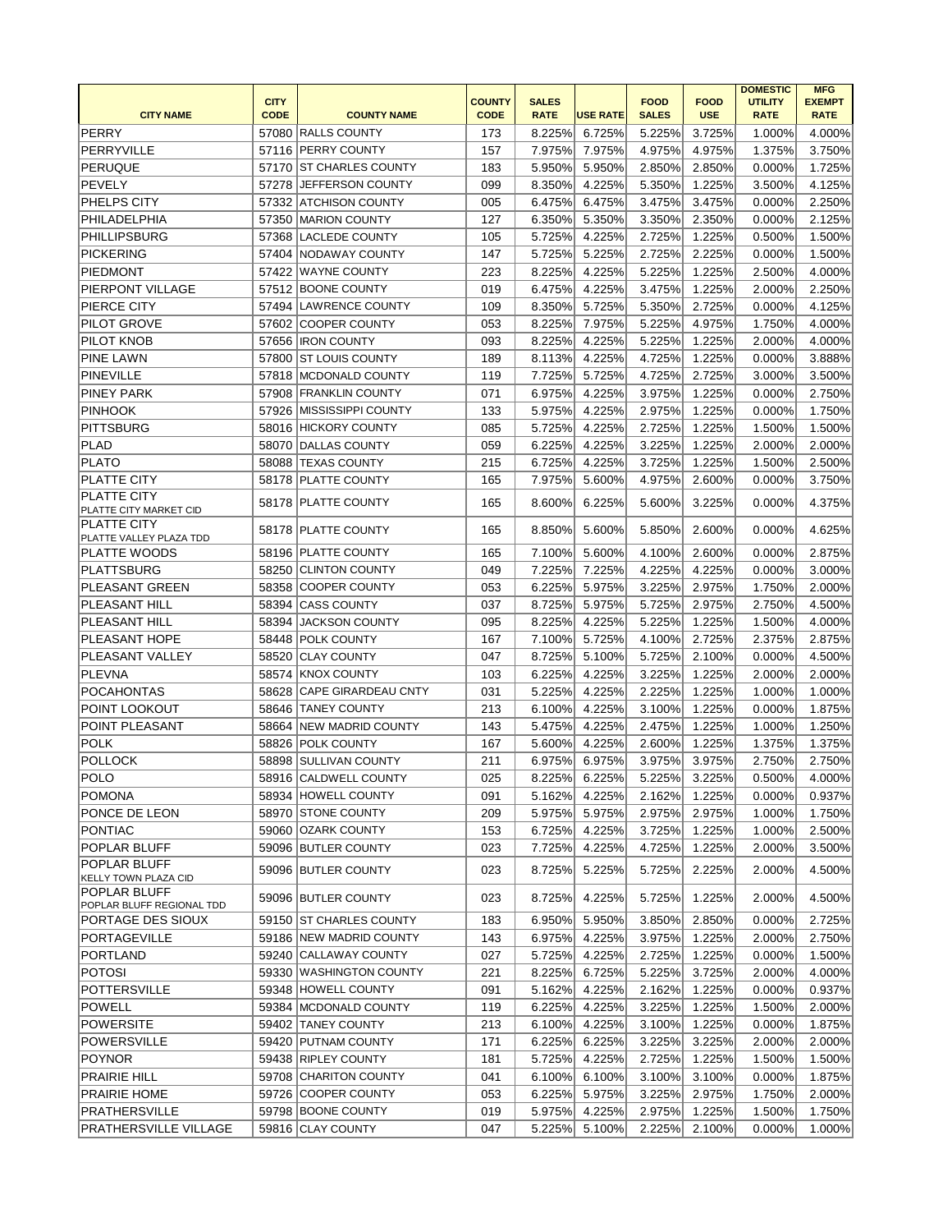|                                                    |                            |                                                |                              |                             |                  |                             |                           | <b>DOMESTIC</b>               | <b>MFG</b>                   |
|----------------------------------------------------|----------------------------|------------------------------------------------|------------------------------|-----------------------------|------------------|-----------------------------|---------------------------|-------------------------------|------------------------------|
| <b>CITY NAME</b>                                   | <b>CITY</b><br><b>CODE</b> | <b>COUNTY NAME</b>                             | <b>COUNTY</b><br><b>CODE</b> | <b>SALES</b><br><b>RATE</b> | <b>USE RATE</b>  | <b>FOOD</b><br><b>SALES</b> | <b>FOOD</b><br><b>USE</b> | <b>UTILITY</b><br><b>RATE</b> | <b>EXEMPT</b><br><b>RATE</b> |
| PERRY                                              |                            | 57080 RALLS COUNTY                             | 173                          | 8.225%                      | 6.725%           | 5.225%                      | 3.725%                    | 1.000%                        | 4.000%                       |
| PERRYVILLE                                         |                            | 57116 PERRY COUNTY                             | 157                          | 7.975%                      | 7.975%           | 4.975%                      | 4.975%                    | 1.375%                        | 3.750%                       |
| PERUQUE                                            |                            | 57170 ST CHARLES COUNTY                        | 183                          | 5.950%                      | 5.950%           | 2.850%                      | 2.850%                    | 0.000%                        | 1.725%                       |
| PEVELY                                             |                            | 57278 JEFFERSON COUNTY                         | 099                          | 8.350%                      | 4.225%           | 5.350%                      | 1.225%                    | 3.500%                        | 4.125%                       |
| <b>PHELPS CITY</b>                                 |                            | 57332 ATCHISON COUNTY                          | 005                          | 6.475%                      | 6.475%           | 3.475%                      | 3.475%                    | 0.000%                        | 2.250%                       |
| PHILADELPHIA                                       |                            | 57350 MARION COUNTY                            | 127                          | 6.350%                      | 5.350%           | 3.350%                      | 2.350%                    | 0.000%                        | 2.125%                       |
| <b>PHILLIPSBURG</b>                                |                            | 57368 LACLEDE COUNTY                           | 105                          | 5.725%                      | 4.225%           | 2.725%                      | 1.225%                    | 0.500%                        | 1.500%                       |
| PICKERING                                          |                            | 57404 NODAWAY COUNTY                           | 147                          | 5.725%                      | 5.225%           | 2.725%                      | 2.225%                    | 0.000%                        | 1.500%                       |
| <b>PIEDMONT</b>                                    | 57422                      | <b>WAYNE COUNTY</b>                            | 223                          | 8.225%                      | 4.225%           | 5.225%                      | 1.225%                    | 2.500%                        | 4.000%                       |
| <b>PIERPONT VILLAGE</b>                            |                            | 57512 BOONE COUNTY                             | 019                          | 6.475%                      | 4.225%           | 3.475%                      | 1.225%                    | 2.000%                        | 2.250%                       |
| <b>PIERCE CITY</b>                                 |                            | 57494 LAWRENCE COUNTY                          | 109                          | 8.350%                      | 5.725%           | 5.350%                      | 2.725%                    | 0.000%                        | 4.125%                       |
| <b>PILOT GROVE</b>                                 |                            | 57602 COOPER COUNTY                            | 053                          | 8.225%                      | 7.975%           | 5.225%                      | 4.975%                    | 1.750%                        | 4.000%                       |
| <b>PILOT KNOB</b>                                  |                            | 57656 <b>IRON COUNTY</b>                       | 093                          | 8.225%                      | 4.225%           | 5.225%                      | 1.225%                    | 2.000%                        | 4.000%                       |
| <b>PINE LAWN</b>                                   | 57800                      | <b>ST LOUIS COUNTY</b>                         | 189                          | 8.113%                      | 4.225%           | 4.725%                      | 1.225%                    | 0.000%                        | 3.888%                       |
| PINEVILLE                                          |                            | 57818   MCDONALD COUNTY                        | 119                          | 7.725%                      | 5.725%           | 4.725%                      | 2.725%                    | 3.000%                        | 3.500%                       |
| <b>PINEY PARK</b>                                  |                            | 57908 FRANKLIN COUNTY                          | 071                          | 6.975%                      | 4.225%           | 3.975%                      | 1.225%                    | 0.000%                        | 2.750%                       |
| <b>PINHOOK</b>                                     |                            | 57926 MISSISSIPPI COUNTY                       | 133                          | 5.975%                      | 4.225%           | 2.975%                      | 1.225%                    | 0.000%                        | 1.750%                       |
| PITTSBURG                                          |                            | 58016 HICKORY COUNTY                           | 085                          | 5.725%                      | 4.225%           | 2.725%                      | 1.225%                    | 1.500%                        | 1.500%                       |
| PLAD                                               | 58070                      | <b>DALLAS COUNTY</b>                           | 059                          | 6.225%                      | 4.225%           | 3.225%                      | 1.225%                    | 2.000%                        | 2.000%                       |
| PLATO                                              | 58088                      | <b>TEXAS COUNTY</b>                            | 215                          | 6.725%                      | 4.225%           | 3.725%                      | 1.225%                    | 1.500%                        | 2.500%                       |
| <b>PLATTE CITY</b>                                 |                            | 58178 PLATTE COUNTY                            | 165                          | 7.975%                      | 5.600%           | 4.975%                      | 2.600%                    | 0.000%                        | 3.750%                       |
| <b>PLATTE CITY</b>                                 |                            | 58178 PLATTE COUNTY                            | 165                          | 8.600%                      | 6.225%           | 5.600%                      | 3.225%                    | 0.000%                        | 4.375%                       |
| PLATTE CITY MARKET CID<br><b>PLATTE CITY</b>       |                            | 58178 PLATTE COUNTY                            | 165                          | 8.850%                      | 5.600%           | 5.850%                      | 2.600%                    | 0.000%                        | 4.625%                       |
| PLATTE VALLEY PLAZA TDD<br><b>PLATTE WOODS</b>     |                            | 58196 PLATTE COUNTY                            | 165                          | 7.100%                      | 5.600%           | 4.100%                      | 2.600%                    | 0.000%                        | 2.875%                       |
| PLATTSBURG                                         | 58250                      | <b>CLINTON COUNTY</b>                          | 049                          | 7.225%                      | 7.225%           | 4.225%                      | 4.225%                    | 0.000%                        | 3.000%                       |
| <b>PLEASANT GREEN</b>                              | 58358                      | <b>COOPER COUNTY</b>                           | 053                          | 6.225%                      | 5.975%           | 3.225%                      | 2.975%                    | 1.750%                        | 2.000%                       |
| <b>PLEASANT HILL</b>                               |                            | 58394 CASS COUNTY                              | 037                          | 8.725%                      | 5.975%           | 5.725%                      | 2.975%                    | 2.750%                        | 4.500%                       |
| PLEASANT HILL                                      |                            | 58394 IJACKSON COUNTY                          | 095                          | 8.225%                      | 4.225%           | 5.225%                      | 1.225%                    | 1.500%                        | 4.000%                       |
| <b>PLEASANT HOPE</b>                               |                            | 58448 POLK COUNTY                              | 167                          | 7.100%                      | 5.725%           | 4.100%                      | 2.725%                    | 2.375%                        | 2.875%                       |
| PLEASANT VALLEY                                    |                            | 58520 CLAY COUNTY                              | 047                          | 8.725%                      | 5.100%           | 5.725%                      | 2.100%                    | 0.000%                        | 4.500%                       |
| PLEVNA                                             |                            | 58574 KNOX COUNTY                              | 103                          | 6.225%                      | 4.225%           | 3.225%                      | 1.225%                    | 2.000%                        | 2.000%                       |
| <b>POCAHONTAS</b>                                  |                            | 58628 CAPE GIRARDEAU CNTY                      | 031                          | 5.225%                      | 4.225%           | 2.225%                      | 1.225%                    | 1.000%                        | 1.000%                       |
| <b>POINT LOOKOUT</b>                               |                            | 58646 TANEY COUNTY                             | 213                          | 6.100%                      | 4.225%           | 3.100%                      | 1.225%                    | 0.000%                        | 1.875%                       |
| POINT PLEASANT                                     |                            | 58664 NEW MADRID COUNTY                        | 143                          | 5.475%                      | 4.225%           | 2.475%                      | 1.225%                    | 1.000%                        | 1.250%                       |
| POLK                                               |                            | 58826 POLK COUNTY                              | 167                          | 5.600%                      | 4.225%           | 2.600%                      | 1.225%                    | 1.375%                        | 1.375%                       |
| <b>POLLOCK</b>                                     |                            | 58898 SULLIVAN COUNTY                          | 211                          | 6.975%                      | 6.975%           | 3.975%                      | 3.975%                    | 2.750%                        | 2.750%                       |
| <b>POLO</b>                                        |                            | 58916 CALDWELL COUNTY                          | 025                          | 8.225%                      | 6.225%           | 5.225%                      | 3.225%                    | 0.500%                        | 4.000%                       |
| <b>POMONA</b>                                      |                            | 58934 HOWELL COUNTY                            | 091                          | 5.162%                      | 4.225%           | 2.162%                      | 1.225%                    | 0.000%                        | 0.937%                       |
| <b>PONCE DE LEON</b>                               |                            | 58970 STONE COUNTY                             | 209                          | 5.975%                      | 5.975%           | 2.975%                      | 2.975%                    | 1.000%                        | 1.750%                       |
| <b>PONTIAC</b>                                     |                            | 59060 OZARK COUNTY                             | 153                          | 6.725%                      | 4.225%           | 3.725%                      | 1.225%                    | 1.000%                        | 2.500%                       |
| <b>POPLAR BLUFF</b>                                |                            | 59096 BUTLER COUNTY                            | 023                          | 7.725%                      | 4.225%           | 4.725%                      | 1.225%                    | 2.000%                        | 3.500%                       |
| <b>POPLAR BLUFF</b>                                |                            | 59096 BUTLER COUNTY                            | 023                          | 8.725%                      | 5.225%           | 5.725%                      | 2.225%                    | 2.000%                        | 4.500%                       |
| <b>KELLY TOWN PLAZA CID</b><br><b>POPLAR BLUFF</b> |                            | 59096 BUTLER COUNTY                            | 023                          | 8.725%                      | 4.225%           | 5.725%                      | 1.225%                    | 2.000%                        | 4.500%                       |
| POPLAR BLUFF REGIONAL TDD<br>PORTAGE DES SIOUX     |                            | 59150 ST CHARLES COUNTY                        | 183                          | 6.950%                      | 5.950%           | 3.850%                      | 2.850%                    | 0.000%                        | 2.725%                       |
| <b>PORTAGEVILLE</b>                                |                            | 59186 NEW MADRID COUNTY                        | 143                          | 6.975%                      | 4.225%           | 3.975%                      | 1.225%                    | 2.000%                        | 2.750%                       |
| PORTLAND                                           |                            | 59240 CALLAWAY COUNTY                          | 027                          | 5.725%                      | 4.225%           | 2.725%                      | 1.225%                    | 0.000%                        | 1.500%                       |
|                                                    |                            |                                                |                              |                             |                  |                             |                           |                               |                              |
| <b>POTOSI</b>                                      |                            | 59330 WASHINGTON COUNTY<br>59348 HOWELL COUNTY | 221                          | 8.225%                      | 6.725%           | 5.225%                      | 3.725%                    | 2.000%                        | 4.000%                       |
| <b>POTTERSVILLE</b>                                |                            |                                                | 091                          | 5.162%                      | 4.225%<br>4.225% | 2.162%                      | 1.225%                    | 0.000%                        | 0.937%<br>2.000%             |
| POWELL                                             |                            | 59384 MCDONALD COUNTY                          | 119                          | 6.225%                      |                  | 3.225%                      | 1.225%                    | 1.500%                        |                              |
| <b>POWERSITE</b><br><b>POWERSVILLE</b>             |                            | 59402 TANEY COUNTY                             | 213<br>171                   | 6.100%<br>6.225%            | 4.225%           | 3.100%<br>3.225%            | 1.225%<br>3.225%          | 0.000%<br>2.000%              | 1.875%<br>2.000%             |
|                                                    |                            | 59420 PUTNAM COUNTY                            |                              |                             | 6.225%           |                             |                           |                               |                              |
| POYNOR                                             |                            | 59438 RIPLEY COUNTY                            | 181                          | 5.725%                      | 4.225%           | 2.725%                      | 1.225%                    | 1.500%                        | 1.500%                       |
| <b>PRAIRIE HILL</b>                                |                            | 59708 CHARITON COUNTY                          | 041                          | 6.100%<br>6.225%            | 6.100%           | 3.100%                      | 3.100%                    | 0.000%<br>1.750%              | 1.875%                       |
| <b>PRAIRIE HOME</b>                                |                            | 59726 COOPER COUNTY                            | 053                          |                             | 5.975%           | 3.225%                      | 2.975%                    |                               | 2.000%                       |
| PRATHERSVILLE                                      |                            | 59798 BOONE COUNTY                             | 019                          | 5.975%                      | 4.225%           | 2.975%                      | 1.225%                    | 1.500%                        | 1.750%                       |
| <b>PRATHERSVILLE VILLAGE</b>                       |                            | 59816 CLAY COUNTY                              | 047                          | 5.225%                      | 5.100%           | 2.225%                      | 2.100%                    | 0.000%                        | 1.000%                       |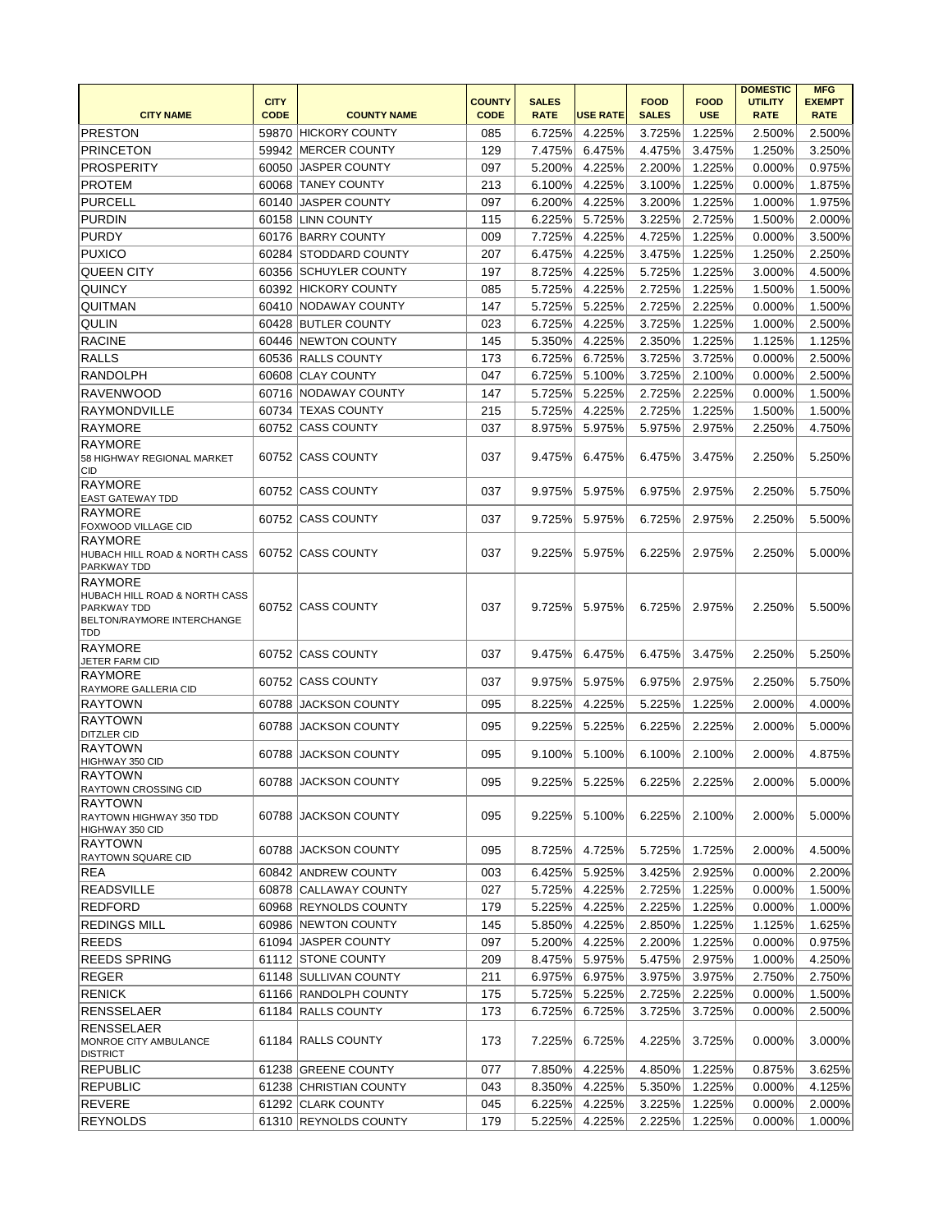|                                                                                                            |                            |                         |                              |                             |                 |                             |                           | <b>DOMESTIC</b>               | <b>MFG</b>                   |
|------------------------------------------------------------------------------------------------------------|----------------------------|-------------------------|------------------------------|-----------------------------|-----------------|-----------------------------|---------------------------|-------------------------------|------------------------------|
| <b>CITY NAME</b>                                                                                           | <b>CITY</b><br><b>CODE</b> | <b>COUNTY NAME</b>      | <b>COUNTY</b><br><b>CODE</b> | <b>SALES</b><br><b>RATE</b> | <b>USE RATE</b> | <b>FOOD</b><br><b>SALES</b> | <b>FOOD</b><br><b>USE</b> | <b>UTILITY</b><br><b>RATE</b> | <b>EXEMPT</b><br><b>RATE</b> |
| PRESTON                                                                                                    |                            | 59870 HICKORY COUNTY    | 085                          | 6.725%                      | 4.225%          | 3.725%                      | 1.225%                    | 2.500%                        | 2.500%                       |
| PRINCETON                                                                                                  | 59942                      | MERCER COUNTY           | 129                          | 7.475%                      | 6.475%          | 4.475%                      | 3.475%                    | 1.250%                        | 3.250%                       |
| PROSPERITY                                                                                                 | 60050                      | JASPER COUNTY           | 097                          | 5.200%                      | 4.225%          | 2.200%                      | 1.225%                    | 0.000%                        | 0.975%                       |
| <b>PROTEM</b>                                                                                              | 60068                      | <b>TANEY COUNTY</b>     | 213                          | 6.100%                      | 4.225%          | 3.100%                      | 1.225%                    | 0.000%                        | 1.875%                       |
| PURCELL                                                                                                    | 60140                      | JASPER COUNTY           | 097                          | 6.200%                      | 4.225%          | 3.200%                      | 1.225%                    | 1.000%                        | 1.975%                       |
| PURDIN                                                                                                     |                            | 60158 LINN COUNTY       | 115                          | 6.225%                      | 5.725%          | 3.225%                      | 2.725%                    | 1.500%                        | 2.000%                       |
| PURDY                                                                                                      |                            | 60176 BARRY COUNTY      | 009                          | 7.725%                      | 4.225%          | 4.725%                      | 1.225%                    | 0.000%                        | 3.500%                       |
| PUXICO                                                                                                     | 60284                      | <b>STODDARD COUNTY</b>  | 207                          | 6.475%                      | 4.225%          | 3.475%                      | 1.225%                    | 1.250%                        | 2.250%                       |
| <b>QUEEN CITY</b>                                                                                          | 60356                      | <b>SCHUYLER COUNTY</b>  | 197                          | 8.725%                      | 4.225%          | 5.725%                      | 1.225%                    | 3.000%                        | 4.500%                       |
| <b>QUINCY</b>                                                                                              |                            | 60392 HICKORY COUNTY    | 085                          | 5.725%                      | 4.225%          | 2.725%                      | 1.225%                    | 1.500%                        | 1.500%                       |
| QUITMAN                                                                                                    |                            | 60410 NODAWAY COUNTY    | 147                          | 5.725%                      | 5.225%          | 2.725%                      | 2.225%                    | 0.000%                        | 1.500%                       |
| QULIN                                                                                                      |                            | 60428 BUTLER COUNTY     | 023                          | 6.725%                      | 4.225%          | 3.725%                      | 1.225%                    | 1.000%                        | 2.500%                       |
| <b>RACINE</b>                                                                                              |                            | 60446 NEWTON COUNTY     | 145                          | 5.350%                      | 4.225%          | 2.350%                      | 1.225%                    | 1.125%                        | 1.125%                       |
| RALLS                                                                                                      |                            | 60536 RALLS COUNTY      | 173                          | 6.725%                      | 6.725%          | 3.725%                      | 3.725%                    | 0.000%                        | 2.500%                       |
| RANDOLPH                                                                                                   | 60608                      | <b>CLAY COUNTY</b>      | 047                          | 6.725%                      | 5.100%          | 3.725%                      | 2.100%                    | 0.000%                        | 2.500%                       |
| <b>RAVENWOOD</b>                                                                                           |                            | 60716 NODAWAY COUNTY    | 147                          | 5.725%                      | 5.225%          | 2.725%                      | 2.225%                    | 0.000%                        | 1.500%                       |
| RAYMONDVILLE                                                                                               | 60734                      | <b>TEXAS COUNTY</b>     | 215                          | 5.725%                      | 4.225%          | 2.725%                      | 1.225%                    | 1.500%                        | 1.500%                       |
| RAYMORE                                                                                                    |                            | 60752 CASS COUNTY       | 037                          | 8.975%                      | 5.975%          | 5.975%                      | 2.975%                    | 2.250%                        | 4.750%                       |
| RAYMORE<br>58 HIGHWAY REGIONAL MARKET<br><b>CID</b>                                                        |                            | 60752 CASS COUNTY       | 037                          | 9.475%                      | 6.475%          | 6.475%                      | 3.475%                    | 2.250%                        | 5.250%                       |
| <b>RAYMORE</b><br><b>EAST GATEWAY TDD</b>                                                                  |                            | 60752 CASS COUNTY       | 037                          | 9.975%                      | 5.975%          | 6.975%                      | 2.975%                    | 2.250%                        | 5.750%                       |
| RAYMORE<br><b>FOXWOOD VILLAGE CID</b>                                                                      |                            | 60752 CASS COUNTY       | 037                          | 9.725%                      | 5.975%          | 6.725%                      | 2.975%                    | 2.250%                        | 5.500%                       |
| RAYMORE<br>HUBACH HILL ROAD & NORTH CASS<br><b>PARKWAY TDD</b>                                             |                            | 60752 CASS COUNTY       | 037                          | 9.225%                      | 5.975%          | 6.225%                      | 2.975%                    | 2.250%                        | 5.000%                       |
| RAYMORE<br>HUBACH HILL ROAD & NORTH CASS<br><b>PARKWAY TDD</b><br>BELTON/RAYMORE INTERCHANGE<br><b>TDD</b> |                            | 60752 CASS COUNTY       | 037                          | 9.725%                      | 5.975%          | 6.725%                      | 2.975%                    | 2.250%                        | 5.500%                       |
| RAYMORE<br><b>JETER FARM CID</b>                                                                           |                            | 60752 CASS COUNTY       | 037                          | 9.475%                      | 6.475%          | 6.475%                      | 3.475%                    | 2.250%                        | 5.250%                       |
| <b>RAYMORE</b><br>RAYMORE GALLERIA CID                                                                     |                            | 60752 CASS COUNTY       | 037                          | 9.975%                      | 5.975%          | 6.975%                      | 2.975%                    | 2.250%                        | 5.750%                       |
| <b>RAYTOWN</b>                                                                                             | 60788                      | <b>JACKSON COUNTY</b>   | 095                          | 8.225%                      | 4.225%          | 5.225%                      | 1.225%                    | 2.000%                        | 4.000%                       |
| <b>RAYTOWN</b>                                                                                             |                            | 60788 JACKSON COUNTY    | 095                          | 9.225%                      | 5.225%          | 6.225%                      | 2.225%                    | 2.000%                        | 5.000%                       |
| <b>DITZLER CID</b><br>RAYTOWN<br>HIGHWAY 350 CID                                                           |                            | 60788 JACKSON COUNTY    | 095                          | $9.100\%$                   | 5.100%          | 6.100%                      | 2.100%                    | 2.000%                        | 4.875%                       |
| RAYTOWN                                                                                                    |                            | 60788 JACKSON COUNTY    | 095                          | 9.225%                      | 5.225%          | 6.225%                      | 2.225%                    | 2.000%                        | 5.000%                       |
| <b>RAYTOWN CROSSING CID</b><br><b>RAYTOWN</b><br>RAYTOWN HIGHWAY 350 TDD<br>HIGHWAY 350 CID                |                            | 60788 JACKSON COUNTY    | 095                          | 9.225%                      | $5.100\%$       | 6.225%                      | 2.100%                    | 2.000%                        | 5.000%                       |
| <b>RAYTOWN</b><br><b>RAYTOWN SQUARE CID</b>                                                                |                            | 60788 JACKSON COUNTY    | 095                          | 8.725%                      | 4.725%          | 5.725%                      | 1.725%                    | 2.000%                        | 4.500%                       |
| <b>REA</b>                                                                                                 |                            | 60842 ANDREW COUNTY     | 003                          | 6.425%                      | 5.925%          | 3.425%                      | 2.925%                    | 0.000%                        | 2.200%                       |
| <b>READSVILLE</b>                                                                                          |                            | 60878 CALLAWAY COUNTY   | 027                          | 5.725%                      | 4.225%          | 2.725%                      | 1.225%                    | 0.000%                        | 1.500%                       |
| <b>REDFORD</b>                                                                                             |                            | 60968 REYNOLDS COUNTY   | 179                          | 5.225%                      | 4.225%          | 2.225%                      | 1.225%                    | 0.000%                        | 1.000%                       |
| <b>REDINGS MILL</b>                                                                                        |                            | 60986 NEWTON COUNTY     | 145                          | 5.850%                      | 4.225%          | 2.850%                      | 1.225%                    | 1.125%                        | 1.625%                       |
| <b>REEDS</b>                                                                                               |                            | 61094 JASPER COUNTY     | 097                          | 5.200%                      | 4.225%          | 2.200%                      | 1.225%                    | 0.000%                        | 0.975%                       |
| <b>REEDS SPRING</b>                                                                                        |                            | 61112 STONE COUNTY      | 209                          | 8.475%                      | 5.975%          | 5.475%                      | 2.975%                    | 1.000%                        | 4.250%                       |
| REGER                                                                                                      | 61148                      | <b>SULLIVAN COUNTY</b>  | 211                          | 6.975%                      | 6.975%          | 3.975%                      | 3.975%                    | 2.750%                        | 2.750%                       |
| <b>RENICK</b>                                                                                              |                            | 61166 RANDOLPH COUNTY   | 175                          | 5.725%                      | 5.225%          | 2.725%                      | 2.225%                    | 0.000%                        | 1.500%                       |
| RENSSELAER                                                                                                 |                            | 61184 RALLS COUNTY      | 173                          | 6.725%                      | 6.725%          | 3.725%                      | 3.725%                    | 0.000%                        | 2.500%                       |
| <b>RENSSELAER</b><br>MONROE CITY AMBULANCE<br><b>DISTRICT</b>                                              |                            | 61184 RALLS COUNTY      | 173                          | 7.225%                      | 6.725%          | 4.225%                      | 3.725%                    | 0.000%                        | 3.000%                       |
| <b>REPUBLIC</b>                                                                                            | 61238                      | <b>GREENE COUNTY</b>    | 077                          | 7.850%                      | 4.225%          | 4.850%                      | 1.225%                    | 0.875%                        | 3.625%                       |
| <b>REPUBLIC</b>                                                                                            | 61238                      | <b>CHRISTIAN COUNTY</b> | 043                          | 8.350%                      | 4.225%          | 5.350%                      | 1.225%                    | 0.000%                        | 4.125%                       |
| <b>REVERE</b>                                                                                              |                            | 61292 CLARK COUNTY      | 045                          | 6.225%                      | 4.225%          | 3.225%                      | 1.225%                    | 0.000%                        | 2.000%                       |
| <b>REYNOLDS</b>                                                                                            |                            | 61310 REYNOLDS COUNTY   | 179                          | 5.225%                      | 4.225%          | 2.225%                      | 1.225%                    | 0.000%                        | 1.000%                       |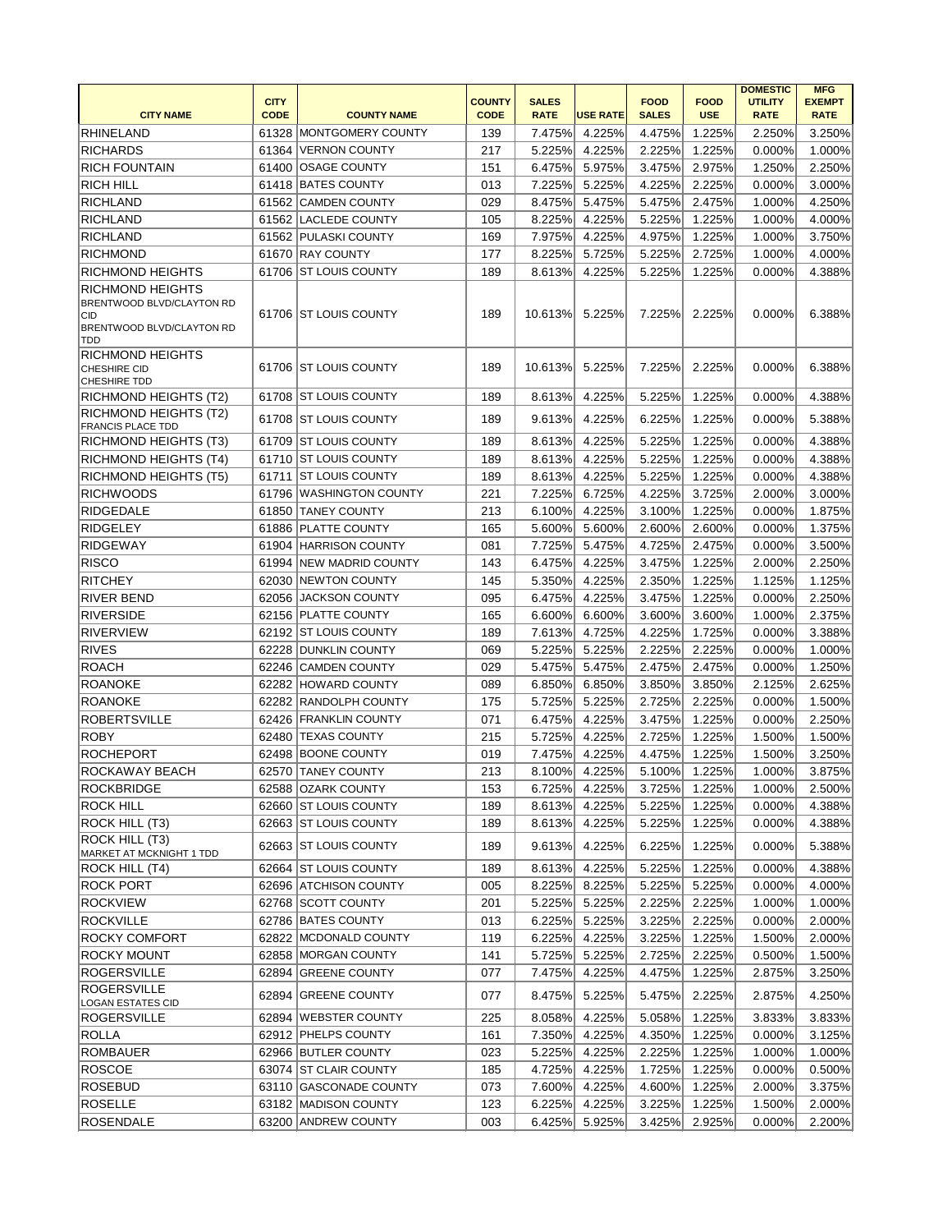|                                                                                                                | <b>CITY</b> |                          | <b>COUNTY</b> | <b>SALES</b> |                 | <b>FOOD</b>  | <b>FOOD</b> | <b>DOMESTIC</b><br><b>UTILITY</b> | <b>MFG</b><br><b>EXEMPT</b> |
|----------------------------------------------------------------------------------------------------------------|-------------|--------------------------|---------------|--------------|-----------------|--------------|-------------|-----------------------------------|-----------------------------|
| <b>CITY NAME</b>                                                                                               | <b>CODE</b> | <b>COUNTY NAME</b>       | <b>CODE</b>   | <b>RATE</b>  | <b>USE RATE</b> | <b>SALES</b> | <b>USE</b>  | <b>RATE</b>                       | <b>RATE</b>                 |
| <b>RHINELAND</b>                                                                                               |             | 61328 IMONTGOMERY COUNTY | 139           | 7.475%       | 4.225%          | 4.475%       | 1.225%      | 2.250%                            | 3.250%                      |
| <b>RICHARDS</b>                                                                                                |             | 61364 VERNON COUNTY      | 217           | 5.225%       | 4.225%          | 2.225%       | 1.225%      | 0.000%                            | 1.000%                      |
| <b>RICH FOUNTAIN</b>                                                                                           |             | 61400 OSAGE COUNTY       | 151           | 6.475%       | 5.975%          | 3.475%       | 2.975%      | 1.250%                            | 2.250%                      |
| <b>RICH HILL</b>                                                                                               |             | 61418 BATES COUNTY       | 013           | 7.225%       | 5.225%          | 4.225%       | 2.225%      | 0.000%                            | 3.000%                      |
| <b>RICHLAND</b>                                                                                                |             | 61562 CAMDEN COUNTY      | 029           | 8.475%       | 5.475%          | 5.475%       | 2.475%      | 1.000%                            | 4.250%                      |
| <b>RICHLAND</b>                                                                                                |             | 61562 LACLEDE COUNTY     | 105           | 8.225%       | 4.225%          | 5.225%       | 1.225%      | 1.000%                            | 4.000%                      |
| <b>RICHLAND</b>                                                                                                |             | 61562 PULASKI COUNTY     | 169           | 7.975%       | 4.225%          | 4.975%       | 1.225%      | 1.000%                            | 3.750%                      |
| <b>RICHMOND</b>                                                                                                |             | 61670 RAY COUNTY         | 177           | 8.225%       | 5.725%          | 5.225%       | 2.725%      | 1.000%                            | 4.000%                      |
| <b>RICHMOND HEIGHTS</b>                                                                                        |             | 61706 ST LOUIS COUNTY    | 189           | 8.613%       | 4.225%          | 5.225%       | 1.225%      | 0.000%                            | 4.388%                      |
| <b>RICHMOND HEIGHTS</b><br><b>BRENTWOOD BLVD/CLAYTON RD</b><br>∣CID<br><b>BRENTWOOD BLVD/CLAYTON RD</b><br>TDD |             | 61706 ST LOUIS COUNTY    | 189           | 10.613%      | 5.225%          | 7.225%       | 2.225%      | 0.000%                            | 6.388%                      |
| <b>RICHMOND HEIGHTS</b><br><b>CHESHIRE CID</b><br><b>CHESHIRE TDD</b>                                          |             | 61706 ST LOUIS COUNTY    | 189           | 10.613%      | 5.225%          | 7.225%       | 2.225%      | 0.000%                            | 6.388%                      |
| <b>RICHMOND HEIGHTS (T2)</b>                                                                                   |             | 61708 ST LOUIS COUNTY    | 189           | 8.613%       | 4.225%          | 5.225%       | 1.225%      | 0.000%                            | 4.388%                      |
| <b>RICHMOND HEIGHTS (T2)</b><br><b>FRANCIS PLACE TDD</b>                                                       |             | 61708 ST LOUIS COUNTY    | 189           | 9.613%       | 4.225%          | 6.225%       | 1.225%      | 0.000%                            | 5.388%                      |
| <b>RICHMOND HEIGHTS (T3)</b>                                                                                   |             | 61709 ST LOUIS COUNTY    | 189           | 8.613%       | 4.225%          | 5.225%       | 1.225%      | 0.000%                            | 4.388%                      |
| <b>RICHMOND HEIGHTS (T4)</b>                                                                                   |             | 61710 ST LOUIS COUNTY    | 189           | 8.613%       | 4.225%          | 5.225%       | 1.225%      | 0.000%                            | 4.388%                      |
| <b>RICHMOND HEIGHTS (T5)</b>                                                                                   |             | 61711 ST LOUIS COUNTY    | 189           | 8.613%       | 4.225%          | 5.225%       | 1.225%      | 0.000%                            | 4.388%                      |
| <b>RICHWOODS</b>                                                                                               |             | 61796 WASHINGTON COUNTY  | 221           | 7.225%       | 6.725%          | 4.225%       | 3.725%      | 2.000%                            | 3.000%                      |
| RIDGEDALE                                                                                                      |             | 61850 TANEY COUNTY       | 213           | 6.100%       | 4.225%          | 3.100%       | 1.225%      | 0.000%                            | 1.875%                      |
| <b>RIDGELEY</b>                                                                                                |             | 61886 PLATTE COUNTY      | 165           | 5.600%       | 5.600%          | 2.600%       | 2.600%      | 0.000%                            | 1.375%                      |
| <b>RIDGEWAY</b>                                                                                                |             | 61904 HARRISON COUNTY    | 081           | 7.725%       | 5.475%          | 4.725%       | 2.475%      | 0.000%                            | 3.500%                      |
| <b>RISCO</b>                                                                                                   |             | 61994 NEW MADRID COUNTY  | 143           | 6.475%       | 4.225%          | 3.475%       | 1.225%      | 2.000%                            | 2.250%                      |
| <b>RITCHEY</b>                                                                                                 |             | 62030 NEWTON COUNTY      | 145           | 5.350%       | 4.225%          | 2.350%       | 1.225%      | 1.125%                            | 1.125%                      |
| <b>RIVER BEND</b>                                                                                              |             | 62056 JACKSON COUNTY     | 095           | 6.475%       | 4.225%          | 3.475%       | 1.225%      | 0.000%                            | 2.250%                      |
| <b>RIVERSIDE</b>                                                                                               |             | 62156 PLATTE COUNTY      | 165           |              | 6.600% 6.600%   | $3.600\%$    | 3.600%      | 1.000%                            | 2.375%                      |
| <b>RIVERVIEW</b>                                                                                               |             | 62192 ST LOUIS COUNTY    | 189           | 7.613%       | 4.725%          | 4.225%       | 1.725%      | 0.000%                            | 3.388%                      |
| <b>RIVES</b>                                                                                                   |             | 62228 DUNKLIN COUNTY     | 069           | 5.225%       | 5.225%          | 2.225%       | 2.225%      | 0.000%                            | 1.000%                      |
| ROACH                                                                                                          |             | 62246 CAMDEN COUNTY      | 029           | 5.475%       | 5.475%          | 2.475%       | 2.475%      | 0.000%                            | 1.250%                      |
| <b>ROANOKE</b>                                                                                                 |             | 62282 HOWARD COUNTY      | 089           | 6.850%       | 6.850%          | 3.850%       | 3.850%      | 2.125%                            | 2.625%                      |
| <b>ROANOKE</b>                                                                                                 |             | 62282 RANDOLPH COUNTY    | 175           | 5.725%       | 5.225%          | 2.725%       | 2.225%      | 0.000%                            | 1.500%                      |
| <b>ROBERTSVILLE</b>                                                                                            |             | 62426 FRANKLIN COUNTY    | 071           | 6.475%       | 4.225%          | 3.475%       | 1.225%      | 0.000%                            | 2.250%                      |
| <b>ROBY</b>                                                                                                    |             | 62480 TEXAS COUNTY       | 215           | 5.725%       | 4.225%          | 2.725%       | 1.225%      | 1.500%                            | 1.500%                      |
| ROCHEPORT                                                                                                      |             | 62498 BOONE COUNTY       | 019           | 7.475%       | 4.225%          | 4.475%       | 1.225%      | 1.500%                            | 3.250%                      |
| ROCKAWAY BEACH                                                                                                 |             | 62570 TANEY COUNTY       | 213           | 8.100%       | 4.225%          | 5.100%       | 1.225%      | 1.000%                            | 3.875%                      |
| <b>ROCKBRIDGE</b>                                                                                              |             | 62588 OZARK COUNTY       | 153           | 6.725%       | 4.225%          | 3.725%       | 1.225%      | 1.000%                            | 2.500%                      |
| <b>ROCK HILL</b>                                                                                               |             | 62660 ST LOUIS COUNTY    | 189           | 8.613%       | 4.225%          | 5.225%       | 1.225%      | 0.000%                            | 4.388%                      |
| <b>ROCK HILL (T3)</b><br>ROCK HILL (T3)                                                                        |             | 62663 ST LOUIS COUNTY    | 189           | 8.613%       | 4.225%          | 5.225%       | 1.225%      | 0.000%                            | 4.388%                      |
| MARKET AT MCKNIGHT 1 TDD                                                                                       |             | 62663 ST LOUIS COUNTY    | 189           | 9.613%       | 4.225%          | 6.225%       | 1.225%      | 0.000%                            | 5.388%                      |
| ROCK HILL (T4)                                                                                                 |             | 62664 ST LOUIS COUNTY    | 189           | 8.613%       | 4.225%          | 5.225%       | 1.225%      | 0.000%                            | 4.388%                      |
| <b>ROCK PORT</b>                                                                                               |             | 62696 ATCHISON COUNTY    | 005           | 8.225%       | 8.225%          | 5.225%       | 5.225%      | 0.000%                            | 4.000%                      |
| <b>ROCKVIEW</b>                                                                                                |             | 62768 SCOTT COUNTY       | 201           | 5.225%       | 5.225%          | 2.225%       | 2.225%      | 1.000%                            | 1.000%                      |
| <b>ROCKVILLE</b>                                                                                               |             | 62786 BATES COUNTY       | 013           | 6.225%       | 5.225%          | 3.225%       | 2.225%      | 0.000%                            | 2.000%                      |
| <b>ROCKY COMFORT</b>                                                                                           |             | 62822 MCDONALD COUNTY    | 119           | 6.225%       | 4.225%          | 3.225%       | 1.225%      | 1.500%                            | 2.000%                      |
| <b>ROCKY MOUNT</b>                                                                                             |             | 62858 MORGAN COUNTY      | 141           | 5.725%       | 5.225%          | 2.725%       | 2.225%      | 0.500%                            | 1.500%                      |
| <b>ROGERSVILLE</b>                                                                                             |             | 62894 GREENE COUNTY      | 077           | 7.475%       | 4.225%          | 4.475%       | 1.225%      | 2.875%                            | 3.250%                      |
| <b>ROGERSVILLE</b><br><b>LOGAN ESTATES CID</b>                                                                 |             | 62894 GREENE COUNTY      | 077           | 8.475%       | 5.225%          | 5.475%       | 2.225%      | 2.875%                            | 4.250%                      |
| <b>ROGERSVILLE</b>                                                                                             |             | 62894 WEBSTER COUNTY     | 225           | 8.058%       | 4.225%          | 5.058%       | 1.225%      | 3.833%                            | 3.833%                      |
| <b>ROLLA</b>                                                                                                   |             | 62912 PHELPS COUNTY      | 161           | 7.350%       | 4.225%          | 4.350%       | 1.225%      | 0.000%                            | 3.125%                      |
| <b>ROMBAUER</b>                                                                                                |             | 62966 BUTLER COUNTY      | 023           | 5.225%       | 4.225%          | 2.225%       | 1.225%      | 1.000%                            | 1.000%                      |
| <b>ROSCOE</b>                                                                                                  |             | 63074 ST CLAIR COUNTY    | 185           | 4.725%       | 4.225%          | 1.725%       | 1.225%      | 0.000%                            | 0.500%                      |
| <b>ROSEBUD</b>                                                                                                 |             | 63110 GASCONADE COUNTY   | 073           | 7.600%       | 4.225%          | 4.600%       | 1.225%      | 2.000%                            | 3.375%                      |
| ROSELLE                                                                                                        |             | 63182 MADISON COUNTY     | 123           | 6.225%       | 4.225%          | 3.225%       | 1.225%      | 1.500%                            | 2.000%                      |
| <b>ROSENDALE</b>                                                                                               |             | 63200 ANDREW COUNTY      | 003           | 6.425%       | 5.925%          | 3.425%       | 2.925%      | 0.000%                            | 2.200%                      |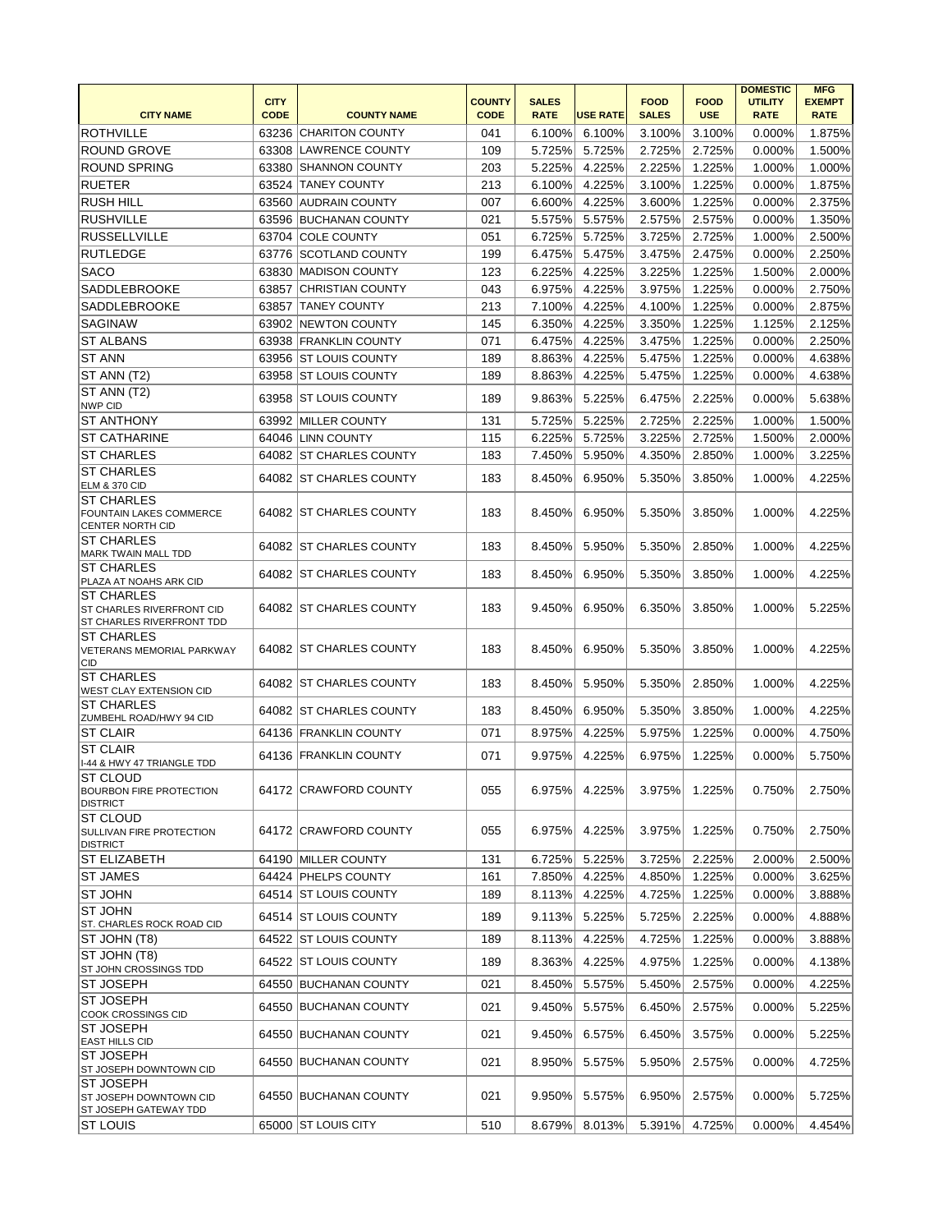|                                                               |                            |                          |                              |                             |                 |                             |                           | <b>DOMESTIC</b>               | <b>MFG</b>                   |
|---------------------------------------------------------------|----------------------------|--------------------------|------------------------------|-----------------------------|-----------------|-----------------------------|---------------------------|-------------------------------|------------------------------|
| <b>CITY NAME</b>                                              | <b>CITY</b><br><b>CODE</b> | <b>COUNTY NAME</b>       | <b>COUNTY</b><br><b>CODE</b> | <b>SALES</b><br><b>RATE</b> | <b>USE RATE</b> | <b>FOOD</b><br><b>SALES</b> | <b>FOOD</b><br><b>USE</b> | <b>UTILITY</b><br><b>RATE</b> | <b>EXEMPT</b><br><b>RATE</b> |
|                                                               |                            |                          |                              |                             |                 |                             |                           |                               |                              |
| <b>ROTHVILLE</b>                                              | 63236                      | <b>CHARITON COUNTY</b>   | 041                          | 6.100%                      | 6.100%          | 3.100%                      | 3.100%                    | 0.000%                        | 1.875%                       |
| <b>ROUND GROVE</b>                                            | 63308                      | <b>LAWRENCE COUNTY</b>   | 109                          | 5.725%                      | 5.725%          | 2.725%                      | 2.725%                    | 0.000%                        | 1.500%                       |
| <b>ROUND SPRING</b>                                           | 63380                      | <b>SHANNON COUNTY</b>    | 203                          | 5.225%                      | 4.225%          | 2.225%                      | 1.225%                    | 1.000%                        | 1.000%                       |
| <b>RUETER</b>                                                 | 63524                      | <b>TANEY COUNTY</b>      | 213                          | 6.100%                      | 4.225%          | 3.100%                      | 1.225%                    | 0.000%                        | 1.875%                       |
| <b>RUSH HILL</b>                                              | 63560                      | <b>AUDRAIN COUNTY</b>    | 007                          | 6.600%                      | 4.225%          | 3.600%                      | 1.225%                    | 0.000%                        | 2.375%                       |
| <b>RUSHVILLE</b>                                              |                            | 63596 BUCHANAN COUNTY    | 021                          | 5.575%                      | 5.575%          | 2.575%                      | 2.575%                    | 0.000%                        | 1.350%                       |
| <b>RUSSELLVILLE</b>                                           | 63704                      | <b>COLE COUNTY</b>       | 051                          | 6.725%                      | 5.725%          | 3.725%                      | 2.725%                    | 1.000%                        | 2.500%                       |
| <b>RUTLEDGE</b>                                               | 63776                      | <b>SCOTLAND COUNTY</b>   | 199                          | 6.475%                      | 5.475%          | 3.475%                      | 2.475%                    | 0.000%                        | 2.250%                       |
| <b>SACO</b>                                                   | 63830                      | MADISON COUNTY           | 123                          | 6.225%                      | 4.225%          | 3.225%                      | 1.225%                    | 1.500%                        | 2.000%                       |
| <b>SADDLEBROOKE</b>                                           | 63857                      | <b>CHRISTIAN COUNTY</b>  | 043                          | 6.975%                      | 4.225%          | 3.975%                      | 1.225%                    | 0.000%                        | 2.750%                       |
| <b>SADDLEBROOKE</b>                                           | 63857                      | <b>TANEY COUNTY</b>      | 213                          | 7.100%                      | 4.225%          | 4.100%                      | 1.225%                    | 0.000%                        | 2.875%                       |
| <b>SAGINAW</b>                                                | 63902                      | <b>NEWTON COUNTY</b>     | 145                          | 6.350%                      | 4.225%          | 3.350%                      | 1.225%                    | 1.125%                        | 2.125%                       |
| <b>ST ALBANS</b>                                              | 63938                      | <b>FRANKLIN COUNTY</b>   | 071                          | 6.475%                      | 4.225%          | 3.475%                      | 1.225%                    | 0.000%                        | 2.250%                       |
| <b>ST ANN</b>                                                 | 63956                      | <b>ST LOUIS COUNTY</b>   | 189                          | 8.863%                      | 4.225%          | 5.475%                      | 1.225%                    | 0.000%                        | 4.638%                       |
| ST ANN (T2)                                                   |                            | 63958 ST LOUIS COUNTY    | 189                          | 8.863%                      | 4.225%          | 5.475%                      | 1.225%                    | 0.000%                        | 4.638%                       |
| ST ANN (T2)<br>NWP CID                                        | 63958                      | <b>ST LOUIS COUNTY</b>   | 189                          | 9.863%                      | 5.225%          | 6.475%                      | 2.225%                    | 0.000%                        | 5.638%                       |
| <b>ST ANTHONY</b>                                             | 63992                      | <b>MILLER COUNTY</b>     | 131                          | 5.725%                      | 5.225%          | 2.725%                      | 2.225%                    | 1.000%                        | 1.500%                       |
| <b>ST CATHARINE</b>                                           | 64046                      | <b>LINN COUNTY</b>       | 115                          | 6.225%                      | 5.725%          | 3.225%                      | 2.725%                    | 1.500%                        | 2.000%                       |
| <b>ST CHARLES</b>                                             | 64082                      | <b>ST CHARLES COUNTY</b> | 183                          | 7.450%                      | 5.950%          | 4.350%                      | 2.850%                    | 1.000%                        | 3.225%                       |
| <b>ST CHARLES</b>                                             |                            |                          |                              |                             |                 |                             |                           |                               |                              |
| <b>ELM &amp; 370 CID</b>                                      |                            | 64082 ST CHARLES COUNTY  | 183                          | 8.450%                      | 6.950%          | 5.350%                      | 3.850%                    | 1.000%                        | 4.225%                       |
| <b>ST CHARLES</b>                                             |                            |                          |                              |                             |                 |                             |                           |                               |                              |
| <b>FOUNTAIN LAKES COMMERCE</b><br><b>CENTER NORTH CID</b>     |                            | 64082 ST CHARLES COUNTY  | 183                          | 8.450%                      | 6.950%          | 5.350%                      | 3.850%                    | 1.000%                        | 4.225%                       |
| <b>ST CHARLES</b>                                             |                            |                          |                              |                             |                 |                             |                           |                               |                              |
| MARK TWAIN MALL TDD                                           |                            | 64082 ST CHARLES COUNTY  | 183                          | 8.450%                      | 5.950%          | 5.350%                      | 2.850%                    | 1.000%                        | 4.225%                       |
| <b>ST CHARLES</b>                                             |                            | 64082 ST CHARLES COUNTY  | 183                          | 8.450%                      | 6.950%          | 5.350%                      | 3.850%                    | 1.000%                        | 4.225%                       |
| PLAZA AT NOAHS ARK CID<br><b>ST CHARLES</b>                   |                            |                          |                              |                             |                 |                             |                           |                               |                              |
| ST CHARLES RIVERFRONT CID                                     |                            | 64082 ST CHARLES COUNTY  | 183                          | 9.450%                      | 6.950%          | 6.350%                      | 3.850%                    | 1.000%                        | 5.225%                       |
| ST CHARLES RIVERFRONT TDD                                     |                            |                          |                              |                             |                 |                             |                           |                               |                              |
| <b>ST CHARLES</b>                                             |                            |                          |                              |                             |                 |                             |                           |                               |                              |
| <b>VETERANS MEMORIAL PARKWAY</b><br>CID                       |                            | 64082 ST CHARLES COUNTY  | 183                          | 8.450%                      | 6.950%          | 5.350%                      | 3.850%                    | 1.000%                        | 4.225%                       |
| <b>ST CHARLES</b>                                             |                            |                          |                              |                             |                 |                             |                           |                               |                              |
| <b>WEST CLAY EXTENSION CID</b>                                |                            | 64082 ST CHARLES COUNTY  | 183                          | 8.450%                      | 5.950%          | 5.350%                      | 2.850%                    | 1.000%                        | 4.225%                       |
| <b>ST CHARLES</b>                                             |                            | 64082 IST CHARLES COUNTY | 183                          | 8.450%                      | 6.950%          | 5.350%                      | 3.850%                    | 1.000%                        | 4.225%                       |
| <b>ZUMBEHL ROAD/HWY 94 CID</b><br><b>ST CLAIR</b>             |                            | 64136 FRANKLIN COUNTY    | 071                          | 8.975%                      | 4.225%          | 5.975%                      | 1.225%                    | 0.000%                        | 4.750%                       |
| <b>ST CLAIR</b>                                               |                            |                          |                              |                             |                 |                             |                           |                               |                              |
| 1-44 & HWY 47 TRIANGLE TDD                                    |                            | 64136 FRANKLIN COUNTY    | 071                          | 9.975%                      | 4.225%          | 6.975%                      | 1.225%                    | 0.000%                        | 5.750%                       |
| <b>ST CLOUD</b>                                               |                            |                          |                              |                             |                 |                             |                           |                               |                              |
| <b>BOURBON FIRE PROTECTION</b>                                |                            | 64172 CRAWFORD COUNTY    | 055                          | 6.975%                      | 4.225%          | 3.975%                      | 1.225%                    | 0.750%                        | 2.750%                       |
| <b>DISTRICT</b><br><b>ST CLOUD</b>                            |                            |                          |                              |                             |                 |                             |                           |                               |                              |
| <b>SULLIVAN FIRE PROTECTION</b>                               |                            | 64172 CRAWFORD COUNTY    | 055                          | 6.975%                      | 4.225%          | 3.975%                      | 1.225%                    | 0.750%                        | 2.750%                       |
| <b>DISTRICT</b>                                               |                            |                          |                              |                             |                 |                             |                           |                               |                              |
| <b>ST ELIZABETH</b>                                           |                            | 64190 MILLER COUNTY      | 131                          | 6.725%                      | 5.225%          | 3.725%                      | 2.225%                    | 2.000%                        | 2.500%                       |
| <b>ST JAMES</b>                                               |                            | 64424 PHELPS COUNTY      | 161                          | 7.850%                      | 4.225%          | 4.850%                      | 1.225%                    | 0.000%                        | 3.625%                       |
| <b>ST JOHN</b>                                                |                            | 64514 ST LOUIS COUNTY    | 189                          | 8.113%                      | 4.225%          | 4.725%                      | 1.225%                    | 0.000%                        | 3.888%                       |
| <b>ST JOHN</b>                                                |                            | 64514 ST LOUIS COUNTY    | 189                          | 9.113%                      | 5.225%          | 5.725%                      | 2.225%                    | 0.000%                        | 4.888%                       |
| ST. CHARLES ROCK ROAD CID                                     | 64522                      | <b>ST LOUIS COUNTY</b>   |                              | 8.113%                      | 4.225%          | 4.725%                      | 1.225%                    |                               | 3.888%                       |
| ST JOHN (T8)<br><b>ST JOHN (T8)</b>                           |                            |                          | 189                          |                             |                 |                             |                           | 0.000%                        |                              |
| <b>ST JOHN CROSSINGS TDD</b>                                  |                            | 64522 ST LOUIS COUNTY    | 189                          | 8.363%                      | 4.225%          | 4.975%                      | 1.225%                    | 0.000%                        | 4.138%                       |
| <b>ST JOSEPH</b>                                              |                            | 64550 BUCHANAN COUNTY    | 021                          | 8.450%                      | 5.575%          | 5.450%                      | 2.575%                    | 0.000%                        | 4.225%                       |
| <b>ST JOSEPH</b>                                              |                            | 64550 BUCHANAN COUNTY    | 021                          | 9.450%                      | 5.575%          | 6.450%                      | 2.575%                    | 0.000%                        | 5.225%                       |
| COOK CROSSINGS CID                                            |                            |                          |                              |                             |                 |                             |                           |                               |                              |
| <b>ST JOSEPH</b>                                              |                            | 64550 BUCHANAN COUNTY    | 021                          | 9.450%                      | 6.575%          | 6.450%                      | 3.575%                    | 0.000%                        | 5.225%                       |
| <b>EAST HILLS CID</b><br><b>ST JOSEPH</b>                     |                            |                          |                              |                             |                 |                             |                           |                               |                              |
| ST JOSEPH DOWNTOWN CID                                        |                            | 64550 BUCHANAN COUNTY    | 021                          | 8.950%                      | 5.575%          | 5.950%                      | 2.575%                    | 0.000%                        | 4.725%                       |
| <b>ST JOSEPH</b>                                              |                            |                          |                              |                             |                 |                             |                           |                               |                              |
| <b>ST JOSEPH DOWNTOWN CID</b><br><b>ST JOSEPH GATEWAY TDD</b> |                            | 64550 BUCHANAN COUNTY    | 021                          | 9.950%                      | 5.575%          | 6.950%                      | 2.575%                    | 0.000%                        | 5.725%                       |
| <b>ST LOUIS</b>                                               |                            | 65000 ST LOUIS CITY      | 510                          | 8.679%                      | 8.013%          | 5.391%                      | 4.725%                    | 0.000%                        | 4.454%                       |
|                                                               |                            |                          |                              |                             |                 |                             |                           |                               |                              |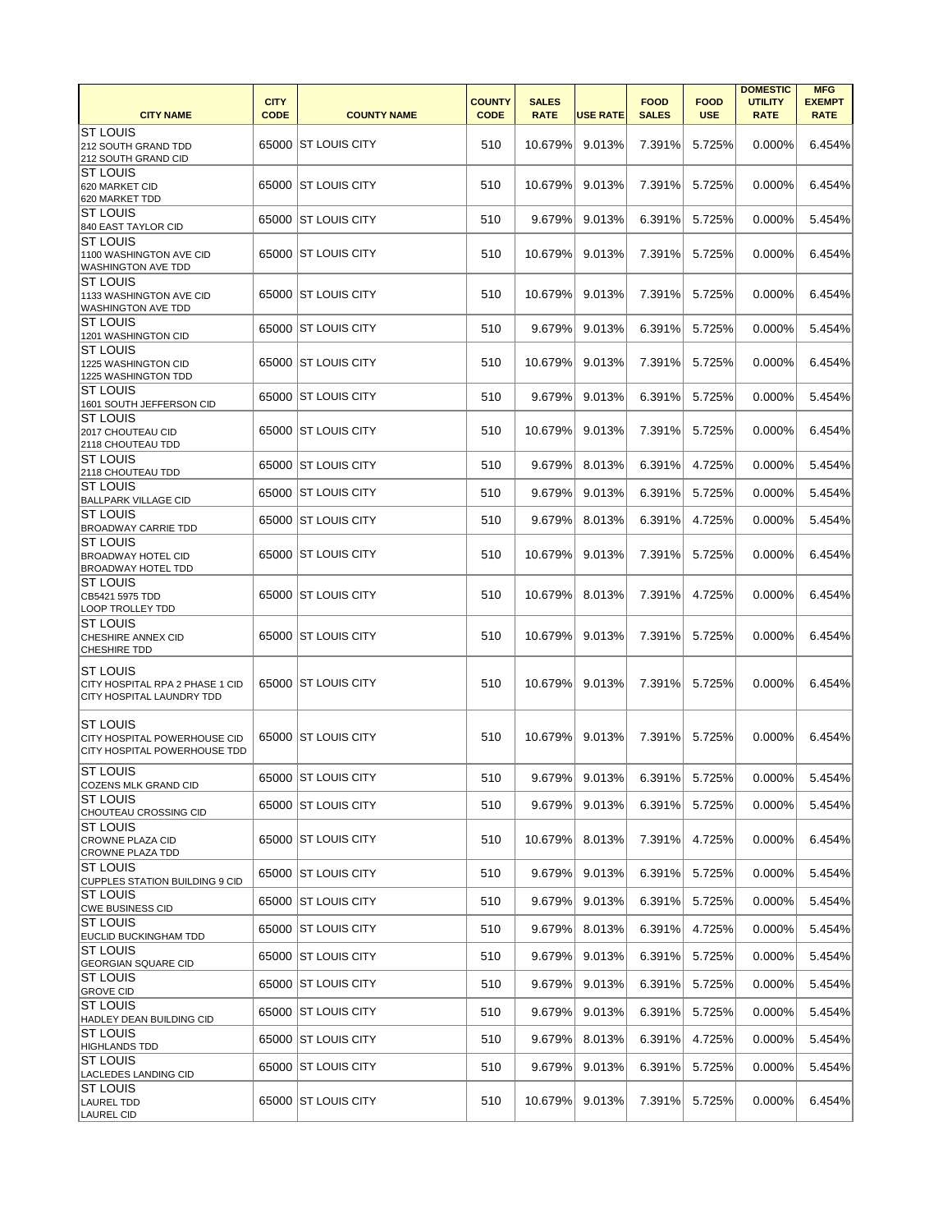|                                                                                         |                            |                      |                              |                             |                 |                             |                           | <b>DOMESTIC</b>               | <b>MFG</b>                   |
|-----------------------------------------------------------------------------------------|----------------------------|----------------------|------------------------------|-----------------------------|-----------------|-----------------------------|---------------------------|-------------------------------|------------------------------|
| <b>CITY NAME</b>                                                                        | <b>CITY</b><br><b>CODE</b> | <b>COUNTY NAME</b>   | <b>COUNTY</b><br><b>CODE</b> | <b>SALES</b><br><b>RATE</b> | <b>USE RATE</b> | <b>FOOD</b><br><b>SALES</b> | <b>FOOD</b><br><b>USE</b> | <b>UTILITY</b><br><b>RATE</b> | <b>EXEMPT</b><br><b>RATE</b> |
| <b>ST LOUIS</b><br>212 SOUTH GRAND TDD<br>212 SOUTH GRAND CID                           |                            | 65000 ST LOUIS CITY  | 510                          | 10.679%                     | 9.013%          | 7.391%                      | 5.725%                    | 0.000%                        | 6.454%                       |
| <b>ST LOUIS</b><br>620 MARKET CID<br>620 MARKET TDD                                     |                            | 65000 ST LOUIS CITY  | 510                          | 10.679%                     | 9.013%          | 7.391%                      | 5.725%                    | 0.000%                        | 6.454%                       |
| <b>ST LOUIS</b><br>840 EAST TAYLOR CID                                                  |                            | 65000 ST LOUIS CITY  | 510                          | 9.679%                      | 9.013%          | 6.391%                      | 5.725%                    | 0.000%                        | 5.454%                       |
| <b>ST LOUIS</b><br>1100 WASHINGTON AVE CID<br><b>WASHINGTON AVE TDD</b>                 |                            | 65000 ST LOUIS CITY  | 510                          | 10.679%                     | 9.013%          | 7.391%                      | 5.725%                    | 0.000%                        | 6.454%                       |
| IST LOUIS<br>1133 WASHINGTON AVE CID<br><b>WASHINGTON AVE TDD</b>                       |                            | 65000 ST LOUIS CITY  | 510                          | 10.679%                     | 9.013%          | 7.391%                      | 5.725%                    | 0.000%                        | 6.454%                       |
| <b>ST LOUIS</b><br>1201 WASHINGTON CID                                                  |                            | 65000 ST LOUIS CITY  | 510                          | 9.679%                      | 9.013%          | 6.391%                      | 5.725%                    | 0.000%                        | 5.454%                       |
| <b>ST LOUIS</b><br>1225 WASHINGTON CID<br>1225 WASHINGTON TDD                           |                            | 65000 ST LOUIS CITY  | 510                          | 10.679%                     | 9.013%          | 7.391%                      | 5.725%                    | 0.000%                        | 6.454%                       |
| <b>ST LOUIS</b><br>1601 SOUTH JEFFERSON CID                                             |                            | 65000 ST LOUIS CITY  | 510                          | 9.679%                      | 9.013%          | 6.391%                      | 5.725%                    | 0.000%                        | 5.454%                       |
| <b>ST LOUIS</b><br>2017 CHOUTEAU CID<br>2118 CHOUTEAU TDD                               |                            | 65000 ST LOUIS CITY  | 510                          | 10.679%                     | 9.013%          | 7.391%                      | 5.725%                    | 0.000%                        | 6.454%                       |
| <b>IST LOUIS</b><br>2118 CHOUTEAU TDD                                                   |                            | 65000 ST LOUIS CITY  | 510                          | 9.679%                      | 8.013%          | 6.391%                      | 4.725%                    | 0.000%                        | 5.454%                       |
| <b>ST LOUIS</b><br><b>BALLPARK VILLAGE CID</b>                                          | 65000                      | <b>ST LOUIS CITY</b> | 510                          | 9.679%                      | 9.013%          | 6.391%                      | 5.725%                    | 0.000%                        | 5.454%                       |
| <b>ST LOUIS</b><br><b>BROADWAY CARRIE TDD</b>                                           |                            | 65000 ST LOUIS CITY  | 510                          | 9.679%                      | 8.013%          | 6.391%                      | 4.725%                    | 0.000%                        | 5.454%                       |
| <b>ST LOUIS</b><br><b>BROADWAY HOTEL CID</b><br><b>BROADWAY HOTEL TDD</b>               |                            | 65000 ST LOUIS CITY  | 510                          | 10.679%                     | 9.013%          | 7.391%                      | 5.725%                    | 0.000%                        | 6.454%                       |
| <b>ST LOUIS</b><br>CB5421 5975 TDD<br><b>LOOP TROLLEY TDD</b>                           |                            | 65000 ST LOUIS CITY  | 510                          | 10.679%                     | 8.013%          | 7.391%                      | 4.725%                    | 0.000%                        | 6.454%                       |
| <b>ST LOUIS</b><br><b>CHESHIRE ANNEX CID</b><br><b>CHESHIRE TDD</b>                     |                            | 65000 IST LOUIS CITY | 510                          | 10.679%                     | 9.013%          | 7.391%                      | 5.725%                    | 0.000%                        | 6.454%                       |
| <b>ST LOUIS</b><br>ICITY HOSPITAL RPA 2 PHASE 1 CID<br><b>CITY HOSPITAL LAUNDRY TDD</b> |                            | 65000 ST LOUIS CITY  | 510                          | 10.679%                     | 9.013%          | 7.391%                      | 5.725%                    | 0.000%                        | 6.454%                       |
| IST LOUIS<br><b>CITY HOSPITAL POWERHOUSE CID</b><br><b>CITY HOSPITAL POWERHOUSE TDD</b> |                            | 65000 ST LOUIS CITY  | 510                          | 10.679%                     | 9.013%          | 7.391%                      | 5.725%                    | 0.000%                        | 6.454%                       |
| <b>ST LOUIS</b><br>COZENS MLK GRAND CID                                                 |                            | 65000 ST LOUIS CITY  | 510                          | 9.679%                      | 9.013%          | 6.391%                      | 5.725%                    | 0.000%                        | 5.454%                       |
| <b>ST LOUIS</b><br>CHOUTEAU CROSSING CID                                                |                            | 65000 ST LOUIS CITY  | 510                          | 9.679%                      | 9.013%          | 6.391%                      | 5.725%                    | 0.000%                        | 5.454%                       |
| <b>ST LOUIS</b><br>CROWNE PLAZA CID<br><b>CROWNE PLAZA TDD</b>                          |                            | 65000 ST LOUIS CITY  | 510                          | 10.679%                     | 8.013%          | 7.391%                      | 4.725%                    | 0.000%                        | 6.454%                       |
| <b>ST LOUIS</b><br><b>CUPPLES STATION BUILDING 9 CID</b>                                |                            | 65000 ST LOUIS CITY  | 510                          | 9.679%                      | 9.013%          | 6.391%                      | 5.725%                    | 0.000%                        | 5.454%                       |
| <b>ST LOUIS</b><br>CWE BUSINESS CID                                                     |                            | 65000 ST LOUIS CITY  | 510                          | 9.679%                      | 9.013%          | 6.391%                      | 5.725%                    | 0.000%                        | 5.454%                       |
| <b>ST LOUIS</b><br><b>EUCLID BUCKINGHAM TDD</b>                                         |                            | 65000 ST LOUIS CITY  | 510                          | 9.679%                      | 8.013%          | 6.391%                      | 4.725%                    | 0.000%                        | 5.454%                       |
| <b>ST LOUIS</b><br><b>GEORGIAN SQUARE CID</b>                                           |                            | 65000 ST LOUIS CITY  | 510                          | 9.679%                      | 9.013%          | 6.391%                      | 5.725%                    | 0.000%                        | 5.454%                       |
| <b>ST LOUIS</b><br><b>GROVE CID</b>                                                     |                            | 65000 ST LOUIS CITY  | 510                          | 9.679%                      | 9.013%          | 6.391%                      | 5.725%                    | 0.000%                        | 5.454%                       |
| <b>ST LOUIS</b><br><b>HADLEY DEAN BUILDING CID</b>                                      |                            | 65000 ST LOUIS CITY  | 510                          | 9.679%                      | 9.013%          | 6.391%                      | 5.725%                    | 0.000%                        | 5.454%                       |
| <b>ST LOUIS</b><br><b>HIGHLANDS TDD</b>                                                 |                            | 65000 ST LOUIS CITY  | 510                          | 9.679%                      | 8.013%          | 6.391%                      | 4.725%                    | 0.000%                        | 5.454%                       |
| <b>ST LOUIS</b><br><b>LACLEDES LANDING CID</b>                                          |                            | 65000 ST LOUIS CITY  | 510                          | 9.679%                      | 9.013%          | 6.391%                      | 5.725%                    | 0.000%                        | 5.454%                       |
| <b>ST LOUIS</b><br>LAUREL TDD<br>LAUREL CID                                             |                            | 65000 ST LOUIS CITY  | 510                          | 10.679%                     | 9.013%          | 7.391%                      | 5.725%                    | 0.000%                        | 6.454%                       |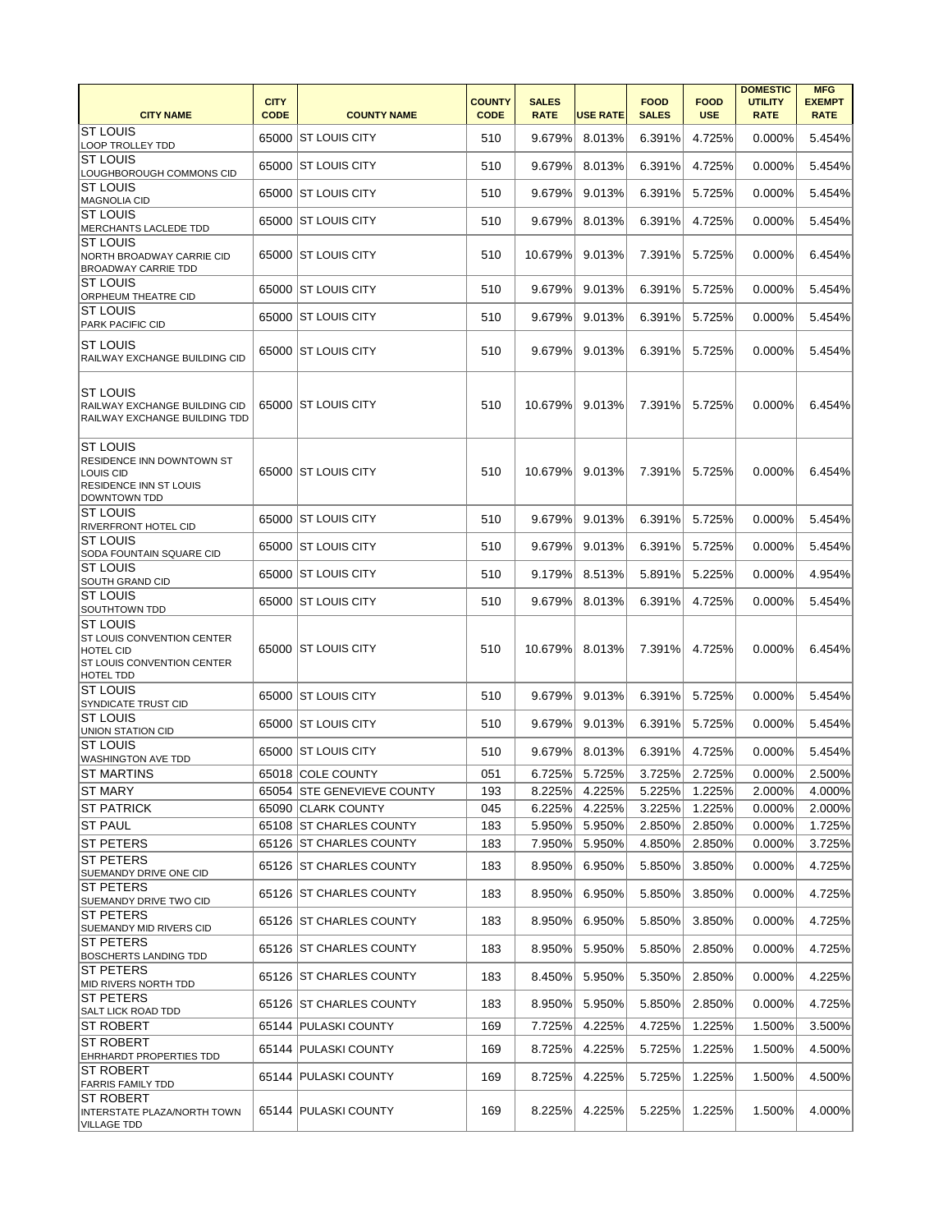| <b>CITY NAME</b>                                                                                                                  | <b>CITY</b><br><b>CODE</b> | <b>COUNTY NAME</b>                                 | <b>COUNTY</b><br><b>CODE</b> | <b>SALES</b><br><b>RATE</b> | <b>USE RATE</b>  | <b>FOOD</b><br><b>SALES</b> | <b>FOOD</b><br><b>USE</b> | <b>DOMESTIC</b><br><b>UTILITY</b><br><b>RATE</b> | <b>MFG</b><br><b>EXEMPT</b><br><b>RATE</b> |
|-----------------------------------------------------------------------------------------------------------------------------------|----------------------------|----------------------------------------------------|------------------------------|-----------------------------|------------------|-----------------------------|---------------------------|--------------------------------------------------|--------------------------------------------|
| IST LOUIS<br><b>LOOP TROLLEY TDD</b>                                                                                              |                            | 65000 ST LOUIS CITY                                | 510                          | 9.679%                      | 8.013%           | 6.391%                      | 4.725%                    | 0.000%                                           | 5.454%                                     |
| <b>ST LOUIS</b><br>LOUGHBOROUGH COMMONS CID                                                                                       |                            | 65000 ST LOUIS CITY                                | 510                          | 9.679%                      | 8.013%           | 6.391%                      | 4.725%                    | 0.000%                                           | 5.454%                                     |
| <b>ST LOUIS</b><br>MAGNOLIA CID                                                                                                   |                            | 65000 ST LOUIS CITY                                | 510                          | 9.679%                      | 9.013%           | 6.391%                      | 5.725%                    | 0.000%                                           | 5.454%                                     |
| IST LOUIS<br>MERCHANTS LACLEDE TDD                                                                                                |                            | 65000 ST LOUIS CITY                                | 510                          | 9.679%                      | 8.013%           | 6.391%                      | 4.725%                    | 0.000%                                           | 5.454%                                     |
| <b>ST LOUIS</b><br>NORTH BROADWAY CARRIE CID<br><b>BROADWAY CARRIE TDD</b>                                                        |                            | 65000 ST LOUIS CITY                                | 510                          | 10.679%                     | 9.013%           | 7.391%                      | 5.725%                    | 0.000%                                           | 6.454%                                     |
| <b>ST LOUIS</b><br><b>ORPHEUM THEATRE CID</b>                                                                                     |                            | 65000 ST LOUIS CITY                                | 510                          | 9.679%                      | 9.013%           | 6.391%                      | 5.725%                    | 0.000%                                           | 5.454%                                     |
| <b>ST LOUIS</b><br><b>PARK PACIFIC CID</b>                                                                                        |                            | 65000 ST LOUIS CITY                                | 510                          | 9.679%                      | 9.013%           | 6.391%                      | 5.725%                    | 0.000%                                           | 5.454%                                     |
| <b>ST LOUIS</b><br>RAILWAY EXCHANGE BUILDING CID                                                                                  |                            | 65000 ST LOUIS CITY                                | 510                          | 9.679%                      | 9.013%           | 6.391%                      | 5.725%                    | 0.000%                                           | 5.454%                                     |
| IST LOUIS<br>RAILWAY EXCHANGE BUILDING CID<br>RAILWAY EXCHANGE BUILDING TDD                                                       |                            | 65000 ST LOUIS CITY                                | 510                          | 10.679%                     | 9.013%           | 7.391%                      | 5.725%                    | 0.000%                                           | 6.454%                                     |
| <b>ST LOUIS</b><br><b>RESIDENCE INN DOWNTOWN ST</b><br>LOUIS CID<br><b>RESIDENCE INN ST LOUIS</b><br>DOWNTOWN TDD                 |                            | 65000 ST LOUIS CITY                                | 510                          | 10.679%                     | 9.013%           | 7.391%                      | 5.725%                    | 0.000%                                           | 6.454%                                     |
| <b>ST LOUIS</b><br><b>RIVERFRONT HOTEL CID</b>                                                                                    |                            | 65000 ST LOUIS CITY                                | 510                          | 9.679%                      | 9.013%           | 6.391%                      | 5.725%                    | 0.000%                                           | 5.454%                                     |
| <b>ST LOUIS</b><br>SODA FOUNTAIN SQUARE CID                                                                                       |                            | 65000 ST LOUIS CITY                                | 510                          | 9.679%                      | 9.013%           | 6.391%                      | 5.725%                    | 0.000%                                           | 5.454%                                     |
| <b>ST LOUIS</b><br>SOUTH GRAND CID                                                                                                |                            | 65000 ST LOUIS CITY                                | 510                          | 9.179%                      | 8.513%           | 5.891%                      | 5.225%                    | 0.000%                                           | 4.954%                                     |
| <b>ST LOUIS</b><br><b>SOUTHTOWN TDD</b>                                                                                           |                            | 65000 ST LOUIS CITY                                | 510                          | 9.679%                      | 8.013%           | 6.391%                      | 4.725%                    | 0.000%                                           | 5.454%                                     |
| <b>ST LOUIS</b><br><b>ST LOUIS CONVENTION CENTER</b><br><b>HOTEL CID</b><br><b>ST LOUIS CONVENTION CENTER</b><br><b>HOTEL TDD</b> |                            | 65000 ST LOUIS CITY                                | 510                          | 10.679%                     | 8.013%           | 7.391%                      | 4.725%                    | 0.000%                                           | 6.454%                                     |
| <b>ST LOUIS</b><br>SYNDICATE TRUST CID                                                                                            |                            | 65000 ST LOUIS CITY                                | 510                          | 9.679%                      | 9.013%           | 6.391%                      | 5.725%                    | 0.000%                                           | 5.454%                                     |
| <b>ST LOUIS</b><br>UNION STATION CID                                                                                              |                            | 65000 IST LOUIS CITY                               | 510                          | 9.679%                      | 9.013%           | 6.391%                      | 5.725%                    | 0.000%                                           | 5.454%                                     |
| <b>ST LOUIS</b><br><b>WASHINGTON AVE TDD</b>                                                                                      |                            | 65000 IST LOUIS CITY                               | 510                          | 9.679%                      | 8.013%           | 6.391%                      | 4.725%                    | 0.000%                                           | 5.454%                                     |
| <b>ST MARTINS</b>                                                                                                                 |                            | 65018 COLE COUNTY                                  | 051                          | 6.725%                      | 5.725%           | 3.725%                      | 2.725%                    | 0.000%                                           | 2.500%                                     |
| <b>ST MARY</b>                                                                                                                    | 65054                      | <b>STE GENEVIEVE COUNTY</b>                        | 193                          | 8.225%                      | 4.225%           | 5.225%                      | 1.225%                    | 2.000%                                           | 4.000%                                     |
| <b>ST PATRICK</b>                                                                                                                 |                            | 65090 CLARK COUNTY                                 | 045                          | 6.225%                      | 4.225%           | 3.225%                      | 1.225%                    | 0.000%                                           | 2.000%                                     |
| <b>ST PAUL</b>                                                                                                                    |                            | 65108 ST CHARLES COUNTY                            | 183                          | 5.950%                      | 5.950%           | 2.850%                      | 2.850%                    | 0.000%                                           | 1.725%                                     |
| <b>ST PETERS</b><br><b>ST PETERS</b><br>SUEMANDY DRIVE ONE CID                                                                    |                            | 65126 ST CHARLES COUNTY<br>65126 ST CHARLES COUNTY | 183<br>183                   | 7.950%<br>8.950%            | 5.950%<br>6.950% | 4.850%<br>5.850%            | 2.850%<br>3.850%          | 0.000%<br>0.000%                                 | 3.725%<br>4.725%                           |
| <b>ST PETERS</b><br><b>SUEMANDY DRIVE TWO CID</b>                                                                                 |                            | 65126 ST CHARLES COUNTY                            | 183                          | 8.950%                      | 6.950%           | 5.850%                      | 3.850%                    | 0.000%                                           | 4.725%                                     |
| <b>ST PETERS</b><br><b>SUEMANDY MID RIVERS CID</b>                                                                                |                            | 65126 ST CHARLES COUNTY                            | 183                          | 8.950%                      | 6.950%           | 5.850%                      | 3.850%                    | 0.000%                                           | 4.725%                                     |
| <b>ST PETERS</b><br><b>BOSCHERTS LANDING TDD</b>                                                                                  |                            | 65126 ST CHARLES COUNTY                            | 183                          | 8.950%                      | 5.950%           | 5.850%                      | 2.850%                    | 0.000%                                           | 4.725%                                     |
| <b>ST PETERS</b><br>MID RIVERS NORTH TDD                                                                                          |                            | 65126 ST CHARLES COUNTY                            | 183                          | 8.450%                      | 5.950%           | 5.350%                      | 2.850%                    | 0.000%                                           | 4.225%                                     |
| <b>IST PETERS</b><br><b>SALT LICK ROAD TDD</b>                                                                                    |                            | 65126 ST CHARLES COUNTY                            | 183                          | 8.950%                      | 5.950%           | 5.850%                      | 2.850%                    | 0.000%                                           | 4.725%                                     |
| <b>ST ROBERT</b>                                                                                                                  |                            | 65144 PULASKI COUNTY                               | 169                          | 7.725%                      | 4.225%           | 4.725%                      | 1.225%                    | 1.500%                                           | 3.500%                                     |
| <b>ST ROBERT</b>                                                                                                                  |                            | 65144 PULASKI COUNTY                               | 169                          | 8.725%                      | 4.225%           | 5.725%                      | 1.225%                    | 1.500%                                           | 4.500%                                     |
| <b>EHRHARDT PROPERTIES TDD</b><br>ST ROBERT                                                                                       |                            | 65144 PULASKI COUNTY                               | 169                          | 8.725%                      | 4.225%           | 5.725%                      | 1.225%                    | 1.500%                                           | 4.500%                                     |
| <b>FARRIS FAMILY TDD</b><br><b>IST ROBERT</b><br>INTERSTATE PLAZA/NORTH TOWN<br><b>VILLAGE TDD</b>                                |                            | 65144 PULASKI COUNTY                               | 169                          | 8.225%                      | 4.225%           | 5.225%                      | 1.225%                    | 1.500%                                           | 4.000%                                     |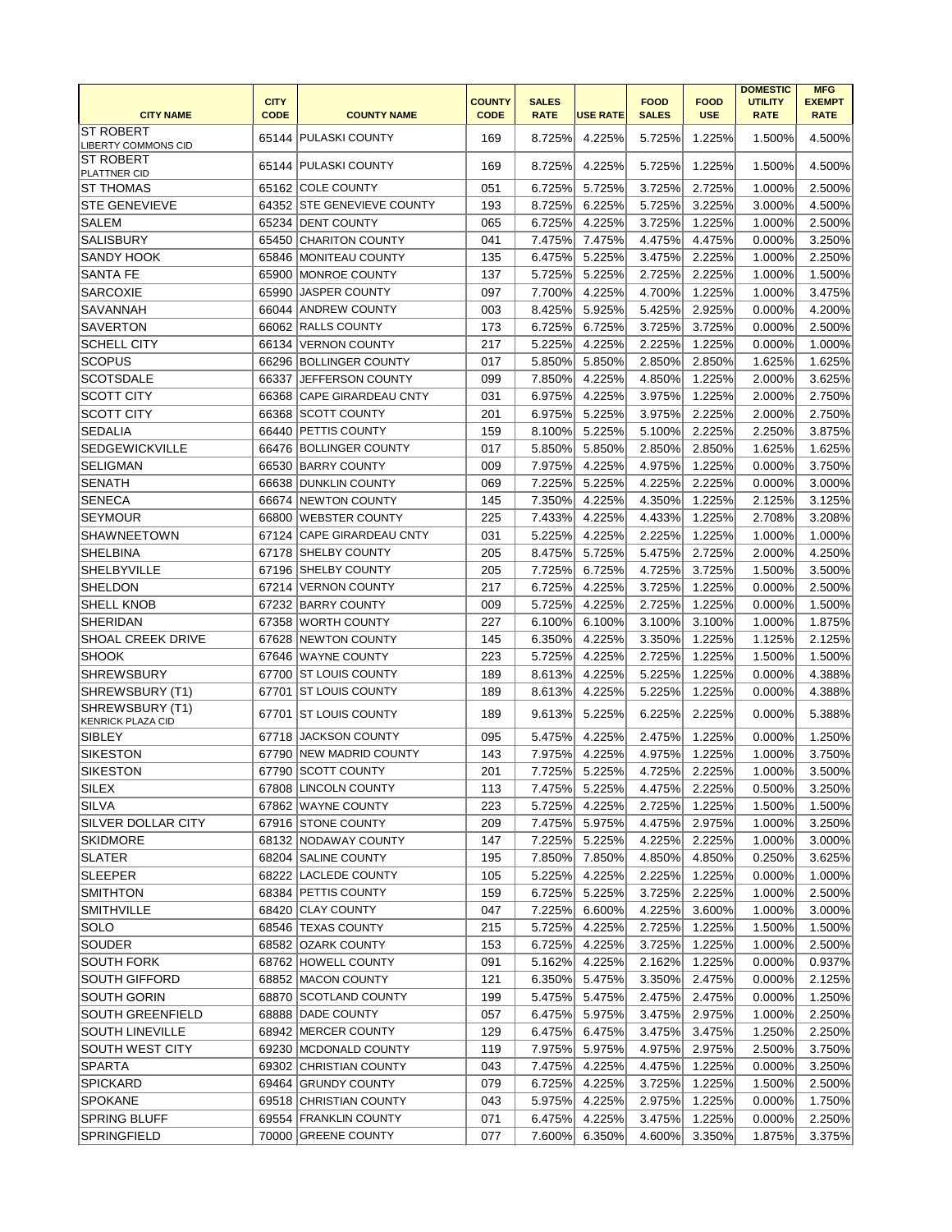|                                                |                            |                            |                              |                             |                 |                             |                           | <b>DOMESTIC</b>               | <b>MFG</b>                   |
|------------------------------------------------|----------------------------|----------------------------|------------------------------|-----------------------------|-----------------|-----------------------------|---------------------------|-------------------------------|------------------------------|
| <b>CITY NAME</b>                               | <b>CITY</b><br><b>CODE</b> | <b>COUNTY NAME</b>         | <b>COUNTY</b><br><b>CODE</b> | <b>SALES</b><br><b>RATE</b> | <b>USE RATE</b> | <b>FOOD</b><br><b>SALES</b> | <b>FOOD</b><br><b>USE</b> | <b>UTILITY</b><br><b>RATE</b> | <b>EXEMPT</b><br><b>RATE</b> |
| <b>ST ROBERT</b><br><b>LIBERTY COMMONS CID</b> |                            | 65144 PULASKI COUNTY       | 169                          | 8.725%                      | 4.225%          | 5.725%                      | 1.225%                    | 1.500%                        | 4.500%                       |
| <b>ST ROBERT</b><br><b>PLATTNER CID</b>        |                            | 65144 PULASKI COUNTY       | 169                          | 8.725%                      | 4.225%          | 5.725%                      | 1.225%                    | 1.500%                        | 4.500%                       |
| <b>ST THOMAS</b>                               |                            | 65162 COLE COUNTY          | 051                          | 6.725%                      | 5.725%          | 3.725%                      | 2.725%                    | 1.000%                        | 2.500%                       |
| <b>STE GENEVIEVE</b>                           |                            | 64352 STE GENEVIEVE COUNTY | 193                          | 8.725%                      | 6.225%          | 5.725%                      | 3.225%                    | 3.000%                        | 4.500%                       |
| <b>SALEM</b>                                   | 65234                      | <b>DENT COUNTY</b>         | 065                          | 6.725%                      | 4.225%          | 3.725%                      | 1.225%                    | 1.000%                        | 2.500%                       |
| <b>SALISBURY</b>                               | 65450                      | <b>ICHARITON COUNTY</b>    | 041                          | 7.475%                      | 7.475%          | 4.475%                      | 4.475%                    | 0.000%                        | 3.250%                       |
| <b>SANDY HOOK</b>                              |                            | 65846 MONITEAU COUNTY      | 135                          | 6.475%                      | 5.225%          | 3.475%                      | 2.225%                    | 1.000%                        | 2.250%                       |
| <b>SANTA FE</b>                                | 65900                      | MONROE COUNTY              | 137                          | 5.725%                      | 5.225%          | 2.725%                      | 2.225%                    | 1.000%                        | 1.500%                       |
| <b>SARCOXIE</b>                                | 65990                      | <b>JASPER COUNTY</b>       | 097                          | 7.700%                      | 4.225%          | 4.700%                      | 1.225%                    | 1.000%                        | 3.475%                       |
| <b>SAVANNAH</b>                                |                            | 66044 ANDREW COUNTY        | 003                          | 8.425%                      | 5.925%          | 5.425%                      | 2.925%                    | 0.000%                        | 4.200%                       |
| <b>SAVERTON</b>                                |                            | 66062 RALLS COUNTY         | 173                          | 6.725%                      | 6.725%          | 3.725%                      | 3.725%                    | 0.000%                        | 2.500%                       |
| <b>SCHELL CITY</b>                             |                            | 66134 VERNON COUNTY        | 217                          | 5.225%                      | 4.225%          | 2.225%                      | 1.225%                    | 0.000%                        | 1.000%                       |
| <b>SCOPUS</b>                                  | 66296                      | <b>BOLLINGER COUNTY</b>    | 017                          | 5.850%                      | 5.850%          | 2.850%                      | 2.850%                    | 1.625%                        | 1.625%                       |
| <b>SCOTSDALE</b>                               | 66337                      | JEFFERSON COUNTY           | 099                          | 7.850%                      | 4.225%          | 4.850%                      | 1.225%                    | 2.000%                        | 3.625%                       |
| <b>SCOTT CITY</b>                              | 66368                      | <b>CAPE GIRARDEAU CNTY</b> | 031                          | 6.975%                      | 4.225%          | 3.975%                      | 1.225%                    | 2.000%                        | 2.750%                       |
| <b>SCOTT CITY</b>                              | 66368                      | <b>SCOTT COUNTY</b>        | 201                          | 6.975%                      | 5.225%          | 3.975%                      | 2.225%                    | 2.000%                        | 2.750%                       |
| <b>SEDALIA</b>                                 |                            | 66440 PETTIS COUNTY        | 159                          | 8.100%                      | 5.225%          | 5.100%                      | 2.225%                    | 2.250%                        | 3.875%                       |
| <b>SEDGEWICKVILLE</b>                          |                            | 66476 BOLLINGER COUNTY     | 017                          | 5.850%                      | 5.850%          | 2.850%                      | 2.850%                    | 1.625%                        | 1.625%                       |
| <b>SELIGMAN</b>                                | 66530                      | <b>BARRY COUNTY</b>        | 009                          | 7.975%                      | 4.225%          | 4.975%                      | 1.225%                    | 0.000%                        | 3.750%                       |
| <b>SENATH</b>                                  | 66638                      | <b>DUNKLIN COUNTY</b>      | 069                          | 7.225%                      | 5.225%          | 4.225%                      | 2.225%                    | 0.000%                        | 3.000%                       |
| <b>SENECA</b>                                  | 66674                      | <b>NEWTON COUNTY</b>       | 145                          | 7.350%                      | 4.225%          | 4.350%                      | 1.225%                    | 2.125%                        | 3.125%                       |
| SEYMOUR                                        |                            | 66800 WEBSTER COUNTY       | 225                          | 7.433%                      | 4.225%          | 4.433%                      | 1.225%                    | 2.708%                        | 3.208%                       |
|                                                |                            |                            |                              |                             |                 |                             |                           |                               |                              |
| SHAWNEETOWN                                    | 67124                      | <b>CAPE GIRARDEAU CNTY</b> | 031                          | 5.225%                      | 4.225%          | 2.225%                      | 1.225%                    | 1.000%                        | 1.000%                       |
| <b>SHELBINA</b>                                | 67178                      | <b>SHELBY COUNTY</b>       | 205                          | 8.475%                      | 5.725%          | 5.475%                      | 2.725%                    | 2.000%                        | 4.250%                       |
| <b>SHELBYVILLE</b>                             | 67196                      | <b>SHELBY COUNTY</b>       | 205                          | 7.725%                      | 6.725%          | 4.725%                      | 3.725%                    | 1.500%                        | 3.500%                       |
| <b>SHELDON</b>                                 | 67214                      | VERNON COUNTY              | 217                          | 6.725%                      | 4.225%          | 3.725%                      | 1.225%                    | 0.000%                        | 2.500%                       |
| <b>SHELL KNOB</b>                              |                            | 67232 BARRY COUNTY         | 009                          | 5.725%                      | 4.225%          | 2.725%                      | 1.225%                    | 0.000%                        | 1.500%                       |
| <b>SHERIDAN</b>                                |                            | 67358 WORTH COUNTY         | 227                          | 6.100%                      | 6.100%          | 3.100%                      | 3.100%                    | 1.000%                        | 1.875%                       |
| <b>SHOAL CREEK DRIVE</b>                       |                            | 67628 NEWTON COUNTY        | 145                          | 6.350%                      | 4.225%          | 3.350%                      | 1.225%                    | 1.125%                        | 2.125%                       |
| <b>SHOOK</b>                                   |                            | 67646 WAYNE COUNTY         | 223                          | 5.725%                      | 4.225%          | 2.725%                      | 1.225%                    | 1.500%                        | 1.500%                       |
| <b>SHREWSBURY</b>                              |                            | 67700 ST LOUIS COUNTY      | 189                          | 8.613%                      | 4.225%          | 5.225%                      | 1.225%                    | 0.000%                        | 4.388%                       |
| SHREWSBURY (T1)                                |                            | 67701 ST LOUIS COUNTY      | 189                          | 8.613%                      | 4.225%          | 5.225%                      | 1.225%                    | 0.000%                        | 4.388%                       |
| SHREWSBURY (T1)<br><b>KENRICK PLAZA CID</b>    |                            | 67701 ST LOUIS COUNTY      | 189                          | 9.613%                      | 5.225%          | 6.225%                      | 2.225%                    | 0.000%                        | 5.388%                       |
| SIBLEY                                         |                            | 67718 JACKSON COUNTY       | 095                          | 5.475%                      | 4.225%          | 2.475%                      | 1.225%                    | 0.000%                        | 1.250%                       |
| <b>SIKESTON</b>                                |                            | 67790 NEW MADRID COUNTY    | 143                          | 7.975%                      | 4.225%          | 4.975%                      | 1.225%                    | 1.000%                        | 3.750%                       |
| <b>SIKESTON</b>                                |                            | 67790 SCOTT COUNTY         | 201                          | 7.725%                      | 5.225%          | 4.725%                      | 2.225%                    | 1.000%                        | 3.500%                       |
| <b>SILEX</b>                                   |                            | 67808 LINCOLN COUNTY       | 113                          | 7.475%                      | 5.225%          | 4.475%                      | 2.225%                    | 0.500%                        | 3.250%                       |
| SILVA                                          |                            | 67862 WAYNE COUNTY         | 223                          | 5.725%                      | 4.225%          | 2.725%                      | 1.225%                    | 1.500%                        | 1.500%                       |
| <b>SILVER DOLLAR CITY</b>                      |                            | 67916 STONE COUNTY         | 209                          | 7.475%                      | 5.975%          | 4.475%                      | 2.975%                    | 1.000%                        | 3.250%                       |
| <b>SKIDMORE</b>                                |                            | 68132 NODAWAY COUNTY       | 147                          | 7.225%                      | 5.225%          | 4.225%                      | 2.225%                    | 1.000%                        | 3.000%                       |
| <b>SLATER</b>                                  |                            | 68204 SALINE COUNTY        | 195                          | 7.850%                      | 7.850%          | 4.850%                      | 4.850%                    | 0.250%                        | 3.625%                       |
| <b>SLEEPER</b>                                 |                            | 68222 LACLEDE COUNTY       | 105                          | 5.225%                      | 4.225%          | 2.225%                      | 1.225%                    | 0.000%                        | 1.000%                       |
| SMITHTON                                       |                            | 68384 PETTIS COUNTY        | 159                          | 6.725%                      | 5.225%          | 3.725%                      | 2.225%                    | 1.000%                        | 2.500%                       |
| <b>SMITHVILLE</b>                              |                            | 68420 CLAY COUNTY          | 047                          | 7.225%                      | 6.600%          | 4.225%                      | 3.600%                    | 1.000%                        | 3.000%                       |
| SOLO                                           |                            | 68546 TEXAS COUNTY         | 215                          | 5.725%                      | 4.225%          | 2.725%                      | 1.225%                    | 1.500%                        | 1.500%                       |
| <b>SOUDER</b>                                  |                            | 68582 OZARK COUNTY         | 153                          | 6.725%                      | 4.225%          | 3.725%                      | 1.225%                    | 1.000%                        | 2.500%                       |
| <b>SOUTH FORK</b>                              |                            | 68762 HOWELL COUNTY        | 091                          | 5.162%                      | 4.225%          | 2.162%                      | 1.225%                    | 0.000%                        | 0.937%                       |
| <b>SOUTH GIFFORD</b>                           |                            | 68852 MACON COUNTY         | 121                          | 6.350%                      | 5.475%          | 3.350%                      | 2.475%                    | 0.000%                        | 2.125%                       |
| <b>SOUTH GORIN</b>                             |                            | 68870 SCOTLAND COUNTY      | 199                          | 5.475%                      | 5.475%          | 2.475%                      | 2.475%                    | 0.000%                        | 1.250%                       |
| <b>SOUTH GREENFIELD</b>                        |                            | 68888 DADE COUNTY          | 057                          | 6.475%                      | 5.975%          | 3.475%                      | 2.975%                    | 1.000%                        | 2.250%                       |
| <b>SOUTH LINEVILLE</b>                         |                            | 68942 MERCER COUNTY        | 129                          | 6.475%                      | 6.475%          | 3.475%                      | 3.475%                    | 1.250%                        | 2.250%                       |
| <b>SOUTH WEST CITY</b>                         |                            | 69230 MCDONALD COUNTY      | 119                          | 7.975%                      | 5.975%          | 4.975%                      | 2.975%                    | 2.500%                        | 3.750%                       |
| <b>SPARTA</b>                                  | 69302                      | <b>CHRISTIAN COUNTY</b>    | 043                          | 7.475%                      | 4.225%          | 4.475%                      | 1.225%                    | 0.000%                        | 3.250%                       |
| <b>SPICKARD</b>                                |                            | 69464 GRUNDY COUNTY        | 079                          | 6.725%                      | 4.225%          | 3.725%                      | 1.225%                    | 1.500%                        | 2.500%                       |
| <b>SPOKANE</b>                                 |                            | 69518 CHRISTIAN COUNTY     | 043                          | 5.975%                      | 4.225%          | 2.975%                      | 1.225%                    | 0.000%                        | 1.750%                       |
| <b>SPRING BLUFF</b>                            |                            | 69554 FRANKLIN COUNTY      | 071                          | 6.475%                      | 4.225%          | 3.475%                      | 1.225%                    | 0.000%                        | 2.250%                       |
| <b>SPRINGFIELD</b>                             |                            | 70000 GREENE COUNTY        | 077                          | 7.600%                      | 6.350%          | 4.600%                      | 3.350%                    | 1.875%                        | 3.375%                       |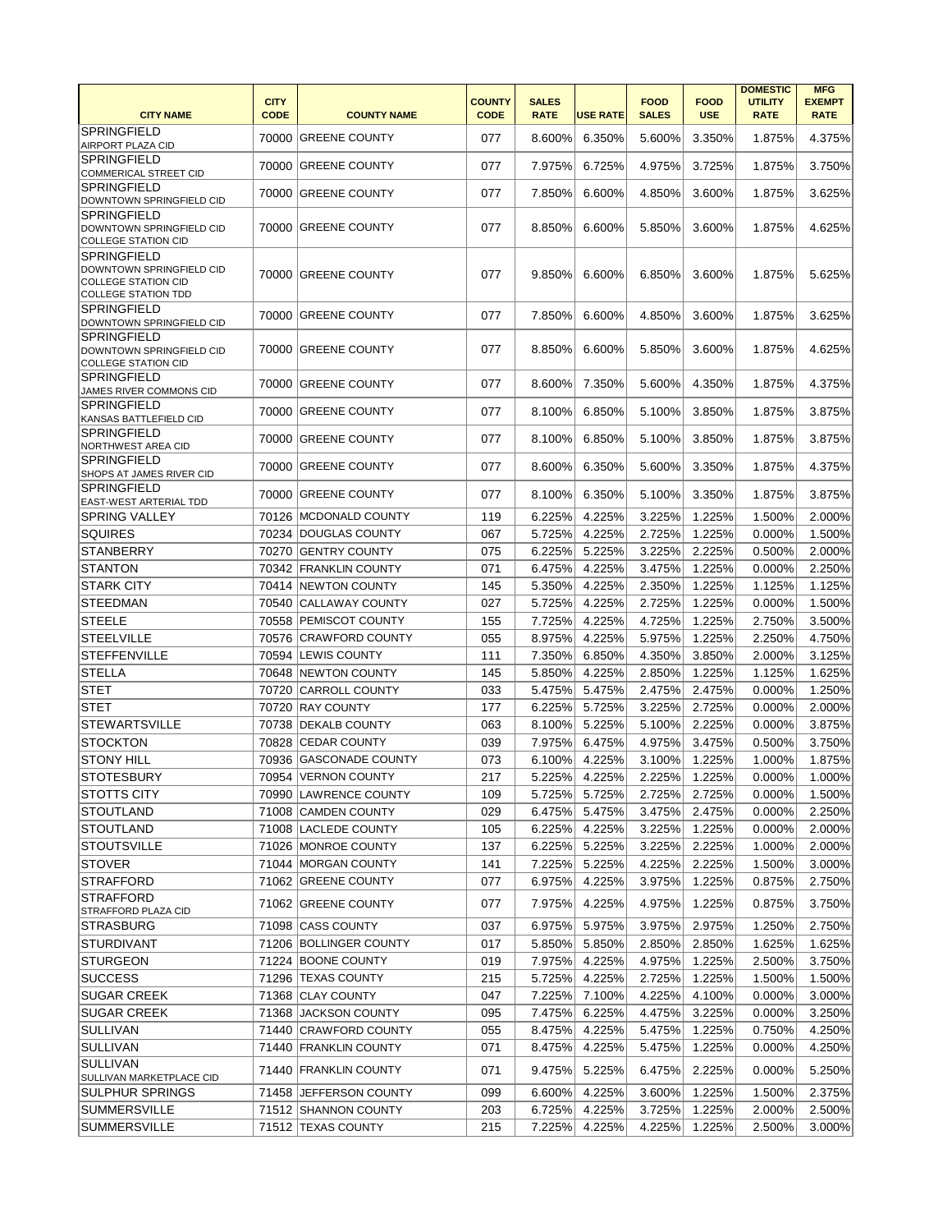|                                                                                                            |                            |                         |                              |                             |                 |                             |                           | <b>DOMESTIC</b>               | <b>MFG</b>                   |
|------------------------------------------------------------------------------------------------------------|----------------------------|-------------------------|------------------------------|-----------------------------|-----------------|-----------------------------|---------------------------|-------------------------------|------------------------------|
| <b>CITY NAME</b>                                                                                           | <b>CITY</b><br><b>CODE</b> | <b>COUNTY NAME</b>      | <b>COUNTY</b><br><b>CODE</b> | <b>SALES</b><br><b>RATE</b> | <b>USE RATE</b> | <b>FOOD</b><br><b>SALES</b> | <b>FOOD</b><br><b>USE</b> | <b>UTILITY</b><br><b>RATE</b> | <b>EXEMPT</b><br><b>RATE</b> |
| <b>SPRINGFIELD</b>                                                                                         |                            |                         |                              |                             |                 |                             |                           |                               |                              |
| AIRPORT PLAZA CID                                                                                          |                            | 70000 GREENE COUNTY     | 077                          | 8.600%                      | 6.350%          | 5.600%                      | 3.350%                    | 1.875%                        | 4.375%                       |
| <b>SPRINGFIELD</b><br><b>COMMERICAL STREET CID</b>                                                         |                            | 70000 GREENE COUNTY     | 077                          | 7.975%                      | 6.725%          | 4.975%                      | 3.725%                    | 1.875%                        | 3.750%                       |
| <b>SPRINGFIELD</b>                                                                                         |                            | 70000 GREENE COUNTY     | 077                          | 7.850%                      | 6.600%          | 4.850%                      | 3.600%                    | 1.875%                        | 3.625%                       |
| DOWNTOWN SPRINGFIELD CID                                                                                   |                            |                         |                              |                             |                 |                             |                           |                               |                              |
| <b>SPRINGFIELD</b><br>DOWNTOWN SPRINGFIELD CID                                                             |                            | 70000 GREENE COUNTY     | 077                          | 8.850%                      | 6.600%          | 5.850%                      | 3.600%                    | 1.875%                        | 4.625%                       |
| <b>COLLEGE STATION CID</b>                                                                                 |                            |                         |                              |                             |                 |                             |                           |                               |                              |
| <b>SPRINGFIELD</b><br>DOWNTOWN SPRINGFIELD CID<br><b>COLLEGE STATION CID</b><br><b>COLLEGE STATION TDD</b> |                            | 70000 GREENE COUNTY     | 077                          | 9.850%                      | 6.600%          | 6.850%                      | 3.600%                    | 1.875%                        | 5.625%                       |
| <b>SPRINGFIELD</b><br>DOWNTOWN SPRINGFIELD CID                                                             |                            | 70000 GREENE COUNTY     | 077                          | 7.850%                      | 6.600%          | 4.850%                      | 3.600%                    | 1.875%                        | 3.625%                       |
| <b>SPRINGFIELD</b>                                                                                         |                            |                         |                              |                             |                 |                             |                           |                               |                              |
| DOWNTOWN SPRINGFIELD CID<br><b>COLLEGE STATION CID</b>                                                     |                            | 70000 GREENE COUNTY     | 077                          | 8.850%                      | 6.600%          | 5.850%                      | 3.600%                    | 1.875%                        | 4.625%                       |
| <b>SPRINGFIELD</b><br>JAMES RIVER COMMONS CID                                                              |                            | 70000 GREENE COUNTY     | 077                          | 8.600%                      | 7.350%          | 5.600%                      | 4.350%                    | 1.875%                        | 4.375%                       |
| <b>SPRINGFIELD</b><br>KANSAS BATTLEFIELD CID                                                               |                            | 70000 GREENE COUNTY     | 077                          | 8.100%                      | 6.850%          | 5.100%                      | 3.850%                    | 1.875%                        | 3.875%                       |
| <b>SPRINGFIELD</b><br><b>NORTHWEST AREA CID</b>                                                            |                            | 70000 GREENE COUNTY     | 077                          | 8.100%                      | 6.850%          | 5.100%                      | 3.850%                    | 1.875%                        | 3.875%                       |
| <b>SPRINGFIELD</b>                                                                                         | 70000                      | <b>GREENE COUNTY</b>    | 077                          | 8.600%                      | 6.350%          | 5.600%                      | 3.350%                    | 1.875%                        | 4.375%                       |
| <b>SHOPS AT JAMES RIVER CID</b><br><b>SPRINGFIELD</b>                                                      |                            |                         |                              |                             |                 |                             |                           |                               |                              |
| EAST-WEST ARTERIAL TDD                                                                                     |                            | 70000 GREENE COUNTY     | 077                          | 8.100%                      | 6.350%          | 5.100%                      | 3.350%                    | 1.875%                        | 3.875%                       |
| <b>SPRING VALLEY</b>                                                                                       | 70126                      | MCDONALD COUNTY         | 119                          | 6.225%                      | 4.225%          | 3.225%                      | 1.225%                    | 1.500%                        | 2.000%                       |
| <b>SQUIRES</b>                                                                                             |                            | 70234 DOUGLAS COUNTY    | 067                          | 5.725%                      | 4.225%          | 2.725%                      | 1.225%                    | 0.000%                        | 1.500%                       |
| <b>STANBERRY</b>                                                                                           | 70270                      | <b>GENTRY COUNTY</b>    | 075                          | 6.225%                      | 5.225%          | 3.225%                      | 2.225%                    | 0.500%                        | 2.000%                       |
| <b>STANTON</b>                                                                                             |                            | 70342 FRANKLIN COUNTY   | 071                          | 6.475%                      | 4.225%          | 3.475%                      | 1.225%                    | 0.000%                        | 2.250%                       |
| <b>STARK CITY</b>                                                                                          |                            | 70414 NEWTON COUNTY     | 145                          | 5.350%                      | 4.225%          | 2.350%                      | 1.225%                    | 1.125%                        | 1.125%                       |
| <b>STEEDMAN</b>                                                                                            |                            | 70540 CALLAWAY COUNTY   | 027                          | 5.725%                      | 4.225%          | 2.725%                      | 1.225%                    | 0.000%                        | 1.500%                       |
| STEELE                                                                                                     |                            | 70558 PEMISCOT COUNTY   | 155                          |                             | 7.725% 4.225%   | 4.725%                      | 1.225%                    | 2.750%                        | 3.500%                       |
| <b>STEELVILLE</b>                                                                                          |                            | 70576 CRAWFORD COUNTY   | 055                          | 8.975%                      | 4.225%          | 5.975%                      | 1.225%                    | 2.250%                        | 4.750%                       |
| <b>STEFFENVILLE</b>                                                                                        |                            | 70594 LEWIS COUNTY      | 111                          | 7.350%                      | 6.850%          | 4.350%                      | 3.850%                    | 2.000%                        | 3.125%                       |
| <b>STELLA</b>                                                                                              |                            | 70648 NEWTON COUNTY     | 145                          | 5.850%                      | 4.225%          | 2.850%                      | 1.225%                    | 1.125%                        | 1.625%                       |
| <b>STET</b>                                                                                                | 70720                      | <b>CARROLL COUNTY</b>   | 033                          | 5.475%                      | 5.475%          | 2.475%                      | 2.475%                    | 0.000%                        | 1.250%                       |
| <b>STET</b>                                                                                                | 70720                      | <b>RAY COUNTY</b>       | 177                          | 6.225%                      | 5.725%          | 3.225%                      | 2.725%                    | 0.000%                        | 2.000%                       |
| <b>STEWARTSVILLE</b>                                                                                       | 70738                      | <b>DEKALB COUNTY</b>    | 063                          | 8.100%                      | 5.225%          | 5.100%                      | 2.225%                    | 0.000%                        | 3.875%                       |
| <b>STOCKTON</b>                                                                                            | 70828                      | <b>CEDAR COUNTY</b>     | 039                          | 7.975%                      | 6.475%          | 4.975%                      | 3.475%                    | 0.500%                        | 3.750%                       |
| <b>STONY HILL</b>                                                                                          | 70936                      | <b>GASCONADE COUNTY</b> | 073                          | 6.100%                      | 4.225%          | 3.100%                      | 1.225%                    | 1.000%                        | 1.875%                       |
|                                                                                                            |                            |                         |                              |                             |                 |                             |                           |                               |                              |
| <b>STOTESBURY</b>                                                                                          | 70954                      | <b>VERNON COUNTY</b>    | 217                          | 5.225%                      | 4.225%          | 2.225%                      | 1.225%                    | 0.000%                        | 1.000%                       |
| <b>STOTTS CITY</b>                                                                                         | 70990                      | LAWRENCE COUNTY         | 109                          | 5.725%                      | 5.725%          | 2.725%                      | 2.725%                    | 0.000%                        | 1.500%                       |
| <b>STOUTLAND</b>                                                                                           |                            | 71008 CAMDEN COUNTY     | 029                          | 6.475%                      | 5.475%          | 3.475%                      | 2.475%                    | 0.000%                        | 2.250%                       |
| <b>STOUTLAND</b>                                                                                           |                            | 71008 LACLEDE COUNTY    | 105                          | 6.225%                      | 4.225%          | 3.225%                      | 1.225%                    | 0.000%                        | 2.000%                       |
| <b>STOUTSVILLE</b>                                                                                         |                            | 71026 MONROE COUNTY     | 137                          | 6.225%                      | 5.225%          | 3.225%                      | 2.225%                    | 1.000%                        | 2.000%                       |
| <b>STOVER</b>                                                                                              |                            | 71044 MORGAN COUNTY     | 141                          | 7.225%                      | 5.225%          | 4.225%                      | 2.225%                    | 1.500%                        | 3.000%                       |
| <b>STRAFFORD</b>                                                                                           |                            | 71062 GREENE COUNTY     | 077                          | 6.975%                      | 4.225%          | 3.975%                      | 1.225%                    | 0.875%                        | 2.750%                       |
| <b>STRAFFORD</b><br><b>STRAFFORD PLAZA CID</b>                                                             |                            | 71062 GREENE COUNTY     | 077                          | 7.975%                      | 4.225%          | 4.975%                      | 1.225%                    | 0.875%                        | 3.750%                       |
| <b>STRASBURG</b>                                                                                           | 71098                      | <b>CASS COUNTY</b>      | 037                          | 6.975%                      | 5.975%          | 3.975%                      | 2.975%                    | 1.250%                        | 2.750%                       |
| <b>STURDIVANT</b>                                                                                          |                            | 71206 BOLLINGER COUNTY  | 017                          | 5.850%                      | 5.850%          | 2.850%                      | 2.850%                    | 1.625%                        | 1.625%                       |
| <b>STURGEON</b>                                                                                            |                            | 71224 BOONE COUNTY      | 019                          | 7.975%                      | 4.225%          | 4.975%                      | 1.225%                    | 2.500%                        | 3.750%                       |
| <b>SUCCESS</b>                                                                                             | 71296                      | <b>TEXAS COUNTY</b>     | 215                          | 5.725%                      | 4.225%          | 2.725%                      | 1.225%                    | 1.500%                        | 1.500%                       |
| <b>SUGAR CREEK</b>                                                                                         | 71368                      | <b>CLAY COUNTY</b>      | 047                          | 7.225%                      | 7.100%          | 4.225%                      | 4.100%                    | 0.000%                        | 3.000%                       |
| <b>SUGAR CREEK</b>                                                                                         | 71368                      | JACKSON COUNTY          | 095                          | 7.475%                      | 6.225%          | 4.475%                      | 3.225%                    | 0.000%                        | 3.250%                       |
|                                                                                                            |                            |                         |                              |                             |                 |                             |                           |                               |                              |
| <b>SULLIVAN</b>                                                                                            | 71440                      | <b>CRAWFORD COUNTY</b>  | 055                          | 8.475%                      | 4.225%          | 5.475%                      | 1.225%                    | 0.750%                        | 4.250%                       |
| SULLIVAN                                                                                                   |                            | 71440 FRANKLIN COUNTY   | 071                          | 8.475%                      | 4.225%          | 5.475%                      | 1.225%                    | 0.000%                        | 4.250%                       |
| SULLIVAN<br>SULLIVAN MARKETPLACE CID                                                                       |                            | 71440 FRANKLIN COUNTY   | 071                          | 9.475%                      | 5.225%          | 6.475%                      | 2.225%                    | 0.000%                        | 5.250%                       |
| <b>SULPHUR SPRINGS</b>                                                                                     | 71458                      | <b>JEFFERSON COUNTY</b> | 099                          | 6.600%                      | 4.225%          | 3.600%                      | 1.225%                    | 1.500%                        | 2.375%                       |
| <b>SUMMERSVILLE</b>                                                                                        |                            | 71512 SHANNON COUNTY    | 203                          | 6.725%                      | 4.225%          | 3.725%                      | 1.225%                    | 2.000%                        | 2.500%                       |
| <b>SUMMERSVILLE</b>                                                                                        |                            | 71512 TEXAS COUNTY      | 215                          | 7.225%                      | 4.225%          | 4.225%                      | 1.225%                    | 2.500%                        | 3.000%                       |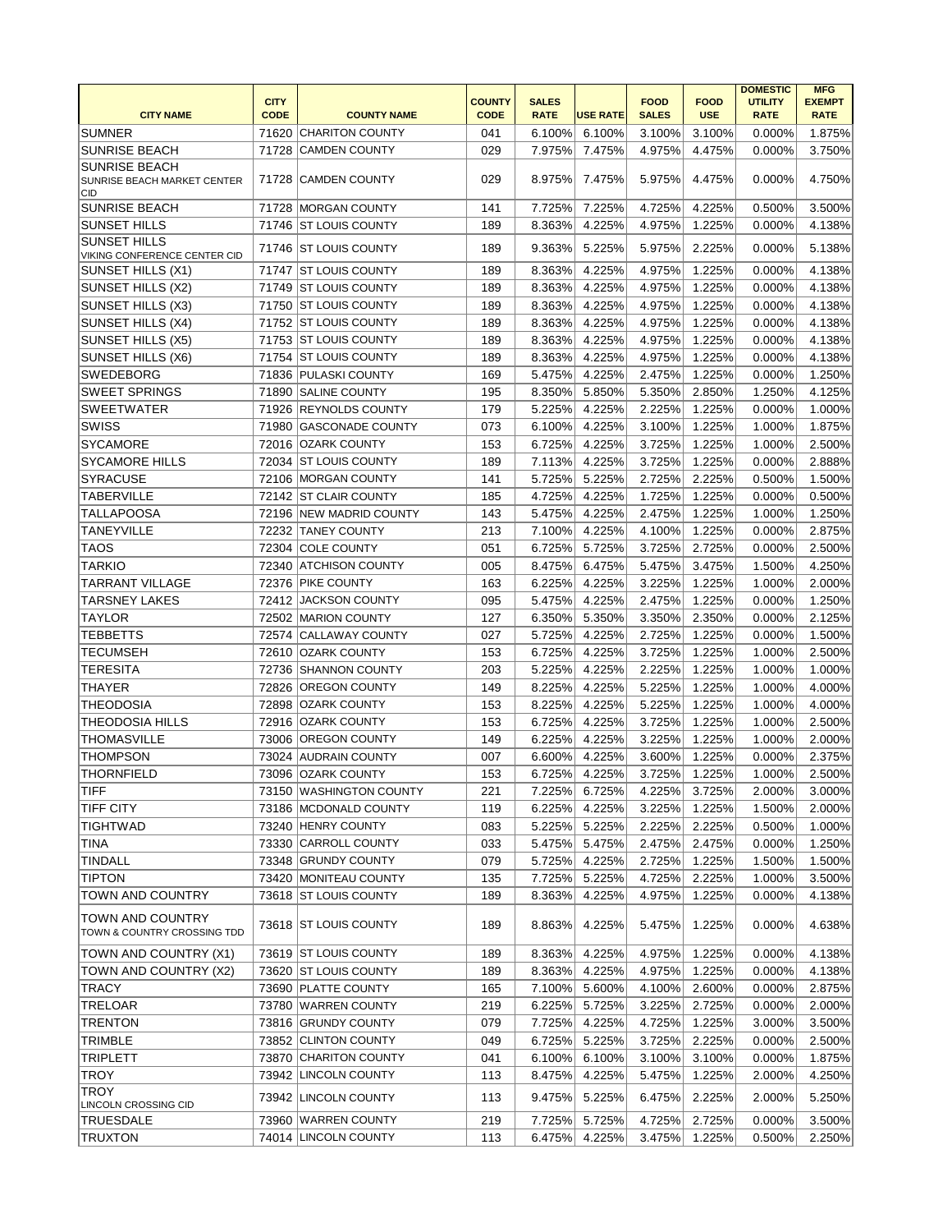|                                                                          |             |                         |               |              |                 |              |             | <b>DOMESTIC</b> | <b>MFG</b>    |
|--------------------------------------------------------------------------|-------------|-------------------------|---------------|--------------|-----------------|--------------|-------------|-----------------|---------------|
|                                                                          | <b>CITY</b> |                         | <b>COUNTY</b> | <b>SALES</b> |                 | <b>FOOD</b>  | <b>FOOD</b> | <b>UTILITY</b>  | <b>EXEMPT</b> |
| <b>CITY NAME</b>                                                         | <b>CODE</b> | <b>COUNTY NAME</b>      | <b>CODE</b>   | <b>RATE</b>  | <b>USE RATE</b> | <b>SALES</b> | <b>USE</b>  | <b>RATE</b>     | <b>RATE</b>   |
| <b>SUMNER</b>                                                            |             | 71620 CHARITON COUNTY   | 041           | 6.100%       | 6.100%          | 3.100%       | 3.100%      | 0.000%          | 1.875%        |
| <b>SUNRISE BEACH</b>                                                     | 71728       | <b>CAMDEN COUNTY</b>    | 029           | 7.975%       | 7.475%          | 4.975%       | 4.475%      | 0.000%          | 3.750%        |
| <b>SUNRISE BEACH</b><br><b>SUNRISE BEACH MARKET CENTER</b><br><b>CID</b> |             | 71728 CAMDEN COUNTY     | 029           | 8.975%       | 7.475%          | 5.975%       | 4.475%      | 0.000%          | 4.750%        |
| <b>SUNRISE BEACH</b>                                                     |             | 71728 MORGAN COUNTY     | 141           | 7.725%       | 7.225%          | 4.725%       | 4.225%      | 0.500%          | 3.500%        |
| <b>SUNSET HILLS</b>                                                      |             | 71746 ST LOUIS COUNTY   | 189           | 8.363%       | 4.225%          | 4.975%       | 1.225%      | 0.000%          | 4.138%        |
| <b>SUNSET HILLS</b><br>VIKING CONFERENCE CENTER CID                      |             | 71746 ST LOUIS COUNTY   | 189           | 9.363%       | 5.225%          | 5.975%       | 2.225%      | 0.000%          | 5.138%        |
| SUNSET HILLS (X1)                                                        |             | 71747 ST LOUIS COUNTY   | 189           | 8.363%       | 4.225%          | 4.975%       | 1.225%      | 0.000%          | 4.138%        |
| SUNSET HILLS (X2)                                                        |             | 71749 ST LOUIS COUNTY   | 189           | 8.363%       | 4.225%          | 4.975%       | 1.225%      | 0.000%          | 4.138%        |
| SUNSET HILLS (X3)                                                        |             | 71750 ST LOUIS COUNTY   | 189           | 8.363%       | 4.225%          | 4.975%       | 1.225%      | 0.000%          | 4.138%        |
| SUNSET HILLS (X4)                                                        |             | 71752 ST LOUIS COUNTY   | 189           | 8.363%       | 4.225%          | 4.975%       | 1.225%      | 0.000%          | 4.138%        |
| SUNSET HILLS (X5)                                                        |             | 71753 ST LOUIS COUNTY   | 189           | 8.363%       | 4.225%          | 4.975%       | 1.225%      | 0.000%          | 4.138%        |
| SUNSET HILLS (X6)                                                        |             | 71754 ST LOUIS COUNTY   | 189           | 8.363%       | 4.225%          | 4.975%       | 1.225%      | 0.000%          | 4.138%        |
| <b>SWEDEBORG</b>                                                         |             | 71836 PULASKI COUNTY    | 169           | 5.475%       | 4.225%          | 2.475%       | 1.225%      | 0.000%          | 1.250%        |
| <b>SWEET SPRINGS</b>                                                     |             | 71890 SALINE COUNTY     | 195           | 8.350%       | 5.850%          | 5.350%       | 2.850%      | 1.250%          | 4.125%        |
| <b>SWEETWATER</b>                                                        |             | 71926 REYNOLDS COUNTY   | 179           | 5.225%       | 4.225%          | 2.225%       | 1.225%      | 0.000%          | 1.000%        |
| SWISS                                                                    | 71980       | <b>GASCONADE COUNTY</b> | 073           | 6.100%       | 4.225%          | 3.100%       | 1.225%      | 1.000%          | 1.875%        |
| <b>SYCAMORE</b>                                                          | 72016       | <b>OZARK COUNTY</b>     | 153           | 6.725%       | 4.225%          | 3.725%       | 1.225%      | 1.000%          | 2.500%        |
| <b>SYCAMORE HILLS</b>                                                    |             | 72034 ST LOUIS COUNTY   | 189           | 7.113%       | 4.225%          | 3.725%       | 1.225%      | 0.000%          | 2.888%        |
| <b>SYRACUSE</b>                                                          |             | 72106 MORGAN COUNTY     | 141           | 5.725%       | 5.225%          | 2.725%       | 2.225%      | 0.500%          | 1.500%        |
| <b>TABERVILLE</b>                                                        |             | 72142 ST CLAIR COUNTY   | 185           | 4.725%       | 4.225%          | 1.725%       | 1.225%      | 0.000%          | 0.500%        |
| <b>TALLAPOOSA</b>                                                        |             | 72196 NEW MADRID COUNTY | 143           | 5.475%       | 4.225%          | 2.475%       | 1.225%      | 1.000%          | 1.250%        |
|                                                                          |             |                         |               |              |                 |              |             |                 |               |
| <b>TANEYVILLE</b>                                                        | 72232       | <b>TANEY COUNTY</b>     | 213           | 7.100%       | 4.225%          | 4.100%       | 1.225%      | 0.000%          | 2.875%        |
| <b>TAOS</b>                                                              | 72304       | <b>COLE COUNTY</b>      | 051           | 6.725%       | 5.725%          | 3.725%       | 2.725%      | 0.000%          | 2.500%        |
| <b>TARKIO</b>                                                            |             | 72340 ATCHISON COUNTY   | 005           | 8.475%       | 6.475%          | 5.475%       | 3.475%      | 1.500%          | 4.250%        |
| <b>TARRANT VILLAGE</b>                                                   |             | 72376 PIKE COUNTY       | 163           | 6.225%       | 4.225%          | 3.225%       | 1.225%      | 1.000%          | 2.000%        |
| <b>TARSNEY LAKES</b>                                                     | 72412       | JACKSON COUNTY          | 095           | 5.475%       | 4.225%          | 2.475%       | 1.225%      | 0.000%          | 1.250%        |
| <b>TAYLOR</b>                                                            |             | 72502 MARION COUNTY     | 127           |              | 6.350% 5.350%   | 3.350%       | 2.350%      | 0.000%          | 2.125%        |
| TEBBETTS                                                                 |             | 72574 CALLAWAY COUNTY   | 027           | 5.725%       | 4.225%          | 2.725%       | 1.225%      | 0.000%          | 1.500%        |
| <b>TECUMSEH</b>                                                          |             | 72610 OZARK COUNTY      | 153           | 6.725%       | 4.225%          | 3.725%       | 1.225%      | 1.000%          | 2.500%        |
| TERESITA                                                                 |             | 72736 SHANNON COUNTY    | 203           | 5.225%       | 4.225%          | 2.225%       | 1.225%      | 1.000%          | 1.000%        |
| <b>THAYER</b>                                                            |             | 72826 OREGON COUNTY     | 149           | 8.225%       | 4.225%          | 5.225%       | 1.225%      | 1.000%          | 4.000%        |
| <b>THEODOSIA</b>                                                         |             | 72898 OZARK COUNTY      | 153           | 8.225%       | 4.225%          | 5.225%       | 1.225%      | 1.000%          | 4.000%        |
| <b>THEODOSIA HILLS</b>                                                   |             | 72916 OZARK COUNTY      | 153           | 6.725%       | 4.225%          | 3.725%       | 1.225%      | 1.000%          | 2.500%        |
| <b>THOMASVILLE</b>                                                       |             | 73006 OREGON COUNTY     | 149           | 6.225%       | 4.225%          | 3.225%       | 1.225%      | 1.000%          | 2.000%        |
| <b>THOMPSON</b>                                                          |             | 73024 AUDRAIN COUNTY    | 007           | 6.600%       | 4.225%          | 3.600%       | 1.225%      | 0.000%          | 2.375%        |
| <b>THORNFIELD</b>                                                        |             | 73096 OZARK COUNTY      | 153           | 6.725%       | 4.225%          | 3.725%       | 1.225%      | 1.000%          | 2.500%        |
| TIFF                                                                     |             | 73150 WASHINGTON COUNTY | 221           | 7.225%       | 6.725%          | 4.225%       | 3.725%      | 2.000%          | 3.000%        |
| <b>TIFF CITY</b>                                                         |             | 73186 MCDONALD COUNTY   | 119           | 6.225%       | 4.225%          | 3.225%       | 1.225%      | 1.500%          | 2.000%        |
| <b>TIGHTWAD</b>                                                          |             | 73240 HENRY COUNTY      | 083           | 5.225%       | 5.225%          | 2.225%       | 2.225%      | 0.500%          | 1.000%        |
| <b>TINA</b>                                                              |             | 73330 CARROLL COUNTY    | 033           | 5.475%       | 5.475%          | 2.475%       | 2.475%      | 0.000%          | 1.250%        |
| TINDALL                                                                  |             | 73348 GRUNDY COUNTY     | 079           | 5.725%       | 4.225%          | 2.725%       | 1.225%      | 1.500%          | 1.500%        |
| <b>TIPTON</b>                                                            |             | 73420 MONITEAU COUNTY   | 135           | 7.725%       | 5.225%          | 4.725%       | 2.225%      | 1.000%          | 3.500%        |
| <b>TOWN AND COUNTRY</b>                                                  |             | 73618 ST LOUIS COUNTY   | 189           | 8.363%       | 4.225%          | 4.975%       | 1.225%      | 0.000%          | 4.138%        |
| <b>TOWN AND COUNTRY</b><br>TOWN & COUNTRY CROSSING TDD                   |             | 73618 ST LOUIS COUNTY   | 189           | 8.863%       | 4.225%          | 5.475%       | 1.225%      | 0.000%          | 4.638%        |
| TOWN AND COUNTRY (X1)                                                    |             | 73619 ST LOUIS COUNTY   | 189           | 8.363%       | 4.225%          | 4.975%       | 1.225%      | 0.000%          | 4.138%        |
| TOWN AND COUNTRY (X2)                                                    |             | 73620 ST LOUIS COUNTY   | 189           | 8.363%       | 4.225%          | 4.975%       | 1.225%      | 0.000%          | 4.138%        |
| <b>TRACY</b>                                                             |             | 73690 PLATTE COUNTY     | 165           | 7.100%       | 5.600%          | 4.100%       | 2.600%      | 0.000%          | 2.875%        |
| TRELOAR                                                                  |             | 73780 WARREN COUNTY     | 219           | 6.225%       | 5.725%          | 3.225%       | 2.725%      | 0.000%          | 2.000%        |
| <b>TRENTON</b>                                                           |             | 73816 GRUNDY COUNTY     | 079           | 7.725%       | 4.225%          | 4.725%       | 1.225%      | 3.000%          | 3.500%        |
| <b>TRIMBLE</b>                                                           |             | 73852 CLINTON COUNTY    | 049           | 6.725%       | 5.225%          | 3.725%       | 2.225%      | 0.000%          | 2.500%        |
| <b>TRIPLETT</b>                                                          |             | 73870 CHARITON COUNTY   | 041           | 6.100%       | 6.100%          | 3.100%       | 3.100%      | 0.000%          | 1.875%        |
| TROY                                                                     |             | 73942 LINCOLN COUNTY    | 113           | 8.475%       | 4.225%          | 5.475%       | 1.225%      | 2.000%          | 4.250%        |
| <b>TROY</b>                                                              |             | 73942 LINCOLN COUNTY    | 113           | 9.475%       | 5.225%          | 6.475%       | 2.225%      | 2.000%          | 5.250%        |
| LINCOLN CROSSING CID                                                     |             |                         |               |              |                 |              |             |                 |               |
| <b>TRUESDALE</b>                                                         |             | 73960 WARREN COUNTY     | 219           | 7.725%       | 5.725%          | 4.725%       | 2.725%      | 0.000%          | 3.500%        |
| <b>TRUXTON</b>                                                           |             | 74014 LINCOLN COUNTY    | 113           | 6.475%       | 4.225%          | 3.475%       | 1.225%      | 0.500%          | 2.250%        |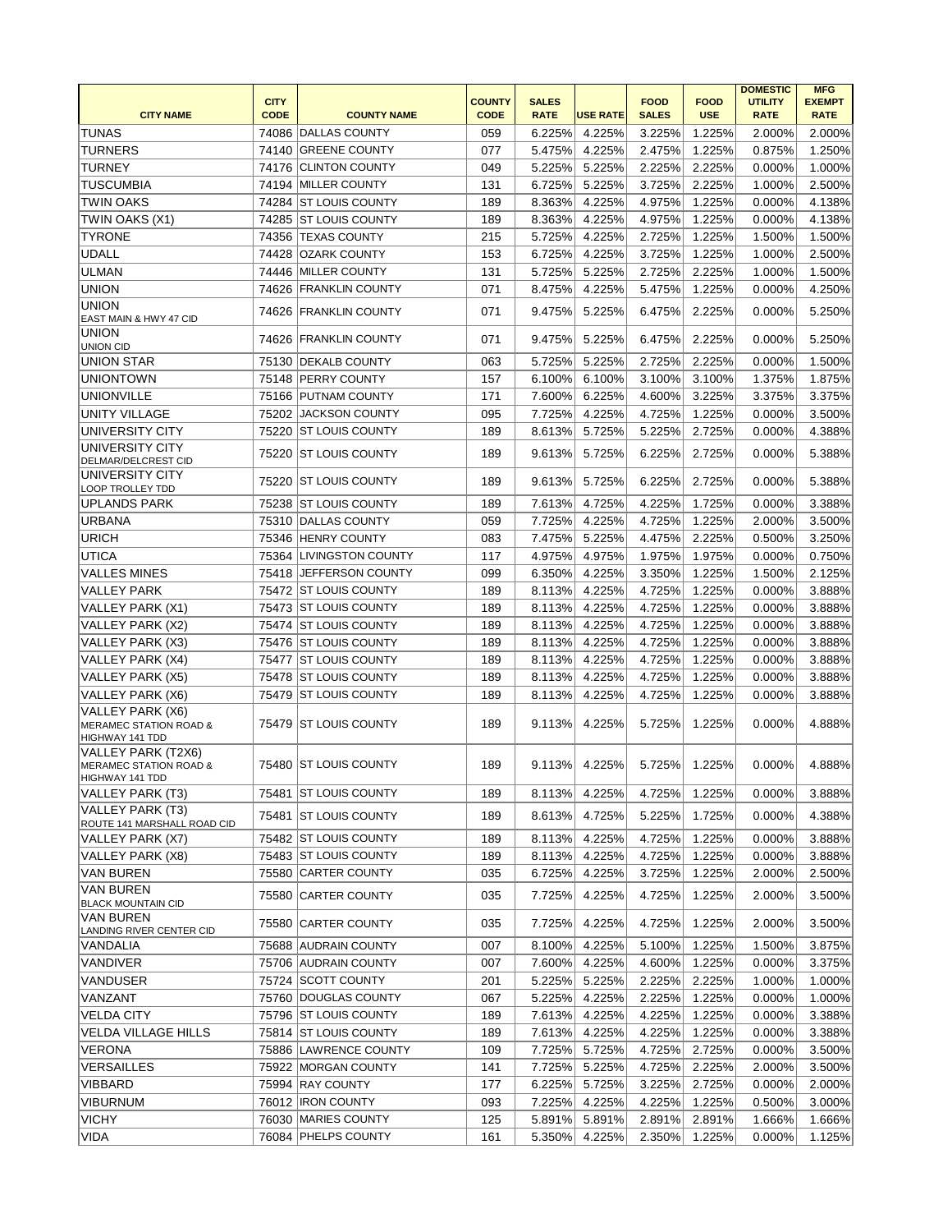|                                                                            |             |                         |               |              |                 |              |             | <b>DOMESTIC</b> | <b>MFG</b>    |
|----------------------------------------------------------------------------|-------------|-------------------------|---------------|--------------|-----------------|--------------|-------------|-----------------|---------------|
|                                                                            | <b>CITY</b> |                         | <b>COUNTY</b> | <b>SALES</b> |                 | <b>FOOD</b>  | <b>FOOD</b> | <b>UTILITY</b>  | <b>EXEMPT</b> |
| <b>CITY NAME</b>                                                           | <b>CODE</b> | <b>COUNTY NAME</b>      | <b>CODE</b>   | <b>RATE</b>  | <b>USE RATE</b> | <b>SALES</b> | <b>USE</b>  | <b>RATE</b>     | <b>RATE</b>   |
| <b>TUNAS</b>                                                               |             | 74086 DALLAS COUNTY     | 059           | 6.225%       | 4.225%          | 3.225%       | 1.225%      | 2.000%          | 2.000%        |
| <b>TURNERS</b>                                                             | 74140       | <b>GREENE COUNTY</b>    | 077           | 5.475%       | 4.225%          | 2.475%       | 1.225%      | 0.875%          | 1.250%        |
| <b>TURNEY</b>                                                              | 74176       | <b>CLINTON COUNTY</b>   | 049           | 5.225%       | 5.225%          | 2.225%       | 2.225%      | 0.000%          | 1.000%        |
| <b>TUSCUMBIA</b>                                                           |             | 74194 MILLER COUNTY     | 131           | 6.725%       | 5.225%          | 3.725%       | 2.225%      | 1.000%          | 2.500%        |
| <b>TWIN OAKS</b>                                                           |             | 74284 ST LOUIS COUNTY   | 189           | 8.363%       | 4.225%          | 4.975%       | 1.225%      | 0.000%          | 4.138%        |
| TWIN OAKS (X1)                                                             | 74285       | <b>ST LOUIS COUNTY</b>  | 189           | 8.363%       | 4.225%          | 4.975%       | 1.225%      | 0.000%          | 4.138%        |
| <b>TYRONE</b>                                                              |             | 74356 TEXAS COUNTY      | 215           | 5.725%       | 4.225%          | 2.725%       | 1.225%      | 1.500%          | 1.500%        |
| <b>UDALL</b>                                                               | 74428       | <b>OZARK COUNTY</b>     | 153           | 6.725%       | 4.225%          | 3.725%       | 1.225%      | 1.000%          | 2.500%        |
| <b>ULMAN</b>                                                               |             | 74446 MILLER COUNTY     | 131           | 5.725%       | 5.225%          | 2.725%       | 2.225%      | 1.000%          | 1.500%        |
| <b>UNION</b>                                                               |             | 74626 FRANKLIN COUNTY   | 071           | 8.475%       | 4.225%          | 5.475%       | 1.225%      | 0.000%          | 4.250%        |
| <b>UNION</b><br>EAST MAIN & HWY 47 CID                                     |             | 74626 FRANKLIN COUNTY   | 071           | 9.475%       | 5.225%          | 6.475%       | 2.225%      | 0.000%          | 5.250%        |
| <b>UNION</b><br>UNION CID                                                  |             | 74626 FRANKLIN COUNTY   | 071           | 9.475%       | 5.225%          | 6.475%       | 2.225%      | 0.000%          | 5.250%        |
| <b>UNION STAR</b>                                                          |             | 75130 DEKALB COUNTY     | 063           | 5.725%       | 5.225%          | 2.725%       | 2.225%      | 0.000%          | 1.500%        |
| <b>UNIONTOWN</b>                                                           |             | 75148 PERRY COUNTY      | 157           | 6.100%       | 6.100%          | 3.100%       | 3.100%      | 1.375%          | 1.875%        |
| <b>UNIONVILLE</b>                                                          |             | 75166 PUTNAM COUNTY     | 171           | 7.600%       | 6.225%          | 4.600%       | 3.225%      | 3.375%          | 3.375%        |
| UNITY VILLAGE                                                              |             | 75202 JACKSON COUNTY    | 095           | 7.725%       | 4.225%          | 4.725%       | 1.225%      | 0.000%          | 3.500%        |
| UNIVERSITY CITY                                                            |             | 75220 ST LOUIS COUNTY   | 189           | 8.613%       | 5.725%          | 5.225%       | 2.725%      | 0.000%          | 4.388%        |
| UNIVERSITY CITY<br>DELMAR/DELCREST CID                                     |             | 75220 ST LOUIS COUNTY   | 189           | 9.613%       | 5.725%          | 6.225%       | 2.725%      | 0.000%          | 5.388%        |
| UNIVERSITY CITY<br>LOOP TROLLEY TDD                                        |             | 75220 ST LOUIS COUNTY   | 189           | 9.613%       | 5.725%          | 6.225%       | 2.725%      | 0.000%          | 5.388%        |
| UPLANDS PARK                                                               |             | 75238 ST LOUIS COUNTY   | 189           | 7.613%       | 4.725%          | 4.225%       | 1.725%      | 0.000%          | 3.388%        |
| <b>URBANA</b>                                                              |             | 75310 DALLAS COUNTY     | 059           | 7.725%       | 4.225%          | 4.725%       | 1.225%      | 2.000%          | 3.500%        |
| <b>URICH</b>                                                               |             | 75346 HENRY COUNTY      | 083           | 7.475%       | 5.225%          | 4.475%       | 2.225%      | 0.500%          | 3.250%        |
| <b>UTICA</b>                                                               |             | 75364 LIVINGSTON COUNTY | 117           | 4.975%       | 4.975%          | 1.975%       | 1.975%      | 0.000%          | 0.750%        |
| <b>VALLES MINES</b>                                                        |             | 75418 JEFFERSON COUNTY  | 099           | 6.350%       | 4.225%          | 3.350%       | 1.225%      | 1.500%          | 2.125%        |
| <b>VALLEY PARK</b>                                                         |             | 75472 ST LOUIS COUNTY   | 189           | 8.113%       | 4.225%          | 4.725%       | 1.225%      | 0.000%          | 3.888%        |
| VALLEY PARK (X1)                                                           |             | 75473 ST LOUIS COUNTY   | 189           | 8.113%       | 4.225%          | 4.725%       | 1.225%      | 0.000%          | 3.888%        |
| VALLEY PARK (X2)                                                           |             | 75474 ST LOUIS COUNTY   | 189           |              | 8.113% 4.225%   | 4.725%       | 1.225%      | 0.000%          | 3.888%        |
| VALLEY PARK (X3)                                                           |             | 75476 ST LOUIS COUNTY   | 189           | 8.113%       | 4.225%          | 4.725%       | 1.225%      | 0.000%          | 3.888%        |
| VALLEY PARK (X4)                                                           |             | 75477 ST LOUIS COUNTY   | 189           | 8.113%       | 4.225%          | 4.725%       | 1.225%      | 0.000%          | 3.888%        |
| VALLEY PARK (X5)                                                           |             | 75478 ST LOUIS COUNTY   | 189           | 8.113%       | 4.225%          | 4.725%       | 1.225%      | 0.000%          | 3.888%        |
| VALLEY PARK (X6)                                                           |             | 75479 ST LOUIS COUNTY   | 189           | 8.113%       | 4.225%          | 4.725%       | 1.225%      | 0.000%          | 3.888%        |
| VALLEY PARK (X6)<br><b>MERAMEC STATION ROAD &amp;</b><br>HIGHWAY 141 TDD   |             | 75479 ST LOUIS COUNTY   | 189           | 9.113%       | 4.225%          | 5.725%       | 1.225%      | 0.000%          | 4.888%        |
| VALLEY PARK (T2X6)<br><b>MERAMEC STATION ROAD &amp;</b><br>HIGHWAY 141 TDD |             | 75480 ST LOUIS COUNTY   | 189           | 9.113%       | 4.225%          | 5.725%       | 1.225%      | 0.000%          | 4.888%        |
| VALLEY PARK (T3)                                                           |             | 75481 ST LOUIS COUNTY   | 189           | 8.113%       | 4.225%          | 4.725%       | 1.225%      | 0.000%          | 3.888%        |
| VALLEY PARK (T3)<br>ROUTE 141 MARSHALL ROAD CID                            |             | 75481 ST LOUIS COUNTY   | 189           | 8.613%       | 4.725%          | 5.225%       | 1.725%      | 0.000%          | 4.388%        |
| VALLEY PARK (X7)                                                           |             | 75482 ST LOUIS COUNTY   | 189           | 8.113%       | 4.225%          | 4.725%       | 1.225%      | 0.000%          | 3.888%        |
| VALLEY PARK (X8)                                                           |             | 75483 ST LOUIS COUNTY   | 189           | 8.113%       | 4.225%          | 4.725%       | 1.225%      | 0.000%          | 3.888%        |
| <b>VAN BUREN</b>                                                           |             | 75580 CARTER COUNTY     | 035           | 6.725%       | 4.225%          | 3.725%       | 1.225%      | 2.000%          | 2.500%        |
| <b>VAN BUREN</b><br><b>BLACK MOUNTAIN CID</b>                              |             | 75580 CARTER COUNTY     | 035           | 7.725%       | 4.225%          | 4.725%       | 1.225%      | 2.000%          | 3.500%        |
| VAN BUREN<br>LANDING RIVER CENTER CID                                      |             | 75580 CARTER COUNTY     | 035           | 7.725%       | 4.225%          | 4.725%       | 1.225%      | 2.000%          | 3.500%        |
| VANDALIA                                                                   |             | 75688 AUDRAIN COUNTY    | 007           | 8.100%       | 4.225%          | 5.100%       | 1.225%      | 1.500%          | 3.875%        |
| <b>VANDIVER</b>                                                            |             | 75706 AUDRAIN COUNTY    | 007           | 7.600%       | 4.225%          | 4.600%       | 1.225%      | 0.000%          | 3.375%        |
| VANDUSER                                                                   |             | 75724 SCOTT COUNTY      | 201           | 5.225%       | 5.225%          | 2.225%       | 2.225%      | 1.000%          | 1.000%        |
| VANZANT                                                                    |             | 75760 DOUGLAS COUNTY    | 067           | 5.225%       | 4.225%          | 2.225%       | 1.225%      | 0.000%          | 1.000%        |
| <b>VELDA CITY</b>                                                          |             | 75796 ST LOUIS COUNTY   | 189           | 7.613%       | 4.225%          | 4.225%       | 1.225%      | 0.000%          | 3.388%        |
| <b>VELDA VILLAGE HILLS</b>                                                 |             | 75814 ST LOUIS COUNTY   | 189           | 7.613%       | 4.225%          | 4.225%       | 1.225%      | 0.000%          | 3.388%        |
| <b>VERONA</b>                                                              |             | 75886 LAWRENCE COUNTY   | 109           | 7.725%       | 5.725%          | 4.725%       | 2.725%      | 0.000%          | 3.500%        |
| VERSAILLES                                                                 |             | 75922 MORGAN COUNTY     | 141           | 7.725%       | 5.225%          | 4.725%       | 2.225%      | 2.000%          | 3.500%        |
| <b>VIBBARD</b>                                                             |             | 75994 RAY COUNTY        | 177           | 6.225%       | 5.725%          | 3.225%       | 2.725%      | 0.000%          | 2.000%        |
| <b>VIBURNUM</b>                                                            |             | 76012  IRON COUNTY      | 093           | 7.225%       | 4.225%          | 4.225%       | 1.225%      | 0.500%          | 3.000%        |
| <b>VICHY</b>                                                               |             | 76030 MARIES COUNTY     | 125           | 5.891%       | 5.891%          | 2.891%       | 2.891%      | 1.666%          | 1.666%        |
| <b>VIDA</b>                                                                |             | 76084 PHELPS COUNTY     | 161           | 5.350%       | 4.225%          | 2.350%       | 1.225%      | 0.000%          | 1.125%        |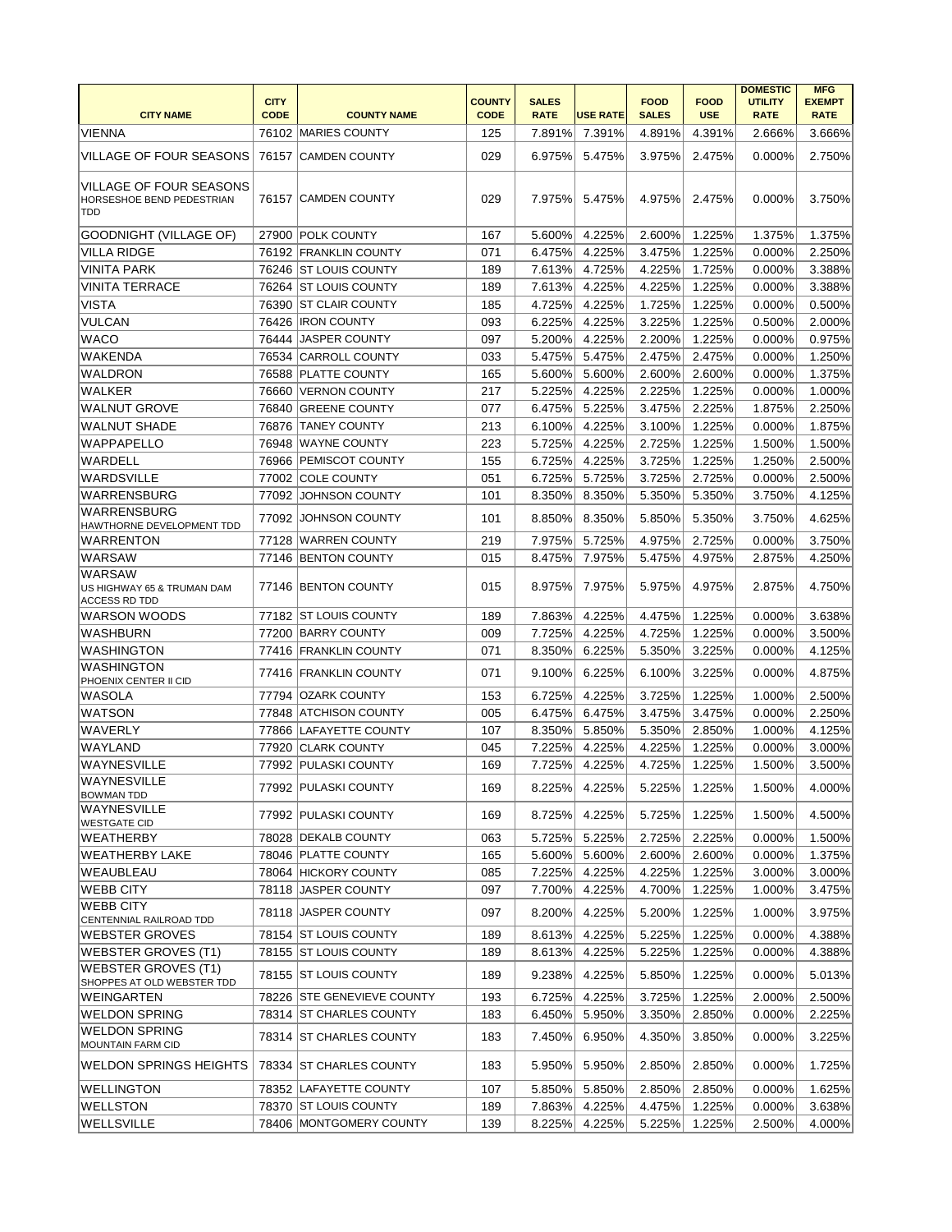|                                                                           | <b>CITY</b> |                            | <b>COUNTY</b> | <b>SALES</b> |                 | <b>FOOD</b>  | <b>FOOD</b> | <b>DOMESTIC</b><br><b>UTILITY</b> | <b>MFG</b><br><b>EXEMPT</b> |
|---------------------------------------------------------------------------|-------------|----------------------------|---------------|--------------|-----------------|--------------|-------------|-----------------------------------|-----------------------------|
| <b>CITY NAME</b>                                                          | <b>CODE</b> | <b>COUNTY NAME</b>         | <b>CODE</b>   | <b>RATE</b>  | <b>USE RATE</b> | <b>SALES</b> | <b>USE</b>  | <b>RATE</b>                       | <b>RATE</b>                 |
| <b>VIENNA</b>                                                             |             | 76102 MARIES COUNTY        | 125           | 7.891%       | 7.391%          | 4.891%       | 4.391%      | 2.666%                            | 3.666%                      |
| <b>VILLAGE OF FOUR SEASONS</b>                                            |             | 76157 CAMDEN COUNTY        | 029           | 6.975%       | 5.475%          | 3.975%       | 2.475%      | 0.000%                            | 2.750%                      |
| <b>VILLAGE OF FOUR SEASONS</b><br>HORSESHOE BEND PEDESTRIAN<br><b>TDD</b> |             | 76157 CAMDEN COUNTY        | 029           | 7.975%       | 5.475%          | 4.975%       | 2.475%      | 0.000%                            | 3.750%                      |
| <b>GOODNIGHT (VILLAGE OF)</b>                                             |             | 27900 POLK COUNTY          | 167           | 5.600%       | 4.225%          | 2.600%       | 1.225%      | 1.375%                            | 1.375%                      |
| <b>VILLA RIDGE</b>                                                        |             | 76192 FRANKLIN COUNTY      | 071           | 6.475%       | 4.225%          | 3.475%       | 1.225%      | 0.000%                            | 2.250%                      |
| <b>VINITA PARK</b>                                                        |             | 76246 ST LOUIS COUNTY      | 189           | 7.613%       | 4.725%          | 4.225%       | 1.725%      | 0.000%                            | 3.388%                      |
| <b>VINITA TERRACE</b>                                                     |             | 76264 ST LOUIS COUNTY      | 189           | 7.613%       | 4.225%          | 4.225%       | 1.225%      | 0.000%                            | 3.388%                      |
| <b>VISTA</b>                                                              |             | 76390 ST CLAIR COUNTY      | 185           | 4.725%       | 4.225%          | 1.725%       | 1.225%      | 0.000%                            | 0.500%                      |
| <b>VULCAN</b>                                                             |             | 76426  IRON COUNTY         | 093           | 6.225%       | 4.225%          | 3.225%       | 1.225%      | 0.500%                            | 2.000%                      |
| <b>WACO</b>                                                               |             | 76444 JASPER COUNTY        | 097           | 5.200%       | 4.225%          | 2.200%       | 1.225%      | 0.000%                            | 0.975%                      |
| <b>WAKENDA</b>                                                            |             | 76534 CARROLL COUNTY       | 033           | 5.475%       | 5.475%          | 2.475%       | 2.475%      | 0.000%                            | 1.250%                      |
| WALDRON                                                                   |             | 76588 PLATTE COUNTY        | 165           | 5.600%       | 5.600%          | 2.600%       | 2.600%      | 0.000%                            | 1.375%                      |
| <b>WALKER</b>                                                             | 76660       | <b>VERNON COUNTY</b>       | 217           | 5.225%       | 4.225%          | 2.225%       | 1.225%      | 0.000%                            | 1.000%                      |
| <b>WALNUT GROVE</b>                                                       | 76840       | <b>GREENE COUNTY</b>       | 077           | 6.475%       | 5.225%          | 3.475%       | 2.225%      | 1.875%                            | 2.250%                      |
| <b>WALNUT SHADE</b>                                                       |             | 76876 TANEY COUNTY         | 213           | 6.100%       | 4.225%          | 3.100%       | 1.225%      | 0.000%                            | 1.875%                      |
| <b>WAPPAPELLO</b>                                                         |             | 76948 WAYNE COUNTY         | 223           | 5.725%       | 4.225%          | 2.725%       | 1.225%      | 1.500%                            | 1.500%                      |
| WARDELL                                                                   |             | 76966 PEMISCOT COUNTY      | 155           | 6.725%       | 4.225%          | 3.725%       | 1.225%      | 1.250%                            | 2.500%                      |
| <b>WARDSVILLE</b>                                                         |             | 77002 COLE COUNTY          | 051           | 6.725%       | 5.725%          | 3.725%       | 2.725%      | 0.000%                            | 2.500%                      |
| WARRENSBURG                                                               | 77092       | JOHNSON COUNTY             | 101           | 8.350%       | 8.350%          | 5.350%       | 5.350%      | 3.750%                            | 4.125%                      |
| WARRENSBURG<br>HAWTHORNE DEVELOPMENT TDD                                  |             | 77092 JOHNSON COUNTY       | 101           | 8.850%       | 8.350%          | 5.850%       | 5.350%      | 3.750%                            | 4.625%                      |
| <b>WARRENTON</b>                                                          |             | 77128 WARREN COUNTY        | 219           | 7.975%       | 5.725%          | 4.975%       | 2.725%      | 0.000%                            | 3.750%                      |
| <b>WARSAW</b>                                                             |             | 77146 BENTON COUNTY        | 015           | 8.475%       | 7.975%          | 5.475%       | 4.975%      | 2.875%                            | 4.250%                      |
| <b>WARSAW</b><br>US HIGHWAY 65 & TRUMAN DAM<br><b>ACCESS RD TDD</b>       |             | 77146 BENTON COUNTY        | 015           | 8.975%       | 7.975%          | 5.975%       | 4.975%      | 2.875%                            | 4.750%                      |
| <b>WARSON WOODS</b>                                                       |             | 77182 ST LOUIS COUNTY      | 189           |              | 7.863% 4.225%   | 4.475%       | 1.225%      | 0.000%                            | 3.638%                      |
| <b>WASHBURN</b>                                                           |             | 77200 BARRY COUNTY         | 009           | 7.725%       | 4.225%          | 4.725%       | 1.225%      | 0.000%                            | 3.500%                      |
| <b>WASHINGTON</b>                                                         |             | 77416 FRANKLIN COUNTY      | 071           | 8.350%       | 6.225%          | 5.350%       | 3.225%      | 0.000%                            | 4.125%                      |
| <b>WASHINGTON</b><br>PHOENIX CENTER II CID                                |             | 77416 FRANKLIN COUNTY      | 071           | 9.100%       | 6.225%          | 6.100%       | 3.225%      | 0.000%                            | 4.875%                      |
| <b>WASOLA</b>                                                             |             | 77794 OZARK COUNTY         | 153           | 6.725%       | 4.225%          | 3.725%       | 1.225%      | 1.000%                            | 2.500%                      |
| <b>WATSON</b>                                                             |             | 77848 ATCHISON COUNTY      | 005           | 6.475%       | 6.475%          | 3.475%       | 3.475%      | 0.000%                            | 2.250%                      |
| <b>WAVERLY</b>                                                            |             | 77866 LAFAYETTE COUNTY     | 107           | 8.350%       | 5.850%          | 5.350%       | 2.850%      | 1.000%                            | 4.125%                      |
| WAYLAND                                                                   |             | 77920 CLARK COUNTY         | 045           | 7.225%       | 4.225%          | 4.225%       | 1.225%      | 0.000%                            | 3.000%                      |
| WAYNESVILLE                                                               |             | 77992 PULASKI COUNTY       | 169           | 7.725%       | 4.225%          | 4.725%       | 1.225%      | 1.500%                            | 3.500%                      |
| WAYNESVILLE<br><b>BOWMAN TDD</b>                                          |             | 77992 PULASKI COUNTY       | 169           | 8.225%       | 4.225%          | 5.225%       | 1.225%      | 1.500%                            | 4.000%                      |
| <b>WAYNESVILLE</b><br><b>WESTGATE CID</b>                                 |             | 77992 PULASKI COUNTY       | 169           | 8.725%       | 4.225%          | 5.725%       | 1.225%      | 1.500%                            | 4.500%                      |
| WEATHERBY                                                                 |             | 78028 DEKALB COUNTY        | 063           | 5.725%       | 5.225%          | 2.725%       | 2.225%      | 0.000%                            | 1.500%                      |
| <b>WEATHERBY LAKE</b>                                                     |             | 78046 PLATTE COUNTY        | 165           | 5.600%       | 5.600%          | 2.600%       | 2.600%      | 0.000%                            | 1.375%                      |
| WEAUBLEAU                                                                 |             | 78064 HICKORY COUNTY       | 085           | 7.225%       | 4.225%          | 4.225%       | 1.225%      | 3.000%                            | 3.000%                      |
| <b>WEBB CITY</b>                                                          |             | 78118 JASPER COUNTY        | 097           | 7.700%       | 4.225%          | 4.700%       | 1.225%      | 1.000%                            | 3.475%                      |
| <b>WEBB CITY</b><br>CENTENNIAL RAILROAD TDD                               |             | 78118 JASPER COUNTY        | 097           | 8.200%       | 4.225%          | 5.200%       | 1.225%      | 1.000%                            | 3.975%                      |
| <b>WEBSTER GROVES</b>                                                     |             | 78154 ST LOUIS COUNTY      | 189           | 8.613%       | 4.225%          | 5.225%       | 1.225%      | 0.000%                            | 4.388%                      |
| <b>WEBSTER GROVES (T1)</b>                                                |             | 78155 ST LOUIS COUNTY      | 189           | 8.613%       | 4.225%          | 5.225%       | 1.225%      | 0.000%                            | 4.388%                      |
| <b>WEBSTER GROVES (T1)</b><br>SHOPPES AT OLD WEBSTER TDD                  |             | 78155 ST LOUIS COUNTY      | 189           | 9.238%       | 4.225%          | 5.850%       | 1.225%      | 0.000%                            | 5.013%                      |
| <b>WEINGARTEN</b>                                                         |             | 78226 STE GENEVIEVE COUNTY | 193           | 6.725%       | 4.225%          | 3.725%       | 1.225%      | 2.000%                            | 2.500%                      |
| <b>WELDON SPRING</b>                                                      |             | 78314 ST CHARLES COUNTY    | 183           | 6.450%       | 5.950%          | 3.350%       | 2.850%      | 0.000%                            | 2.225%                      |
| <b>WELDON SPRING</b><br><b>MOUNTAIN FARM CID</b>                          |             | 78314 ST CHARLES COUNTY    | 183           | 7.450%       | 6.950%          | 4.350%       | 3.850%      | 0.000%                            | 3.225%                      |
| WELDON SPRINGS HEIGHTS                                                    |             | 78334 ST CHARLES COUNTY    | 183           | 5.950%       | 5.950%          | 2.850%       | 2.850%      | 0.000%                            | 1.725%                      |
| <b>WELLINGTON</b>                                                         |             | 78352 LAFAYETTE COUNTY     | 107           | 5.850%       | 5.850%          | 2.850%       | 2.850%      | 0.000%                            | 1.625%                      |
| <b>WELLSTON</b>                                                           |             | 78370 ST LOUIS COUNTY      | 189           | 7.863%       | 4.225%          | 4.475%       | 1.225%      | 0.000%                            | 3.638%                      |
| <b>WELLSVILLE</b>                                                         |             | 78406 MONTGOMERY COUNTY    | 139           | 8.225%       | 4.225%          | 5.225%       | 1.225%      | 2.500%                            | 4.000%                      |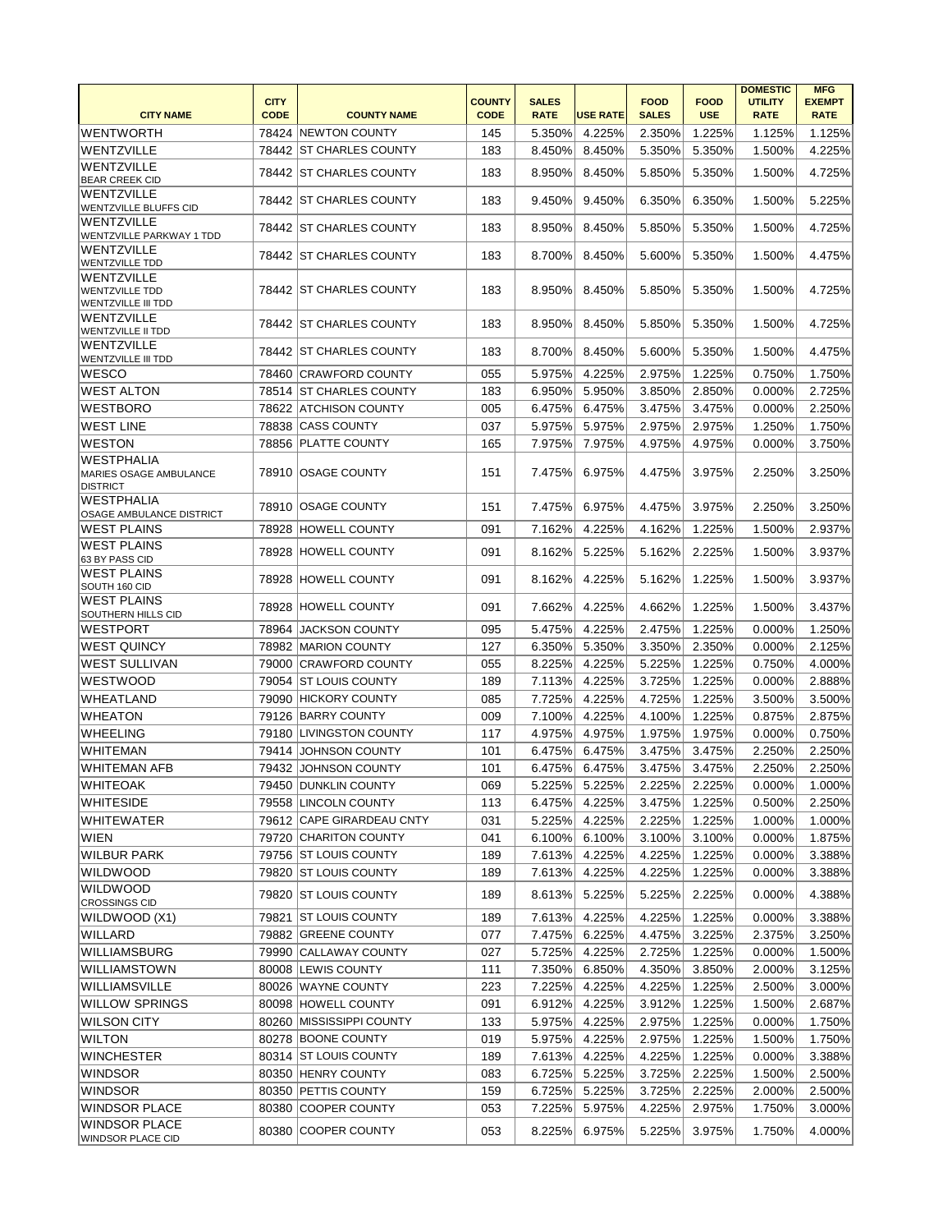|                                                    |             |                           |               |              |                 |              |             | <b>DOMESTIC</b> | <b>MFG</b>    |
|----------------------------------------------------|-------------|---------------------------|---------------|--------------|-----------------|--------------|-------------|-----------------|---------------|
|                                                    | <b>CITY</b> |                           | <b>COUNTY</b> | <b>SALES</b> |                 | <b>FOOD</b>  | <b>FOOD</b> | <b>UTILITY</b>  | <b>EXEMPT</b> |
| <b>CITY NAME</b>                                   | <b>CODE</b> | <b>COUNTY NAME</b>        | <b>CODE</b>   | <b>RATE</b>  | <b>USE RATE</b> | <b>SALES</b> | <b>USE</b>  | <b>RATE</b>     | <b>RATE</b>   |
| <b>WENTWORTH</b>                                   |             | 78424 NEWTON COUNTY       | 145           | 5.350%       | 4.225%          | 2.350%       | 1.225%      | 1.125%          | 1.125%        |
| WENTZVILLE                                         |             | 78442 ST CHARLES COUNTY   | 183           | 8.450%       | 8.450%          | 5.350%       | 5.350%      | 1.500%          | 4.225%        |
| <b>WENTZVILLE</b>                                  |             | 78442 ST CHARLES COUNTY   | 183           | 8.950%       | 8.450%          | 5.850%       | 5.350%      | 1.500%          | 4.725%        |
| <b>BEAR CREEK CID</b>                              |             |                           |               |              |                 |              |             |                 |               |
| <b>WENTZVILLE</b><br><b>WENTZVILLE BLUFFS CID</b>  |             | 78442 ST CHARLES COUNTY   | 183           | 9.450%       | 9.450%          | 6.350%       | 6.350%      | 1.500%          | 5.225%        |
| <b>WENTZVILLE</b>                                  |             |                           |               |              |                 |              |             |                 |               |
| WENTZVILLE PARKWAY 1 TDD                           |             | 78442 IST CHARLES COUNTY  | 183           | 8.950%       | 8.450%          | 5.850%       | 5.350%      | 1.500%          | 4.725%        |
| <b>WENTZVILLE</b>                                  |             | 78442 IST CHARLES COUNTY  | 183           | 8.700%       | 8.450%          | 5.600%       | 5.350%      | 1.500%          | 4.475%        |
| <b>WENTZVILLE TDD</b>                              |             |                           |               |              |                 |              |             |                 |               |
| <b>WENTZVILLE</b>                                  |             | 78442 IST CHARLES COUNTY  | 183           | 8.950%       | 8.450%          | 5.850%       | 5.350%      |                 | 4.725%        |
| <b>WENTZVILLE TDD</b><br><b>WENTZVILLE III TDD</b> |             |                           |               |              |                 |              |             | 1.500%          |               |
| <b>WENTZVILLE</b>                                  |             |                           |               |              |                 |              |             |                 |               |
| <b>WENTZVILLE II TDD</b>                           |             | 78442 ST CHARLES COUNTY   | 183           | 8.950%       | 8.450%          | 5.850%       | 5.350%      | 1.500%          | 4.725%        |
| <b>WENTZVILLE</b>                                  |             | 78442 ST CHARLES COUNTY   | 183           | 8.700%       | 8.450%          | 5.600%       | 5.350%      | 1.500%          | 4.475%        |
| WENTZVILLE III TDD                                 |             |                           |               |              |                 |              |             |                 |               |
| <b>WESCO</b>                                       |             | 78460 CRAWFORD COUNTY     | 055           | 5.975%       | 4.225%          | 2.975%       | 1.225%      | 0.750%          | 1.750%        |
| <b>WEST ALTON</b>                                  |             | 78514 ST CHARLES COUNTY   | 183           | 6.950%       | 5.950%          | 3.850%       | 2.850%      | 0.000%          | 2.725%        |
| <b>WESTBORO</b>                                    |             | 78622 ATCHISON COUNTY     | 005           | 6.475%       | 6.475%          | 3.475%       | 3.475%      | 0.000%          | 2.250%        |
| <b>WEST LINE</b>                                   |             | 78838 CASS COUNTY         | 037           | 5.975%       | 5.975%          | 2.975%       | 2.975%      | 1.250%          | 1.750%        |
| <b>WESTON</b>                                      |             | 78856 PLATTE COUNTY       | 165           | 7.975%       | 7.975%          | 4.975%       | 4.975%      | 0.000%          | 3.750%        |
| <b>WESTPHALIA</b>                                  |             |                           |               |              |                 |              |             |                 |               |
| MARIES OSAGE AMBULANCE                             |             | 78910 OSAGE COUNTY        | 151           | 7.475%       | 6.975%          | 4.475%       | 3.975%      | 2.250%          | 3.250%        |
| <b>DISTRICT</b><br><b>WESTPHALIA</b>               |             |                           |               |              |                 |              |             |                 |               |
| <b>OSAGE AMBULANCE DISTRICT</b>                    |             | 78910 OSAGE COUNTY        | 151           | 7.475%       | 6.975%          | 4.475%       | 3.975%      | 2.250%          | 3.250%        |
| <b>WEST PLAINS</b>                                 |             | 78928 HOWELL COUNTY       | 091           | 7.162%       | 4.225%          | 4.162%       | 1.225%      | 1.500%          | 2.937%        |
| <b>WEST PLAINS</b>                                 |             |                           |               |              |                 |              |             |                 |               |
| 63 BY PASS CID                                     |             | 78928 HOWELL COUNTY       | 091           | 8.162%       | 5.225%          | 5.162%       | 2.225%      | 1.500%          | 3.937%        |
| <b>WEST PLAINS</b>                                 |             | 78928 HOWELL COUNTY       | 091           | 8.162%       | 4.225%          | 5.162%       | 1.225%      | 1.500%          | 3.937%        |
| SOUTH 160 CID                                      |             |                           |               |              |                 |              |             |                 |               |
| <b>WEST PLAINS</b><br>SOUTHERN HILLS CID           |             | 78928 HOWELL COUNTY       | 091           | 7.662%       | 4.225%          | 4.662%       | 1.225%      | 1.500%          | 3.437%        |
| <b>WESTPORT</b>                                    |             | 78964 JACKSON COUNTY      | 095           | 5.475%       | 4.225%          | 2.475%       | 1.225%      | 0.000%          | 1.250%        |
| <b>WEST QUINCY</b>                                 |             | 78982 MARION COUNTY       | 127           | 6.350%       | 5.350%          | 3.350%       | 2.350%      | 0.000%          | 2.125%        |
| <b>WEST SULLIVAN</b>                               |             | 79000 CRAWFORD COUNTY     |               |              |                 |              |             |                 |               |
|                                                    |             |                           | 055           | 8.225%       | 4.225%          | 5.225%       | 1.225%      | 0.750%          | 4.000%        |
| <b>WESTWOOD</b>                                    |             | 79054 ST LOUIS COUNTY     | 189           | 7.113%       | 4.225%          | 3.725%       | 1.225%      | 0.000%          | 2.888%        |
| <b>WHEATLAND</b>                                   |             | 79090 HICKORY COUNTY      | 085           | 7.725%       | 4.225%          | 4.725%       | 1.225%      | 3.500%          | 3.500%        |
| <b>WHEATON</b>                                     |             | 79126 BARRY COUNTY        | 009           | 7.100%       | 4.225%          | 4.100%       | 1.225%      | 0.875%          | 2.875%        |
| <b>WHEELING</b>                                    |             | 79180 LIVINGSTON COUNTY   | 117           | 4.975%       | 4.975%          | 1.975%       | 1.975%      | 0.000%          | 0.750%        |
| <b>WHITEMAN</b>                                    |             | 79414 JOHNSON COUNTY      | 101           | 6.475%       | 6.475%          | 3.475%       | 3.475%      | 2.250%          | 2.250%        |
| <b>WHITEMAN AFB</b>                                |             | 79432 JOHNSON COUNTY      | 101           | 6.475%       | 6.475%          | 3.475%       | 3.475%      | 2.250%          | 2.250%        |
| <b>WHITEOAK</b>                                    |             | 79450 DUNKLIN COUNTY      | 069           | 5.225%       | 5.225%          | 2.225%       | 2.225%      | 0.000%          | 1.000%        |
| <b>WHITESIDE</b>                                   |             | 79558 LINCOLN COUNTY      | 113           | 6.475%       | 4.225%          | 3.475%       | 1.225%      | 0.500%          | 2.250%        |
| <b>WHITEWATER</b>                                  |             | 79612 CAPE GIRARDEAU CNTY | 031           | 5.225%       | 4.225%          | 2.225%       | 1.225%      | 1.000%          | 1.000%        |
| WIEN                                               |             | 79720 CHARITON COUNTY     | 041           | 6.100%       | 6.100%          | 3.100%       | 3.100%      | 0.000%          | 1.875%        |
| <b>WILBUR PARK</b>                                 |             | 79756 ST LOUIS COUNTY     | 189           | 7.613%       | 4.225%          | 4.225%       | 1.225%      | 0.000%          | 3.388%        |
| <b>WILDWOOD</b>                                    |             | 79820 ST LOUIS COUNTY     | 189           | 7.613%       | 4.225%          | 4.225%       | 1.225%      | 0.000%          | 3.388%        |
| <b>WILDWOOD</b>                                    |             |                           |               |              |                 |              |             |                 |               |
| <b>CROSSINGS CID</b>                               |             | 79820 ST LOUIS COUNTY     | 189           | 8.613%       | 5.225%          | 5.225%       | 2.225%      | 0.000%          | 4.388%        |
| WILDWOOD (X1)                                      |             | 79821 ST LOUIS COUNTY     | 189           | 7.613%       | 4.225%          | 4.225%       | 1.225%      | 0.000%          | 3.388%        |
| WILLARD                                            |             | 79882 GREENE COUNTY       | 077           | 7.475%       | 6.225%          | 4.475%       | 3.225%      | 2.375%          | 3.250%        |
| <b>WILLIAMSBURG</b>                                |             | 79990 CALLAWAY COUNTY     | 027           | 5.725%       | 4.225%          | 2.725%       | 1.225%      | 0.000%          | 1.500%        |
| WILLIAMSTOWN                                       |             | 80008 LEWIS COUNTY        | 111           | 7.350%       | 6.850%          | 4.350%       | 3.850%      | 2.000%          | 3.125%        |
| WILLIAMSVILLE                                      |             | 80026 WAYNE COUNTY        | 223           | 7.225%       | 4.225%          | 4.225%       | 1.225%      | 2.500%          | 3.000%        |
| <b>WILLOW SPRINGS</b>                              |             | 80098 HOWELL COUNTY       | 091           | 6.912%       | 4.225%          | 3.912%       | 1.225%      | 1.500%          | 2.687%        |
| <b>WILSON CITY</b>                                 |             | 80260 MISSISSIPPI COUNTY  | 133           | 5.975%       | 4.225%          | 2.975%       | 1.225%      | 0.000%          | 1.750%        |
| <b>WILTON</b>                                      |             | 80278 BOONE COUNTY        | 019           | 5.975%       | 4.225%          | 2.975%       | 1.225%      | 1.500%          | 1.750%        |
| <b>WINCHESTER</b>                                  |             | 80314 ST LOUIS COUNTY     | 189           | 7.613%       | 4.225%          | 4.225%       | 1.225%      | 0.000%          | 3.388%        |
| <b>WINDSOR</b>                                     |             | 80350 HENRY COUNTY        | 083           | 6.725%       | 5.225%          | 3.725%       | 2.225%      | 1.500%          | 2.500%        |
|                                                    |             |                           |               |              |                 |              |             |                 |               |
| <b>WINDSOR</b>                                     |             | 80350 PETTIS COUNTY       | 159           | 6.725%       | 5.225%          | 3.725%       | 2.225%      | 2.000%          | 2.500%        |
| <b>WINDSOR PLACE</b>                               |             | 80380 COOPER COUNTY       | 053           | 7.225%       | 5.975%          | 4.225%       | 2.975%      | 1.750%          | 3.000%        |
| <b>WINDSOR PLACE</b><br><b>WINDSOR PLACE CID</b>   |             | 80380 COOPER COUNTY       | 053           | 8.225%       | 6.975%          | 5.225%       | 3.975%      | 1.750%          | 4.000%        |
|                                                    |             |                           |               |              |                 |              |             |                 |               |